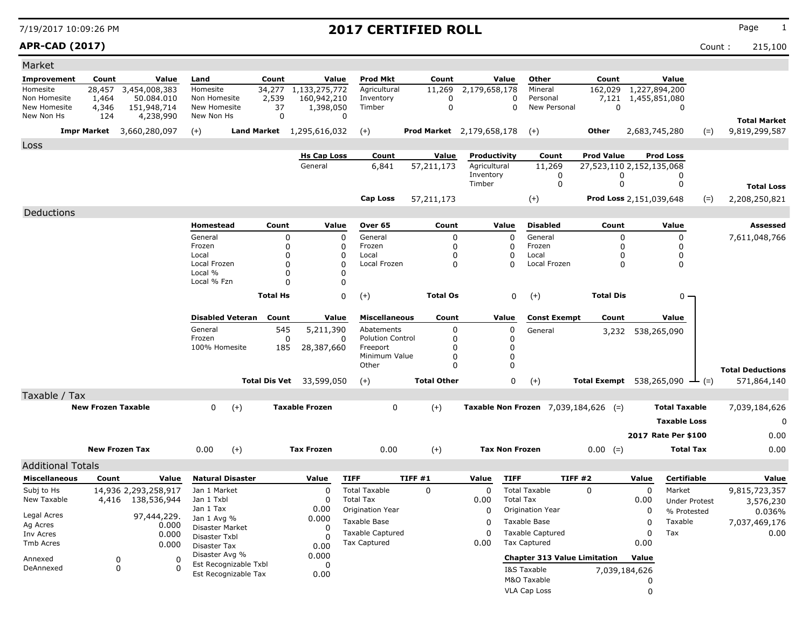### **APR-CAD (2017)** Count : 215,100

| Market                       |                           |                          |                                |                         |                 |                                 |                              |                      |                                  |                                               |                                                   |               |                      |       |                                      |
|------------------------------|---------------------------|--------------------------|--------------------------------|-------------------------|-----------------|---------------------------------|------------------------------|----------------------|----------------------------------|-----------------------------------------------|---------------------------------------------------|---------------|----------------------|-------|--------------------------------------|
| <b>Improvement</b>           | Count                     | Value                    | Land                           |                         | Count           | Value                           | <b>Prod Mkt</b>              | Count                | Value                            | Other                                         | Count                                             |               | Value                |       |                                      |
| Homesite                     | 28,457                    | 3,454,008,383            | Homesite                       |                         | 34,277          | 1,133,275,772                   | Agricultural                 | 11,269               | 2,179,658,178                    | Mineral                                       | 162,029                                           |               | 1,227,894,200        |       |                                      |
| Non Homesite<br>New Homesite | 1,464                     | 50.084.010               | Non Homesite<br>New Homesite   |                         | 2,539<br>37     | 160,942,210<br>1,398,050        | Inventory<br>Timber          | $\Omega$<br>$\Omega$ |                                  | 0<br>Personal<br>$\mathbf{0}$<br>New Personal | 7,121<br>$\mathbf 0$                              |               | 1,455,851,080<br>0   |       |                                      |
| New Non Hs                   | 4,346<br>124              | 151,948,714<br>4,238,990 | New Non Hs                     |                         | $\mathbf 0$     |                                 | 0                            |                      |                                  |                                               |                                                   |               |                      |       |                                      |
|                              | <b>Impr Market</b>        | 3,660,280,097            | $(+)$                          |                         |                 | Land Market 1,295,616,032       | $(+)$                        |                      | <b>Prod Market</b> 2,179,658,178 | $(+)$                                         | Other                                             |               | 2,683,745,280        | $(=)$ | <b>Total Market</b><br>9,819,299,587 |
| Loss                         |                           |                          |                                |                         |                 |                                 |                              |                      |                                  |                                               |                                                   |               |                      |       |                                      |
|                              |                           |                          |                                |                         |                 | <b>Hs Cap Loss</b>              | Count                        | <b>Value</b>         | Productivity                     | Count                                         | <b>Prod Value</b>                                 |               | <b>Prod Loss</b>     |       |                                      |
|                              |                           |                          |                                |                         |                 | General                         | 6,841                        | 57,211,173           | Agricultural                     | 11,269                                        | 27,523,110 2,152,135,068                          |               |                      |       |                                      |
|                              |                           |                          |                                |                         |                 |                                 |                              |                      | Inventory<br>Timber              | 0<br>0                                        |                                                   | 0<br>0        | 0<br>0               |       |                                      |
|                              |                           |                          |                                |                         |                 |                                 |                              |                      |                                  |                                               |                                                   |               |                      |       | <b>Total Loss</b>                    |
|                              |                           |                          |                                |                         |                 |                                 | <b>Cap Loss</b>              | 57,211,173           |                                  | $^{(+)}$                                      | Prod Loss 2,151,039,648                           |               |                      | $(=)$ | 2,208,250,821                        |
| Deductions                   |                           |                          |                                |                         |                 |                                 |                              |                      |                                  |                                               |                                                   |               |                      |       |                                      |
|                              |                           |                          | Homestead                      |                         | Count           | Value                           | Over 65                      | Count                | Value                            | <b>Disabled</b>                               | Count                                             |               | Value                |       | Assessed                             |
|                              |                           |                          | General                        |                         | 0               |                                 | General<br>$\Omega$          | 0                    |                                  | 0<br>General                                  |                                                   | 0             | 0                    |       | 7,611,048,766                        |
|                              |                           |                          | Frozen<br>Local                |                         | 0<br>O          |                                 | 0<br>Frozen<br>Local<br>0    | 0<br>0               | 0<br>$\Omega$                    | Frozen<br>Local                               |                                                   | 0<br>0        | 0<br>0               |       |                                      |
|                              |                           |                          | Local Frozen                   |                         | O               |                                 | $\Omega$<br>Local Frozen     | 0                    | $\Omega$                         | Local Frozen                                  |                                                   | 0             | 0                    |       |                                      |
|                              |                           |                          | Local %                        |                         | $\Omega$        |                                 | O                            |                      |                                  |                                               |                                                   |               |                      |       |                                      |
|                              |                           |                          | Local % Fzn                    |                         | $\Omega$        |                                 | 0                            |                      |                                  |                                               |                                                   |               |                      |       |                                      |
|                              |                           |                          |                                |                         | <b>Total Hs</b> |                                 | 0<br>$^{(+)}$                | <b>Total Os</b>      |                                  | 0<br>$(+)$                                    | <b>Total Dis</b>                                  |               | $0 -$                |       |                                      |
|                              |                           |                          |                                |                         |                 |                                 |                              |                      |                                  |                                               |                                                   |               |                      |       |                                      |
|                              |                           |                          |                                | <b>Disabled Veteran</b> | Count           | Value                           | <b>Miscellaneous</b>         | Count                | Value                            | <b>Const Exempt</b>                           | Count                                             |               | Value                |       |                                      |
|                              |                           |                          | General                        |                         | 545             | 5,211,390                       | Abatements                   | 0                    | 0                                | General                                       |                                                   |               | 3,232 538,265,090    |       |                                      |
|                              |                           |                          | Frozen                         |                         | 0               |                                 | <b>Polution Control</b><br>0 | 0                    | 0                                |                                               |                                                   |               |                      |       |                                      |
|                              |                           |                          | 100% Homesite                  |                         | 185             | 28,387,660                      | Freeport                     | 0                    | 0                                |                                               |                                                   |               |                      |       |                                      |
|                              |                           |                          |                                |                         |                 |                                 | Minimum Value<br>Other       | 0<br>$\Omega$        | 0<br>$\Omega$                    |                                               |                                                   |               |                      |       |                                      |
|                              |                           |                          |                                |                         |                 |                                 |                              |                      |                                  |                                               |                                                   |               |                      |       | <b>Total Deductions</b>              |
|                              |                           |                          |                                |                         |                 | <b>Total Dis Vet</b> 33,599,050 | $(+)$                        | <b>Total Other</b>   |                                  | 0<br>$(+)$                                    | <b>Total Exempt</b> 538,265,090 $\rightarrow$ (=) |               |                      |       | 571,864,140                          |
| Taxable / Tax                | <b>New Frozen Taxable</b> |                          | 0                              | $^{(+)}$                |                 | <b>Taxable Frozen</b>           | 0                            | $(+)$                |                                  |                                               | <b>Taxable Non Frozen</b> $7,039,184,626$ (=)     |               | <b>Total Taxable</b> |       | 7,039,184,626                        |
|                              |                           |                          |                                |                         |                 |                                 |                              |                      |                                  |                                               |                                                   |               |                      |       |                                      |
|                              |                           |                          |                                |                         |                 |                                 |                              |                      |                                  |                                               |                                                   |               | <b>Taxable Loss</b>  |       | 0                                    |
|                              |                           |                          |                                |                         |                 |                                 |                              |                      |                                  |                                               |                                                   |               | 2017 Rate Per \$100  |       | 0.00                                 |
|                              | <b>New Frozen Tax</b>     |                          | 0.00                           | $(+)$                   |                 | <b>Tax Frozen</b>               | 0.00                         | $(+)$                | <b>Tax Non Frozen</b>            |                                               | $0.00 (=)$                                        |               | <b>Total Tax</b>     |       | 0.00                                 |
| <b>Additional Totals</b>     |                           |                          |                                |                         |                 |                                 |                              |                      |                                  |                                               |                                                   |               |                      |       |                                      |
| <b>Miscellaneous</b>         | Count                     | Value                    |                                | <b>Natural Disaster</b> |                 | Value                           | <b>TIFF</b>                  | TIFF #1              | Value                            | <b>TIFF</b>                                   | <b>TIFF #2</b>                                    | Value         | <b>Certifiable</b>   |       | Value                                |
| Subj to Hs                   |                           | 14,936 2,293,258,917     | Jan 1 Market                   |                         |                 | 0                               | <b>Total Taxable</b>         | 0                    | 0                                | <b>Total Taxable</b>                          | 0                                                 | 0             | Market               |       | 9,815,723,357                        |
| New Taxable                  |                           | 4,416 138,536,944        | Jan 1 Txbl                     |                         |                 | 0                               | <b>Total Tax</b>             |                      | 0.00                             | <b>Total Tax</b>                              |                                                   | 0.00          | <b>Under Protest</b> |       | 3,576,230                            |
|                              |                           |                          | Jan 1 Tax                      |                         |                 | 0.00                            | Origination Year             |                      | 0                                | Origination Year                              |                                                   | 0             | % Protested          |       | 0.036%                               |
| Legal Acres                  |                           | 97,444,229.              | Jan 1 Avg %                    |                         |                 | 0.000                           | Taxable Base                 |                      | 0                                | Taxable Base                                  |                                                   | 0             | Taxable              |       | 7,037,469,176                        |
| Ag Acres<br>Inv Acres        |                           | 0.000<br>0.000           | Disaster Market                |                         |                 | 0                               | <b>Taxable Captured</b>      |                      | $\Omega$                         | <b>Taxable Captured</b>                       |                                                   | 0             | Tax                  |       | 0.00                                 |
| Tmb Acres                    |                           | 0.000                    | Disaster Txbl                  |                         |                 | $\Omega$                        | <b>Tax Captured</b>          |                      | 0.00                             | Tax Captured                                  |                                                   | 0.00          |                      |       |                                      |
|                              |                           |                          | Disaster Tax<br>Disaster Avg % |                         |                 | 0.00<br>0.000                   |                              |                      |                                  |                                               |                                                   |               |                      |       |                                      |
| Annexed                      | 0                         | 0                        |                                | Est Recognizable Txbl   |                 | 0                               |                              |                      |                                  |                                               | <b>Chapter 313 Value Limitation</b>               | Value         |                      |       |                                      |
| DeAnnexed                    | 0                         |                          |                                | Est Recognizable Tax    |                 | 0.00                            |                              |                      |                                  | I&S Taxable                                   |                                                   | 7,039,184,626 |                      |       |                                      |
|                              |                           |                          |                                |                         |                 |                                 |                              |                      |                                  | M&O Taxable                                   |                                                   | 0             |                      |       |                                      |
|                              |                           |                          |                                |                         |                 |                                 |                              |                      |                                  | <b>VLA Cap Loss</b>                           |                                                   | $\mathbf 0$   |                      |       |                                      |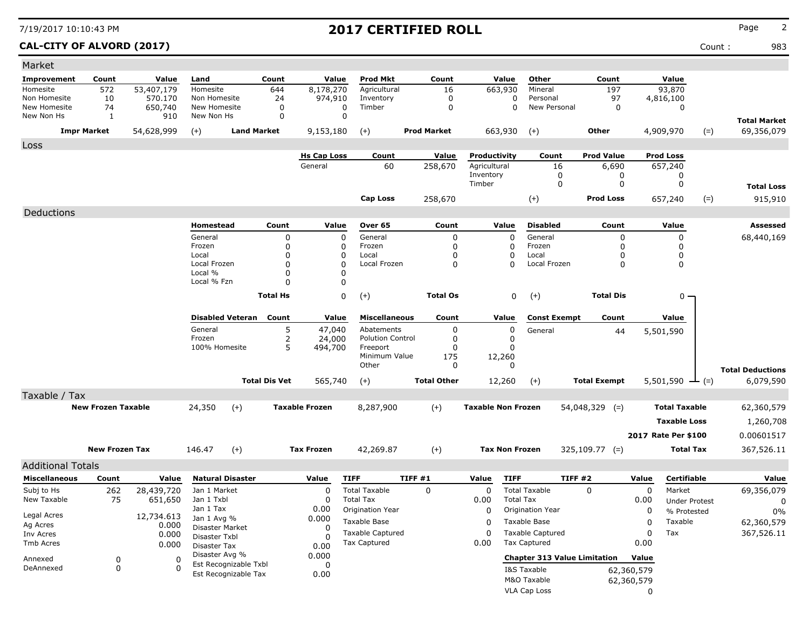### **CAL-CITY OF ALVORD (2017)** Count : 983

| Market                   |                           |            |                     |                         |                      |                       |                         |                    |                           |                                     |                     |            |                      |            |                         |
|--------------------------|---------------------------|------------|---------------------|-------------------------|----------------------|-----------------------|-------------------------|--------------------|---------------------------|-------------------------------------|---------------------|------------|----------------------|------------|-------------------------|
| <b>Improvement</b>       | Count                     | Value      | Land                |                         | Count                | Value                 | Prod Mkt                | Count              | Value                     | Other                               | Count               |            | Value                |            |                         |
| Homesite                 | 572                       | 53,407,179 | Homesite            |                         | 644                  | 8,178,270             | Agricultural            | 16                 | 663,930                   | Mineral                             | 197                 |            | 93,870               |            |                         |
| Non Homesite             | 10                        | 570.170    | Non Homesite        |                         | 24                   | 974,910               | Inventory               | 0                  |                           | Personal<br>0                       | 97                  |            | 4,816,100            |            |                         |
| New Homesite             | 74                        | 650,740    | New Homesite        |                         | 0                    | $\Omega$<br>$\Omega$  | Timber                  | 0                  |                           | 0<br>New Personal                   |                     | 0          | 0                    |            |                         |
| New Non Hs               | 1                         | 910        | New Non Hs          |                         | $\Omega$             |                       |                         |                    |                           |                                     |                     |            |                      |            | <b>Total Market</b>     |
|                          | <b>Impr Market</b>        | 54,628,999 | $(+)$               | <b>Land Market</b>      |                      | 9,153,180             | $(+)$                   | <b>Prod Market</b> | 663,930                   | $(+)$                               | Other               |            | 4,909,970            | $(=)$      | 69,356,079              |
| Loss                     |                           |            |                     |                         |                      |                       |                         |                    |                           |                                     |                     |            |                      |            |                         |
|                          |                           |            |                     |                         |                      | <b>Hs Cap Loss</b>    | Count                   | Value              | Productivity              | Count                               | <b>Prod Value</b>   |            | <b>Prod Loss</b>     |            |                         |
|                          |                           |            |                     |                         |                      | General               | 60                      | 258,670            | Agricultural              | 16                                  | 6,690               |            | 657,240              |            |                         |
|                          |                           |            |                     |                         |                      |                       |                         |                    | Inventory                 | 0                                   |                     | 0          | 0                    |            |                         |
|                          |                           |            |                     |                         |                      |                       |                         |                    | Timber                    | 0                                   |                     | 0          | 0                    |            | <b>Total Loss</b>       |
|                          |                           |            |                     |                         |                      |                       | <b>Cap Loss</b>         | 258,670            |                           | $(+)$                               | <b>Prod Loss</b>    |            | 657,240              | $(=)$      | 915,910                 |
| Deductions               |                           |            |                     |                         |                      |                       |                         |                    |                           |                                     |                     |            |                      |            |                         |
|                          |                           |            | Homestead           |                         | Count                | Value                 | Over 65                 | Count              | Value                     | <b>Disabled</b>                     | Count               |            | Value                |            | Assessed                |
|                          |                           |            | General             |                         | 0                    | 0                     | General                 | 0                  | 0                         | General                             |                     | $\Omega$   | 0                    |            | 68,440,169              |
|                          |                           |            | Frozen              |                         | 0                    | 0                     | Frozen                  | 0                  | 0                         | Frozen                              |                     | $\Omega$   | 0                    |            |                         |
|                          |                           |            | Local               |                         | $\Omega$             | $\Omega$              | Local                   | 0                  | 0                         | Local                               |                     | 0          | 0                    |            |                         |
|                          |                           |            | Local Frozen        |                         | $\Omega$             | $\Omega$              | Local Frozen            | 0                  | 0                         | Local Frozen                        |                     | 0          | 0                    |            |                         |
|                          |                           |            | Local %             |                         | 0                    | 0                     |                         |                    |                           |                                     |                     |            |                      |            |                         |
|                          |                           |            | Local % Fzn         |                         | $\Omega$             | 0                     |                         |                    |                           |                                     |                     |            |                      |            |                         |
|                          |                           |            |                     |                         | <b>Total Hs</b>      | 0                     | $(+)$                   | <b>Total Os</b>    |                           | 0<br>$(+)$                          | <b>Total Dis</b>    |            | $0 -$                |            |                         |
|                          |                           |            |                     |                         |                      |                       |                         |                    |                           |                                     |                     |            |                      |            |                         |
|                          |                           |            |                     | <b>Disabled Veteran</b> | Count                | Value                 | <b>Miscellaneous</b>    | Count              | Value                     | <b>Const Exempt</b>                 | Count               |            | Value                |            |                         |
|                          |                           |            | General             |                         | 5                    | 47,040                | Abatements              | 0                  | 0                         | General                             |                     | 44         | 5,501,590            |            |                         |
|                          |                           |            | Frozen              |                         | 2                    | 24,000                | <b>Polution Control</b> | 0                  | 0                         |                                     |                     |            |                      |            |                         |
|                          |                           |            | 100% Homesite       |                         | 5                    | 494,700               | Freeport                | 0                  | 0                         |                                     |                     |            |                      |            |                         |
|                          |                           |            |                     |                         |                      |                       | Minimum Value<br>Other  | 175<br>0           | 12,260<br>0               |                                     |                     |            |                      |            |                         |
|                          |                           |            |                     |                         |                      |                       |                         |                    |                           |                                     |                     |            |                      |            | <b>Total Deductions</b> |
|                          |                           |            |                     |                         | <b>Total Dis Vet</b> | 565,740               | $(+)$                   | <b>Total Other</b> | 12,260                    | $(+)$                               | <b>Total Exempt</b> |            | 5,501,590            | $(=)$<br>÷ | 6,079,590               |
| Taxable / Tax            |                           |            |                     |                         |                      |                       |                         |                    |                           |                                     |                     |            |                      |            |                         |
|                          | <b>New Frozen Taxable</b> |            | 24,350              | $(+)$                   |                      | <b>Taxable Frozen</b> | 8,287,900               | $(+)$              | <b>Taxable Non Frozen</b> |                                     | $54,048,329$ (=)    |            | <b>Total Taxable</b> |            | 62,360,579              |
|                          |                           |            |                     |                         |                      |                       |                         |                    |                           |                                     |                     |            | <b>Taxable Loss</b>  |            | 1,260,708               |
|                          |                           |            |                     |                         |                      |                       |                         |                    |                           |                                     |                     |            | 2017 Rate Per \$100  |            | 0.00601517              |
|                          | <b>New Frozen Tax</b>     |            | 146.47              | $(+)$                   |                      | <b>Tax Frozen</b>     | 42,269.87               | $(+)$              | <b>Tax Non Frozen</b>     |                                     | $325,109.77$ (=)    |            | Total Tax            |            |                         |
|                          |                           |            |                     |                         |                      |                       |                         |                    |                           |                                     |                     |            |                      |            | 367,526.11              |
| <b>Additional Totals</b> |                           |            |                     |                         |                      |                       |                         |                    |                           |                                     |                     |            |                      |            |                         |
| <b>Miscellaneous</b>     | Count                     | Value      |                     | <b>Natural Disaster</b> |                      | Value                 | <b>TIFF</b>             | TIFF #1            | Value<br><b>TIFF</b>      |                                     | TIFF #2             | Value      | Certifiable          |            | Value                   |
| Subj to Hs               | 262                       | 28,439,720 | Jan 1 Market        |                         |                      | $\Omega$              | <b>Total Taxable</b>    | $\Omega$           | $\Omega$                  | <b>Total Taxable</b>                | $\mathbf{0}$        | 0          | Market               |            | 69,356,079              |
| New Taxable              | 75                        | 651,650    | Jan 1 Txbl          |                         |                      | 0                     | <b>Total Tax</b>        |                    | 0.00                      | <b>Total Tax</b>                    |                     | 0.00       | <b>Under Protest</b> |            | 0                       |
|                          |                           |            | Jan 1 Tax           |                         |                      | 0.00                  | Origination Year        |                    | 0                         | <b>Origination Year</b>             |                     | 0          | % Protested          |            | 0%                      |
| Legal Acres              |                           | 12,734.613 | Jan 1 Avg %         |                         |                      | 0.000                 | Taxable Base            |                    | 0                         | Taxable Base                        |                     | 0          | Taxable              |            | 62,360,579              |
| Ag Acres                 |                           | 0.000      | Disaster Market     |                         |                      | 0                     | <b>Taxable Captured</b> |                    | $\Omega$                  | <b>Taxable Captured</b>             |                     | 0          | Tax                  |            | 367,526.11              |
| Inv Acres                |                           | 0.000      | Disaster Txbl       |                         |                      | 0                     | Tax Captured            |                    | 0.00                      | Tax Captured                        |                     | 0.00       |                      |            |                         |
| Tmb Acres                |                           | 0.000      | <b>Disaster Tax</b> |                         |                      | 0.00                  |                         |                    |                           |                                     |                     |            |                      |            |                         |
| Annexed                  | 0                         |            | Disaster Avg %      | Est Recognizable Txbl   |                      | 0.000                 |                         |                    |                           | <b>Chapter 313 Value Limitation</b> |                     | Value      |                      |            |                         |
| DeAnnexed                | 0                         |            |                     | Est Recognizable Tax    |                      | 0                     |                         |                    |                           | I&S Taxable                         |                     | 62,360,579 |                      |            |                         |
|                          |                           |            |                     |                         |                      | 0.00                  |                         |                    |                           | M&O Taxable                         |                     | 62,360,579 |                      |            |                         |
|                          |                           |            |                     |                         |                      |                       |                         |                    |                           | VLA Cap Loss                        |                     | 0          |                      |            |                         |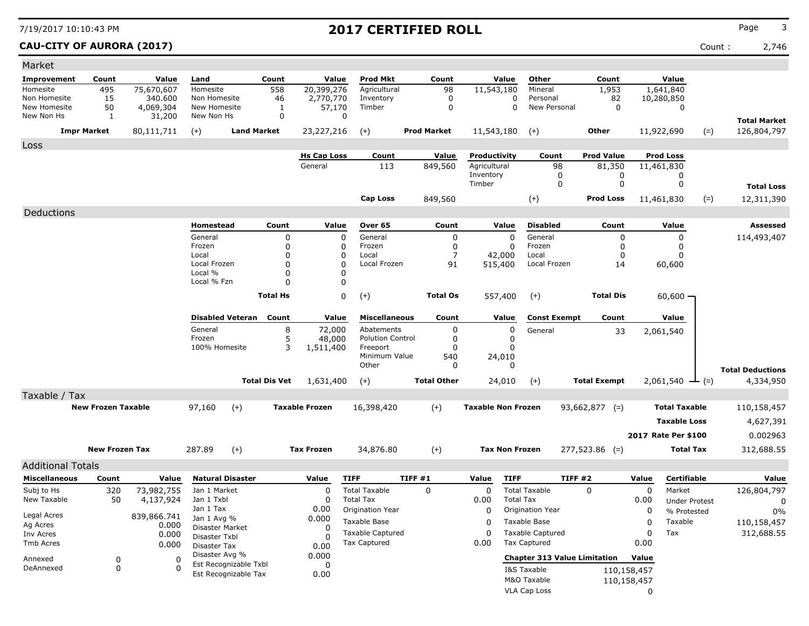### **CAU-CITY OF AURORA (2017)** Count : 2,746

| Market                     |                           |                     |                                |                         |                      |                               |                         |                    |                              |                                     |                             |             |                               |       |                                    |
|----------------------------|---------------------------|---------------------|--------------------------------|-------------------------|----------------------|-------------------------------|-------------------------|--------------------|------------------------------|-------------------------------------|-----------------------------|-------------|-------------------------------|-------|------------------------------------|
| <b>Improvement</b>         | Count                     | Value               | Land                           |                         | Count                | Value                         | <b>Prod Mkt</b>         | Count              | Value                        | Other                               | Count                       |             | Value                         |       |                                    |
| Homesite                   | 495                       | 75,670,607          | Homesite                       |                         | 558                  | 20,399,276                    | Agricultural            | 98                 | 11,543,180                   | Mineral                             | 1,953                       |             | 1,641,840                     |       |                                    |
| Non Homesite               | 15                        | 340,600             | Non Homesite                   |                         | 46                   | 2,770,770                     | Inventory               | $\mathbf 0$        | 0                            | Personal                            | 82                          |             | 10,280,850                    |       |                                    |
| New Homesite<br>New Non Hs | 50<br>1                   | 4,069,304<br>31,200 | New Homesite<br>New Non Hs     |                         | 1<br>$\mathbf 0$     | 57,170<br>0                   | Timber                  | $\mathbf 0$        | $\mathbf 0$                  | New Personal                        | $\mathbf 0$                 |             | $\mathbf 0$                   |       |                                    |
|                            | <b>Impr Market</b>        | 80,111,711          |                                | <b>Land Market</b>      |                      | 23,227,216                    |                         | <b>Prod Market</b> | 11,543,180                   |                                     | Other                       |             | 11,922,690                    |       | <b>Total Market</b><br>126,804,797 |
|                            |                           |                     | $(+)$                          |                         |                      |                               | $(+)$                   |                    |                              | $(+)$                               |                             |             |                               | $(=)$ |                                    |
| Loss                       |                           |                     |                                |                         |                      |                               |                         |                    |                              |                                     |                             |             | <b>Prod Loss</b>              |       |                                    |
|                            |                           |                     |                                |                         |                      | <b>Hs Cap Loss</b><br>General | Count<br>113            | Value<br>849,560   | Productivity<br>Agricultural | Count<br>98                         | <b>Prod Value</b><br>81,350 |             | 11,461,830                    |       |                                    |
|                            |                           |                     |                                |                         |                      |                               |                         |                    | Inventory                    | 0                                   |                             | 0           | 0                             |       |                                    |
|                            |                           |                     |                                |                         |                      |                               |                         |                    | Timber                       | $\mathbf 0$                         |                             | $\mathbf 0$ | 0                             |       | <b>Total Loss</b>                  |
|                            |                           |                     |                                |                         |                      |                               | <b>Cap Loss</b>         | 849,560            |                              | $(+)$                               | <b>Prod Loss</b>            |             | 11,461,830                    | $(=)$ | 12,311,390                         |
| Deductions                 |                           |                     |                                |                         |                      |                               |                         |                    |                              |                                     |                             |             |                               |       |                                    |
|                            |                           |                     | Homestead                      |                         | Count                | Value                         | Over 65                 | Count              | Value                        | <b>Disabled</b>                     | Count                       |             | Value                         |       | Assessed                           |
|                            |                           |                     | General                        |                         | 0                    | 0                             | General                 | 0                  | 0                            | General                             |                             | 0           | 0                             |       | 114,493,407                        |
|                            |                           |                     | Frozen                         |                         | 0                    | 0                             | Frozen                  | 0                  | 0                            | Frozen                              |                             | 0           | 0                             |       |                                    |
|                            |                           |                     | Local                          |                         | 0                    | $\Omega$                      | Local                   | 7                  | 42,000                       | Local                               |                             | 0           | $\Omega$                      |       |                                    |
|                            |                           |                     | Local Frozen                   |                         | $\Omega$             | $\Omega$                      | Local Frozen            | 91                 | 515,400                      | Local Frozen                        |                             | 14          | 60,600                        |       |                                    |
|                            |                           |                     | Local %<br>Local % Fzn         |                         | 0<br>$\Omega$        | 0<br>0                        |                         |                    |                              |                                     |                             |             |                               |       |                                    |
|                            |                           |                     |                                |                         |                      |                               |                         |                    |                              |                                     |                             |             |                               |       |                                    |
|                            |                           |                     |                                |                         | <b>Total Hs</b>      | 0                             | $(+)$                   | <b>Total Os</b>    | 557,400                      | $(+)$                               | <b>Total Dis</b>            |             | $60,600 -$                    |       |                                    |
|                            |                           |                     |                                | <b>Disabled Veteran</b> | Count                | Value                         | <b>Miscellaneous</b>    | Count              | Value                        | <b>Const Exempt</b>                 | Count                       |             | Value                         |       |                                    |
|                            |                           |                     | General                        |                         | 8                    | 72,000                        | Abatements              | 0                  | 0                            | General                             |                             | 33          | 2,061,540                     |       |                                    |
|                            |                           |                     | Frozen                         |                         | 5                    | 48,000                        | <b>Polution Control</b> | 0                  | 0                            |                                     |                             |             |                               |       |                                    |
|                            |                           |                     | 100% Homesite                  |                         | 3                    | 1,511,400                     | Freeport                | 0                  | 0                            |                                     |                             |             |                               |       |                                    |
|                            |                           |                     |                                |                         |                      |                               | Minimum Value<br>Other  | 540<br>0           | 24,010<br>0                  |                                     |                             |             |                               |       |                                    |
|                            |                           |                     |                                |                         |                      |                               |                         |                    |                              |                                     |                             |             |                               |       | <b>Total Deductions</b>            |
|                            |                           |                     |                                |                         | <b>Total Dis Vet</b> | 1,631,400                     | $(+)$                   | <b>Total Other</b> | 24,010                       | $(+)$                               | <b>Total Exempt</b>         |             | $2,061,540$ $\rightarrow$ (=) |       | 4,334,950                          |
| Taxable / Tax              |                           |                     |                                |                         |                      |                               |                         |                    |                              |                                     |                             |             |                               |       |                                    |
|                            | <b>New Frozen Taxable</b> |                     | 97,160                         | $(+)$                   |                      | <b>Taxable Frozen</b>         | 16,398,420              | $(+)$              | <b>Taxable Non Frozen</b>    |                                     | $93,662,877$ (=)            |             | <b>Total Taxable</b>          |       | 110,158,457                        |
|                            |                           |                     |                                |                         |                      |                               |                         |                    |                              |                                     |                             |             | <b>Taxable Loss</b>           |       | 4,627,391                          |
|                            |                           |                     |                                |                         |                      |                               |                         |                    |                              |                                     |                             |             | 2017 Rate Per \$100           |       | 0.002963                           |
|                            | <b>New Frozen Tax</b>     |                     | 287.89                         | $(+)$                   |                      | <b>Tax Frozen</b>             | 34,876.80               | $(+)$              | <b>Tax Non Frozen</b>        |                                     | $277,523.86$ (=)            |             | <b>Total Tax</b>              |       | 312,688.55                         |
| <b>Additional Totals</b>   |                           |                     |                                |                         |                      |                               |                         |                    |                              |                                     |                             |             |                               |       |                                    |
| <b>Miscellaneous</b>       | Count                     | Value               |                                | <b>Natural Disaster</b> |                      | Value                         | <b>TIFF</b>             | TIFF #1            | <b>TIFF</b><br>Value         |                                     | TIFF#2                      | Value       | Certifiable                   |       | Value                              |
| Subj to Hs                 | 320                       | 73,982,755          | Jan 1 Market                   |                         |                      | $\Omega$                      | <b>Total Taxable</b>    | 0                  | 0                            | <b>Total Taxable</b>                | 0                           | 0           | Market                        |       | 126,804,797                        |
| New Taxable                | 50                        | 4,137,924           | Jan 1 Txbl                     |                         |                      | 0                             | <b>Total Tax</b>        |                    | 0.00                         | <b>Total Tax</b>                    |                             | 0.00        | <b>Under Protest</b>          |       | $\Omega$                           |
|                            |                           |                     | Jan 1 Tax                      |                         |                      | 0.00                          | Origination Year        |                    | 0                            | Origination Year                    |                             | 0           | % Protested                   |       | 0%                                 |
| Legal Acres                |                           | 839,866.741         | Jan 1 Avg %                    |                         |                      | 0.000                         | Taxable Base            |                    | 0                            | Taxable Base                        |                             | 0           | Taxable                       |       | 110,158,457                        |
| Ag Acres<br>Inv Acres      |                           | 0.000<br>0.000      | Disaster Market                |                         |                      | 0                             | <b>Taxable Captured</b> |                    | $\Omega$                     | <b>Taxable Captured</b>             |                             | 0           | Tax                           |       | 312,688.55                         |
| Tmb Acres                  |                           | 0.000               | Disaster Txbl                  |                         |                      | 0                             | <b>Tax Captured</b>     |                    | 0.00                         | Tax Captured                        |                             | 0.00        |                               |       |                                    |
|                            |                           |                     | Disaster Tax<br>Disaster Avg % |                         |                      | 0.00<br>0.000                 |                         |                    |                              |                                     |                             |             |                               |       |                                    |
| Annexed                    | 0                         |                     |                                | Est Recognizable Txbl   |                      | 0                             |                         |                    |                              | <b>Chapter 313 Value Limitation</b> |                             | Value       |                               |       |                                    |
| DeAnnexed                  | 0                         |                     |                                | Est Recognizable Tax    |                      | 0.00                          |                         |                    |                              | I&S Taxable                         |                             | 110,158,457 |                               |       |                                    |
|                            |                           |                     |                                |                         |                      |                               |                         |                    |                              | M&O Taxable                         |                             | 110,158,457 |                               |       |                                    |
|                            |                           |                     |                                |                         |                      |                               |                         |                    |                              | <b>VLA Cap Loss</b>                 |                             | 0           |                               |       |                                    |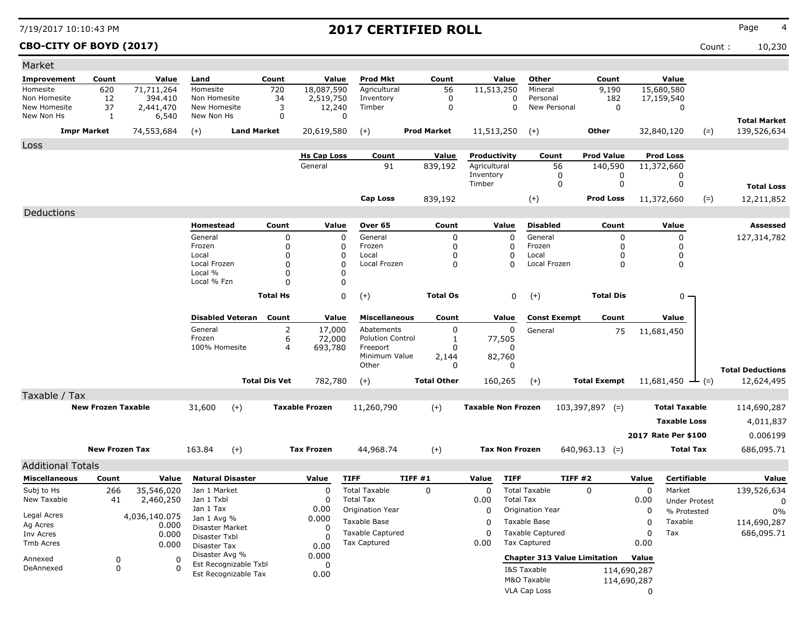**CBO-CITY OF BOYD (2017)** Count : 10,230

| Market                   |                           |                        |                               |                         |                      |                       |                         |                    |                           |                       |                                     |                     |             |                      |                         |
|--------------------------|---------------------------|------------------------|-------------------------------|-------------------------|----------------------|-----------------------|-------------------------|--------------------|---------------------------|-----------------------|-------------------------------------|---------------------|-------------|----------------------|-------------------------|
| Improvement              | Count                     | Value                  | Land                          |                         | Count                | Value                 | <b>Prod Mkt</b>         | Count              |                           | Value                 | Other                               | Count               |             | Value                |                         |
| Homesite                 | 620                       | 71,711,264             | Homesite                      |                         | 720                  | 18,087,590            | Agricultural            | 56                 | 11,513,250                |                       | Mineral                             | 9,190               |             | 15,680,580           |                         |
| Non Homesite             | 12                        | 394.410                | Non Homesite                  |                         | 34                   | 2,519,750             | Inventory               | $\mathbf 0$        |                           | 0                     | Personal                            | 182                 |             | 17,159,540           |                         |
| New Homesite             | 37                        | 2,441,470              | New Homesite                  |                         | 3                    | 12,240                | Timber                  | 0                  |                           | $\mathbf 0$           | New Personal                        | 0                   |             | 0                    |                         |
| New Non Hs               | 1                         | 6,540                  | New Non Hs                    |                         | $\Omega$             | $\Omega$              |                         |                    |                           |                       |                                     |                     |             |                      | <b>Total Market</b>     |
|                          | <b>Impr Market</b>        | 74,553,684             | $(+)$                         | <b>Land Market</b>      |                      | 20,619,580            | $(+)$                   | <b>Prod Market</b> | 11,513,250                |                       | $(+)$                               | Other               |             | 32,840,120           | $(=)$<br>139,526,634    |
| Loss                     |                           |                        |                               |                         |                      |                       |                         |                    |                           |                       |                                     |                     |             |                      |                         |
|                          |                           |                        |                               |                         |                      | <b>Hs Cap Loss</b>    | Count                   | <b>Value</b>       | Productivity              |                       | Count                               | <b>Prod Value</b>   |             | <b>Prod Loss</b>     |                         |
|                          |                           |                        |                               |                         |                      | General               | 91                      | 839,192            | Agricultural              |                       | 56                                  | 140,590             |             | 11,372,660           |                         |
|                          |                           |                        |                               |                         |                      |                       |                         |                    | Inventory                 |                       | 0                                   | 0                   |             | 0                    |                         |
|                          |                           |                        |                               |                         |                      |                       |                         |                    | Timber                    |                       | $\mathbf 0$                         | 0                   |             | 0                    | <b>Total Loss</b>       |
|                          |                           |                        |                               |                         |                      |                       | <b>Cap Loss</b>         | 839,192            |                           |                       | $(+)$                               | <b>Prod Loss</b>    |             | 11,372,660           | $(=)$<br>12,211,852     |
| Deductions               |                           |                        |                               |                         |                      |                       |                         |                    |                           |                       |                                     |                     |             |                      |                         |
|                          |                           |                        | Homestead                     |                         | Count                | Value                 | Over 65                 | Count              |                           | Value                 | <b>Disabled</b>                     | Count               |             | Value                | <b>Assessed</b>         |
|                          |                           |                        | General                       |                         | $\mathbf 0$          | 0                     | General                 | 0                  |                           | $\Omega$              | General                             | 0                   |             | 0                    | 127,314,782             |
|                          |                           |                        | Frozen                        |                         | 0                    | 0                     | Frozen                  | 0                  |                           | 0                     | Frozen                              | 0                   |             | $\mathbf 0$          |                         |
|                          |                           |                        | Local                         |                         | 0                    | 0                     | Local                   | 0                  |                           | 0                     | Local                               | 0                   |             | 0                    |                         |
|                          |                           |                        | Local Frozen                  |                         | 0                    | 0                     | Local Frozen            | 0                  |                           | $\Omega$              | Local Frozen                        | $\mathbf 0$         |             | 0                    |                         |
|                          |                           |                        | Local %<br>Local % Fzn        |                         | 0<br>$\Omega$        | 0<br>0                |                         |                    |                           |                       |                                     |                     |             |                      |                         |
|                          |                           |                        |                               |                         |                      |                       |                         |                    |                           |                       |                                     |                     |             |                      |                         |
|                          |                           |                        |                               |                         | <b>Total Hs</b>      | 0                     | $(+)$                   | <b>Total Os</b>    |                           | 0                     | $(+)$                               | <b>Total Dis</b>    |             | $0 -$                |                         |
|                          |                           |                        |                               | <b>Disabled Veteran</b> | Count                | Value                 | <b>Miscellaneous</b>    | Count              |                           | Value                 | <b>Const Exempt</b>                 | Count               |             | Value                |                         |
|                          |                           |                        | General                       |                         | $\overline{2}$       | 17,000                | Abatements              | 0                  |                           | $\Omega$              | General                             | 75                  |             | 11,681,450           |                         |
|                          |                           |                        | Frozen                        |                         | 6                    | 72,000                | <b>Polution Control</b> | 1                  |                           | 77,505                |                                     |                     |             |                      |                         |
|                          |                           |                        | 100% Homesite                 |                         | $\overline{4}$       | 693,780               | Freeport                | 0                  |                           | 0                     |                                     |                     |             |                      |                         |
|                          |                           |                        |                               |                         |                      |                       | Minimum Value<br>Other  | 2,144              |                           | 82,760<br>0           |                                     |                     |             |                      |                         |
|                          |                           |                        |                               |                         |                      |                       |                         | 0                  |                           |                       |                                     |                     |             |                      | <b>Total Deductions</b> |
|                          |                           |                        |                               |                         | <b>Total Dis Vet</b> | 782,780               | $(+)$                   | <b>Total Other</b> |                           | 160,265               | $(+)$                               | <b>Total Exempt</b> |             | 11,681,450<br>$ (=)$ | 12,624,495              |
| Taxable / Tax            |                           |                        |                               |                         |                      |                       |                         |                    |                           |                       |                                     |                     |             |                      |                         |
|                          | <b>New Frozen Taxable</b> |                        | 31,600                        | $(+)$                   |                      | <b>Taxable Frozen</b> | 11,260,790              | $(+)$              | <b>Taxable Non Frozen</b> |                       |                                     | $103,397,897$ (=)   |             | <b>Total Taxable</b> | 114,690,287             |
|                          |                           |                        |                               |                         |                      |                       |                         |                    |                           |                       |                                     |                     |             | <b>Taxable Loss</b>  | 4,011,837               |
|                          |                           |                        |                               |                         |                      |                       |                         |                    |                           |                       |                                     |                     |             | 2017 Rate Per \$100  | 0.006199                |
|                          |                           |                        |                               |                         |                      |                       |                         |                    |                           |                       |                                     |                     |             |                      |                         |
|                          | <b>New Frozen Tax</b>     |                        | 163.84                        | $(+)$                   |                      | <b>Tax Frozen</b>     | 44,968.74               | $(+)$              |                           | <b>Tax Non Frozen</b> |                                     | $640,963.13$ (=)    |             | <b>Total Tax</b>     | 686,095.71              |
| <b>Additional Totals</b> |                           |                        |                               |                         |                      |                       |                         |                    |                           |                       |                                     |                     |             |                      |                         |
| <b>Miscellaneous</b>     | Count                     | Value                  |                               | <b>Natural Disaster</b> |                      | Value                 | <b>TIFF</b>             | TIFF#1             | Value                     | <b>TIFF</b>           | TIFF#2                              |                     | Value       | <b>Certifiable</b>   | Value                   |
| Subj to Hs               | 266                       | 35,546,020             | Jan 1 Market                  |                         |                      | 0                     | <b>Total Taxable</b>    | 0                  | 0                         |                       | <b>Total Taxable</b>                | 0                   | 0           | Market               | 139,526,634             |
| New Taxable              | 41                        | 2,460,250              | Jan 1 Txbl                    |                         |                      | 0                     | <b>Total Tax</b>        |                    | 0.00                      | <b>Total Tax</b>      |                                     |                     | 0.00        | <b>Under Protest</b> | 0                       |
|                          |                           |                        | Jan 1 Tax                     |                         |                      | 0.00                  | Origination Year        |                    | 0                         |                       | Origination Year                    |                     | 0           | % Protested          | 0%                      |
| Legal Acres<br>Ag Acres  |                           | 4,036,140.075<br>0.000 | Jan 1 Avg %                   |                         |                      | 0.000                 | Taxable Base            |                    | 0                         |                       | Taxable Base                        |                     | 0           | Taxable              | 114,690,287             |
| Inv Acres                |                           | 0.000                  | Disaster Market               |                         |                      | $\mathbf 0$           | <b>Taxable Captured</b> |                    | 0                         |                       | <b>Taxable Captured</b>             |                     | 0           | Tax                  | 686,095.71              |
| Tmb Acres                |                           | 0.000                  | Disaster Txbl<br>Disaster Tax |                         |                      | O<br>0.00             | Tax Captured            |                    | 0.00                      |                       | <b>Tax Captured</b>                 |                     | 0.00        |                      |                         |
|                          |                           |                        | Disaster Avg %                |                         |                      | 0.000                 |                         |                    |                           |                       |                                     |                     |             |                      |                         |
| Annexed                  | 0                         | 0                      |                               | Est Recognizable Txbl   |                      | 0                     |                         |                    |                           |                       | <b>Chapter 313 Value Limitation</b> |                     | Value       |                      |                         |
| DeAnnexed                | 0                         | $\Omega$               |                               | Est Recognizable Tax    |                      | 0.00                  |                         |                    |                           |                       | I&S Taxable                         |                     | 114,690,287 |                      |                         |
|                          |                           |                        |                               |                         |                      |                       |                         |                    |                           |                       | M&O Taxable                         |                     | 114,690,287 |                      |                         |
|                          |                           |                        |                               |                         |                      |                       |                         |                    |                           |                       | VLA Cap Loss                        |                     | 0           |                      |                         |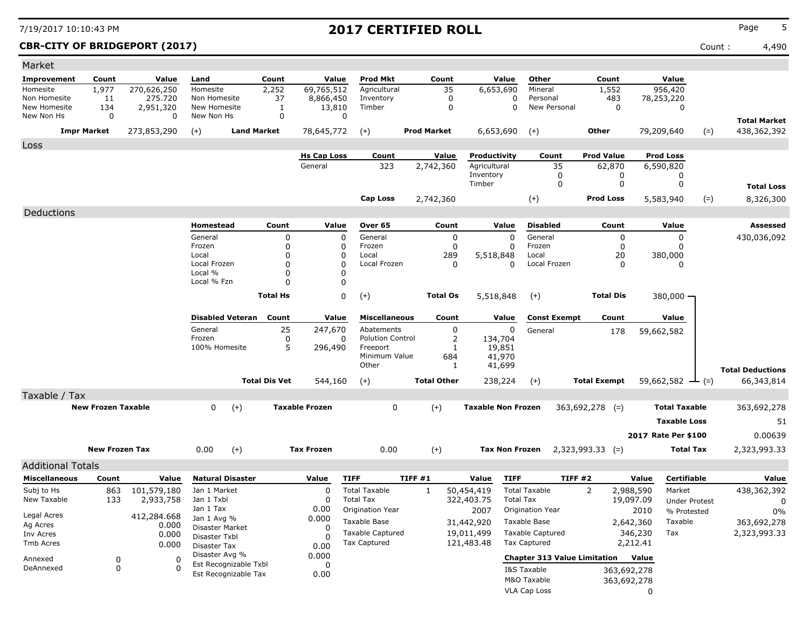### **CBR-CITY OF BRIDGEPORT (2017)** Count : 4,490

| Market                     |                           |                |                                         |                      |                       |                                     |                    |                     |                           |                                     |                     |             |                              |                                    |
|----------------------------|---------------------------|----------------|-----------------------------------------|----------------------|-----------------------|-------------------------------------|--------------------|---------------------|---------------------------|-------------------------------------|---------------------|-------------|------------------------------|------------------------------------|
| Improvement                | Count                     | Value          | Land                                    | Count                | Value                 | <b>Prod Mkt</b>                     | Count              |                     | Value                     | Other                               | Count               |             | Value                        |                                    |
| Homesite                   | 1,977                     | 270,626,250    | Homesite                                | 2,252                | 69,765,512            | Agricultural                        |                    | 35                  | 6,653,690                 | Mineral                             | 1,552               |             | 956,420                      |                                    |
| Non Homesite               | 11                        | 275,720        | Non Homesite                            | 37                   | 8,866,450             | Inventory                           |                    | 0                   | 0                         | Personal                            | 483                 |             | 78,253,220                   |                                    |
| New Homesite<br>New Non Hs | 134<br>0                  | 2,951,320<br>0 | New Homesite<br>New Non Hs              | 1<br>0               | 13,810<br>0           | Timber                              |                    | 0                   | 0                         | New Personal                        |                     | $\mathbf 0$ | 0                            |                                    |
|                            | <b>Impr Market</b>        | 273,853,290    | <b>Land Market</b><br>$(+)$             |                      | 78,645,772            | $(+)$                               | <b>Prod Market</b> |                     | 6,653,690                 | $(+)$                               | Other               |             | 79,209,640<br>$(=)$          | <b>Total Market</b><br>438,362,392 |
|                            |                           |                |                                         |                      |                       |                                     |                    |                     |                           |                                     |                     |             |                              |                                    |
| Loss                       |                           |                |                                         |                      | <b>Hs Cap Loss</b>    | Count                               | Value              |                     | Productivity              | Count                               | <b>Prod Value</b>   |             | <b>Prod Loss</b>             |                                    |
|                            |                           |                |                                         |                      | General               | 323                                 | 2,742,360          |                     | Agricultural              | 35                                  | 62,870              |             | 6,590,820                    |                                    |
|                            |                           |                |                                         |                      |                       |                                     |                    |                     | Inventory                 | 0                                   |                     | 0           | 0                            |                                    |
|                            |                           |                |                                         |                      |                       |                                     |                    | Timber              |                           | 0                                   |                     | 0           | 0                            | <b>Total Loss</b>                  |
|                            |                           |                |                                         |                      |                       | Cap Loss                            | 2,742,360          |                     |                           | $(+)$                               | <b>Prod Loss</b>    |             | $(=)$<br>5,583,940           | 8,326,300                          |
| Deductions                 |                           |                |                                         |                      |                       |                                     |                    |                     |                           |                                     |                     |             |                              |                                    |
|                            |                           |                | Homestead                               | Count                | Value                 | Over 65                             |                    | Count               | Value                     | <b>Disabled</b>                     |                     | Count       | Value                        | Assessed                           |
|                            |                           |                | General                                 | 0                    | 0                     | General                             |                    | 0                   | $\Omega$                  | General                             |                     | 0           | 0                            | 430,036,092                        |
|                            |                           |                | Frozen                                  | 0                    | 0                     | Frozen                              |                    | 0                   | 0                         | Frozen                              |                     | 0           | 0                            |                                    |
|                            |                           |                | Local<br>Local Frozen                   | 0<br>0               | 0<br>$\Omega$         | Local<br>Local Frozen               |                    | 289<br>0            | 5,518,848<br>$\Omega$     | Local<br>Local Frozen               |                     | 20<br>0     | 380,000                      |                                    |
|                            |                           |                | Local %                                 | 0                    | 0                     |                                     |                    |                     |                           |                                     |                     |             | 0                            |                                    |
|                            |                           |                | Local % Fzn                             | 0                    | $\Omega$              |                                     |                    |                     |                           |                                     |                     |             |                              |                                    |
|                            |                           |                |                                         | <b>Total Hs</b>      | 0                     | $(+)$                               | <b>Total Os</b>    |                     | 5,518,848                 | $(+)$                               | <b>Total Dis</b>    |             | 380,000 —                    |                                    |
|                            |                           |                |                                         |                      |                       |                                     |                    |                     |                           |                                     |                     |             |                              |                                    |
|                            |                           |                | <b>Disabled Veteran</b>                 | Count                | Value                 | <b>Miscellaneous</b>                |                    | Count               | Value                     | <b>Const Exempt</b>                 |                     | Count       | Value                        |                                    |
|                            |                           |                | General                                 | 25                   | 247,670               | Abatements                          |                    | 0                   | 0                         | General                             |                     | 178         | 59,662,582                   |                                    |
|                            |                           |                | Frozen<br>100% Homesite                 | 0<br>5               | 0                     | <b>Polution Control</b><br>Freeport |                    | $\overline{2}$<br>1 | 134,704                   |                                     |                     |             |                              |                                    |
|                            |                           |                |                                         |                      | 296,490               | Minimum Value                       |                    | 684                 | 19,851<br>41,970          |                                     |                     |             |                              |                                    |
|                            |                           |                |                                         |                      |                       | Other                               |                    | 1                   | 41,699                    |                                     |                     |             |                              | <b>Total Deductions</b>            |
|                            |                           |                |                                         | <b>Total Dis Vet</b> | 544,160               | $(+)$                               | <b>Total Other</b> |                     | 238,224                   | $(+)$                               | <b>Total Exempt</b> |             | $59,662,582 \rightarrow$ (=) | 66,343,814                         |
| Taxable / Tax              |                           |                |                                         |                      |                       |                                     |                    |                     |                           |                                     |                     |             |                              |                                    |
|                            | <b>New Frozen Taxable</b> |                | $\Omega$<br>$(+)$                       |                      | <b>Taxable Frozen</b> | 0                                   | $(+)$              |                     | <b>Taxable Non Frozen</b> |                                     | $363,692,278$ (=)   |             | <b>Total Taxable</b>         | 363,692,278                        |
|                            |                           |                |                                         |                      |                       |                                     |                    |                     |                           |                                     |                     |             | <b>Taxable Loss</b>          | 51                                 |
|                            |                           |                |                                         |                      |                       |                                     |                    |                     |                           |                                     |                     |             | 2017 Rate Per \$100          | 0.00639                            |
|                            |                           |                |                                         |                      |                       |                                     |                    |                     |                           |                                     |                     |             |                              |                                    |
|                            | <b>New Frozen Tax</b>     |                | 0.00<br>$(+)$                           |                      | <b>Tax Frozen</b>     | 0.00                                | $(+)$              |                     | <b>Tax Non Frozen</b>     |                                     | $2,323,993.33$ (=)  |             | Total Tax                    | 2,323,993.33                       |
| <b>Additional Totals</b>   |                           |                |                                         |                      |                       |                                     |                    |                     |                           |                                     |                     |             |                              |                                    |
| <b>Miscellaneous</b>       | Count                     | Value          | <b>Natural Disaster</b>                 |                      | Value                 | <b>TIFF</b>                         | TIFF #1            | Value               | <b>TIFF</b>               | TIFF#2                              |                     | Value       | Certifiable                  | Value                              |
| Subj to Hs                 | 863                       | 101,579,180    | Jan 1 Market                            |                      | O                     | <b>Total Taxable</b>                | 1                  | 50,454,419          |                           | <b>Total Taxable</b>                | 2                   | 2,988,590   | Market                       | 438,362,392                        |
| New Taxable                | 133                       | 2,933,758      | Jan 1 Txbl                              |                      | $\Omega$              | <b>Total Tax</b>                    |                    | 322,403.75          | <b>Total Tax</b>          |                                     |                     | 19,097.09   | Under Protest                | 0                                  |
| Legal Acres                |                           | 412,284.668    | Jan 1 Tax                               |                      | 0.00                  | Origination Year                    |                    | 2007                |                           | Origination Year                    |                     | 2010        | % Protested                  | 0%                                 |
| Ag Acres                   |                           | 0.000          | Jan 1 Avg %<br>Disaster Market          |                      | 0.000<br>0            | Taxable Base                        |                    | 31,442,920          |                           | Taxable Base                        |                     | 2,642,360   | Taxable                      | 363,692,278                        |
| Inv Acres                  |                           | 0.000          | Disaster Txbl                           |                      |                       | <b>Taxable Captured</b>             |                    | 19,011,499          |                           | <b>Taxable Captured</b>             |                     | 346,230     | Tax                          | 2,323,993.33                       |
| Tmb Acres                  |                           | 0.000          | Disaster Tax                            |                      | 0.00                  | <b>Tax Captured</b>                 |                    | 121,483.48          |                           | <b>Tax Captured</b>                 |                     | 2,212.41    |                              |                                    |
| Annexed                    | 0                         | 0              | Disaster Avg %<br>Est Recognizable Txbl |                      | 0.000                 |                                     |                    |                     |                           | <b>Chapter 313 Value Limitation</b> |                     | Value       |                              |                                    |
| DeAnnexed                  | 0                         | 0              | Est Recognizable Tax                    |                      | 0<br>0.00             |                                     |                    |                     |                           | I&S Taxable                         |                     | 363,692,278 |                              |                                    |
|                            |                           |                |                                         |                      |                       |                                     |                    |                     |                           | M&O Taxable                         |                     | 363,692,278 |                              |                                    |
|                            |                           |                |                                         |                      |                       |                                     |                    |                     |                           | VLA Cap Loss                        |                     | 0           |                              |                                    |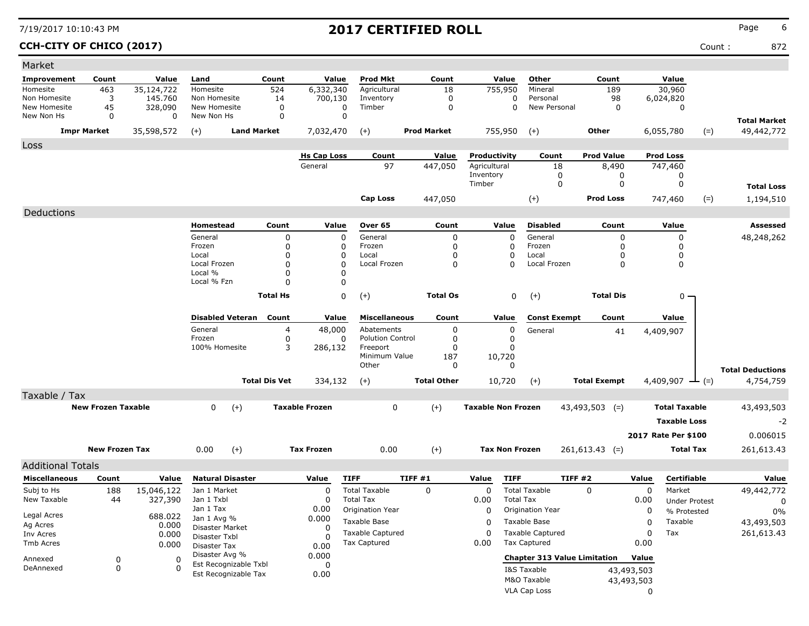### **CCH-CITY OF CHICO (2017)** Count : 872

| Market                   |                           |                       |                                         |                      |                       |                                                |                    |                           |                                                |                     |                     |                             |                         |
|--------------------------|---------------------------|-----------------------|-----------------------------------------|----------------------|-----------------------|------------------------------------------------|--------------------|---------------------------|------------------------------------------------|---------------------|---------------------|-----------------------------|-------------------------|
| <b>Improvement</b>       | Count                     | Value                 | Land                                    | Count                | Value                 | <b>Prod Mkt</b>                                | Count              | Value                     | Other                                          | Count               |                     | Value                       |                         |
| Homesite                 | 463                       | 35,124,722            | Homesite                                | 524                  | 6,332,340             | Agricultural                                   | 18                 | 755,950                   | Mineral                                        | 189                 |                     | 30,960                      |                         |
| Non Homesite             | 3                         | 145.760               | Non Homesite                            | 14                   | 700,130               | Inventory                                      | 0                  | 0                         | Personal                                       | 98                  |                     | 6,024,820                   |                         |
| New Homesite             | 45                        | 328,090               | New Homesite                            | 0                    | 0                     | Timber                                         | 0                  | 0                         | New Personal                                   | 0                   |                     | 0                           |                         |
| New Non Hs               | 0                         | 0                     | New Non Hs                              | $\mathbf 0$          | $\mathbf 0$           |                                                |                    |                           |                                                |                     |                     |                             | <b>Total Market</b>     |
|                          | <b>Impr Market</b>        | 35,598,572            | $(+)$<br><b>Land Market</b>             |                      | 7,032,470             | $(+)$                                          | <b>Prod Market</b> | 755,950                   | $(+)$                                          | <b>Other</b>        |                     | 6,055,780<br>$(=)$          | 49,442,772              |
| Loss                     |                           |                       |                                         |                      |                       |                                                |                    |                           |                                                |                     |                     |                             |                         |
|                          |                           |                       |                                         |                      | <b>Hs Cap Loss</b>    | Count                                          | Value              | Productivity              | Count                                          | <b>Prod Value</b>   |                     | <b>Prod Loss</b>            |                         |
|                          |                           |                       |                                         |                      | General               | 97                                             | 447,050            | Agricultural              | 18                                             | 8,490               |                     | 747,460                     |                         |
|                          |                           |                       |                                         |                      |                       |                                                |                    | Inventory                 | 0                                              | 0                   |                     | 0                           |                         |
|                          |                           |                       |                                         |                      |                       |                                                |                    | Timber                    | 0                                              | 0                   |                     | 0                           | <b>Total Loss</b>       |
|                          |                           |                       |                                         |                      |                       | Cap Loss                                       | 447,050            |                           | $(+)$                                          | <b>Prod Loss</b>    |                     | $(=)$<br>747,460            | 1,194,510               |
| Deductions               |                           |                       |                                         |                      |                       |                                                |                    |                           |                                                |                     |                     |                             |                         |
|                          |                           |                       | Homestead                               | Count                | Value                 | Over 65                                        | Count              | Value                     | <b>Disabled</b>                                | Count               |                     | Value                       | Assessed                |
|                          |                           |                       | General                                 | 0                    | $\mathbf{0}$          | General                                        | 0                  | $\Omega$                  | General                                        | 0                   |                     | 0                           | 48,248,262              |
|                          |                           |                       | Frozen                                  | 0                    | 0                     | Frozen                                         | 0                  | 0                         | Frozen                                         | 0                   |                     | 0                           |                         |
|                          |                           |                       | Local                                   | 0                    | 0                     | Local                                          | 0                  | 0                         | Local                                          | 0                   |                     | 0                           |                         |
|                          |                           |                       | Local Frozen                            | $\Omega$             | $\Omega$              | Local Frozen                                   | $\Omega$           | n                         | Local Frozen                                   | 0                   |                     | 0                           |                         |
|                          |                           |                       | Local %                                 | 0                    | 0                     |                                                |                    |                           |                                                |                     |                     |                             |                         |
|                          |                           |                       | Local % Fzn                             | 0                    | 0                     |                                                |                    |                           |                                                |                     |                     |                             |                         |
|                          |                           |                       |                                         | <b>Total Hs</b>      | 0                     | $(+)$                                          | <b>Total Os</b>    | 0                         | $(+)$                                          | <b>Total Dis</b>    |                     | $0 -$                       |                         |
|                          |                           |                       |                                         |                      |                       |                                                |                    |                           |                                                |                     |                     |                             |                         |
|                          |                           |                       | <b>Disabled Veteran</b>                 | Count                | Value                 | <b>Miscellaneous</b>                           | Count              | Value                     | <b>Const Exempt</b>                            | Count               |                     | Value                       |                         |
|                          |                           |                       | General<br>Frozen                       | 4<br>0               | 48,000<br>0           | Abatements<br><b>Polution Control</b>          | 0<br>0             | 0<br>0                    | General                                        | 41                  |                     | 4,409,907                   |                         |
|                          |                           |                       | 100% Homesite                           | 3                    | 286,132               | Freeport                                       | O                  | 0                         |                                                |                     |                     |                             |                         |
|                          |                           |                       |                                         |                      |                       | Minimum Value                                  | 187                | 10,720                    |                                                |                     |                     |                             |                         |
|                          |                           |                       |                                         |                      |                       | Other                                          | 0                  | $\Omega$                  |                                                |                     |                     |                             | <b>Total Deductions</b> |
|                          |                           |                       |                                         | <b>Total Dis Vet</b> | 334,132               | $(+)$                                          | <b>Total Other</b> | 10,720                    | $(+)$                                          | <b>Total Exempt</b> |                     | 4,409,907 $\rightarrow$ (=) | 4,754,759               |
| Taxable / Tax            |                           |                       |                                         |                      |                       |                                                |                    |                           |                                                |                     |                     |                             |                         |
|                          | <b>New Frozen Taxable</b> |                       | $(+)$<br>0                              |                      | <b>Taxable Frozen</b> | 0                                              | $(+)$              | <b>Taxable Non Frozen</b> |                                                | $43,493,503$ (=)    |                     | <b>Total Taxable</b>        | 43,493,503              |
|                          |                           |                       |                                         |                      |                       |                                                |                    |                           |                                                |                     |                     |                             |                         |
|                          |                           |                       |                                         |                      |                       |                                                |                    |                           |                                                |                     |                     | <b>Taxable Loss</b>         | $-2$                    |
|                          |                           |                       |                                         |                      |                       |                                                |                    |                           |                                                |                     |                     | 2017 Rate Per \$100         | 0.006015                |
|                          | <b>New Frozen Tax</b>     |                       | $(+)$<br>0.00                           |                      | <b>Tax Frozen</b>     | 0.00                                           | $(+)$              | <b>Tax Non Frozen</b>     |                                                | $261,613.43$ (=)    |                     | <b>Total Tax</b>            | 261,613.43              |
| <b>Additional Totals</b> |                           |                       |                                         |                      |                       |                                                |                    |                           |                                                |                     |                     |                             |                         |
| <b>Miscellaneous</b>     | Count                     | Value                 | <b>Natural Disaster</b>                 |                      | Value                 | <b>TIFF</b>                                    | <b>TIFF #1</b>     | <b>TIFF</b><br>Value      |                                                | TIFF #2             | Value               | Certifiable                 | Value                   |
| Subj to Hs               |                           |                       | Jan 1 Market                            |                      | $\Omega$              | <b>Total Taxable</b>                           | 0                  | $\Omega$                  | <b>Total Taxable</b>                           | $\Omega$            | $\mathbf 0$         | Market                      |                         |
| New Taxable              | 188<br>44                 | 15,046,122<br>327,390 | Jan 1 Txbl                              |                      | 0                     | <b>Total Tax</b>                               |                    | 0.00                      | <b>Total Tax</b>                               |                     | 0.00                | <b>Under Protest</b>        | 49,442,772              |
|                          |                           |                       | Jan 1 Tax                               |                      | 0.00                  | Origination Year                               |                    | 0                         | Origination Year                               |                     | 0                   | % Protested                 | 0                       |
| Legal Acres              |                           | 688.022               | Jan 1 Avg %                             |                      | 0.000                 | Taxable Base                                   |                    |                           | Taxable Base                                   |                     | 0                   | Taxable                     | 0%                      |
| Ag Acres                 |                           | 0.000                 | Disaster Market                         |                      | 0                     |                                                |                    | 0                         |                                                |                     |                     |                             | 43,493,503              |
| Inv Acres                |                           | 0.000                 | Disaster Txbl                           |                      | 0                     | <b>Taxable Captured</b><br><b>Tax Captured</b> |                    | $\Omega$                  | <b>Taxable Captured</b><br><b>Tax Captured</b> |                     | $\mathbf 0$<br>0.00 | Tax                         | 261,613.43              |
| Tmb Acres                |                           | 0.000                 | Disaster Tax                            |                      | 0.00                  |                                                |                    | 0.00                      |                                                |                     |                     |                             |                         |
| Annexed                  | 0                         | 0                     | Disaster Avg %<br>Est Recognizable Txbl |                      | 0.000                 |                                                |                    |                           | <b>Chapter 313 Value Limitation</b>            |                     | Value               |                             |                         |
| DeAnnexed                | 0                         | $\Omega$              | Est Recognizable Tax                    |                      | 0<br>0.00             |                                                |                    |                           | I&S Taxable                                    |                     | 43,493,503          |                             |                         |
|                          |                           |                       |                                         |                      |                       |                                                |                    |                           | M&O Taxable                                    |                     | 43,493,503          |                             |                         |
|                          |                           |                       |                                         |                      |                       |                                                |                    |                           | VLA Cap Loss                                   |                     | 0                   |                             |                         |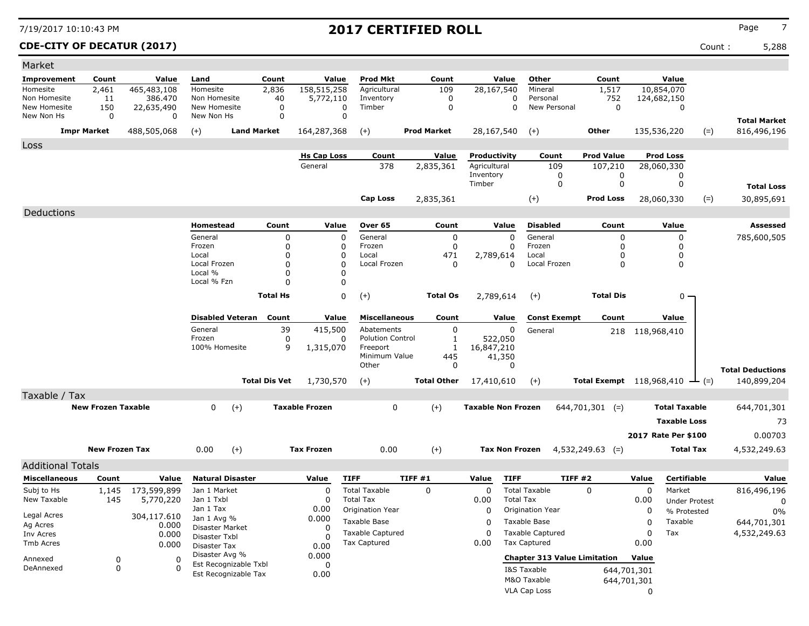### **CDE-CITY OF DECATUR (2017)** Count : 5,288

| Market                       |                           |                       |                                |                       |                       |                                          |                |                    |                           |                         |                          |                                     |                 |                      |                                             |
|------------------------------|---------------------------|-----------------------|--------------------------------|-----------------------|-----------------------|------------------------------------------|----------------|--------------------|---------------------------|-------------------------|--------------------------|-------------------------------------|-----------------|----------------------|---------------------------------------------|
| Improvement                  | Count                     | Value                 | Land                           | Count                 |                       | <b>Prod Mkt</b><br>Value                 |                | Count              | Value                     | Other                   |                          | Count                               |                 | Value                |                                             |
| Homesite                     | 2,461                     | 465,483,108           | Homesite                       | 2,836                 | 158,515,258           | Agricultural                             |                | 109                | 28,167,540                | Mineral                 |                          | 1,517                               |                 | 10,854,070           |                                             |
| Non Homesite<br>New Homesite | 11<br>150                 | 386.470<br>22,635,490 | Non Homesite<br>New Homesite   | 40                    | 5,772,110<br>0        | Inventory<br>Timber<br>0                 |                | 0<br>0             |                           | 0<br>0                  | Personal<br>New Personal | 752<br>0                            |                 | 124,682,150<br>0     |                                             |
| New Non Hs                   | 0                         | $\Omega$              | New Non Hs                     |                       | $\mathbf 0$           | $\mathbf 0$                              |                |                    |                           |                         |                          |                                     |                 |                      |                                             |
|                              | <b>Impr Market</b>        | 488,505,068           | $(+)$                          | <b>Land Market</b>    | 164,287,368           | $(+)$                                    |                | <b>Prod Market</b> | 28,167,540                | $(+)$                   |                          | Other                               |                 | 135,536,220          | <b>Total Market</b><br>816,496,196<br>$(=)$ |
| Loss                         |                           |                       |                                |                       |                       |                                          |                |                    |                           |                         |                          |                                     |                 |                      |                                             |
|                              |                           |                       |                                |                       | <b>Hs Cap Loss</b>    | Count                                    |                | Value              | Productivity              |                         | Count                    | <b>Prod Value</b>                   |                 | <b>Prod Loss</b>     |                                             |
|                              |                           |                       |                                |                       | General               | 378                                      |                | 2,835,361          | Agricultural              |                         | 109                      | 107,210                             |                 | 28,060,330           |                                             |
|                              |                           |                       |                                |                       |                       |                                          |                |                    | Inventory<br>Timber       |                         | 0<br>0                   | 0<br>$\mathbf 0$                    |                 | 0<br>0               |                                             |
|                              |                           |                       |                                |                       |                       |                                          |                |                    |                           |                         |                          |                                     |                 |                      | <b>Total Loss</b>                           |
|                              |                           |                       |                                |                       |                       | <b>Cap Loss</b>                          |                | 2,835,361          |                           | $(+)$                   |                          | <b>Prod Loss</b>                    |                 | 28,060,330           | $(=)$<br>30,895,691                         |
| Deductions                   |                           |                       |                                |                       |                       |                                          |                |                    |                           |                         |                          |                                     |                 |                      |                                             |
|                              |                           |                       | Homestead                      | Count                 | Value                 | Over 65                                  |                | Count              | Value                     |                         | <b>Disabled</b>          | Count                               |                 | Value                | Assessed                                    |
|                              |                           |                       | General                        |                       | 0                     | General<br>$\Omega$                      |                | 0                  |                           | General<br>O            |                          | 0                                   |                 | 0                    | 785,600,505                                 |
|                              |                           |                       | Frozen<br>Local                |                       | 0                     | 0<br>Frozen<br>Local                     |                | 0                  |                           | Frozen<br>O             |                          | 0                                   |                 | 0                    |                                             |
|                              |                           |                       | Local Frozen                   |                       | 0<br>0                | 0<br>$\mathbf{0}$<br>Local Frozen        |                | 471<br>0           | 2,789,614                 | Local<br>0              | Local Frozen             | 0<br>0                              |                 | 0<br>0               |                                             |
|                              |                           |                       | Local %                        |                       | 0                     | 0                                        |                |                    |                           |                         |                          |                                     |                 |                      |                                             |
|                              |                           |                       | Local % Fzn                    |                       | $\Omega$              | $\mathbf 0$                              |                |                    |                           |                         |                          |                                     |                 |                      |                                             |
|                              |                           |                       |                                | <b>Total Hs</b>       |                       | $\mathbf 0$<br>$(+)$                     |                | <b>Total Os</b>    | 2,789,614                 | $(+)$                   |                          | <b>Total Dis</b>                    |                 | $0 -$                |                                             |
|                              |                           |                       |                                |                       |                       |                                          |                |                    |                           |                         |                          |                                     |                 |                      |                                             |
|                              |                           |                       | <b>Disabled Veteran</b>        | Count                 | Value                 | <b>Miscellaneous</b>                     |                | Count              | Value                     |                         | <b>Const Exempt</b>      | Count                               |                 | Value                |                                             |
|                              |                           |                       | General                        |                       | 39<br>415,500         | Abatements                               |                | 0                  |                           | 0<br>General            |                          |                                     | 218 118,968,410 |                      |                                             |
|                              |                           |                       | Frozen<br>100% Homesite        |                       | 0<br>9<br>1,315,070   | <b>Polution Control</b><br>0<br>Freeport |                | 1                  | 522,050                   |                         |                          |                                     |                 |                      |                                             |
|                              |                           |                       |                                |                       |                       | Minimum Value                            |                | 1<br>445           | 16,847,210<br>41,350      |                         |                          |                                     |                 |                      |                                             |
|                              |                           |                       |                                |                       |                       | Other                                    |                | 0                  |                           | 0                       |                          |                                     |                 |                      | <b>Total Deductions</b>                     |
|                              |                           |                       |                                | <b>Total Dis Vet</b>  | 1,730,570             | $(+)$                                    |                | <b>Total Other</b> | 17,410,610                | $(+)$                   |                          | <b>Total Exempt</b> 118,968,410     |                 | $ (=)$               | 140,899,204                                 |
| Taxable / Tax                |                           |                       |                                |                       |                       |                                          |                |                    |                           |                         |                          |                                     |                 |                      |                                             |
|                              | <b>New Frozen Taxable</b> |                       | 0                              | $(+)$                 | <b>Taxable Frozen</b> |                                          | 0              | $(+)$              | <b>Taxable Non Frozen</b> |                         |                          | $644,701,301$ (=)                   |                 | <b>Total Taxable</b> | 644,701,301                                 |
|                              |                           |                       |                                |                       |                       |                                          |                |                    |                           |                         |                          |                                     |                 | <b>Taxable Loss</b>  | 73                                          |
|                              |                           |                       |                                |                       |                       |                                          |                |                    |                           |                         |                          |                                     |                 |                      |                                             |
|                              |                           |                       |                                |                       |                       |                                          |                |                    |                           |                         |                          |                                     |                 | 2017 Rate Per \$100  | 0.00703                                     |
|                              | <b>New Frozen Tax</b>     |                       | 0.00                           | $(+)$                 | <b>Tax Frozen</b>     | 0.00                                     |                | $(+)$              |                           | <b>Tax Non Frozen</b>   |                          | $4,532,249.63$ (=)                  |                 | Total Tax            | 4,532,249.63                                |
| <b>Additional Totals</b>     |                           |                       |                                |                       |                       |                                          |                |                    |                           |                         |                          |                                     |                 |                      |                                             |
| <b>Miscellaneous</b>         | Count                     | Value                 | <b>Natural Disaster</b>        |                       | Value                 | <b>TIFF</b>                              | <b>TIFF #1</b> |                    | Value                     | <b>TIFF</b>             | TIFF #2                  |                                     | Value           | Certifiable          | Value                                       |
| Subj to Hs                   | 1,145                     | 173,599,899           | Jan 1 Market                   |                       | $\mathbf 0$           | <b>Total Taxable</b>                     |                | 0                  | $\mathbf 0$               | <b>Total Taxable</b>    |                          | 0                                   | $\mathbf 0$     | Market               | 816,496,196                                 |
| New Taxable                  | 145                       | 5,770,220             | Jan 1 Txbl                     |                       | 0                     | <b>Total Tax</b>                         |                |                    | 0.00                      | <b>Total Tax</b>        |                          |                                     | 0.00            | <b>Under Protest</b> | 0                                           |
| Legal Acres                  |                           | 304,117.610           | Jan 1 Tax                      |                       | 0.00                  | Origination Year                         |                |                    | $\Omega$                  | Origination Year        |                          |                                     | 0               | % Protested          | 0%                                          |
| Ag Acres                     |                           | 0.000                 | Jan 1 Avg %<br>Disaster Market |                       | 0.000                 | Taxable Base                             |                |                    | 0                         | Taxable Base            |                          |                                     | 0               | Taxable              | 644,701,301                                 |
| Inv Acres                    |                           | 0.000                 | Disaster Txbl                  |                       | 0<br>0                | <b>Taxable Captured</b>                  |                |                    | $\Omega$                  | <b>Taxable Captured</b> |                          |                                     | $\Omega$        | Tax                  | 4,532,249.63                                |
| Tmb Acres                    |                           | 0.000                 | Disaster Tax                   |                       | 0.00                  | <b>Tax Captured</b>                      |                |                    | 0.00                      | Tax Captured            |                          |                                     | 0.00            |                      |                                             |
| Annexed                      | 0                         | $\Omega$              | Disaster Avg %                 |                       | 0.000                 |                                          |                |                    |                           |                         |                          | <b>Chapter 313 Value Limitation</b> | Value           |                      |                                             |
| DeAnnexed                    | 0                         | $\Omega$              |                                | Est Recognizable Txbl | 0                     |                                          |                |                    |                           | I&S Taxable             |                          |                                     | 644,701,301     |                      |                                             |
|                              |                           |                       |                                | Est Recognizable Tax  | 0.00                  |                                          |                |                    |                           | M&O Taxable             |                          |                                     | 644,701,301     |                      |                                             |
|                              |                           |                       |                                |                       |                       |                                          |                |                    |                           | VLA Cap Loss            |                          |                                     | 0               |                      |                                             |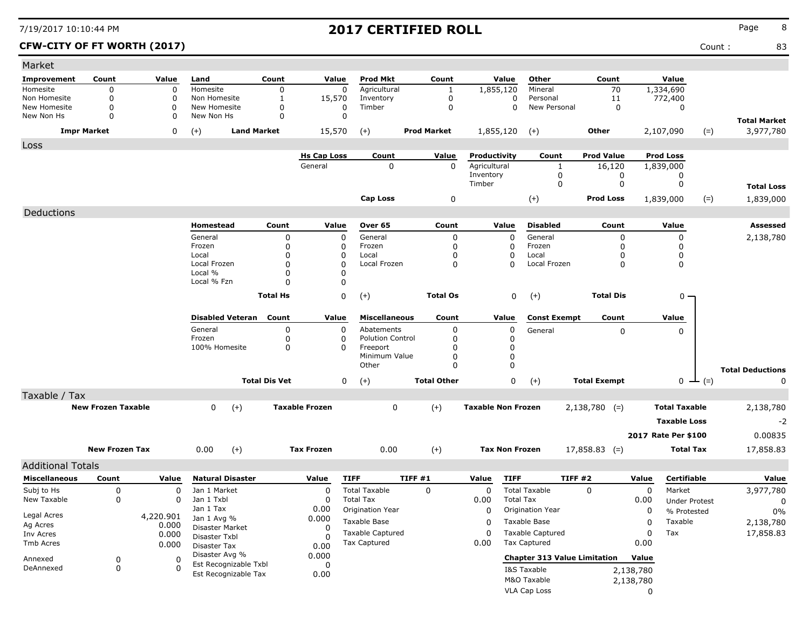| Market                       |                           |           |                                               |                      |                       |                                     |                    |                           |                      |                                     |                     |           |                      |               |                                  |
|------------------------------|---------------------------|-----------|-----------------------------------------------|----------------------|-----------------------|-------------------------------------|--------------------|---------------------------|----------------------|-------------------------------------|---------------------|-----------|----------------------|---------------|----------------------------------|
| <b>Improvement</b>           | Count                     | Value     | Land                                          | Count                | Value                 | Prod Mkt                            | Count              | Value                     |                      | Other                               | Count               |           | Value                |               |                                  |
| Homesite                     | 0                         | 0         | Homesite                                      | $\mathbf 0$          | $\mathbf 0$           | Agricultural                        | 1                  | 1,855,120                 |                      | Mineral                             | 70                  |           | 1,334,690            |               |                                  |
| Non Homesite<br>New Homesite | 0<br>0                    | 0<br>0    | Non Homesite<br>New Homesite                  | 1                    | 15,570                | Inventory<br>Timber                 | 0<br>$\mathbf 0$   |                           | 0                    | Personal<br>New Personal            | 11                  |           | 772,400              |               |                                  |
| New Non Hs                   | 0                         | 0         | New Non Hs                                    | 0<br>0               | 0<br>$\mathbf 0$      |                                     |                    |                           | 0                    |                                     | $\mathbf 0$         |           | 0                    |               |                                  |
|                              | <b>Impr Market</b>        | 0         | <b>Land Market</b><br>$(+)$                   |                      | 15,570                | $(+)$                               | <b>Prod Market</b> | 1,855,120                 |                      | $(+)$                               | <b>Other</b>        |           | 2,107,090            | $(=)$         | <b>Total Market</b><br>3,977,780 |
| Loss                         |                           |           |                                               |                      |                       |                                     |                    |                           |                      |                                     |                     |           |                      |               |                                  |
|                              |                           |           |                                               |                      | <b>Hs Cap Loss</b>    | Count                               | Value              | Productivity              |                      | Count                               | <b>Prod Value</b>   |           | <b>Prod Loss</b>     |               |                                  |
|                              |                           |           |                                               |                      | General               | 0                                   | $\mathbf 0$        | Agricultural              |                      | $\mathbf{1}$                        | 16,120              |           | 1,839,000            |               |                                  |
|                              |                           |           |                                               |                      |                       |                                     |                    | Inventory<br>Timber       |                      | 0<br>0                              | 0<br>0              |           | 0<br>0               |               |                                  |
|                              |                           |           |                                               |                      |                       |                                     |                    |                           |                      |                                     |                     |           |                      |               | <b>Total Loss</b>                |
|                              |                           |           |                                               |                      |                       | <b>Cap Loss</b>                     | 0                  |                           |                      | $(+)$                               | <b>Prod Loss</b>    |           | 1,839,000            | $(=)$         | 1,839,000                        |
| Deductions                   |                           |           |                                               |                      |                       |                                     |                    |                           |                      |                                     |                     |           |                      |               |                                  |
|                              |                           |           | Homestead                                     | Count                | Value                 | Over 65                             | Count              | Value                     |                      | <b>Disabled</b>                     | Count               |           | Value                |               | <b>Assessed</b>                  |
|                              |                           |           | General                                       | 0                    | 0                     | General                             | 0                  |                           | 0                    | General                             | 0                   |           | 0                    |               | 2,138,780                        |
|                              |                           |           | Frozen                                        | 0<br>$\Omega$        | 0                     | Frozen                              | 0                  |                           | 0                    | Frozen                              | 0                   |           | 0                    |               |                                  |
|                              |                           |           | Local<br>Local Frozen                         | $\Omega$             | 0<br>$\Omega$         | Local<br>Local Frozen               | $\Omega$<br>0      |                           | 0<br>0               | Local<br>Local Frozen               | <sup>0</sup><br>0   |           | 0<br>0               |               |                                  |
|                              |                           |           | Local %                                       | $\Omega$             | $\Omega$              |                                     |                    |                           |                      |                                     |                     |           |                      |               |                                  |
|                              |                           |           | Local % Fzn                                   | $\Omega$             | 0                     |                                     |                    |                           |                      |                                     |                     |           |                      |               |                                  |
|                              |                           |           |                                               | <b>Total Hs</b>      | 0                     | $(+)$                               | <b>Total Os</b>    |                           | 0                    | $(+)$                               | <b>Total Dis</b>    |           | $0 -$                |               |                                  |
|                              |                           |           |                                               |                      |                       |                                     |                    |                           |                      |                                     |                     |           |                      |               |                                  |
|                              |                           |           | <b>Disabled Veteran</b>                       | Count                | Value                 | <b>Miscellaneous</b>                | Count              | Value                     |                      | <b>Const Exempt</b>                 | Count               |           | Value                |               |                                  |
|                              |                           |           | General                                       | 0                    | 0                     | Abatements                          | 0                  |                           | 0                    | General                             | 0                   |           | 0                    |               |                                  |
|                              |                           |           | Frozen<br>100% Homesite                       | 0<br>0               | 0<br>$\Omega$         | <b>Polution Control</b><br>Freeport | 0<br>0             |                           | 0<br>$\mathbf 0$     |                                     |                     |           |                      |               |                                  |
|                              |                           |           |                                               |                      |                       | Minimum Value                       | 0                  |                           | $\boldsymbol{0}$     |                                     |                     |           |                      |               |                                  |
|                              |                           |           |                                               |                      |                       | Other                               | $\Omega$           |                           | $\mathbf 0$          |                                     |                     |           |                      |               | <b>Total Deductions</b>          |
|                              |                           |           |                                               | <b>Total Dis Vet</b> | 0                     | $(+)$                               | <b>Total Other</b> |                           | 0                    | $(+)$                               | <b>Total Exempt</b> |           |                      | $0 \perp (=)$ | O                                |
| Taxable / Tax                |                           |           |                                               |                      |                       |                                     |                    |                           |                      |                                     |                     |           |                      |               |                                  |
|                              | <b>New Frozen Taxable</b> |           | $(+)$<br>0                                    |                      | <b>Taxable Frozen</b> | 0                                   | $(+)$              | <b>Taxable Non Frozen</b> |                      |                                     | $2,138,780$ (=)     |           | <b>Total Taxable</b> |               | 2,138,780                        |
|                              |                           |           |                                               |                      |                       |                                     |                    |                           |                      |                                     |                     |           | <b>Taxable Loss</b>  |               | $-2$                             |
|                              |                           |           |                                               |                      |                       |                                     |                    |                           |                      |                                     |                     |           |                      |               |                                  |
|                              |                           |           |                                               |                      |                       |                                     |                    |                           |                      |                                     |                     |           | 2017 Rate Per \$100  |               | 0.00835                          |
|                              | <b>New Frozen Tax</b>     |           | $(+)$<br>0.00                                 |                      | <b>Tax Frozen</b>     | 0.00                                | $(+)$              | <b>Tax Non Frozen</b>     |                      |                                     | $17,858.83$ (=)     |           | <b>Total Tax</b>     |               | 17,858.83                        |
| <b>Additional Totals</b>     |                           |           |                                               |                      |                       |                                     |                    |                           |                      |                                     |                     |           |                      |               |                                  |
| <b>Miscellaneous</b>         | Count                     | Value     | <b>Natural Disaster</b>                       |                      | Value                 | <b>TIFF</b>                         | TIFF #1            | Value                     | <b>TIFF</b>          | TIFF #2                             |                     | Value     | Certifiable          |               | Value                            |
| Subj to Hs                   | 0                         | 0         | Jan 1 Market                                  |                      | 0                     | <b>Total Taxable</b>                | 0                  | 0                         | <b>Total Taxable</b> |                                     | $\Omega$            | 0         | Market               |               | 3,977,780                        |
| New Taxable                  | 0                         | 0         | Jan 1 Txbl                                    |                      | 0                     | <b>Total Tax</b>                    |                    | 0.00                      | <b>Total Tax</b>     |                                     |                     | 0.00      | <b>Under Protest</b> |               | 0                                |
| Legal Acres                  |                           | 4,220.901 | Jan 1 Tax                                     |                      | 0.00                  | Origination Year                    |                    | 0                         |                      | Origination Year                    |                     | 0         | % Protested          |               | 0%                               |
| Ag Acres                     |                           | 0.000     | Jan 1 Avg %<br>Disaster Market                |                      | 0.000<br>0            | Taxable Base                        |                    | 0                         | Taxable Base         |                                     |                     | 0         | Taxable              |               | 2,138,780                        |
| Inv Acres                    |                           | 0.000     | Disaster Txbl                                 |                      |                       | Taxable Captured                    |                    | $\Omega$                  |                      | Taxable Captured                    |                     | 0         | Tax                  |               | 17,858.83                        |
| Tmb Acres                    |                           | 0.000     | Disaster Tax                                  |                      | 0.00                  | <b>Tax Captured</b>                 |                    | 0.00                      | <b>Tax Captured</b>  |                                     |                     | 0.00      |                      |               |                                  |
| Annexed                      | 0                         | 0         | Disaster Avg %                                |                      | 0.000                 |                                     |                    |                           |                      | <b>Chapter 313 Value Limitation</b> |                     | Value     |                      |               |                                  |
| DeAnnexed                    | $\pmb{0}$                 | 0         | Est Recognizable Txbl<br>Est Recognizable Tax |                      | 0<br>0.00             |                                     |                    |                           | I&S Taxable          |                                     |                     | 2,138,780 |                      |               |                                  |
|                              |                           |           |                                               |                      |                       |                                     |                    |                           | M&O Taxable          |                                     |                     | 2,138,780 |                      |               |                                  |
|                              |                           |           |                                               |                      |                       |                                     |                    |                           | VLA Cap Loss         |                                     |                     | 0         |                      |               |                                  |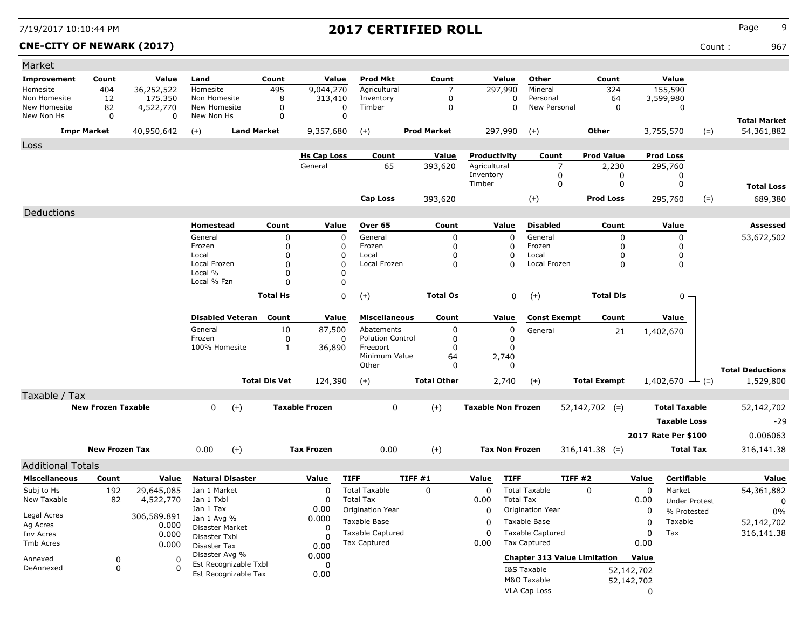### **CNE-CITY OF NEWARK (2017)** Count : 967

| Market                     |                           |                          |                               |                         |                      |                       |                                  |                    |                           |                                     |                     |                          |                       |                      |                         |
|----------------------------|---------------------------|--------------------------|-------------------------------|-------------------------|----------------------|-----------------------|----------------------------------|--------------------|---------------------------|-------------------------------------|---------------------|--------------------------|-----------------------|----------------------|-------------------------|
| <b>Improvement</b>         | Count                     | Value                    | Land                          |                         | Count                | Value                 | <b>Prod Mkt</b>                  | Count              | Value                     | Other                               | Count               |                          | Value                 |                      |                         |
| Homesite                   | 404                       | 36,252,522               | Homesite                      |                         | 495                  | 9,044,270             | Agricultural                     | 7                  | 297,990                   | Mineral                             |                     | 324                      | 155,590               |                      |                         |
| Non Homesite               | 12                        | 175,350                  | Non Homesite                  |                         | 8                    | 313,410               | Inventory                        | 0                  |                           | Personal<br>0                       |                     | 64                       | 3,599,980             |                      |                         |
| New Homesite<br>New Non Hs | 82<br>0                   | 4,522,770<br>$\mathbf 0$ | New Homesite<br>New Non Hs    |                         | 0<br>$\mathbf 0$     |                       | 0<br>Timber<br>$\mathbf 0$       | 0                  |                           | New Personal<br>$\mathbf 0$         |                     | 0                        | 0                     |                      |                         |
|                            |                           |                          |                               |                         |                      |                       |                                  |                    |                           |                                     |                     |                          |                       |                      | <b>Total Market</b>     |
|                            | <b>Impr Market</b>        | 40,950,642               | $(+)$                         | <b>Land Market</b>      |                      | 9,357,680             | $(+)$                            | <b>Prod Market</b> | 297,990                   | $(+)$                               | Other               |                          | 3,755,570             | $(=)$                | 54,361,882              |
| Loss                       |                           |                          |                               |                         |                      |                       |                                  |                    |                           |                                     |                     |                          |                       |                      |                         |
|                            |                           |                          |                               |                         |                      | <b>Hs Cap Loss</b>    | Count                            | <b>Value</b>       | Productivity              | Count                               | <b>Prod Value</b>   |                          | <b>Prod Loss</b>      |                      |                         |
|                            |                           |                          |                               |                         |                      | General               | 65                               | 393,620            | Agricultural<br>Inventory | $\overline{7}$<br>0                 |                     | 2,230<br>0               | 295,760<br>0          |                      |                         |
|                            |                           |                          |                               |                         |                      |                       |                                  |                    | Timber                    | 0                                   |                     | 0                        | 0                     |                      | <b>Total Loss</b>       |
|                            |                           |                          |                               |                         |                      |                       | <b>Cap Loss</b>                  | 393,620            |                           | $(+)$                               | <b>Prod Loss</b>    |                          | 295,760               | $(=)$                | 689,380                 |
|                            |                           |                          |                               |                         |                      |                       |                                  |                    |                           |                                     |                     |                          |                       |                      |                         |
| Deductions                 |                           |                          |                               |                         |                      |                       |                                  |                    |                           |                                     |                     |                          |                       |                      |                         |
|                            |                           |                          | Homestead                     |                         | Count                | Value                 | Over 65                          | Count              | Value                     | <b>Disabled</b>                     |                     | Count                    | Value                 |                      | Assessed                |
|                            |                           |                          | General                       |                         | 0                    |                       | General<br>$\Omega$              | 0                  |                           | $\mathbf 0$<br>General              |                     | 0                        | 0                     |                      | 53,672,502              |
|                            |                           |                          | Frozen<br>Local               |                         | 0<br>0               |                       | Frozen<br>$\Omega$<br>Local<br>0 | 0<br>0             |                           | 0<br>Frozen<br>0<br>Local           |                     | 0<br>0                   | 0<br>0                |                      |                         |
|                            |                           |                          | Local Frozen                  |                         | 0                    |                       | Local Frozen<br>$\Omega$         | 0                  |                           | Local Frozen<br>0                   |                     | 0                        | 0                     |                      |                         |
|                            |                           |                          | Local %                       |                         | 0                    |                       | 0                                |                    |                           |                                     |                     |                          |                       |                      |                         |
|                            |                           |                          | Local % Fzn                   |                         | $\Omega$             |                       | 0                                |                    |                           |                                     |                     |                          |                       |                      |                         |
|                            |                           |                          |                               |                         | <b>Total Hs</b>      |                       | 0<br>$(+)$                       | <b>Total Os</b>    |                           | 0<br>$(+)$                          | <b>Total Dis</b>    |                          | $0 -$                 |                      |                         |
|                            |                           |                          |                               | <b>Disabled Veteran</b> | Count                | Value                 | <b>Miscellaneous</b>             | Count              | Value                     | <b>Const Exempt</b>                 |                     | Count                    | Value                 |                      |                         |
|                            |                           |                          | General                       |                         | 10                   | 87,500                | Abatements                       | 0                  |                           | 0<br>General                        |                     | 21                       | 1,402,670             |                      |                         |
|                            |                           |                          | Frozen                        |                         | 0                    |                       | <b>Polution Control</b><br>0     | 0                  | $\Omega$                  |                                     |                     |                          |                       |                      |                         |
|                            |                           |                          | 100% Homesite                 |                         | $\mathbf{1}$         | 36,890                | Freeport                         | 0                  | $\Omega$                  |                                     |                     |                          |                       |                      |                         |
|                            |                           |                          |                               |                         |                      |                       | Minimum Value                    | 64                 | 2,740                     |                                     |                     |                          |                       |                      |                         |
|                            |                           |                          |                               |                         |                      |                       | Other                            | 0                  | $\Omega$                  |                                     |                     |                          |                       |                      | <b>Total Deductions</b> |
|                            |                           |                          |                               |                         | <b>Total Dis Vet</b> | 124,390               | $(+)$                            | <b>Total Other</b> | 2,740                     | $(+)$                               | <b>Total Exempt</b> |                          | 1,402,670             | $-$ (=)              | 1,529,800               |
| Taxable / Tax              |                           |                          |                               |                         |                      |                       |                                  |                    |                           |                                     |                     |                          |                       |                      |                         |
|                            | <b>New Frozen Taxable</b> |                          | 0                             | $(+)$                   |                      | <b>Taxable Frozen</b> | 0                                | $(+)$              | <b>Taxable Non Frozen</b> |                                     | $52,142,702$ (=)    |                          | <b>Total Taxable</b>  |                      | 52,142,702              |
|                            |                           |                          |                               |                         |                      |                       |                                  |                    |                           |                                     |                     |                          | <b>Taxable Loss</b>   |                      | $-29$                   |
|                            |                           |                          |                               |                         |                      |                       |                                  |                    |                           |                                     |                     |                          | 2017 Rate Per \$100   |                      | 0.006063                |
|                            | <b>New Frozen Tax</b>     |                          | 0.00                          | $(+)$                   |                      | <b>Tax Frozen</b>     | 0.00                             | $(+)$              | <b>Tax Non Frozen</b>     |                                     | $316,141.38$ (=)    |                          |                       | <b>Total Tax</b>     | 316,141.38              |
| <b>Additional Totals</b>   |                           |                          |                               |                         |                      |                       |                                  |                    |                           |                                     |                     |                          |                       |                      |                         |
| <b>Miscellaneous</b>       | Count                     | Value                    |                               | <b>Natural Disaster</b> |                      | Value                 | <b>TIFF</b>                      | TIFF #1            | Value                     | <b>TIFF</b>                         | TIFF #2             | Value                    |                       | Certifiable          | Value                   |
| Subj to Hs                 | 192                       | 29,645,085               | Jan 1 Market                  |                         |                      | 0                     | <b>Total Taxable</b>             | 0                  | $\Omega$                  | <b>Total Taxable</b>                | 0                   |                          | $\mathbf 0$<br>Market |                      | 54,361,882              |
| New Taxable                | 82                        | 4,522,770                | Jan 1 Txbl                    |                         |                      | 0                     | <b>Total Tax</b>                 |                    | 0.00                      | <b>Total Tax</b>                    |                     | 0.00                     |                       | <b>Under Protest</b> | 0                       |
|                            |                           |                          | Jan 1 Tax                     |                         |                      | 0.00                  | Origination Year                 |                    | 0                         | Origination Year                    |                     |                          | 0                     | % Protested          | 0%                      |
| Legal Acres                |                           | 306,589.891              | Jan 1 Avg %                   |                         |                      | 0.000                 | Taxable Base                     |                    | 0                         | Taxable Base                        |                     |                          | Taxable<br>0          |                      | 52,142,702              |
| Ag Acres<br>Inv Acres      |                           | 0.000<br>0.000           | Disaster Market               |                         |                      | 0                     | Taxable Captured                 |                    | $\Omega$                  | <b>Taxable Captured</b>             |                     |                          | 0<br>Tax              |                      | 316,141.38              |
| Tmb Acres                  |                           | 0.000                    | Disaster Txbl<br>Disaster Tax |                         |                      | 0                     | <b>Tax Captured</b>              |                    | 0.00                      | <b>Tax Captured</b>                 |                     | 0.00                     |                       |                      |                         |
|                            |                           |                          | Disaster Avg %                |                         |                      | 0.00<br>0.000         |                                  |                    |                           | <b>Chapter 313 Value Limitation</b> |                     | Value                    |                       |                      |                         |
| Annexed<br>DeAnnexed       | 0<br>0                    | O                        |                               | Est Recognizable Txbl   |                      | 0                     |                                  |                    |                           |                                     |                     |                          |                       |                      |                         |
|                            |                           |                          |                               | Est Recognizable Tax    |                      | 0.00                  |                                  |                    |                           | I&S Taxable<br>M&O Taxable          |                     | 52,142,702<br>52,142,702 |                       |                      |                         |
|                            |                           |                          |                               |                         |                      |                       |                                  |                    |                           |                                     |                     |                          |                       |                      |                         |
|                            |                           |                          |                               |                         |                      |                       |                                  |                    |                           | VLA Cap Loss                        |                     |                          | $\mathbf 0$           |                      |                         |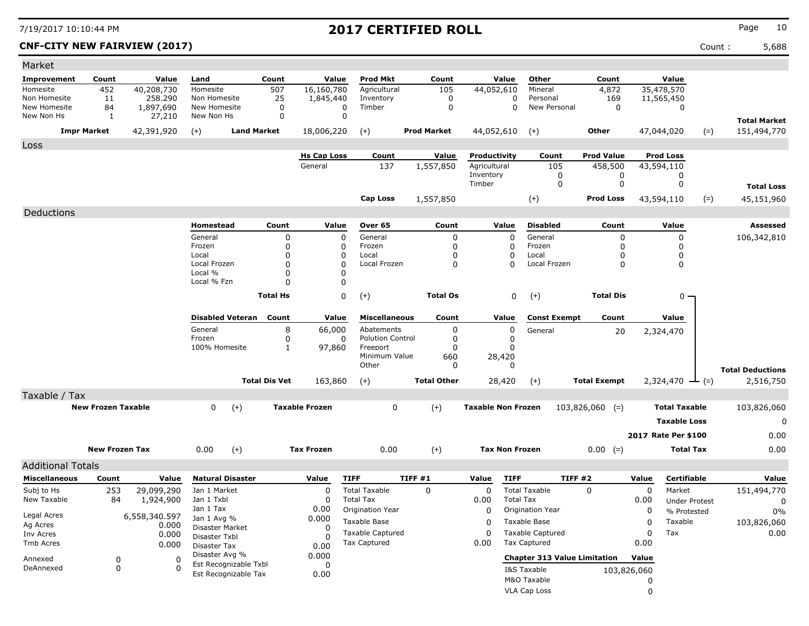### **CNF-CITY NEW FAIRVIEW (2017)** Count : 5,688

| Count<br>Value<br><b>Prod Mkt</b><br>Count<br>Value<br>Other<br>Count<br>Value<br>Improvement<br>Count<br>Value<br>Land<br>16,160,780<br>44,052,610<br>35,478,570<br>452<br>40,208,730<br>507<br>Agricultural<br>105<br>4,872<br>Homesite<br>Homesite<br>Mineral<br>Non Homesite<br>258.290<br>169<br>11<br>Non Homesite<br>25<br>1,845,440<br>0<br>0<br>Personal<br>11,565,450<br>Inventory<br>New Homesite<br>1,897,690<br>New Homesite<br>Timber<br>0<br>0<br>New Personal<br>0<br>84<br>0<br>0<br>0<br>$\mathbf 0$<br>$\mathbf 0$<br>New Non Hs<br>1<br>27,210<br>New Non Hs<br><b>Total Market</b><br><b>Land Market</b><br><b>Impr Market</b><br>42,391,920<br>$(+)$<br>18,006,220<br>$^{(+)}$<br><b>Prod Market</b><br>44,052,610<br>Other<br>$(=)$<br>151,494,770<br>$(+)$<br>47,044,020<br>Loss<br><b>Prod Value</b><br><b>Prod Loss</b><br><b>Hs Cap Loss</b><br>Count<br>Value<br>Productivity<br>Count<br>General<br>137<br>Agricultural<br>1,557,850<br>105<br>458,500<br>43,594,110<br>Inventory<br>0<br>0<br>0<br>0<br>$\mathbf 0$<br>0<br>Timber<br><b>Total Loss</b><br>$(+)$<br>Prod Loss<br>43,594,110<br>$(=)$<br>45,151,960<br><b>Cap Loss</b><br>1,557,850<br>Deductions<br><b>Disabled</b><br>Homestead<br>Count<br>Value<br>Over 65<br>Count<br>Value<br>Count<br>Value<br>Assessed<br>General<br>General<br>General<br>0<br>0<br>0<br>106,342,810<br>0<br>0<br>$\Omega$<br>Frozen<br>0<br>0<br>Frozen<br>Frozen<br>0<br>0<br>0<br><sup>0</sup><br>Local<br>0<br>0<br>Local<br>Local<br>0<br>0<br>$\Omega$<br>$\mathbf 0$<br>Local Frozen<br>$\Omega$<br>Local Frozen<br>0<br>Local Frozen<br>0<br>0<br>O<br>Local %<br>$\Omega$<br>0<br>Local % Fzn<br>0<br>$\Omega$<br>0<br>$(+)$<br><b>Total Hs</b><br><b>Total Os</b><br>0<br>$(+)$<br><b>Total Dis</b><br>0 -<br><b>Disabled Veteran</b><br>Count<br>Value<br><b>Miscellaneous</b><br>Count<br>Value<br><b>Const Exempt</b><br>Count<br>Value<br>General<br>8<br>66,000<br>Abatements<br>0<br>0<br>General<br>20<br>2,324,470<br>Frozen<br><b>Polution Control</b><br>0<br>0<br>0<br>0<br>100% Homesite<br>1<br>97,860<br>Freeport<br>0<br>O<br>Minimum Value<br>660<br>28,420<br>Other<br>$\Omega$<br>$\Omega$<br><b>Total Deductions</b><br><b>Total Dis Vet</b><br><b>Total Other</b><br><b>Total Exempt</b><br>163,860<br>$(+)$<br>28,420<br>2,324,470<br>2,516,750<br>$(+)$<br>$-(-)$<br>Taxable / Tax<br><b>New Frozen Taxable</b><br>$(+)$<br><b>Taxable Frozen</b><br>0<br>$(+)$<br><b>Taxable Non Frozen</b><br>0<br><b>Total Taxable</b><br>$103,826,060$ (=)<br>103,826,060<br><b>Taxable Loss</b><br>0<br>2017 Rate Per \$100<br>0.00<br>$(+)$<br>$(+)$<br>0.00<br><b>New Frozen Tax</b><br>0.00<br><b>Tax Frozen</b><br>0.00<br><b>Tax Non Frozen</b><br>$0.00 (=)$<br><b>Total Tax</b><br><b>Additional Totals</b><br><b>Natural Disaster</b><br>TIFF#1<br><b>TIFF</b><br>TIFF #2<br>Certifiable<br><b>Miscellaneous</b><br>Count<br>Value<br><b>TIFF</b><br>Value<br>Value<br>Value<br>Value<br>Subj to Hs<br><b>Total Taxable</b><br>$\mathbf 0$<br><b>Total Taxable</b><br>$\mathbf 0$<br>151,494,770<br>253<br>29,099,290<br>Jan 1 Market<br>0<br>$\Omega$<br>0<br>Market<br>New Taxable<br><b>Total Tax</b><br>84<br>1,924,900<br>Jan 1 Txbl<br>0<br>0.00<br><b>Total Tax</b><br>0.00<br><b>Under Protest</b><br>0<br>Jan 1 Tax<br>0.00<br>Origination Year<br>$\mathbf 0$<br>Origination Year<br>0<br>% Protested<br>0%<br>Legal Acres<br>6,558,340.597<br>0.000<br>Jan 1 Avg %<br>Taxable Base<br>Taxable Base<br>Taxable<br>103,826,060<br>0<br>0<br>Ag Acres<br>0.000<br>Disaster Market<br>0<br><b>Taxable Captured</b><br><b>Taxable Captured</b><br>$\Omega$<br>0.00<br>$\Omega$<br>Tax<br>Inv Acres<br>0.000<br>Disaster Txbl<br>0<br><b>Tax Captured</b><br>Tax Captured<br>0.00<br>0.00<br>Tmb Acres<br>0.000<br><b>Disaster Tax</b><br>0.00<br>Disaster Avg %<br>0.000<br><b>Chapter 313 Value Limitation</b><br>Value<br>Annexed<br>0<br>0<br>Est Recognizable Txbl<br>0<br>0<br>DeAnnexed<br>$\Omega$<br>I&S Taxable<br>103,826,060<br>Est Recognizable Tax<br>0.00<br>M&O Taxable<br>0 | Market |  |  |  |  |  |  |  |  |
|------------------------------------------------------------------------------------------------------------------------------------------------------------------------------------------------------------------------------------------------------------------------------------------------------------------------------------------------------------------------------------------------------------------------------------------------------------------------------------------------------------------------------------------------------------------------------------------------------------------------------------------------------------------------------------------------------------------------------------------------------------------------------------------------------------------------------------------------------------------------------------------------------------------------------------------------------------------------------------------------------------------------------------------------------------------------------------------------------------------------------------------------------------------------------------------------------------------------------------------------------------------------------------------------------------------------------------------------------------------------------------------------------------------------------------------------------------------------------------------------------------------------------------------------------------------------------------------------------------------------------------------------------------------------------------------------------------------------------------------------------------------------------------------------------------------------------------------------------------------------------------------------------------------------------------------------------------------------------------------------------------------------------------------------------------------------------------------------------------------------------------------------------------------------------------------------------------------------------------------------------------------------------------------------------------------------------------------------------------------------------------------------------------------------------------------------------------------------------------------------------------------------------------------------------------------------------------------------------------------------------------------------------------------------------------------------------------------------------------------------------------------------------------------------------------------------------------------------------------------------------------------------------------------------------------------------------------------------------------------------------------------------------------------------------------------------------------------------------------------------------------------------------------------------------------------------------------------------------------------------------------------------------------------------------------------------------------------------------------------------------------------------------------------------------------------------------------------------------------------------------------------------------------------------------------------------------------------------------------------------------------------------------------------------------------------------------------------------------------------------------------------------------------------------------------------------------------------------------------------------------------------------------------------------------------------------------------------------------------------------------------------------------------------------------------------------------------------------------|--------|--|--|--|--|--|--|--|--|
|                                                                                                                                                                                                                                                                                                                                                                                                                                                                                                                                                                                                                                                                                                                                                                                                                                                                                                                                                                                                                                                                                                                                                                                                                                                                                                                                                                                                                                                                                                                                                                                                                                                                                                                                                                                                                                                                                                                                                                                                                                                                                                                                                                                                                                                                                                                                                                                                                                                                                                                                                                                                                                                                                                                                                                                                                                                                                                                                                                                                                                                                                                                                                                                                                                                                                                                                                                                                                                                                                                                                                                                                                                                                                                                                                                                                                                                                                                                                                                                                                                                                                                      |        |  |  |  |  |  |  |  |  |
|                                                                                                                                                                                                                                                                                                                                                                                                                                                                                                                                                                                                                                                                                                                                                                                                                                                                                                                                                                                                                                                                                                                                                                                                                                                                                                                                                                                                                                                                                                                                                                                                                                                                                                                                                                                                                                                                                                                                                                                                                                                                                                                                                                                                                                                                                                                                                                                                                                                                                                                                                                                                                                                                                                                                                                                                                                                                                                                                                                                                                                                                                                                                                                                                                                                                                                                                                                                                                                                                                                                                                                                                                                                                                                                                                                                                                                                                                                                                                                                                                                                                                                      |        |  |  |  |  |  |  |  |  |
|                                                                                                                                                                                                                                                                                                                                                                                                                                                                                                                                                                                                                                                                                                                                                                                                                                                                                                                                                                                                                                                                                                                                                                                                                                                                                                                                                                                                                                                                                                                                                                                                                                                                                                                                                                                                                                                                                                                                                                                                                                                                                                                                                                                                                                                                                                                                                                                                                                                                                                                                                                                                                                                                                                                                                                                                                                                                                                                                                                                                                                                                                                                                                                                                                                                                                                                                                                                                                                                                                                                                                                                                                                                                                                                                                                                                                                                                                                                                                                                                                                                                                                      |        |  |  |  |  |  |  |  |  |
|                                                                                                                                                                                                                                                                                                                                                                                                                                                                                                                                                                                                                                                                                                                                                                                                                                                                                                                                                                                                                                                                                                                                                                                                                                                                                                                                                                                                                                                                                                                                                                                                                                                                                                                                                                                                                                                                                                                                                                                                                                                                                                                                                                                                                                                                                                                                                                                                                                                                                                                                                                                                                                                                                                                                                                                                                                                                                                                                                                                                                                                                                                                                                                                                                                                                                                                                                                                                                                                                                                                                                                                                                                                                                                                                                                                                                                                                                                                                                                                                                                                                                                      |        |  |  |  |  |  |  |  |  |
|                                                                                                                                                                                                                                                                                                                                                                                                                                                                                                                                                                                                                                                                                                                                                                                                                                                                                                                                                                                                                                                                                                                                                                                                                                                                                                                                                                                                                                                                                                                                                                                                                                                                                                                                                                                                                                                                                                                                                                                                                                                                                                                                                                                                                                                                                                                                                                                                                                                                                                                                                                                                                                                                                                                                                                                                                                                                                                                                                                                                                                                                                                                                                                                                                                                                                                                                                                                                                                                                                                                                                                                                                                                                                                                                                                                                                                                                                                                                                                                                                                                                                                      |        |  |  |  |  |  |  |  |  |
|                                                                                                                                                                                                                                                                                                                                                                                                                                                                                                                                                                                                                                                                                                                                                                                                                                                                                                                                                                                                                                                                                                                                                                                                                                                                                                                                                                                                                                                                                                                                                                                                                                                                                                                                                                                                                                                                                                                                                                                                                                                                                                                                                                                                                                                                                                                                                                                                                                                                                                                                                                                                                                                                                                                                                                                                                                                                                                                                                                                                                                                                                                                                                                                                                                                                                                                                                                                                                                                                                                                                                                                                                                                                                                                                                                                                                                                                                                                                                                                                                                                                                                      |        |  |  |  |  |  |  |  |  |
|                                                                                                                                                                                                                                                                                                                                                                                                                                                                                                                                                                                                                                                                                                                                                                                                                                                                                                                                                                                                                                                                                                                                                                                                                                                                                                                                                                                                                                                                                                                                                                                                                                                                                                                                                                                                                                                                                                                                                                                                                                                                                                                                                                                                                                                                                                                                                                                                                                                                                                                                                                                                                                                                                                                                                                                                                                                                                                                                                                                                                                                                                                                                                                                                                                                                                                                                                                                                                                                                                                                                                                                                                                                                                                                                                                                                                                                                                                                                                                                                                                                                                                      |        |  |  |  |  |  |  |  |  |
|                                                                                                                                                                                                                                                                                                                                                                                                                                                                                                                                                                                                                                                                                                                                                                                                                                                                                                                                                                                                                                                                                                                                                                                                                                                                                                                                                                                                                                                                                                                                                                                                                                                                                                                                                                                                                                                                                                                                                                                                                                                                                                                                                                                                                                                                                                                                                                                                                                                                                                                                                                                                                                                                                                                                                                                                                                                                                                                                                                                                                                                                                                                                                                                                                                                                                                                                                                                                                                                                                                                                                                                                                                                                                                                                                                                                                                                                                                                                                                                                                                                                                                      |        |  |  |  |  |  |  |  |  |
|                                                                                                                                                                                                                                                                                                                                                                                                                                                                                                                                                                                                                                                                                                                                                                                                                                                                                                                                                                                                                                                                                                                                                                                                                                                                                                                                                                                                                                                                                                                                                                                                                                                                                                                                                                                                                                                                                                                                                                                                                                                                                                                                                                                                                                                                                                                                                                                                                                                                                                                                                                                                                                                                                                                                                                                                                                                                                                                                                                                                                                                                                                                                                                                                                                                                                                                                                                                                                                                                                                                                                                                                                                                                                                                                                                                                                                                                                                                                                                                                                                                                                                      |        |  |  |  |  |  |  |  |  |
|                                                                                                                                                                                                                                                                                                                                                                                                                                                                                                                                                                                                                                                                                                                                                                                                                                                                                                                                                                                                                                                                                                                                                                                                                                                                                                                                                                                                                                                                                                                                                                                                                                                                                                                                                                                                                                                                                                                                                                                                                                                                                                                                                                                                                                                                                                                                                                                                                                                                                                                                                                                                                                                                                                                                                                                                                                                                                                                                                                                                                                                                                                                                                                                                                                                                                                                                                                                                                                                                                                                                                                                                                                                                                                                                                                                                                                                                                                                                                                                                                                                                                                      |        |  |  |  |  |  |  |  |  |
|                                                                                                                                                                                                                                                                                                                                                                                                                                                                                                                                                                                                                                                                                                                                                                                                                                                                                                                                                                                                                                                                                                                                                                                                                                                                                                                                                                                                                                                                                                                                                                                                                                                                                                                                                                                                                                                                                                                                                                                                                                                                                                                                                                                                                                                                                                                                                                                                                                                                                                                                                                                                                                                                                                                                                                                                                                                                                                                                                                                                                                                                                                                                                                                                                                                                                                                                                                                                                                                                                                                                                                                                                                                                                                                                                                                                                                                                                                                                                                                                                                                                                                      |        |  |  |  |  |  |  |  |  |
|                                                                                                                                                                                                                                                                                                                                                                                                                                                                                                                                                                                                                                                                                                                                                                                                                                                                                                                                                                                                                                                                                                                                                                                                                                                                                                                                                                                                                                                                                                                                                                                                                                                                                                                                                                                                                                                                                                                                                                                                                                                                                                                                                                                                                                                                                                                                                                                                                                                                                                                                                                                                                                                                                                                                                                                                                                                                                                                                                                                                                                                                                                                                                                                                                                                                                                                                                                                                                                                                                                                                                                                                                                                                                                                                                                                                                                                                                                                                                                                                                                                                                                      |        |  |  |  |  |  |  |  |  |
|                                                                                                                                                                                                                                                                                                                                                                                                                                                                                                                                                                                                                                                                                                                                                                                                                                                                                                                                                                                                                                                                                                                                                                                                                                                                                                                                                                                                                                                                                                                                                                                                                                                                                                                                                                                                                                                                                                                                                                                                                                                                                                                                                                                                                                                                                                                                                                                                                                                                                                                                                                                                                                                                                                                                                                                                                                                                                                                                                                                                                                                                                                                                                                                                                                                                                                                                                                                                                                                                                                                                                                                                                                                                                                                                                                                                                                                                                                                                                                                                                                                                                                      |        |  |  |  |  |  |  |  |  |
|                                                                                                                                                                                                                                                                                                                                                                                                                                                                                                                                                                                                                                                                                                                                                                                                                                                                                                                                                                                                                                                                                                                                                                                                                                                                                                                                                                                                                                                                                                                                                                                                                                                                                                                                                                                                                                                                                                                                                                                                                                                                                                                                                                                                                                                                                                                                                                                                                                                                                                                                                                                                                                                                                                                                                                                                                                                                                                                                                                                                                                                                                                                                                                                                                                                                                                                                                                                                                                                                                                                                                                                                                                                                                                                                                                                                                                                                                                                                                                                                                                                                                                      |        |  |  |  |  |  |  |  |  |
|                                                                                                                                                                                                                                                                                                                                                                                                                                                                                                                                                                                                                                                                                                                                                                                                                                                                                                                                                                                                                                                                                                                                                                                                                                                                                                                                                                                                                                                                                                                                                                                                                                                                                                                                                                                                                                                                                                                                                                                                                                                                                                                                                                                                                                                                                                                                                                                                                                                                                                                                                                                                                                                                                                                                                                                                                                                                                                                                                                                                                                                                                                                                                                                                                                                                                                                                                                                                                                                                                                                                                                                                                                                                                                                                                                                                                                                                                                                                                                                                                                                                                                      |        |  |  |  |  |  |  |  |  |
|                                                                                                                                                                                                                                                                                                                                                                                                                                                                                                                                                                                                                                                                                                                                                                                                                                                                                                                                                                                                                                                                                                                                                                                                                                                                                                                                                                                                                                                                                                                                                                                                                                                                                                                                                                                                                                                                                                                                                                                                                                                                                                                                                                                                                                                                                                                                                                                                                                                                                                                                                                                                                                                                                                                                                                                                                                                                                                                                                                                                                                                                                                                                                                                                                                                                                                                                                                                                                                                                                                                                                                                                                                                                                                                                                                                                                                                                                                                                                                                                                                                                                                      |        |  |  |  |  |  |  |  |  |
|                                                                                                                                                                                                                                                                                                                                                                                                                                                                                                                                                                                                                                                                                                                                                                                                                                                                                                                                                                                                                                                                                                                                                                                                                                                                                                                                                                                                                                                                                                                                                                                                                                                                                                                                                                                                                                                                                                                                                                                                                                                                                                                                                                                                                                                                                                                                                                                                                                                                                                                                                                                                                                                                                                                                                                                                                                                                                                                                                                                                                                                                                                                                                                                                                                                                                                                                                                                                                                                                                                                                                                                                                                                                                                                                                                                                                                                                                                                                                                                                                                                                                                      |        |  |  |  |  |  |  |  |  |
|                                                                                                                                                                                                                                                                                                                                                                                                                                                                                                                                                                                                                                                                                                                                                                                                                                                                                                                                                                                                                                                                                                                                                                                                                                                                                                                                                                                                                                                                                                                                                                                                                                                                                                                                                                                                                                                                                                                                                                                                                                                                                                                                                                                                                                                                                                                                                                                                                                                                                                                                                                                                                                                                                                                                                                                                                                                                                                                                                                                                                                                                                                                                                                                                                                                                                                                                                                                                                                                                                                                                                                                                                                                                                                                                                                                                                                                                                                                                                                                                                                                                                                      |        |  |  |  |  |  |  |  |  |
|                                                                                                                                                                                                                                                                                                                                                                                                                                                                                                                                                                                                                                                                                                                                                                                                                                                                                                                                                                                                                                                                                                                                                                                                                                                                                                                                                                                                                                                                                                                                                                                                                                                                                                                                                                                                                                                                                                                                                                                                                                                                                                                                                                                                                                                                                                                                                                                                                                                                                                                                                                                                                                                                                                                                                                                                                                                                                                                                                                                                                                                                                                                                                                                                                                                                                                                                                                                                                                                                                                                                                                                                                                                                                                                                                                                                                                                                                                                                                                                                                                                                                                      |        |  |  |  |  |  |  |  |  |
|                                                                                                                                                                                                                                                                                                                                                                                                                                                                                                                                                                                                                                                                                                                                                                                                                                                                                                                                                                                                                                                                                                                                                                                                                                                                                                                                                                                                                                                                                                                                                                                                                                                                                                                                                                                                                                                                                                                                                                                                                                                                                                                                                                                                                                                                                                                                                                                                                                                                                                                                                                                                                                                                                                                                                                                                                                                                                                                                                                                                                                                                                                                                                                                                                                                                                                                                                                                                                                                                                                                                                                                                                                                                                                                                                                                                                                                                                                                                                                                                                                                                                                      |        |  |  |  |  |  |  |  |  |
|                                                                                                                                                                                                                                                                                                                                                                                                                                                                                                                                                                                                                                                                                                                                                                                                                                                                                                                                                                                                                                                                                                                                                                                                                                                                                                                                                                                                                                                                                                                                                                                                                                                                                                                                                                                                                                                                                                                                                                                                                                                                                                                                                                                                                                                                                                                                                                                                                                                                                                                                                                                                                                                                                                                                                                                                                                                                                                                                                                                                                                                                                                                                                                                                                                                                                                                                                                                                                                                                                                                                                                                                                                                                                                                                                                                                                                                                                                                                                                                                                                                                                                      |        |  |  |  |  |  |  |  |  |
|                                                                                                                                                                                                                                                                                                                                                                                                                                                                                                                                                                                                                                                                                                                                                                                                                                                                                                                                                                                                                                                                                                                                                                                                                                                                                                                                                                                                                                                                                                                                                                                                                                                                                                                                                                                                                                                                                                                                                                                                                                                                                                                                                                                                                                                                                                                                                                                                                                                                                                                                                                                                                                                                                                                                                                                                                                                                                                                                                                                                                                                                                                                                                                                                                                                                                                                                                                                                                                                                                                                                                                                                                                                                                                                                                                                                                                                                                                                                                                                                                                                                                                      |        |  |  |  |  |  |  |  |  |
|                                                                                                                                                                                                                                                                                                                                                                                                                                                                                                                                                                                                                                                                                                                                                                                                                                                                                                                                                                                                                                                                                                                                                                                                                                                                                                                                                                                                                                                                                                                                                                                                                                                                                                                                                                                                                                                                                                                                                                                                                                                                                                                                                                                                                                                                                                                                                                                                                                                                                                                                                                                                                                                                                                                                                                                                                                                                                                                                                                                                                                                                                                                                                                                                                                                                                                                                                                                                                                                                                                                                                                                                                                                                                                                                                                                                                                                                                                                                                                                                                                                                                                      |        |  |  |  |  |  |  |  |  |
|                                                                                                                                                                                                                                                                                                                                                                                                                                                                                                                                                                                                                                                                                                                                                                                                                                                                                                                                                                                                                                                                                                                                                                                                                                                                                                                                                                                                                                                                                                                                                                                                                                                                                                                                                                                                                                                                                                                                                                                                                                                                                                                                                                                                                                                                                                                                                                                                                                                                                                                                                                                                                                                                                                                                                                                                                                                                                                                                                                                                                                                                                                                                                                                                                                                                                                                                                                                                                                                                                                                                                                                                                                                                                                                                                                                                                                                                                                                                                                                                                                                                                                      |        |  |  |  |  |  |  |  |  |
|                                                                                                                                                                                                                                                                                                                                                                                                                                                                                                                                                                                                                                                                                                                                                                                                                                                                                                                                                                                                                                                                                                                                                                                                                                                                                                                                                                                                                                                                                                                                                                                                                                                                                                                                                                                                                                                                                                                                                                                                                                                                                                                                                                                                                                                                                                                                                                                                                                                                                                                                                                                                                                                                                                                                                                                                                                                                                                                                                                                                                                                                                                                                                                                                                                                                                                                                                                                                                                                                                                                                                                                                                                                                                                                                                                                                                                                                                                                                                                                                                                                                                                      |        |  |  |  |  |  |  |  |  |
|                                                                                                                                                                                                                                                                                                                                                                                                                                                                                                                                                                                                                                                                                                                                                                                                                                                                                                                                                                                                                                                                                                                                                                                                                                                                                                                                                                                                                                                                                                                                                                                                                                                                                                                                                                                                                                                                                                                                                                                                                                                                                                                                                                                                                                                                                                                                                                                                                                                                                                                                                                                                                                                                                                                                                                                                                                                                                                                                                                                                                                                                                                                                                                                                                                                                                                                                                                                                                                                                                                                                                                                                                                                                                                                                                                                                                                                                                                                                                                                                                                                                                                      |        |  |  |  |  |  |  |  |  |
|                                                                                                                                                                                                                                                                                                                                                                                                                                                                                                                                                                                                                                                                                                                                                                                                                                                                                                                                                                                                                                                                                                                                                                                                                                                                                                                                                                                                                                                                                                                                                                                                                                                                                                                                                                                                                                                                                                                                                                                                                                                                                                                                                                                                                                                                                                                                                                                                                                                                                                                                                                                                                                                                                                                                                                                                                                                                                                                                                                                                                                                                                                                                                                                                                                                                                                                                                                                                                                                                                                                                                                                                                                                                                                                                                                                                                                                                                                                                                                                                                                                                                                      |        |  |  |  |  |  |  |  |  |
|                                                                                                                                                                                                                                                                                                                                                                                                                                                                                                                                                                                                                                                                                                                                                                                                                                                                                                                                                                                                                                                                                                                                                                                                                                                                                                                                                                                                                                                                                                                                                                                                                                                                                                                                                                                                                                                                                                                                                                                                                                                                                                                                                                                                                                                                                                                                                                                                                                                                                                                                                                                                                                                                                                                                                                                                                                                                                                                                                                                                                                                                                                                                                                                                                                                                                                                                                                                                                                                                                                                                                                                                                                                                                                                                                                                                                                                                                                                                                                                                                                                                                                      |        |  |  |  |  |  |  |  |  |
|                                                                                                                                                                                                                                                                                                                                                                                                                                                                                                                                                                                                                                                                                                                                                                                                                                                                                                                                                                                                                                                                                                                                                                                                                                                                                                                                                                                                                                                                                                                                                                                                                                                                                                                                                                                                                                                                                                                                                                                                                                                                                                                                                                                                                                                                                                                                                                                                                                                                                                                                                                                                                                                                                                                                                                                                                                                                                                                                                                                                                                                                                                                                                                                                                                                                                                                                                                                                                                                                                                                                                                                                                                                                                                                                                                                                                                                                                                                                                                                                                                                                                                      |        |  |  |  |  |  |  |  |  |
|                                                                                                                                                                                                                                                                                                                                                                                                                                                                                                                                                                                                                                                                                                                                                                                                                                                                                                                                                                                                                                                                                                                                                                                                                                                                                                                                                                                                                                                                                                                                                                                                                                                                                                                                                                                                                                                                                                                                                                                                                                                                                                                                                                                                                                                                                                                                                                                                                                                                                                                                                                                                                                                                                                                                                                                                                                                                                                                                                                                                                                                                                                                                                                                                                                                                                                                                                                                                                                                                                                                                                                                                                                                                                                                                                                                                                                                                                                                                                                                                                                                                                                      |        |  |  |  |  |  |  |  |  |
|                                                                                                                                                                                                                                                                                                                                                                                                                                                                                                                                                                                                                                                                                                                                                                                                                                                                                                                                                                                                                                                                                                                                                                                                                                                                                                                                                                                                                                                                                                                                                                                                                                                                                                                                                                                                                                                                                                                                                                                                                                                                                                                                                                                                                                                                                                                                                                                                                                                                                                                                                                                                                                                                                                                                                                                                                                                                                                                                                                                                                                                                                                                                                                                                                                                                                                                                                                                                                                                                                                                                                                                                                                                                                                                                                                                                                                                                                                                                                                                                                                                                                                      |        |  |  |  |  |  |  |  |  |
|                                                                                                                                                                                                                                                                                                                                                                                                                                                                                                                                                                                                                                                                                                                                                                                                                                                                                                                                                                                                                                                                                                                                                                                                                                                                                                                                                                                                                                                                                                                                                                                                                                                                                                                                                                                                                                                                                                                                                                                                                                                                                                                                                                                                                                                                                                                                                                                                                                                                                                                                                                                                                                                                                                                                                                                                                                                                                                                                                                                                                                                                                                                                                                                                                                                                                                                                                                                                                                                                                                                                                                                                                                                                                                                                                                                                                                                                                                                                                                                                                                                                                                      |        |  |  |  |  |  |  |  |  |
|                                                                                                                                                                                                                                                                                                                                                                                                                                                                                                                                                                                                                                                                                                                                                                                                                                                                                                                                                                                                                                                                                                                                                                                                                                                                                                                                                                                                                                                                                                                                                                                                                                                                                                                                                                                                                                                                                                                                                                                                                                                                                                                                                                                                                                                                                                                                                                                                                                                                                                                                                                                                                                                                                                                                                                                                                                                                                                                                                                                                                                                                                                                                                                                                                                                                                                                                                                                                                                                                                                                                                                                                                                                                                                                                                                                                                                                                                                                                                                                                                                                                                                      |        |  |  |  |  |  |  |  |  |
|                                                                                                                                                                                                                                                                                                                                                                                                                                                                                                                                                                                                                                                                                                                                                                                                                                                                                                                                                                                                                                                                                                                                                                                                                                                                                                                                                                                                                                                                                                                                                                                                                                                                                                                                                                                                                                                                                                                                                                                                                                                                                                                                                                                                                                                                                                                                                                                                                                                                                                                                                                                                                                                                                                                                                                                                                                                                                                                                                                                                                                                                                                                                                                                                                                                                                                                                                                                                                                                                                                                                                                                                                                                                                                                                                                                                                                                                                                                                                                                                                                                                                                      |        |  |  |  |  |  |  |  |  |
|                                                                                                                                                                                                                                                                                                                                                                                                                                                                                                                                                                                                                                                                                                                                                                                                                                                                                                                                                                                                                                                                                                                                                                                                                                                                                                                                                                                                                                                                                                                                                                                                                                                                                                                                                                                                                                                                                                                                                                                                                                                                                                                                                                                                                                                                                                                                                                                                                                                                                                                                                                                                                                                                                                                                                                                                                                                                                                                                                                                                                                                                                                                                                                                                                                                                                                                                                                                                                                                                                                                                                                                                                                                                                                                                                                                                                                                                                                                                                                                                                                                                                                      |        |  |  |  |  |  |  |  |  |
|                                                                                                                                                                                                                                                                                                                                                                                                                                                                                                                                                                                                                                                                                                                                                                                                                                                                                                                                                                                                                                                                                                                                                                                                                                                                                                                                                                                                                                                                                                                                                                                                                                                                                                                                                                                                                                                                                                                                                                                                                                                                                                                                                                                                                                                                                                                                                                                                                                                                                                                                                                                                                                                                                                                                                                                                                                                                                                                                                                                                                                                                                                                                                                                                                                                                                                                                                                                                                                                                                                                                                                                                                                                                                                                                                                                                                                                                                                                                                                                                                                                                                                      |        |  |  |  |  |  |  |  |  |
|                                                                                                                                                                                                                                                                                                                                                                                                                                                                                                                                                                                                                                                                                                                                                                                                                                                                                                                                                                                                                                                                                                                                                                                                                                                                                                                                                                                                                                                                                                                                                                                                                                                                                                                                                                                                                                                                                                                                                                                                                                                                                                                                                                                                                                                                                                                                                                                                                                                                                                                                                                                                                                                                                                                                                                                                                                                                                                                                                                                                                                                                                                                                                                                                                                                                                                                                                                                                                                                                                                                                                                                                                                                                                                                                                                                                                                                                                                                                                                                                                                                                                                      |        |  |  |  |  |  |  |  |  |
|                                                                                                                                                                                                                                                                                                                                                                                                                                                                                                                                                                                                                                                                                                                                                                                                                                                                                                                                                                                                                                                                                                                                                                                                                                                                                                                                                                                                                                                                                                                                                                                                                                                                                                                                                                                                                                                                                                                                                                                                                                                                                                                                                                                                                                                                                                                                                                                                                                                                                                                                                                                                                                                                                                                                                                                                                                                                                                                                                                                                                                                                                                                                                                                                                                                                                                                                                                                                                                                                                                                                                                                                                                                                                                                                                                                                                                                                                                                                                                                                                                                                                                      |        |  |  |  |  |  |  |  |  |
|                                                                                                                                                                                                                                                                                                                                                                                                                                                                                                                                                                                                                                                                                                                                                                                                                                                                                                                                                                                                                                                                                                                                                                                                                                                                                                                                                                                                                                                                                                                                                                                                                                                                                                                                                                                                                                                                                                                                                                                                                                                                                                                                                                                                                                                                                                                                                                                                                                                                                                                                                                                                                                                                                                                                                                                                                                                                                                                                                                                                                                                                                                                                                                                                                                                                                                                                                                                                                                                                                                                                                                                                                                                                                                                                                                                                                                                                                                                                                                                                                                                                                                      |        |  |  |  |  |  |  |  |  |
|                                                                                                                                                                                                                                                                                                                                                                                                                                                                                                                                                                                                                                                                                                                                                                                                                                                                                                                                                                                                                                                                                                                                                                                                                                                                                                                                                                                                                                                                                                                                                                                                                                                                                                                                                                                                                                                                                                                                                                                                                                                                                                                                                                                                                                                                                                                                                                                                                                                                                                                                                                                                                                                                                                                                                                                                                                                                                                                                                                                                                                                                                                                                                                                                                                                                                                                                                                                                                                                                                                                                                                                                                                                                                                                                                                                                                                                                                                                                                                                                                                                                                                      |        |  |  |  |  |  |  |  |  |
|                                                                                                                                                                                                                                                                                                                                                                                                                                                                                                                                                                                                                                                                                                                                                                                                                                                                                                                                                                                                                                                                                                                                                                                                                                                                                                                                                                                                                                                                                                                                                                                                                                                                                                                                                                                                                                                                                                                                                                                                                                                                                                                                                                                                                                                                                                                                                                                                                                                                                                                                                                                                                                                                                                                                                                                                                                                                                                                                                                                                                                                                                                                                                                                                                                                                                                                                                                                                                                                                                                                                                                                                                                                                                                                                                                                                                                                                                                                                                                                                                                                                                                      |        |  |  |  |  |  |  |  |  |
|                                                                                                                                                                                                                                                                                                                                                                                                                                                                                                                                                                                                                                                                                                                                                                                                                                                                                                                                                                                                                                                                                                                                                                                                                                                                                                                                                                                                                                                                                                                                                                                                                                                                                                                                                                                                                                                                                                                                                                                                                                                                                                                                                                                                                                                                                                                                                                                                                                                                                                                                                                                                                                                                                                                                                                                                                                                                                                                                                                                                                                                                                                                                                                                                                                                                                                                                                                                                                                                                                                                                                                                                                                                                                                                                                                                                                                                                                                                                                                                                                                                                                                      |        |  |  |  |  |  |  |  |  |
|                                                                                                                                                                                                                                                                                                                                                                                                                                                                                                                                                                                                                                                                                                                                                                                                                                                                                                                                                                                                                                                                                                                                                                                                                                                                                                                                                                                                                                                                                                                                                                                                                                                                                                                                                                                                                                                                                                                                                                                                                                                                                                                                                                                                                                                                                                                                                                                                                                                                                                                                                                                                                                                                                                                                                                                                                                                                                                                                                                                                                                                                                                                                                                                                                                                                                                                                                                                                                                                                                                                                                                                                                                                                                                                                                                                                                                                                                                                                                                                                                                                                                                      |        |  |  |  |  |  |  |  |  |
| VLA Cap Loss<br>$\mathbf 0$                                                                                                                                                                                                                                                                                                                                                                                                                                                                                                                                                                                                                                                                                                                                                                                                                                                                                                                                                                                                                                                                                                                                                                                                                                                                                                                                                                                                                                                                                                                                                                                                                                                                                                                                                                                                                                                                                                                                                                                                                                                                                                                                                                                                                                                                                                                                                                                                                                                                                                                                                                                                                                                                                                                                                                                                                                                                                                                                                                                                                                                                                                                                                                                                                                                                                                                                                                                                                                                                                                                                                                                                                                                                                                                                                                                                                                                                                                                                                                                                                                                                          |        |  |  |  |  |  |  |  |  |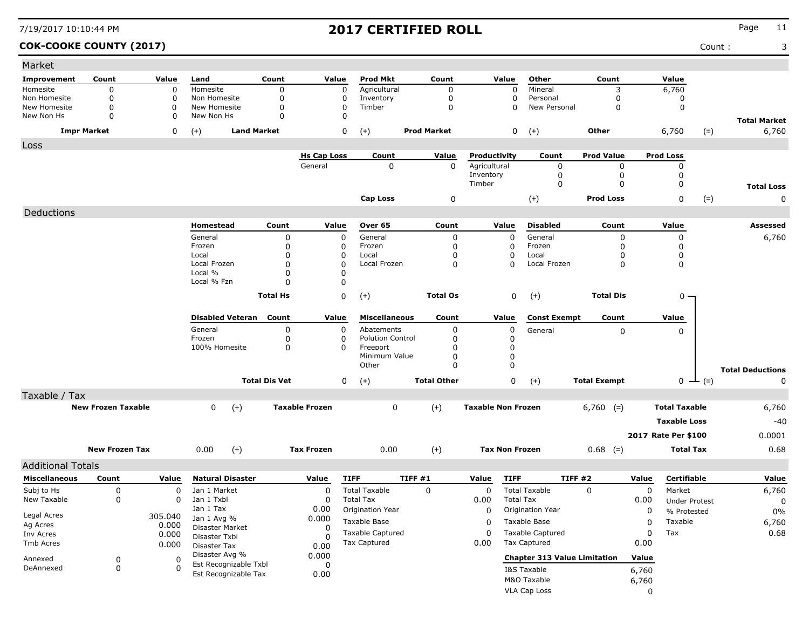### **COK-COOKE COUNTY (2017)** Count : 3

| <b>Prod Mkt</b><br>Other<br>Count<br>Value<br>Improvement<br>Count<br>Value<br>Land<br>Count<br>Value<br>Count<br>Value<br>$\mathbf 0$<br>$\mathbf 0$<br>Homesite<br>Agricultural<br>$\mathbf 0$<br>Mineral<br>6,760<br>Homesite<br>$\mathbf 0$<br>0<br>$\mathbf 0$<br>3<br>$\mathbf 0$<br>$\mathbf 0$<br>$\mathbf 0$<br>$\mathbf 0$<br>Non Homesite<br>$\Omega$<br>0<br>Inventory<br>$\Omega$<br>Personal<br>Non Homesite<br>0<br>$\mathbf 0$<br>New Homesite<br>$\Omega$<br>0<br>New Homesite<br>$\Omega$<br>0<br>Timber<br>New Personal<br>$\Omega$<br>$\mathbf 0$<br>$\Omega$<br>$\mathbf 0$<br>$\mathbf 0$<br>$\Omega$<br>$\mathbf 0$<br>New Non Hs<br>New Non Hs<br><b>Total Market</b><br><b>Impr Market</b><br><b>Land Market</b><br>$\mathbf 0$<br><b>Prod Market</b><br>$(+)$<br><b>Other</b><br>6,760<br>6,760<br>0<br>$(+)$<br>$(+)$<br>0<br>$(=)$<br>Loss<br><b>Hs Cap Loss</b><br>Count<br>Value<br>Productivity<br>Count<br><b>Prod Value</b><br><b>Prod Loss</b><br>Agricultural<br>General<br>$\Omega$<br>$\mathbf{0}$<br>0<br>0<br>0<br>Inventory<br>$\mathbf 0$<br>$\mathbf 0$<br>$\Omega$<br>$\Omega$<br>$\mathbf 0$<br>Timber<br>$\mathbf 0$<br><b>Total Loss</b><br>$\mathbf 0$<br>$(+)$<br><b>Prod Loss</b><br><b>Cap Loss</b><br>0<br>$(=)$<br>0<br>Deductions<br>Count<br>Homestead<br>Value<br>Over 65<br>Count<br>Value<br><b>Disabled</b><br>Count<br>Value<br>Assessed<br>General<br>0<br>$\mathbf 0$<br>General<br>0<br>$\Omega$<br>General<br>0<br>$\mathbf 0$<br>6,760<br>0<br>Frozen<br>Frozen<br>$\mathbf 0$<br>$\mathbf 0$<br>Frozen<br>$\Omega$<br>$\Omega$<br>0<br>0<br>Local<br>$\Omega$<br>Local<br>$\mathbf 0$<br>$\Omega$<br>Local<br>$\Omega$<br>$\mathbf 0$<br>$\Omega$<br>$\mathbf 0$<br>$\Omega$<br>Local Frozen<br>$\mathbf 0$<br>Local Frozen<br>Local Frozen<br>$\mathbf 0$<br>$\mathbf 0$<br>Local %<br>0<br>$\Omega$<br>0<br>Local % Fzn<br>0<br><b>Total Hs</b><br>$\Omega$<br>$(+)$<br><b>Total Os</b><br>0<br><b>Total Dis</b><br>$0 -$<br>$(+)$<br><b>Disabled Veteran</b><br>Count<br>Value<br><b>Miscellaneous</b><br>Value<br>Count<br>Value<br>Count<br><b>Const Exempt</b><br>General<br>Abatements<br>0<br>$\mathbf{0}$<br>0<br>0<br>General<br>0<br>0<br>Frozen<br>0<br><b>Polution Control</b><br>0<br>0<br>0<br>100% Homesite<br>0<br>Freeport<br>$\mathbf 0$<br>0<br>$\Omega$<br>Minimum Value<br>$\Omega$<br>$\mathbf 0$<br>$\pmb{0}$<br>Other<br>$\Omega$<br><b>Total Deductions</b><br><b>Total Dis Vet</b><br>$\mathbf 0$<br><b>Total Other</b><br>$\mathbf 0$<br><b>Total Exempt</b><br>$(+)$<br>$(+)$<br>0<br>$(=)$<br>$\Omega$<br>—<br>Taxable / Tax<br>$(+)$<br><b>New Frozen Taxable</b><br>$(+)$<br><b>Taxable Frozen</b><br>$\mathbf 0$<br><b>Taxable Non Frozen</b><br><b>Total Taxable</b><br>$\Omega$<br>$6,760$ (=)<br>6,760<br><b>Taxable Loss</b><br>-40<br>2017 Rate Per \$100<br>0.0001<br>0.00<br>$(+)$<br><b>New Frozen Tax</b><br>0.00<br>$(+)$<br><b>Tax Frozen</b><br><b>Tax Non Frozen</b><br>$0.68$ (=)<br><b>Total Tax</b><br>0.68<br><b>Additional Totals</b><br><b>Miscellaneous</b><br>Count<br><b>Natural Disaster</b><br>Value<br><b>TIFF</b><br>TIFF #1<br>Value<br><b>TIFF</b><br><b>TIFF #2</b><br>Value<br>Certifiable<br>Value<br>Value<br><b>Total Taxable</b><br>$\Omega$<br><b>Total Taxable</b><br>Subj to Hs<br>$\mathbf 0$<br>Jan 1 Market<br>$\Omega$<br>$\mathbf 0$<br>0<br>$\Omega$<br>Market<br>6,760<br>0<br>0<br>Jan 1 Txbl<br>New Taxable<br>$\mathbf 0$<br><b>Total Tax</b><br>0.00<br><b>Total Tax</b><br>$\Omega$<br>0.00<br><b>Under Protest</b><br>$\mathbf 0$<br>Jan 1 Tax<br>0.00<br>Origination Year<br>$\Omega$<br>Origination Year<br>$\Omega$<br>% Protested<br>$0\%$<br>Legal Acres<br>305.040<br>0.000<br>Jan 1 Avg %<br>Taxable Base<br>Taxable Base<br>$\mathbf 0$<br>Taxable<br>6,760<br>O<br>Ag Acres<br>0.000<br>Disaster Market<br>0<br><b>Taxable Captured</b><br><b>Taxable Captured</b><br>Tax<br>0.68<br>$\Omega$<br>$\mathbf 0$<br>0.000<br>Inv Acres<br>Disaster Txbl<br>$\Omega$<br>Tax Captured<br>Tax Captured<br>0.00<br>0.00<br>Tmb Acres<br>0.000<br>Disaster Tax<br>0.00<br>Disaster Avg %<br>0.000<br><b>Chapter 313 Value Limitation</b><br>Value<br>$\mathbf 0$<br>$\Omega$<br>Annexed<br>Est Recognizable Txbl<br>$\mathbf 0$<br>$\mathbf 0$<br>DeAnnexed<br>$\Omega$<br>I&S Taxable<br>6,760<br>Est Recognizable Tax<br>0.00<br>M&O Taxable<br>6,760 | Market |  |  |  |  |  |  |  |
|-------------------------------------------------------------------------------------------------------------------------------------------------------------------------------------------------------------------------------------------------------------------------------------------------------------------------------------------------------------------------------------------------------------------------------------------------------------------------------------------------------------------------------------------------------------------------------------------------------------------------------------------------------------------------------------------------------------------------------------------------------------------------------------------------------------------------------------------------------------------------------------------------------------------------------------------------------------------------------------------------------------------------------------------------------------------------------------------------------------------------------------------------------------------------------------------------------------------------------------------------------------------------------------------------------------------------------------------------------------------------------------------------------------------------------------------------------------------------------------------------------------------------------------------------------------------------------------------------------------------------------------------------------------------------------------------------------------------------------------------------------------------------------------------------------------------------------------------------------------------------------------------------------------------------------------------------------------------------------------------------------------------------------------------------------------------------------------------------------------------------------------------------------------------------------------------------------------------------------------------------------------------------------------------------------------------------------------------------------------------------------------------------------------------------------------------------------------------------------------------------------------------------------------------------------------------------------------------------------------------------------------------------------------------------------------------------------------------------------------------------------------------------------------------------------------------------------------------------------------------------------------------------------------------------------------------------------------------------------------------------------------------------------------------------------------------------------------------------------------------------------------------------------------------------------------------------------------------------------------------------------------------------------------------------------------------------------------------------------------------------------------------------------------------------------------------------------------------------------------------------------------------------------------------------------------------------------------------------------------------------------------------------------------------------------------------------------------------------------------------------------------------------------------------------------------------------------------------------------------------------------------------------------------------------------------------------------------------------------------------------------------------------------------------------------------------------------------------------------------------------------------------------------------------------------------------------------------------------------------------------------------------------------------------------------------------------------------------------------------------------------------------------------------|--------|--|--|--|--|--|--|--|
|                                                                                                                                                                                                                                                                                                                                                                                                                                                                                                                                                                                                                                                                                                                                                                                                                                                                                                                                                                                                                                                                                                                                                                                                                                                                                                                                                                                                                                                                                                                                                                                                                                                                                                                                                                                                                                                                                                                                                                                                                                                                                                                                                                                                                                                                                                                                                                                                                                                                                                                                                                                                                                                                                                                                                                                                                                                                                                                                                                                                                                                                                                                                                                                                                                                                                                                                                                                                                                                                                                                                                                                                                                                                                                                                                                                                                                                                                                                                                                                                                                                                                                                                                                                                                                                                                                                                                                                                             |        |  |  |  |  |  |  |  |
|                                                                                                                                                                                                                                                                                                                                                                                                                                                                                                                                                                                                                                                                                                                                                                                                                                                                                                                                                                                                                                                                                                                                                                                                                                                                                                                                                                                                                                                                                                                                                                                                                                                                                                                                                                                                                                                                                                                                                                                                                                                                                                                                                                                                                                                                                                                                                                                                                                                                                                                                                                                                                                                                                                                                                                                                                                                                                                                                                                                                                                                                                                                                                                                                                                                                                                                                                                                                                                                                                                                                                                                                                                                                                                                                                                                                                                                                                                                                                                                                                                                                                                                                                                                                                                                                                                                                                                                                             |        |  |  |  |  |  |  |  |
|                                                                                                                                                                                                                                                                                                                                                                                                                                                                                                                                                                                                                                                                                                                                                                                                                                                                                                                                                                                                                                                                                                                                                                                                                                                                                                                                                                                                                                                                                                                                                                                                                                                                                                                                                                                                                                                                                                                                                                                                                                                                                                                                                                                                                                                                                                                                                                                                                                                                                                                                                                                                                                                                                                                                                                                                                                                                                                                                                                                                                                                                                                                                                                                                                                                                                                                                                                                                                                                                                                                                                                                                                                                                                                                                                                                                                                                                                                                                                                                                                                                                                                                                                                                                                                                                                                                                                                                                             |        |  |  |  |  |  |  |  |
|                                                                                                                                                                                                                                                                                                                                                                                                                                                                                                                                                                                                                                                                                                                                                                                                                                                                                                                                                                                                                                                                                                                                                                                                                                                                                                                                                                                                                                                                                                                                                                                                                                                                                                                                                                                                                                                                                                                                                                                                                                                                                                                                                                                                                                                                                                                                                                                                                                                                                                                                                                                                                                                                                                                                                                                                                                                                                                                                                                                                                                                                                                                                                                                                                                                                                                                                                                                                                                                                                                                                                                                                                                                                                                                                                                                                                                                                                                                                                                                                                                                                                                                                                                                                                                                                                                                                                                                                             |        |  |  |  |  |  |  |  |
|                                                                                                                                                                                                                                                                                                                                                                                                                                                                                                                                                                                                                                                                                                                                                                                                                                                                                                                                                                                                                                                                                                                                                                                                                                                                                                                                                                                                                                                                                                                                                                                                                                                                                                                                                                                                                                                                                                                                                                                                                                                                                                                                                                                                                                                                                                                                                                                                                                                                                                                                                                                                                                                                                                                                                                                                                                                                                                                                                                                                                                                                                                                                                                                                                                                                                                                                                                                                                                                                                                                                                                                                                                                                                                                                                                                                                                                                                                                                                                                                                                                                                                                                                                                                                                                                                                                                                                                                             |        |  |  |  |  |  |  |  |
|                                                                                                                                                                                                                                                                                                                                                                                                                                                                                                                                                                                                                                                                                                                                                                                                                                                                                                                                                                                                                                                                                                                                                                                                                                                                                                                                                                                                                                                                                                                                                                                                                                                                                                                                                                                                                                                                                                                                                                                                                                                                                                                                                                                                                                                                                                                                                                                                                                                                                                                                                                                                                                                                                                                                                                                                                                                                                                                                                                                                                                                                                                                                                                                                                                                                                                                                                                                                                                                                                                                                                                                                                                                                                                                                                                                                                                                                                                                                                                                                                                                                                                                                                                                                                                                                                                                                                                                                             |        |  |  |  |  |  |  |  |
|                                                                                                                                                                                                                                                                                                                                                                                                                                                                                                                                                                                                                                                                                                                                                                                                                                                                                                                                                                                                                                                                                                                                                                                                                                                                                                                                                                                                                                                                                                                                                                                                                                                                                                                                                                                                                                                                                                                                                                                                                                                                                                                                                                                                                                                                                                                                                                                                                                                                                                                                                                                                                                                                                                                                                                                                                                                                                                                                                                                                                                                                                                                                                                                                                                                                                                                                                                                                                                                                                                                                                                                                                                                                                                                                                                                                                                                                                                                                                                                                                                                                                                                                                                                                                                                                                                                                                                                                             |        |  |  |  |  |  |  |  |
|                                                                                                                                                                                                                                                                                                                                                                                                                                                                                                                                                                                                                                                                                                                                                                                                                                                                                                                                                                                                                                                                                                                                                                                                                                                                                                                                                                                                                                                                                                                                                                                                                                                                                                                                                                                                                                                                                                                                                                                                                                                                                                                                                                                                                                                                                                                                                                                                                                                                                                                                                                                                                                                                                                                                                                                                                                                                                                                                                                                                                                                                                                                                                                                                                                                                                                                                                                                                                                                                                                                                                                                                                                                                                                                                                                                                                                                                                                                                                                                                                                                                                                                                                                                                                                                                                                                                                                                                             |        |  |  |  |  |  |  |  |
|                                                                                                                                                                                                                                                                                                                                                                                                                                                                                                                                                                                                                                                                                                                                                                                                                                                                                                                                                                                                                                                                                                                                                                                                                                                                                                                                                                                                                                                                                                                                                                                                                                                                                                                                                                                                                                                                                                                                                                                                                                                                                                                                                                                                                                                                                                                                                                                                                                                                                                                                                                                                                                                                                                                                                                                                                                                                                                                                                                                                                                                                                                                                                                                                                                                                                                                                                                                                                                                                                                                                                                                                                                                                                                                                                                                                                                                                                                                                                                                                                                                                                                                                                                                                                                                                                                                                                                                                             |        |  |  |  |  |  |  |  |
|                                                                                                                                                                                                                                                                                                                                                                                                                                                                                                                                                                                                                                                                                                                                                                                                                                                                                                                                                                                                                                                                                                                                                                                                                                                                                                                                                                                                                                                                                                                                                                                                                                                                                                                                                                                                                                                                                                                                                                                                                                                                                                                                                                                                                                                                                                                                                                                                                                                                                                                                                                                                                                                                                                                                                                                                                                                                                                                                                                                                                                                                                                                                                                                                                                                                                                                                                                                                                                                                                                                                                                                                                                                                                                                                                                                                                                                                                                                                                                                                                                                                                                                                                                                                                                                                                                                                                                                                             |        |  |  |  |  |  |  |  |
|                                                                                                                                                                                                                                                                                                                                                                                                                                                                                                                                                                                                                                                                                                                                                                                                                                                                                                                                                                                                                                                                                                                                                                                                                                                                                                                                                                                                                                                                                                                                                                                                                                                                                                                                                                                                                                                                                                                                                                                                                                                                                                                                                                                                                                                                                                                                                                                                                                                                                                                                                                                                                                                                                                                                                                                                                                                                                                                                                                                                                                                                                                                                                                                                                                                                                                                                                                                                                                                                                                                                                                                                                                                                                                                                                                                                                                                                                                                                                                                                                                                                                                                                                                                                                                                                                                                                                                                                             |        |  |  |  |  |  |  |  |
|                                                                                                                                                                                                                                                                                                                                                                                                                                                                                                                                                                                                                                                                                                                                                                                                                                                                                                                                                                                                                                                                                                                                                                                                                                                                                                                                                                                                                                                                                                                                                                                                                                                                                                                                                                                                                                                                                                                                                                                                                                                                                                                                                                                                                                                                                                                                                                                                                                                                                                                                                                                                                                                                                                                                                                                                                                                                                                                                                                                                                                                                                                                                                                                                                                                                                                                                                                                                                                                                                                                                                                                                                                                                                                                                                                                                                                                                                                                                                                                                                                                                                                                                                                                                                                                                                                                                                                                                             |        |  |  |  |  |  |  |  |
|                                                                                                                                                                                                                                                                                                                                                                                                                                                                                                                                                                                                                                                                                                                                                                                                                                                                                                                                                                                                                                                                                                                                                                                                                                                                                                                                                                                                                                                                                                                                                                                                                                                                                                                                                                                                                                                                                                                                                                                                                                                                                                                                                                                                                                                                                                                                                                                                                                                                                                                                                                                                                                                                                                                                                                                                                                                                                                                                                                                                                                                                                                                                                                                                                                                                                                                                                                                                                                                                                                                                                                                                                                                                                                                                                                                                                                                                                                                                                                                                                                                                                                                                                                                                                                                                                                                                                                                                             |        |  |  |  |  |  |  |  |
|                                                                                                                                                                                                                                                                                                                                                                                                                                                                                                                                                                                                                                                                                                                                                                                                                                                                                                                                                                                                                                                                                                                                                                                                                                                                                                                                                                                                                                                                                                                                                                                                                                                                                                                                                                                                                                                                                                                                                                                                                                                                                                                                                                                                                                                                                                                                                                                                                                                                                                                                                                                                                                                                                                                                                                                                                                                                                                                                                                                                                                                                                                                                                                                                                                                                                                                                                                                                                                                                                                                                                                                                                                                                                                                                                                                                                                                                                                                                                                                                                                                                                                                                                                                                                                                                                                                                                                                                             |        |  |  |  |  |  |  |  |
|                                                                                                                                                                                                                                                                                                                                                                                                                                                                                                                                                                                                                                                                                                                                                                                                                                                                                                                                                                                                                                                                                                                                                                                                                                                                                                                                                                                                                                                                                                                                                                                                                                                                                                                                                                                                                                                                                                                                                                                                                                                                                                                                                                                                                                                                                                                                                                                                                                                                                                                                                                                                                                                                                                                                                                                                                                                                                                                                                                                                                                                                                                                                                                                                                                                                                                                                                                                                                                                                                                                                                                                                                                                                                                                                                                                                                                                                                                                                                                                                                                                                                                                                                                                                                                                                                                                                                                                                             |        |  |  |  |  |  |  |  |
|                                                                                                                                                                                                                                                                                                                                                                                                                                                                                                                                                                                                                                                                                                                                                                                                                                                                                                                                                                                                                                                                                                                                                                                                                                                                                                                                                                                                                                                                                                                                                                                                                                                                                                                                                                                                                                                                                                                                                                                                                                                                                                                                                                                                                                                                                                                                                                                                                                                                                                                                                                                                                                                                                                                                                                                                                                                                                                                                                                                                                                                                                                                                                                                                                                                                                                                                                                                                                                                                                                                                                                                                                                                                                                                                                                                                                                                                                                                                                                                                                                                                                                                                                                                                                                                                                                                                                                                                             |        |  |  |  |  |  |  |  |
|                                                                                                                                                                                                                                                                                                                                                                                                                                                                                                                                                                                                                                                                                                                                                                                                                                                                                                                                                                                                                                                                                                                                                                                                                                                                                                                                                                                                                                                                                                                                                                                                                                                                                                                                                                                                                                                                                                                                                                                                                                                                                                                                                                                                                                                                                                                                                                                                                                                                                                                                                                                                                                                                                                                                                                                                                                                                                                                                                                                                                                                                                                                                                                                                                                                                                                                                                                                                                                                                                                                                                                                                                                                                                                                                                                                                                                                                                                                                                                                                                                                                                                                                                                                                                                                                                                                                                                                                             |        |  |  |  |  |  |  |  |
|                                                                                                                                                                                                                                                                                                                                                                                                                                                                                                                                                                                                                                                                                                                                                                                                                                                                                                                                                                                                                                                                                                                                                                                                                                                                                                                                                                                                                                                                                                                                                                                                                                                                                                                                                                                                                                                                                                                                                                                                                                                                                                                                                                                                                                                                                                                                                                                                                                                                                                                                                                                                                                                                                                                                                                                                                                                                                                                                                                                                                                                                                                                                                                                                                                                                                                                                                                                                                                                                                                                                                                                                                                                                                                                                                                                                                                                                                                                                                                                                                                                                                                                                                                                                                                                                                                                                                                                                             |        |  |  |  |  |  |  |  |
|                                                                                                                                                                                                                                                                                                                                                                                                                                                                                                                                                                                                                                                                                                                                                                                                                                                                                                                                                                                                                                                                                                                                                                                                                                                                                                                                                                                                                                                                                                                                                                                                                                                                                                                                                                                                                                                                                                                                                                                                                                                                                                                                                                                                                                                                                                                                                                                                                                                                                                                                                                                                                                                                                                                                                                                                                                                                                                                                                                                                                                                                                                                                                                                                                                                                                                                                                                                                                                                                                                                                                                                                                                                                                                                                                                                                                                                                                                                                                                                                                                                                                                                                                                                                                                                                                                                                                                                                             |        |  |  |  |  |  |  |  |
|                                                                                                                                                                                                                                                                                                                                                                                                                                                                                                                                                                                                                                                                                                                                                                                                                                                                                                                                                                                                                                                                                                                                                                                                                                                                                                                                                                                                                                                                                                                                                                                                                                                                                                                                                                                                                                                                                                                                                                                                                                                                                                                                                                                                                                                                                                                                                                                                                                                                                                                                                                                                                                                                                                                                                                                                                                                                                                                                                                                                                                                                                                                                                                                                                                                                                                                                                                                                                                                                                                                                                                                                                                                                                                                                                                                                                                                                                                                                                                                                                                                                                                                                                                                                                                                                                                                                                                                                             |        |  |  |  |  |  |  |  |
|                                                                                                                                                                                                                                                                                                                                                                                                                                                                                                                                                                                                                                                                                                                                                                                                                                                                                                                                                                                                                                                                                                                                                                                                                                                                                                                                                                                                                                                                                                                                                                                                                                                                                                                                                                                                                                                                                                                                                                                                                                                                                                                                                                                                                                                                                                                                                                                                                                                                                                                                                                                                                                                                                                                                                                                                                                                                                                                                                                                                                                                                                                                                                                                                                                                                                                                                                                                                                                                                                                                                                                                                                                                                                                                                                                                                                                                                                                                                                                                                                                                                                                                                                                                                                                                                                                                                                                                                             |        |  |  |  |  |  |  |  |
|                                                                                                                                                                                                                                                                                                                                                                                                                                                                                                                                                                                                                                                                                                                                                                                                                                                                                                                                                                                                                                                                                                                                                                                                                                                                                                                                                                                                                                                                                                                                                                                                                                                                                                                                                                                                                                                                                                                                                                                                                                                                                                                                                                                                                                                                                                                                                                                                                                                                                                                                                                                                                                                                                                                                                                                                                                                                                                                                                                                                                                                                                                                                                                                                                                                                                                                                                                                                                                                                                                                                                                                                                                                                                                                                                                                                                                                                                                                                                                                                                                                                                                                                                                                                                                                                                                                                                                                                             |        |  |  |  |  |  |  |  |
|                                                                                                                                                                                                                                                                                                                                                                                                                                                                                                                                                                                                                                                                                                                                                                                                                                                                                                                                                                                                                                                                                                                                                                                                                                                                                                                                                                                                                                                                                                                                                                                                                                                                                                                                                                                                                                                                                                                                                                                                                                                                                                                                                                                                                                                                                                                                                                                                                                                                                                                                                                                                                                                                                                                                                                                                                                                                                                                                                                                                                                                                                                                                                                                                                                                                                                                                                                                                                                                                                                                                                                                                                                                                                                                                                                                                                                                                                                                                                                                                                                                                                                                                                                                                                                                                                                                                                                                                             |        |  |  |  |  |  |  |  |
|                                                                                                                                                                                                                                                                                                                                                                                                                                                                                                                                                                                                                                                                                                                                                                                                                                                                                                                                                                                                                                                                                                                                                                                                                                                                                                                                                                                                                                                                                                                                                                                                                                                                                                                                                                                                                                                                                                                                                                                                                                                                                                                                                                                                                                                                                                                                                                                                                                                                                                                                                                                                                                                                                                                                                                                                                                                                                                                                                                                                                                                                                                                                                                                                                                                                                                                                                                                                                                                                                                                                                                                                                                                                                                                                                                                                                                                                                                                                                                                                                                                                                                                                                                                                                                                                                                                                                                                                             |        |  |  |  |  |  |  |  |
|                                                                                                                                                                                                                                                                                                                                                                                                                                                                                                                                                                                                                                                                                                                                                                                                                                                                                                                                                                                                                                                                                                                                                                                                                                                                                                                                                                                                                                                                                                                                                                                                                                                                                                                                                                                                                                                                                                                                                                                                                                                                                                                                                                                                                                                                                                                                                                                                                                                                                                                                                                                                                                                                                                                                                                                                                                                                                                                                                                                                                                                                                                                                                                                                                                                                                                                                                                                                                                                                                                                                                                                                                                                                                                                                                                                                                                                                                                                                                                                                                                                                                                                                                                                                                                                                                                                                                                                                             |        |  |  |  |  |  |  |  |
|                                                                                                                                                                                                                                                                                                                                                                                                                                                                                                                                                                                                                                                                                                                                                                                                                                                                                                                                                                                                                                                                                                                                                                                                                                                                                                                                                                                                                                                                                                                                                                                                                                                                                                                                                                                                                                                                                                                                                                                                                                                                                                                                                                                                                                                                                                                                                                                                                                                                                                                                                                                                                                                                                                                                                                                                                                                                                                                                                                                                                                                                                                                                                                                                                                                                                                                                                                                                                                                                                                                                                                                                                                                                                                                                                                                                                                                                                                                                                                                                                                                                                                                                                                                                                                                                                                                                                                                                             |        |  |  |  |  |  |  |  |
|                                                                                                                                                                                                                                                                                                                                                                                                                                                                                                                                                                                                                                                                                                                                                                                                                                                                                                                                                                                                                                                                                                                                                                                                                                                                                                                                                                                                                                                                                                                                                                                                                                                                                                                                                                                                                                                                                                                                                                                                                                                                                                                                                                                                                                                                                                                                                                                                                                                                                                                                                                                                                                                                                                                                                                                                                                                                                                                                                                                                                                                                                                                                                                                                                                                                                                                                                                                                                                                                                                                                                                                                                                                                                                                                                                                                                                                                                                                                                                                                                                                                                                                                                                                                                                                                                                                                                                                                             |        |  |  |  |  |  |  |  |
|                                                                                                                                                                                                                                                                                                                                                                                                                                                                                                                                                                                                                                                                                                                                                                                                                                                                                                                                                                                                                                                                                                                                                                                                                                                                                                                                                                                                                                                                                                                                                                                                                                                                                                                                                                                                                                                                                                                                                                                                                                                                                                                                                                                                                                                                                                                                                                                                                                                                                                                                                                                                                                                                                                                                                                                                                                                                                                                                                                                                                                                                                                                                                                                                                                                                                                                                                                                                                                                                                                                                                                                                                                                                                                                                                                                                                                                                                                                                                                                                                                                                                                                                                                                                                                                                                                                                                                                                             |        |  |  |  |  |  |  |  |
|                                                                                                                                                                                                                                                                                                                                                                                                                                                                                                                                                                                                                                                                                                                                                                                                                                                                                                                                                                                                                                                                                                                                                                                                                                                                                                                                                                                                                                                                                                                                                                                                                                                                                                                                                                                                                                                                                                                                                                                                                                                                                                                                                                                                                                                                                                                                                                                                                                                                                                                                                                                                                                                                                                                                                                                                                                                                                                                                                                                                                                                                                                                                                                                                                                                                                                                                                                                                                                                                                                                                                                                                                                                                                                                                                                                                                                                                                                                                                                                                                                                                                                                                                                                                                                                                                                                                                                                                             |        |  |  |  |  |  |  |  |
|                                                                                                                                                                                                                                                                                                                                                                                                                                                                                                                                                                                                                                                                                                                                                                                                                                                                                                                                                                                                                                                                                                                                                                                                                                                                                                                                                                                                                                                                                                                                                                                                                                                                                                                                                                                                                                                                                                                                                                                                                                                                                                                                                                                                                                                                                                                                                                                                                                                                                                                                                                                                                                                                                                                                                                                                                                                                                                                                                                                                                                                                                                                                                                                                                                                                                                                                                                                                                                                                                                                                                                                                                                                                                                                                                                                                                                                                                                                                                                                                                                                                                                                                                                                                                                                                                                                                                                                                             |        |  |  |  |  |  |  |  |
|                                                                                                                                                                                                                                                                                                                                                                                                                                                                                                                                                                                                                                                                                                                                                                                                                                                                                                                                                                                                                                                                                                                                                                                                                                                                                                                                                                                                                                                                                                                                                                                                                                                                                                                                                                                                                                                                                                                                                                                                                                                                                                                                                                                                                                                                                                                                                                                                                                                                                                                                                                                                                                                                                                                                                                                                                                                                                                                                                                                                                                                                                                                                                                                                                                                                                                                                                                                                                                                                                                                                                                                                                                                                                                                                                                                                                                                                                                                                                                                                                                                                                                                                                                                                                                                                                                                                                                                                             |        |  |  |  |  |  |  |  |
|                                                                                                                                                                                                                                                                                                                                                                                                                                                                                                                                                                                                                                                                                                                                                                                                                                                                                                                                                                                                                                                                                                                                                                                                                                                                                                                                                                                                                                                                                                                                                                                                                                                                                                                                                                                                                                                                                                                                                                                                                                                                                                                                                                                                                                                                                                                                                                                                                                                                                                                                                                                                                                                                                                                                                                                                                                                                                                                                                                                                                                                                                                                                                                                                                                                                                                                                                                                                                                                                                                                                                                                                                                                                                                                                                                                                                                                                                                                                                                                                                                                                                                                                                                                                                                                                                                                                                                                                             |        |  |  |  |  |  |  |  |
|                                                                                                                                                                                                                                                                                                                                                                                                                                                                                                                                                                                                                                                                                                                                                                                                                                                                                                                                                                                                                                                                                                                                                                                                                                                                                                                                                                                                                                                                                                                                                                                                                                                                                                                                                                                                                                                                                                                                                                                                                                                                                                                                                                                                                                                                                                                                                                                                                                                                                                                                                                                                                                                                                                                                                                                                                                                                                                                                                                                                                                                                                                                                                                                                                                                                                                                                                                                                                                                                                                                                                                                                                                                                                                                                                                                                                                                                                                                                                                                                                                                                                                                                                                                                                                                                                                                                                                                                             |        |  |  |  |  |  |  |  |
|                                                                                                                                                                                                                                                                                                                                                                                                                                                                                                                                                                                                                                                                                                                                                                                                                                                                                                                                                                                                                                                                                                                                                                                                                                                                                                                                                                                                                                                                                                                                                                                                                                                                                                                                                                                                                                                                                                                                                                                                                                                                                                                                                                                                                                                                                                                                                                                                                                                                                                                                                                                                                                                                                                                                                                                                                                                                                                                                                                                                                                                                                                                                                                                                                                                                                                                                                                                                                                                                                                                                                                                                                                                                                                                                                                                                                                                                                                                                                                                                                                                                                                                                                                                                                                                                                                                                                                                                             |        |  |  |  |  |  |  |  |
|                                                                                                                                                                                                                                                                                                                                                                                                                                                                                                                                                                                                                                                                                                                                                                                                                                                                                                                                                                                                                                                                                                                                                                                                                                                                                                                                                                                                                                                                                                                                                                                                                                                                                                                                                                                                                                                                                                                                                                                                                                                                                                                                                                                                                                                                                                                                                                                                                                                                                                                                                                                                                                                                                                                                                                                                                                                                                                                                                                                                                                                                                                                                                                                                                                                                                                                                                                                                                                                                                                                                                                                                                                                                                                                                                                                                                                                                                                                                                                                                                                                                                                                                                                                                                                                                                                                                                                                                             |        |  |  |  |  |  |  |  |
|                                                                                                                                                                                                                                                                                                                                                                                                                                                                                                                                                                                                                                                                                                                                                                                                                                                                                                                                                                                                                                                                                                                                                                                                                                                                                                                                                                                                                                                                                                                                                                                                                                                                                                                                                                                                                                                                                                                                                                                                                                                                                                                                                                                                                                                                                                                                                                                                                                                                                                                                                                                                                                                                                                                                                                                                                                                                                                                                                                                                                                                                                                                                                                                                                                                                                                                                                                                                                                                                                                                                                                                                                                                                                                                                                                                                                                                                                                                                                                                                                                                                                                                                                                                                                                                                                                                                                                                                             |        |  |  |  |  |  |  |  |
|                                                                                                                                                                                                                                                                                                                                                                                                                                                                                                                                                                                                                                                                                                                                                                                                                                                                                                                                                                                                                                                                                                                                                                                                                                                                                                                                                                                                                                                                                                                                                                                                                                                                                                                                                                                                                                                                                                                                                                                                                                                                                                                                                                                                                                                                                                                                                                                                                                                                                                                                                                                                                                                                                                                                                                                                                                                                                                                                                                                                                                                                                                                                                                                                                                                                                                                                                                                                                                                                                                                                                                                                                                                                                                                                                                                                                                                                                                                                                                                                                                                                                                                                                                                                                                                                                                                                                                                                             |        |  |  |  |  |  |  |  |
|                                                                                                                                                                                                                                                                                                                                                                                                                                                                                                                                                                                                                                                                                                                                                                                                                                                                                                                                                                                                                                                                                                                                                                                                                                                                                                                                                                                                                                                                                                                                                                                                                                                                                                                                                                                                                                                                                                                                                                                                                                                                                                                                                                                                                                                                                                                                                                                                                                                                                                                                                                                                                                                                                                                                                                                                                                                                                                                                                                                                                                                                                                                                                                                                                                                                                                                                                                                                                                                                                                                                                                                                                                                                                                                                                                                                                                                                                                                                                                                                                                                                                                                                                                                                                                                                                                                                                                                                             |        |  |  |  |  |  |  |  |
|                                                                                                                                                                                                                                                                                                                                                                                                                                                                                                                                                                                                                                                                                                                                                                                                                                                                                                                                                                                                                                                                                                                                                                                                                                                                                                                                                                                                                                                                                                                                                                                                                                                                                                                                                                                                                                                                                                                                                                                                                                                                                                                                                                                                                                                                                                                                                                                                                                                                                                                                                                                                                                                                                                                                                                                                                                                                                                                                                                                                                                                                                                                                                                                                                                                                                                                                                                                                                                                                                                                                                                                                                                                                                                                                                                                                                                                                                                                                                                                                                                                                                                                                                                                                                                                                                                                                                                                                             |        |  |  |  |  |  |  |  |
|                                                                                                                                                                                                                                                                                                                                                                                                                                                                                                                                                                                                                                                                                                                                                                                                                                                                                                                                                                                                                                                                                                                                                                                                                                                                                                                                                                                                                                                                                                                                                                                                                                                                                                                                                                                                                                                                                                                                                                                                                                                                                                                                                                                                                                                                                                                                                                                                                                                                                                                                                                                                                                                                                                                                                                                                                                                                                                                                                                                                                                                                                                                                                                                                                                                                                                                                                                                                                                                                                                                                                                                                                                                                                                                                                                                                                                                                                                                                                                                                                                                                                                                                                                                                                                                                                                                                                                                                             |        |  |  |  |  |  |  |  |
|                                                                                                                                                                                                                                                                                                                                                                                                                                                                                                                                                                                                                                                                                                                                                                                                                                                                                                                                                                                                                                                                                                                                                                                                                                                                                                                                                                                                                                                                                                                                                                                                                                                                                                                                                                                                                                                                                                                                                                                                                                                                                                                                                                                                                                                                                                                                                                                                                                                                                                                                                                                                                                                                                                                                                                                                                                                                                                                                                                                                                                                                                                                                                                                                                                                                                                                                                                                                                                                                                                                                                                                                                                                                                                                                                                                                                                                                                                                                                                                                                                                                                                                                                                                                                                                                                                                                                                                                             |        |  |  |  |  |  |  |  |
|                                                                                                                                                                                                                                                                                                                                                                                                                                                                                                                                                                                                                                                                                                                                                                                                                                                                                                                                                                                                                                                                                                                                                                                                                                                                                                                                                                                                                                                                                                                                                                                                                                                                                                                                                                                                                                                                                                                                                                                                                                                                                                                                                                                                                                                                                                                                                                                                                                                                                                                                                                                                                                                                                                                                                                                                                                                                                                                                                                                                                                                                                                                                                                                                                                                                                                                                                                                                                                                                                                                                                                                                                                                                                                                                                                                                                                                                                                                                                                                                                                                                                                                                                                                                                                                                                                                                                                                                             |        |  |  |  |  |  |  |  |
|                                                                                                                                                                                                                                                                                                                                                                                                                                                                                                                                                                                                                                                                                                                                                                                                                                                                                                                                                                                                                                                                                                                                                                                                                                                                                                                                                                                                                                                                                                                                                                                                                                                                                                                                                                                                                                                                                                                                                                                                                                                                                                                                                                                                                                                                                                                                                                                                                                                                                                                                                                                                                                                                                                                                                                                                                                                                                                                                                                                                                                                                                                                                                                                                                                                                                                                                                                                                                                                                                                                                                                                                                                                                                                                                                                                                                                                                                                                                                                                                                                                                                                                                                                                                                                                                                                                                                                                                             |        |  |  |  |  |  |  |  |
|                                                                                                                                                                                                                                                                                                                                                                                                                                                                                                                                                                                                                                                                                                                                                                                                                                                                                                                                                                                                                                                                                                                                                                                                                                                                                                                                                                                                                                                                                                                                                                                                                                                                                                                                                                                                                                                                                                                                                                                                                                                                                                                                                                                                                                                                                                                                                                                                                                                                                                                                                                                                                                                                                                                                                                                                                                                                                                                                                                                                                                                                                                                                                                                                                                                                                                                                                                                                                                                                                                                                                                                                                                                                                                                                                                                                                                                                                                                                                                                                                                                                                                                                                                                                                                                                                                                                                                                                             |        |  |  |  |  |  |  |  |
|                                                                                                                                                                                                                                                                                                                                                                                                                                                                                                                                                                                                                                                                                                                                                                                                                                                                                                                                                                                                                                                                                                                                                                                                                                                                                                                                                                                                                                                                                                                                                                                                                                                                                                                                                                                                                                                                                                                                                                                                                                                                                                                                                                                                                                                                                                                                                                                                                                                                                                                                                                                                                                                                                                                                                                                                                                                                                                                                                                                                                                                                                                                                                                                                                                                                                                                                                                                                                                                                                                                                                                                                                                                                                                                                                                                                                                                                                                                                                                                                                                                                                                                                                                                                                                                                                                                                                                                                             |        |  |  |  |  |  |  |  |
| <b>VLA Cap Loss</b><br>$\Omega$                                                                                                                                                                                                                                                                                                                                                                                                                                                                                                                                                                                                                                                                                                                                                                                                                                                                                                                                                                                                                                                                                                                                                                                                                                                                                                                                                                                                                                                                                                                                                                                                                                                                                                                                                                                                                                                                                                                                                                                                                                                                                                                                                                                                                                                                                                                                                                                                                                                                                                                                                                                                                                                                                                                                                                                                                                                                                                                                                                                                                                                                                                                                                                                                                                                                                                                                                                                                                                                                                                                                                                                                                                                                                                                                                                                                                                                                                                                                                                                                                                                                                                                                                                                                                                                                                                                                                                             |        |  |  |  |  |  |  |  |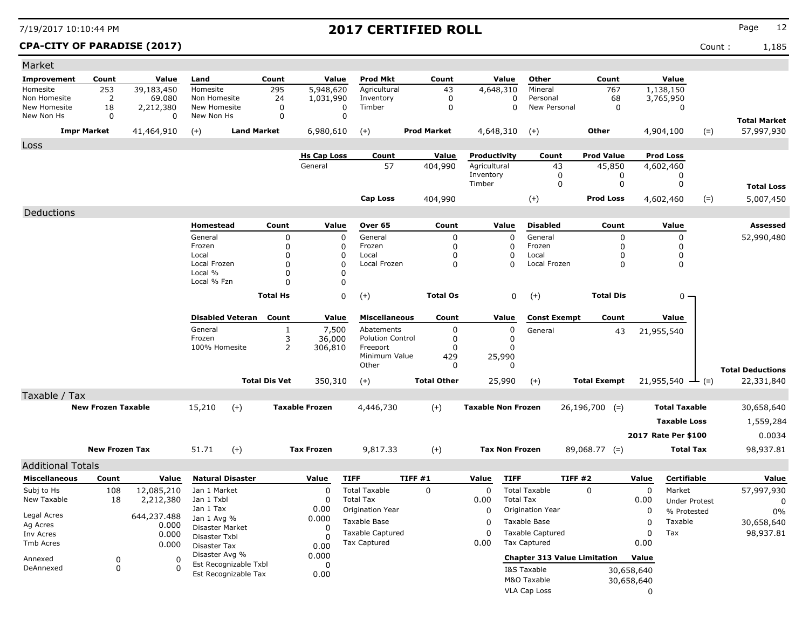### CPA-CITY OF PARADISE (2017) Count : 1,185

| Market                     |                           |                      |                                  |                         |                      |                            |                                       |                    |                           |                                               |                     |                                     |            |                      |        |                         |
|----------------------------|---------------------------|----------------------|----------------------------------|-------------------------|----------------------|----------------------------|---------------------------------------|--------------------|---------------------------|-----------------------------------------------|---------------------|-------------------------------------|------------|----------------------|--------|-------------------------|
| Improvement                | Count                     | Value                | Land                             |                         | Count                | Value                      | Prod Mkt                              | Count              | Value                     | Other                                         |                     | Count                               |            | Value                |        |                         |
| Homesite                   | 253                       | 39,183,450           | Homesite                         |                         | 295                  | 5,948,620                  | Agricultural                          | 43                 | 4,648,310                 | Mineral                                       |                     | 767                                 |            | 1,138,150            |        |                         |
| Non Homesite               | $\overline{2}$            | 69.080               | Non Homesite                     |                         | 24                   | 1,031,990                  | Inventory                             | 0                  |                           | 0<br>Personal                                 |                     | 68                                  |            | 3,765,950            |        |                         |
| New Homesite<br>New Non Hs | 18<br>0                   | 2,212,380<br>0       | New Homesite<br>New Non Hs       |                         | 0<br>0               | $\mathbf 0$<br>$\mathbf 0$ | Timber                                | 0                  |                           | $\mathbf 0$                                   | New Personal        | 0                                   |            | 0                    |        |                         |
|                            |                           |                      |                                  |                         |                      |                            |                                       |                    |                           |                                               |                     |                                     |            |                      |        | <b>Total Market</b>     |
|                            | <b>Impr Market</b>        | 41,464,910           | $(+)$                            | <b>Land Market</b>      |                      | 6,980,610                  | $(+)$                                 | <b>Prod Market</b> | 4,648,310                 | $(+)$                                         |                     | Other                               |            | 4,904,100            | $(=)$  | 57,997,930              |
| Loss                       |                           |                      |                                  |                         |                      |                            |                                       |                    |                           |                                               |                     |                                     |            |                      |        |                         |
|                            |                           |                      |                                  |                         |                      | <b>Hs Cap Loss</b>         | Count                                 | Value              | Productivity              |                                               | Count               | <b>Prod Value</b>                   |            | <b>Prod Loss</b>     |        |                         |
|                            |                           |                      |                                  |                         |                      | General                    | 57                                    | 404,990            | Agricultural<br>Inventory |                                               | 43<br>0             | 45,850<br>0                         |            | 4,602,460<br>0       |        |                         |
|                            |                           |                      |                                  |                         |                      |                            |                                       |                    | Timber                    |                                               | 0                   | 0                                   |            | 0                    |        | <b>Total Loss</b>       |
|                            |                           |                      |                                  |                         |                      |                            | Cap Loss                              | 404,990            |                           | $(+)$                                         |                     | <b>Prod Loss</b>                    |            | 4,602,460            | $(=)$  | 5,007,450               |
|                            |                           |                      |                                  |                         |                      |                            |                                       |                    |                           |                                               |                     |                                     |            |                      |        |                         |
| Deductions                 |                           |                      |                                  |                         |                      |                            |                                       |                    |                           |                                               |                     |                                     |            |                      |        |                         |
|                            |                           |                      | Homestead                        |                         | Count                | Value                      | Over 65                               | Count              | Value                     | <b>Disabled</b>                               |                     | Count                               |            | Value                |        | Assessed                |
|                            |                           |                      | General<br>Frozen                |                         | 0<br>0               | 0<br>0                     | General<br>Frozen                     | 0<br>0             |                           | General<br>$\Omega$<br>Frozen<br><sup>0</sup> |                     | 0<br>0                              |            | 0<br>0               |        | 52,990,480              |
|                            |                           |                      | Local                            |                         | $\mathbf 0$          | 0                          | Local                                 | $\Omega$           |                           | Local                                         |                     | 0                                   |            | 0                    |        |                         |
|                            |                           |                      | Local Frozen                     |                         | $\mathbf 0$          | $\mathbf 0$                | Local Frozen                          | 0                  |                           | Local Frozen<br>n                             |                     | 0                                   |            | 0                    |        |                         |
|                            |                           |                      | Local %                          |                         | $\mathbf 0$          | 0                          |                                       |                    |                           |                                               |                     |                                     |            |                      |        |                         |
|                            |                           |                      | Local % Fzn                      |                         | $\Omega$             | 0                          |                                       |                    |                           |                                               |                     |                                     |            |                      |        |                         |
|                            |                           |                      |                                  |                         | <b>Total Hs</b>      | 0                          | $(+)$                                 | <b>Total Os</b>    |                           | 0<br>$^{(+)}$                                 |                     | <b>Total Dis</b>                    |            | $0 -$                |        |                         |
|                            |                           |                      |                                  |                         |                      |                            |                                       |                    |                           |                                               |                     |                                     |            |                      |        |                         |
|                            |                           |                      |                                  | <b>Disabled Veteran</b> | Count                | Value                      | <b>Miscellaneous</b>                  | Count              | Value                     |                                               | <b>Const Exempt</b> | Count                               |            | Value                |        |                         |
|                            |                           |                      | General<br>Frozen                |                         | $\mathbf{1}$<br>3    | 7,500                      | Abatements<br><b>Polution Control</b> | 0<br>0             |                           | 0<br>General<br>0                             |                     | 43                                  |            | 21,955,540           |        |                         |
|                            |                           |                      | 100% Homesite                    |                         | $\overline{2}$       | 36,000<br>306,810          | Freeport                              | $\Omega$           |                           | <sup>0</sup>                                  |                     |                                     |            |                      |        |                         |
|                            |                           |                      |                                  |                         |                      |                            | Minimum Value                         | 429                | 25,990                    |                                               |                     |                                     |            |                      |        |                         |
|                            |                           |                      |                                  |                         |                      |                            | Other                                 | 0                  |                           | $\Omega$                                      |                     |                                     |            |                      |        | <b>Total Deductions</b> |
|                            |                           |                      |                                  |                         | <b>Total Dis Vet</b> | 350,310                    | $(+)$                                 | <b>Total Other</b> | 25,990                    | $(+)$                                         |                     | <b>Total Exempt</b>                 |            | 21,955,540           | $ (=)$ | 22,331,840              |
| Taxable / Tax              |                           |                      |                                  |                         |                      |                            |                                       |                    |                           |                                               |                     |                                     |            |                      |        |                         |
|                            | <b>New Frozen Taxable</b> |                      | 15,210                           | $(+)$                   |                      | <b>Taxable Frozen</b>      | 4,446,730                             | $(+)$              | <b>Taxable Non Frozen</b> |                                               |                     | $26,196,700$ (=)                    |            | <b>Total Taxable</b> |        | 30,658,640              |
|                            |                           |                      |                                  |                         |                      |                            |                                       |                    |                           |                                               |                     |                                     |            | <b>Taxable Loss</b>  |        | 1,559,284               |
|                            |                           |                      |                                  |                         |                      |                            |                                       |                    |                           |                                               |                     |                                     |            |                      |        |                         |
|                            |                           |                      |                                  |                         |                      |                            |                                       |                    |                           |                                               |                     |                                     |            | 2017 Rate Per \$100  |        | 0.0034                  |
|                            | <b>New Frozen Tax</b>     |                      | 51.71                            | $(+)$                   |                      | <b>Tax Frozen</b>          | 9,817.33                              | $(+)$              |                           | <b>Tax Non Frozen</b>                         |                     | $89,068.77$ (=)                     |            | <b>Total Tax</b>     |        | 98,937.81               |
| <b>Additional Totals</b>   |                           |                      |                                  |                         |                      |                            |                                       |                    |                           |                                               |                     |                                     |            |                      |        |                         |
| <b>Miscellaneous</b>       | Count                     | Value                | <b>Natural Disaster</b>          |                         |                      | Value                      | <b>TIFF</b>                           | <b>TIFF #1</b>     | Value                     | <b>TIFF</b>                                   | TIFF#2              |                                     | Value      | Certifiable          |        | Value                   |
| Subj to Hs                 | 108                       | 12,085,210           | Jan 1 Market                     |                         |                      | 0                          | <b>Total Taxable</b>                  | $\Omega$           | $\mathbf 0$               | <b>Total Taxable</b>                          |                     | 0                                   | 0          | Market               |        | 57,997,930              |
| New Taxable                | 18                        | 2,212,380            | Jan 1 Txbl                       |                         |                      | 0                          | <b>Total Tax</b>                      |                    | 0.00                      | <b>Total Tax</b>                              |                     |                                     | 0.00       | <b>Under Protest</b> |        | 0                       |
|                            |                           |                      | Jan 1 Tax                        |                         |                      | 0.00                       | Origination Year                      |                    | $\mathbf 0$               | Origination Year                              |                     |                                     | 0          | % Protested          |        | 0%                      |
| Legal Acres<br>Ag Acres    |                           | 644,237.488<br>0.000 | Jan 1 Avg %                      |                         |                      | 0.000                      | Taxable Base                          |                    | 0                         | Taxable Base                                  |                     |                                     | 0          | Taxable              |        | 30,658,640              |
| Inv Acres                  |                           | 0.000                | Disaster Market<br>Disaster Txbl |                         |                      | 0<br>0                     | <b>Taxable Captured</b>               |                    | $\Omega$                  | <b>Taxable Captured</b>                       |                     |                                     | $\Omega$   | Tax                  |        | 98,937.81               |
| Tmb Acres                  |                           | 0.000                | Disaster Tax                     |                         |                      | 0.00                       | Tax Captured                          |                    | 0.00                      | <b>Tax Captured</b>                           |                     |                                     | 0.00       |                      |        |                         |
| Annexed                    | 0                         | 0                    | Disaster Avg %                   |                         |                      | 0.000                      |                                       |                    |                           |                                               |                     | <b>Chapter 313 Value Limitation</b> | Value      |                      |        |                         |
| DeAnnexed                  | 0                         | $\Omega$             |                                  | Est Recognizable Txbl   |                      | 0                          |                                       |                    |                           | I&S Taxable                                   |                     |                                     | 30,658,640 |                      |        |                         |
|                            |                           |                      |                                  | Est Recognizable Tax    |                      | 0.00                       |                                       |                    |                           | M&O Taxable                                   |                     |                                     | 30,658,640 |                      |        |                         |
|                            |                           |                      |                                  |                         |                      |                            |                                       |                    |                           | <b>VLA Cap Loss</b>                           |                     |                                     | 0          |                      |        |                         |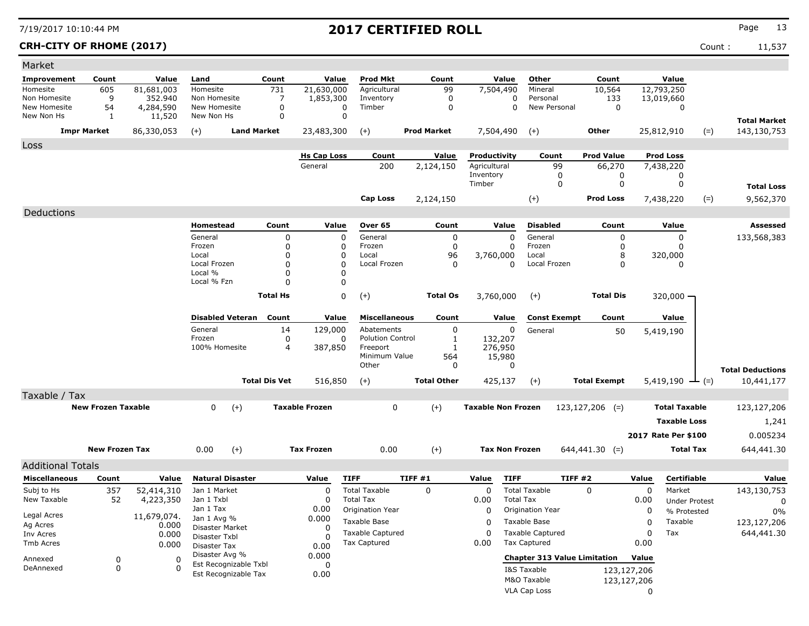| Market                       |                           |                         |                               |                            |                       |                         |                    |                           |                                     |                     |             |                             |                                    |
|------------------------------|---------------------------|-------------------------|-------------------------------|----------------------------|-----------------------|-------------------------|--------------------|---------------------------|-------------------------------------|---------------------|-------------|-----------------------------|------------------------------------|
| Improvement                  | Count                     | Value                   | Land                          | Count                      | Value                 | <b>Prod Mkt</b>         | Count              | Value                     | Other                               | Count               |             | Value                       |                                    |
| Homesite                     | 605                       | 81,681,003              | Homesite                      | 731                        | 21,630,000            | Agricultural            | 99                 | 7,504,490                 | Mineral                             | 10,564              |             | 12,793,250                  |                                    |
| Non Homesite<br>New Homesite | 9                         | 352,940                 | Non Homesite                  | 7                          | 1,853,300             | Inventory               | 0                  | 0<br>$\Omega$             | Personal                            | 133                 |             | 13,019,660                  |                                    |
| New Non Hs                   | 54<br>1                   | 4,284,590<br>11,520     | New Homesite<br>New Non Hs    | 0<br>$\mathbf 0$           | $\Omega$<br>$\Omega$  | Timber                  | 0                  |                           | New Personal                        | 0                   |             | 0                           |                                    |
|                              | <b>Impr Market</b>        | 86,330,053              | $(+)$                         | <b>Land Market</b>         | 23,483,300            | $(+)$                   | <b>Prod Market</b> | 7,504,490                 | $(+)$                               | <b>Other</b>        |             | 25,812,910<br>$(=)$         | <b>Total Market</b><br>143,130,753 |
| Loss                         |                           |                         |                               |                            |                       |                         |                    |                           |                                     |                     |             |                             |                                    |
|                              |                           |                         |                               |                            | <b>Hs Cap Loss</b>    | Count                   | Value              | Productivity              | Count                               | <b>Prod Value</b>   |             | <b>Prod Loss</b>            |                                    |
|                              |                           |                         |                               |                            | General               | 200                     | 2,124,150          | Agricultural              | 99                                  | 66,270              |             | 7,438,220                   |                                    |
|                              |                           |                         |                               |                            |                       |                         |                    | Inventory<br>Timber       | 0<br>0                              | 0<br>0              |             | 0<br>0                      |                                    |
|                              |                           |                         |                               |                            |                       |                         |                    |                           |                                     |                     |             |                             | <b>Total Loss</b>                  |
|                              |                           |                         |                               |                            |                       | <b>Cap Loss</b>         | 2,124,150          |                           | $(+)$                               | <b>Prod Loss</b>    |             | 7,438,220<br>$(=)$          | 9,562,370                          |
| Deductions                   |                           |                         |                               |                            |                       |                         |                    |                           |                                     |                     |             |                             |                                    |
|                              |                           |                         | Homestead                     | Count                      | Value                 | Over 65                 | Count              | Value                     | <b>Disabled</b>                     | Count               |             | Value                       | Assessed                           |
|                              |                           |                         | General<br>Frozen             | $\mathbf 0$<br>$\mathbf 0$ | 0<br>0                | General<br>Frozen       | 0<br>0             | $\Omega$<br>0             | General<br>Frozen                   | 0<br>0              |             | 0<br>$\Omega$               | 133,568,383                        |
|                              |                           |                         | Local                         | $\Omega$                   | 0                     | Local                   | 96                 | 3,760,000                 | Local                               | 8                   |             | 320,000                     |                                    |
|                              |                           |                         | Local Frozen                  | $\Omega$                   | 0                     | Local Frozen            | 0                  | 0                         | Local Frozen                        | 0                   |             | $\Omega$                    |                                    |
|                              |                           |                         | Local %                       | 0                          | 0                     |                         |                    |                           |                                     |                     |             |                             |                                    |
|                              |                           |                         | Local % Fzn                   | $\Omega$                   | 0                     |                         |                    |                           |                                     |                     |             |                             |                                    |
|                              |                           |                         |                               | <b>Total Hs</b>            | 0                     | $(+)$                   | <b>Total Os</b>    | 3,760,000                 | $(+)$                               | <b>Total Dis</b>    |             | $320,000 -$                 |                                    |
|                              |                           |                         | <b>Disabled Veteran</b>       | Count                      | Value                 | <b>Miscellaneous</b>    | Count              | Value                     | <b>Const Exempt</b>                 | Count               |             | Value                       |                                    |
|                              |                           |                         | General                       | 14                         | 129,000               | Abatements              | 0                  | 0                         |                                     |                     |             |                             |                                    |
|                              |                           |                         | Frozen                        | 0                          | 0                     | <b>Polution Control</b> | 1                  | 132,207                   | General                             | 50                  |             | 5,419,190                   |                                    |
|                              |                           |                         | 100% Homesite                 | $\overline{4}$             | 387,850               | Freeport                | $\mathbf{1}$       | 276,950                   |                                     |                     |             |                             |                                    |
|                              |                           |                         |                               |                            |                       | Minimum Value<br>Other  | 564<br>0           | 15,980<br>0               |                                     |                     |             |                             |                                    |
|                              |                           |                         |                               |                            |                       |                         |                    |                           |                                     |                     |             |                             | <b>Total Deductions</b>            |
|                              |                           |                         |                               | <b>Total Dis Vet</b>       | 516,850               | $(+)$                   | <b>Total Other</b> | 425,137                   | $(+)$                               | <b>Total Exempt</b> |             | $5,419,190 \rightarrow$ (=) | 10,441,177                         |
| Taxable / Tax                |                           |                         |                               |                            |                       |                         |                    |                           |                                     |                     |             |                             |                                    |
|                              | <b>New Frozen Taxable</b> |                         | $\mathbf{0}$                  | $(+)$                      | <b>Taxable Frozen</b> | 0                       | $(+)$              | <b>Taxable Non Frozen</b> |                                     | $123, 127, 206$ (=) |             | <b>Total Taxable</b>        | 123,127,206                        |
|                              |                           |                         |                               |                            |                       |                         |                    |                           |                                     |                     |             | <b>Taxable Loss</b>         | 1,241                              |
|                              |                           |                         |                               |                            |                       |                         |                    |                           |                                     |                     |             | 2017 Rate Per \$100         | 0.005234                           |
|                              | <b>New Frozen Tax</b>     |                         | 0.00                          | $(+)$                      | <b>Tax Frozen</b>     | 0.00                    | $(+)$              | <b>Tax Non Frozen</b>     |                                     | $644,441.30$ (=)    |             | <b>Total Tax</b>            | 644,441.30                         |
| <b>Additional Totals</b>     |                           |                         |                               |                            |                       |                         |                    |                           |                                     |                     |             |                             |                                    |
| <b>Miscellaneous</b>         | Count                     | Value                   | <b>Natural Disaster</b>       |                            | Value                 | <b>TIFF</b>             | TIFF #1            | Value<br><b>TIFF</b>      |                                     | TIFF #2             | Value       | Certifiable                 | Value                              |
| Subj to Hs                   |                           |                         | Jan 1 Market                  |                            | 0                     | <b>Total Taxable</b>    | 0                  | 0                         | <b>Total Taxable</b>                | $\Omega$            | 0           | Market                      |                                    |
| New Taxable                  | 357<br>52                 | 52,414,310<br>4,223,350 | Jan 1 Txbl                    |                            | 0                     | Total Tax               |                    | 0.00                      | <b>Total Tax</b>                    |                     | 0.00        | <b>Under Protest</b>        | 143,130,753<br>0                   |
|                              |                           |                         | Jan 1 Tax                     |                            | 0.00                  | Origination Year        |                    | 0                         | Origination Year                    |                     | 0           | % Protested                 | 0%                                 |
| Legal Acres<br>Ag Acres      |                           | 11,679,074.<br>0.000    | Jan 1 Avg %                   |                            | 0.000                 | Taxable Base            |                    | 0                         | Taxable Base                        |                     | $\mathbf 0$ | Taxable                     | 123,127,206                        |
| Inv Acres                    |                           | 0.000                   | Disaster Market               |                            | 0                     | <b>Taxable Captured</b> |                    | 0                         | <b>Taxable Captured</b>             |                     | 0           | Tax                         | 644,441.30                         |
| Tmb Acres                    |                           | 0.000                   | Disaster Txbl<br>Disaster Tax |                            | <sup>0</sup><br>0.00  | <b>Tax Captured</b>     |                    | 0.00                      | <b>Tax Captured</b>                 |                     | 0.00        |                             |                                    |
| Annexed                      | 0                         | 0                       | Disaster Avg %                |                            | 0.000                 |                         |                    |                           | <b>Chapter 313 Value Limitation</b> |                     | Value       |                             |                                    |
| DeAnnexed                    | 0                         | $\Omega$                | Est Recognizable Txbl         |                            | 0                     |                         |                    |                           | I&S Taxable                         |                     | 123,127,206 |                             |                                    |
|                              |                           |                         | Est Recognizable Tax          |                            | 0.00                  |                         |                    |                           | M&O Taxable                         |                     | 123,127,206 |                             |                                    |
|                              |                           |                         |                               |                            |                       |                         |                    |                           | VLA Cap Loss                        |                     | 0           |                             |                                    |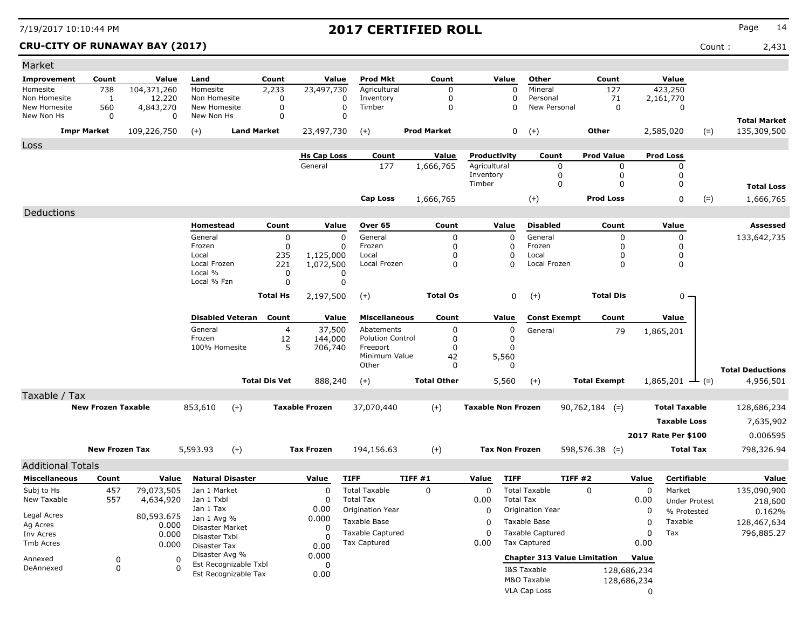### **CRU-CITY OF RUNAWAY BAY (2017)** Count : 2,431

| Other<br>Count<br>Value<br><b>Prod Mkt</b><br>Count<br>Value<br>Count<br>Value<br><b>Improvement</b><br>Count<br>Value<br>Land<br>738<br>$\overline{23,}497,730$<br>423,250<br>104,371,260<br>2,233<br>Agricultural<br>Mineral<br>127<br>Homesite<br>Homesite<br>0<br>0<br>12,220<br>0<br>Non Homesite<br>1<br>Non Homesite<br>0<br>Inventory<br>Personal<br>71<br>2,161,770<br>0<br>0<br>New Homesite<br>560<br>4,843,270<br>New Homesite<br>Timber<br>0<br>New Personal<br>0<br>0<br>$\Omega$<br>0<br>0<br>New Non Hs<br>0<br>0<br>New Non Hs<br>0<br>$\Omega$<br><b>Total Market</b><br><b>Prod Market</b><br>0<br>$(+)$<br><b>Impr Market</b><br>109,226,750<br><b>Land Market</b><br>23,497,730<br>Other<br>2,585,020<br>135,309,500<br>$(+)$<br>$(+)$<br>$(=)$<br>Loss<br><b>Prod Loss</b><br><b>Hs Cap Loss</b><br>Value<br>Productivity<br>Count<br><b>Prod Value</b><br>Count<br>177<br>Agricultural<br>General<br>1,666,765<br>0<br>0<br>0<br>Inventory<br>0<br>0<br>0<br>Timber<br>0<br>$\Omega$<br>0<br><b>Total Loss</b><br><b>Cap Loss</b><br>$(+)$<br><b>Prod Loss</b><br>0<br>$(=)$<br>1,666,765<br>1,666,765<br>Deductions<br>Homestead<br>Count<br>Value<br>Over 65<br>Count<br>Value<br><b>Disabled</b><br>Count<br>Value<br>Assessed<br>General<br>General<br>General<br>0<br>0<br>0<br>133,642,735<br>0<br>0<br>0<br>Frozen<br>0<br>0<br>0<br>Frozen<br>0<br>Frozen<br>0<br>0<br>Local<br>235<br>Local<br>0<br>0<br>1,125,000<br>0<br>Local<br>0<br>0<br>Local Frozen<br>221<br>1,072,500<br>Local Frozen<br>0<br>$\Omega$<br>Local Frozen<br>0<br>Local %<br>0<br>0<br>Local % Fzn<br>0<br>0<br>$(+)$<br><b>Total Dis</b><br><b>Total Hs</b><br>2,197,500<br>$(+)$<br><b>Total Os</b><br>0<br>$0 -$<br><b>Disabled Veteran</b><br>Count<br>Value<br><b>Miscellaneous</b><br>Count<br>Value<br><b>Const Exempt</b><br>Count<br>Value<br>General<br>37,500<br>$\overline{4}$<br>Abatements<br>0<br>0<br>General<br>79<br>1,865,201<br>Frozen<br><b>Polution Control</b><br>12<br>144,000<br>0<br>0<br>100% Homesite<br>5<br>706,740<br>Freeport<br>0<br>0<br>Minimum Value<br>5,560<br>42<br>Other<br>0<br>0<br><b>Total Deductions</b><br><b>Total Dis Vet</b><br>888,240<br><b>Total Other</b><br>5,560<br>$(+)$<br><b>Total Exempt</b><br>1,865,201<br>4,956,501<br>$(+)$<br>$-(-)$<br>Taxable / Tax<br><b>New Frozen Taxable</b><br><b>Taxable Frozen</b><br><b>Taxable Non Frozen</b><br><b>Total Taxable</b><br>853,610<br>$(+)$<br>$(+)$<br>37,070,440<br>$90,762,184$ (=)<br>128,686,234<br><b>Taxable Loss</b><br>7,635,902<br>2017 Rate Per \$100<br>0.006595<br><b>New Frozen Tax</b><br>5,593.93<br>$(+)$<br><b>Tax Frozen</b><br>194,156.63<br>$(+)$<br><b>Tax Non Frozen</b><br>$598,576.38$ (=)<br><b>Total Tax</b><br>798,326.94<br><b>Additional Totals</b><br><b>Natural Disaster</b><br><b>TIFF #1</b><br><b>TIFF</b><br>TIFF #2<br>Certifiable<br><b>Miscellaneous</b><br>Count<br>Value<br>Value<br><b>TIFF</b><br>Value<br>Value<br>Value<br><b>Total Taxable</b><br>$\Omega$<br><b>Total Taxable</b><br>Market<br>135,090,900<br>Subj to Hs<br>457<br>79,073,505<br>Jan 1 Market<br>0<br>0<br>0<br>$\Omega$<br><b>Total Tax</b><br>New Taxable<br>557<br>Jan 1 Txbl<br>0.00<br><b>Total Tax</b><br>4,634,920<br>0<br>0.00<br><b>Under Protest</b><br>218,600<br>Jan 1 Tax<br>0.00<br>Origination Year<br>Origination Year<br>0<br>0<br>% Protested<br>0.162%<br>Legal Acres<br>80,593.675<br>0.000<br>Jan 1 Avg %<br>Taxable Base<br>Taxable Base<br>Taxable<br>0<br>128,467,634<br>0<br>Ag Acres<br>0.000<br>Disaster Market<br>0<br><b>Taxable Captured</b><br><b>Taxable Captured</b><br>$\mathbf 0$<br>Tax<br>796,885.27<br>$\Omega$<br>Inv Acres<br>0.000<br>Disaster Txbl<br>0<br>Tax Captured<br><b>Tax Captured</b><br>0.00<br>0.00<br>Tmb Acres<br>0.000<br>Disaster Tax<br>0.00<br>Disaster Avg %<br>0.000<br><b>Chapter 313 Value Limitation</b><br>Value<br>Annexed<br>0<br>0<br>Est Recognizable Txbl<br>0<br>DeAnnexed<br>0<br>I&S Taxable<br>128,686,234<br>Est Recognizable Tax<br>0.00<br>M&O Taxable<br>128,686,234 | Market |  |  |  |  |                     |  |   |  |
|----------------------------------------------------------------------------------------------------------------------------------------------------------------------------------------------------------------------------------------------------------------------------------------------------------------------------------------------------------------------------------------------------------------------------------------------------------------------------------------------------------------------------------------------------------------------------------------------------------------------------------------------------------------------------------------------------------------------------------------------------------------------------------------------------------------------------------------------------------------------------------------------------------------------------------------------------------------------------------------------------------------------------------------------------------------------------------------------------------------------------------------------------------------------------------------------------------------------------------------------------------------------------------------------------------------------------------------------------------------------------------------------------------------------------------------------------------------------------------------------------------------------------------------------------------------------------------------------------------------------------------------------------------------------------------------------------------------------------------------------------------------------------------------------------------------------------------------------------------------------------------------------------------------------------------------------------------------------------------------------------------------------------------------------------------------------------------------------------------------------------------------------------------------------------------------------------------------------------------------------------------------------------------------------------------------------------------------------------------------------------------------------------------------------------------------------------------------------------------------------------------------------------------------------------------------------------------------------------------------------------------------------------------------------------------------------------------------------------------------------------------------------------------------------------------------------------------------------------------------------------------------------------------------------------------------------------------------------------------------------------------------------------------------------------------------------------------------------------------------------------------------------------------------------------------------------------------------------------------------------------------------------------------------------------------------------------------------------------------------------------------------------------------------------------------------------------------------------------------------------------------------------------------------------------------------------------------------------------------------------------------------------------------------------------------------------------------------------------------------------------------------------------------------------------------------------------------------------------------------------------------------------------------------------------------------------------------------------------------------------------------------------------------------------------------------------------------|--------|--|--|--|--|---------------------|--|---|--|
|                                                                                                                                                                                                                                                                                                                                                                                                                                                                                                                                                                                                                                                                                                                                                                                                                                                                                                                                                                                                                                                                                                                                                                                                                                                                                                                                                                                                                                                                                                                                                                                                                                                                                                                                                                                                                                                                                                                                                                                                                                                                                                                                                                                                                                                                                                                                                                                                                                                                                                                                                                                                                                                                                                                                                                                                                                                                                                                                                                                                                                                                                                                                                                                                                                                                                                                                                                                                                                                                                                                                                                                                                                                                                                                                                                                                                                                                                                                                                                                                                                                                                  |        |  |  |  |  |                     |  |   |  |
|                                                                                                                                                                                                                                                                                                                                                                                                                                                                                                                                                                                                                                                                                                                                                                                                                                                                                                                                                                                                                                                                                                                                                                                                                                                                                                                                                                                                                                                                                                                                                                                                                                                                                                                                                                                                                                                                                                                                                                                                                                                                                                                                                                                                                                                                                                                                                                                                                                                                                                                                                                                                                                                                                                                                                                                                                                                                                                                                                                                                                                                                                                                                                                                                                                                                                                                                                                                                                                                                                                                                                                                                                                                                                                                                                                                                                                                                                                                                                                                                                                                                                  |        |  |  |  |  |                     |  |   |  |
|                                                                                                                                                                                                                                                                                                                                                                                                                                                                                                                                                                                                                                                                                                                                                                                                                                                                                                                                                                                                                                                                                                                                                                                                                                                                                                                                                                                                                                                                                                                                                                                                                                                                                                                                                                                                                                                                                                                                                                                                                                                                                                                                                                                                                                                                                                                                                                                                                                                                                                                                                                                                                                                                                                                                                                                                                                                                                                                                                                                                                                                                                                                                                                                                                                                                                                                                                                                                                                                                                                                                                                                                                                                                                                                                                                                                                                                                                                                                                                                                                                                                                  |        |  |  |  |  |                     |  |   |  |
|                                                                                                                                                                                                                                                                                                                                                                                                                                                                                                                                                                                                                                                                                                                                                                                                                                                                                                                                                                                                                                                                                                                                                                                                                                                                                                                                                                                                                                                                                                                                                                                                                                                                                                                                                                                                                                                                                                                                                                                                                                                                                                                                                                                                                                                                                                                                                                                                                                                                                                                                                                                                                                                                                                                                                                                                                                                                                                                                                                                                                                                                                                                                                                                                                                                                                                                                                                                                                                                                                                                                                                                                                                                                                                                                                                                                                                                                                                                                                                                                                                                                                  |        |  |  |  |  |                     |  |   |  |
|                                                                                                                                                                                                                                                                                                                                                                                                                                                                                                                                                                                                                                                                                                                                                                                                                                                                                                                                                                                                                                                                                                                                                                                                                                                                                                                                                                                                                                                                                                                                                                                                                                                                                                                                                                                                                                                                                                                                                                                                                                                                                                                                                                                                                                                                                                                                                                                                                                                                                                                                                                                                                                                                                                                                                                                                                                                                                                                                                                                                                                                                                                                                                                                                                                                                                                                                                                                                                                                                                                                                                                                                                                                                                                                                                                                                                                                                                                                                                                                                                                                                                  |        |  |  |  |  |                     |  |   |  |
|                                                                                                                                                                                                                                                                                                                                                                                                                                                                                                                                                                                                                                                                                                                                                                                                                                                                                                                                                                                                                                                                                                                                                                                                                                                                                                                                                                                                                                                                                                                                                                                                                                                                                                                                                                                                                                                                                                                                                                                                                                                                                                                                                                                                                                                                                                                                                                                                                                                                                                                                                                                                                                                                                                                                                                                                                                                                                                                                                                                                                                                                                                                                                                                                                                                                                                                                                                                                                                                                                                                                                                                                                                                                                                                                                                                                                                                                                                                                                                                                                                                                                  |        |  |  |  |  |                     |  |   |  |
|                                                                                                                                                                                                                                                                                                                                                                                                                                                                                                                                                                                                                                                                                                                                                                                                                                                                                                                                                                                                                                                                                                                                                                                                                                                                                                                                                                                                                                                                                                                                                                                                                                                                                                                                                                                                                                                                                                                                                                                                                                                                                                                                                                                                                                                                                                                                                                                                                                                                                                                                                                                                                                                                                                                                                                                                                                                                                                                                                                                                                                                                                                                                                                                                                                                                                                                                                                                                                                                                                                                                                                                                                                                                                                                                                                                                                                                                                                                                                                                                                                                                                  |        |  |  |  |  |                     |  |   |  |
|                                                                                                                                                                                                                                                                                                                                                                                                                                                                                                                                                                                                                                                                                                                                                                                                                                                                                                                                                                                                                                                                                                                                                                                                                                                                                                                                                                                                                                                                                                                                                                                                                                                                                                                                                                                                                                                                                                                                                                                                                                                                                                                                                                                                                                                                                                                                                                                                                                                                                                                                                                                                                                                                                                                                                                                                                                                                                                                                                                                                                                                                                                                                                                                                                                                                                                                                                                                                                                                                                                                                                                                                                                                                                                                                                                                                                                                                                                                                                                                                                                                                                  |        |  |  |  |  |                     |  |   |  |
|                                                                                                                                                                                                                                                                                                                                                                                                                                                                                                                                                                                                                                                                                                                                                                                                                                                                                                                                                                                                                                                                                                                                                                                                                                                                                                                                                                                                                                                                                                                                                                                                                                                                                                                                                                                                                                                                                                                                                                                                                                                                                                                                                                                                                                                                                                                                                                                                                                                                                                                                                                                                                                                                                                                                                                                                                                                                                                                                                                                                                                                                                                                                                                                                                                                                                                                                                                                                                                                                                                                                                                                                                                                                                                                                                                                                                                                                                                                                                                                                                                                                                  |        |  |  |  |  |                     |  |   |  |
|                                                                                                                                                                                                                                                                                                                                                                                                                                                                                                                                                                                                                                                                                                                                                                                                                                                                                                                                                                                                                                                                                                                                                                                                                                                                                                                                                                                                                                                                                                                                                                                                                                                                                                                                                                                                                                                                                                                                                                                                                                                                                                                                                                                                                                                                                                                                                                                                                                                                                                                                                                                                                                                                                                                                                                                                                                                                                                                                                                                                                                                                                                                                                                                                                                                                                                                                                                                                                                                                                                                                                                                                                                                                                                                                                                                                                                                                                                                                                                                                                                                                                  |        |  |  |  |  |                     |  |   |  |
|                                                                                                                                                                                                                                                                                                                                                                                                                                                                                                                                                                                                                                                                                                                                                                                                                                                                                                                                                                                                                                                                                                                                                                                                                                                                                                                                                                                                                                                                                                                                                                                                                                                                                                                                                                                                                                                                                                                                                                                                                                                                                                                                                                                                                                                                                                                                                                                                                                                                                                                                                                                                                                                                                                                                                                                                                                                                                                                                                                                                                                                                                                                                                                                                                                                                                                                                                                                                                                                                                                                                                                                                                                                                                                                                                                                                                                                                                                                                                                                                                                                                                  |        |  |  |  |  |                     |  |   |  |
|                                                                                                                                                                                                                                                                                                                                                                                                                                                                                                                                                                                                                                                                                                                                                                                                                                                                                                                                                                                                                                                                                                                                                                                                                                                                                                                                                                                                                                                                                                                                                                                                                                                                                                                                                                                                                                                                                                                                                                                                                                                                                                                                                                                                                                                                                                                                                                                                                                                                                                                                                                                                                                                                                                                                                                                                                                                                                                                                                                                                                                                                                                                                                                                                                                                                                                                                                                                                                                                                                                                                                                                                                                                                                                                                                                                                                                                                                                                                                                                                                                                                                  |        |  |  |  |  |                     |  |   |  |
|                                                                                                                                                                                                                                                                                                                                                                                                                                                                                                                                                                                                                                                                                                                                                                                                                                                                                                                                                                                                                                                                                                                                                                                                                                                                                                                                                                                                                                                                                                                                                                                                                                                                                                                                                                                                                                                                                                                                                                                                                                                                                                                                                                                                                                                                                                                                                                                                                                                                                                                                                                                                                                                                                                                                                                                                                                                                                                                                                                                                                                                                                                                                                                                                                                                                                                                                                                                                                                                                                                                                                                                                                                                                                                                                                                                                                                                                                                                                                                                                                                                                                  |        |  |  |  |  |                     |  |   |  |
|                                                                                                                                                                                                                                                                                                                                                                                                                                                                                                                                                                                                                                                                                                                                                                                                                                                                                                                                                                                                                                                                                                                                                                                                                                                                                                                                                                                                                                                                                                                                                                                                                                                                                                                                                                                                                                                                                                                                                                                                                                                                                                                                                                                                                                                                                                                                                                                                                                                                                                                                                                                                                                                                                                                                                                                                                                                                                                                                                                                                                                                                                                                                                                                                                                                                                                                                                                                                                                                                                                                                                                                                                                                                                                                                                                                                                                                                                                                                                                                                                                                                                  |        |  |  |  |  |                     |  |   |  |
|                                                                                                                                                                                                                                                                                                                                                                                                                                                                                                                                                                                                                                                                                                                                                                                                                                                                                                                                                                                                                                                                                                                                                                                                                                                                                                                                                                                                                                                                                                                                                                                                                                                                                                                                                                                                                                                                                                                                                                                                                                                                                                                                                                                                                                                                                                                                                                                                                                                                                                                                                                                                                                                                                                                                                                                                                                                                                                                                                                                                                                                                                                                                                                                                                                                                                                                                                                                                                                                                                                                                                                                                                                                                                                                                                                                                                                                                                                                                                                                                                                                                                  |        |  |  |  |  |                     |  |   |  |
|                                                                                                                                                                                                                                                                                                                                                                                                                                                                                                                                                                                                                                                                                                                                                                                                                                                                                                                                                                                                                                                                                                                                                                                                                                                                                                                                                                                                                                                                                                                                                                                                                                                                                                                                                                                                                                                                                                                                                                                                                                                                                                                                                                                                                                                                                                                                                                                                                                                                                                                                                                                                                                                                                                                                                                                                                                                                                                                                                                                                                                                                                                                                                                                                                                                                                                                                                                                                                                                                                                                                                                                                                                                                                                                                                                                                                                                                                                                                                                                                                                                                                  |        |  |  |  |  |                     |  |   |  |
|                                                                                                                                                                                                                                                                                                                                                                                                                                                                                                                                                                                                                                                                                                                                                                                                                                                                                                                                                                                                                                                                                                                                                                                                                                                                                                                                                                                                                                                                                                                                                                                                                                                                                                                                                                                                                                                                                                                                                                                                                                                                                                                                                                                                                                                                                                                                                                                                                                                                                                                                                                                                                                                                                                                                                                                                                                                                                                                                                                                                                                                                                                                                                                                                                                                                                                                                                                                                                                                                                                                                                                                                                                                                                                                                                                                                                                                                                                                                                                                                                                                                                  |        |  |  |  |  |                     |  |   |  |
|                                                                                                                                                                                                                                                                                                                                                                                                                                                                                                                                                                                                                                                                                                                                                                                                                                                                                                                                                                                                                                                                                                                                                                                                                                                                                                                                                                                                                                                                                                                                                                                                                                                                                                                                                                                                                                                                                                                                                                                                                                                                                                                                                                                                                                                                                                                                                                                                                                                                                                                                                                                                                                                                                                                                                                                                                                                                                                                                                                                                                                                                                                                                                                                                                                                                                                                                                                                                                                                                                                                                                                                                                                                                                                                                                                                                                                                                                                                                                                                                                                                                                  |        |  |  |  |  |                     |  |   |  |
|                                                                                                                                                                                                                                                                                                                                                                                                                                                                                                                                                                                                                                                                                                                                                                                                                                                                                                                                                                                                                                                                                                                                                                                                                                                                                                                                                                                                                                                                                                                                                                                                                                                                                                                                                                                                                                                                                                                                                                                                                                                                                                                                                                                                                                                                                                                                                                                                                                                                                                                                                                                                                                                                                                                                                                                                                                                                                                                                                                                                                                                                                                                                                                                                                                                                                                                                                                                                                                                                                                                                                                                                                                                                                                                                                                                                                                                                                                                                                                                                                                                                                  |        |  |  |  |  |                     |  |   |  |
|                                                                                                                                                                                                                                                                                                                                                                                                                                                                                                                                                                                                                                                                                                                                                                                                                                                                                                                                                                                                                                                                                                                                                                                                                                                                                                                                                                                                                                                                                                                                                                                                                                                                                                                                                                                                                                                                                                                                                                                                                                                                                                                                                                                                                                                                                                                                                                                                                                                                                                                                                                                                                                                                                                                                                                                                                                                                                                                                                                                                                                                                                                                                                                                                                                                                                                                                                                                                                                                                                                                                                                                                                                                                                                                                                                                                                                                                                                                                                                                                                                                                                  |        |  |  |  |  |                     |  |   |  |
|                                                                                                                                                                                                                                                                                                                                                                                                                                                                                                                                                                                                                                                                                                                                                                                                                                                                                                                                                                                                                                                                                                                                                                                                                                                                                                                                                                                                                                                                                                                                                                                                                                                                                                                                                                                                                                                                                                                                                                                                                                                                                                                                                                                                                                                                                                                                                                                                                                                                                                                                                                                                                                                                                                                                                                                                                                                                                                                                                                                                                                                                                                                                                                                                                                                                                                                                                                                                                                                                                                                                                                                                                                                                                                                                                                                                                                                                                                                                                                                                                                                                                  |        |  |  |  |  |                     |  |   |  |
|                                                                                                                                                                                                                                                                                                                                                                                                                                                                                                                                                                                                                                                                                                                                                                                                                                                                                                                                                                                                                                                                                                                                                                                                                                                                                                                                                                                                                                                                                                                                                                                                                                                                                                                                                                                                                                                                                                                                                                                                                                                                                                                                                                                                                                                                                                                                                                                                                                                                                                                                                                                                                                                                                                                                                                                                                                                                                                                                                                                                                                                                                                                                                                                                                                                                                                                                                                                                                                                                                                                                                                                                                                                                                                                                                                                                                                                                                                                                                                                                                                                                                  |        |  |  |  |  |                     |  |   |  |
|                                                                                                                                                                                                                                                                                                                                                                                                                                                                                                                                                                                                                                                                                                                                                                                                                                                                                                                                                                                                                                                                                                                                                                                                                                                                                                                                                                                                                                                                                                                                                                                                                                                                                                                                                                                                                                                                                                                                                                                                                                                                                                                                                                                                                                                                                                                                                                                                                                                                                                                                                                                                                                                                                                                                                                                                                                                                                                                                                                                                                                                                                                                                                                                                                                                                                                                                                                                                                                                                                                                                                                                                                                                                                                                                                                                                                                                                                                                                                                                                                                                                                  |        |  |  |  |  |                     |  |   |  |
|                                                                                                                                                                                                                                                                                                                                                                                                                                                                                                                                                                                                                                                                                                                                                                                                                                                                                                                                                                                                                                                                                                                                                                                                                                                                                                                                                                                                                                                                                                                                                                                                                                                                                                                                                                                                                                                                                                                                                                                                                                                                                                                                                                                                                                                                                                                                                                                                                                                                                                                                                                                                                                                                                                                                                                                                                                                                                                                                                                                                                                                                                                                                                                                                                                                                                                                                                                                                                                                                                                                                                                                                                                                                                                                                                                                                                                                                                                                                                                                                                                                                                  |        |  |  |  |  |                     |  |   |  |
|                                                                                                                                                                                                                                                                                                                                                                                                                                                                                                                                                                                                                                                                                                                                                                                                                                                                                                                                                                                                                                                                                                                                                                                                                                                                                                                                                                                                                                                                                                                                                                                                                                                                                                                                                                                                                                                                                                                                                                                                                                                                                                                                                                                                                                                                                                                                                                                                                                                                                                                                                                                                                                                                                                                                                                                                                                                                                                                                                                                                                                                                                                                                                                                                                                                                                                                                                                                                                                                                                                                                                                                                                                                                                                                                                                                                                                                                                                                                                                                                                                                                                  |        |  |  |  |  |                     |  |   |  |
|                                                                                                                                                                                                                                                                                                                                                                                                                                                                                                                                                                                                                                                                                                                                                                                                                                                                                                                                                                                                                                                                                                                                                                                                                                                                                                                                                                                                                                                                                                                                                                                                                                                                                                                                                                                                                                                                                                                                                                                                                                                                                                                                                                                                                                                                                                                                                                                                                                                                                                                                                                                                                                                                                                                                                                                                                                                                                                                                                                                                                                                                                                                                                                                                                                                                                                                                                                                                                                                                                                                                                                                                                                                                                                                                                                                                                                                                                                                                                                                                                                                                                  |        |  |  |  |  |                     |  |   |  |
|                                                                                                                                                                                                                                                                                                                                                                                                                                                                                                                                                                                                                                                                                                                                                                                                                                                                                                                                                                                                                                                                                                                                                                                                                                                                                                                                                                                                                                                                                                                                                                                                                                                                                                                                                                                                                                                                                                                                                                                                                                                                                                                                                                                                                                                                                                                                                                                                                                                                                                                                                                                                                                                                                                                                                                                                                                                                                                                                                                                                                                                                                                                                                                                                                                                                                                                                                                                                                                                                                                                                                                                                                                                                                                                                                                                                                                                                                                                                                                                                                                                                                  |        |  |  |  |  |                     |  |   |  |
|                                                                                                                                                                                                                                                                                                                                                                                                                                                                                                                                                                                                                                                                                                                                                                                                                                                                                                                                                                                                                                                                                                                                                                                                                                                                                                                                                                                                                                                                                                                                                                                                                                                                                                                                                                                                                                                                                                                                                                                                                                                                                                                                                                                                                                                                                                                                                                                                                                                                                                                                                                                                                                                                                                                                                                                                                                                                                                                                                                                                                                                                                                                                                                                                                                                                                                                                                                                                                                                                                                                                                                                                                                                                                                                                                                                                                                                                                                                                                                                                                                                                                  |        |  |  |  |  |                     |  |   |  |
|                                                                                                                                                                                                                                                                                                                                                                                                                                                                                                                                                                                                                                                                                                                                                                                                                                                                                                                                                                                                                                                                                                                                                                                                                                                                                                                                                                                                                                                                                                                                                                                                                                                                                                                                                                                                                                                                                                                                                                                                                                                                                                                                                                                                                                                                                                                                                                                                                                                                                                                                                                                                                                                                                                                                                                                                                                                                                                                                                                                                                                                                                                                                                                                                                                                                                                                                                                                                                                                                                                                                                                                                                                                                                                                                                                                                                                                                                                                                                                                                                                                                                  |        |  |  |  |  |                     |  |   |  |
|                                                                                                                                                                                                                                                                                                                                                                                                                                                                                                                                                                                                                                                                                                                                                                                                                                                                                                                                                                                                                                                                                                                                                                                                                                                                                                                                                                                                                                                                                                                                                                                                                                                                                                                                                                                                                                                                                                                                                                                                                                                                                                                                                                                                                                                                                                                                                                                                                                                                                                                                                                                                                                                                                                                                                                                                                                                                                                                                                                                                                                                                                                                                                                                                                                                                                                                                                                                                                                                                                                                                                                                                                                                                                                                                                                                                                                                                                                                                                                                                                                                                                  |        |  |  |  |  |                     |  |   |  |
|                                                                                                                                                                                                                                                                                                                                                                                                                                                                                                                                                                                                                                                                                                                                                                                                                                                                                                                                                                                                                                                                                                                                                                                                                                                                                                                                                                                                                                                                                                                                                                                                                                                                                                                                                                                                                                                                                                                                                                                                                                                                                                                                                                                                                                                                                                                                                                                                                                                                                                                                                                                                                                                                                                                                                                                                                                                                                                                                                                                                                                                                                                                                                                                                                                                                                                                                                                                                                                                                                                                                                                                                                                                                                                                                                                                                                                                                                                                                                                                                                                                                                  |        |  |  |  |  |                     |  |   |  |
|                                                                                                                                                                                                                                                                                                                                                                                                                                                                                                                                                                                                                                                                                                                                                                                                                                                                                                                                                                                                                                                                                                                                                                                                                                                                                                                                                                                                                                                                                                                                                                                                                                                                                                                                                                                                                                                                                                                                                                                                                                                                                                                                                                                                                                                                                                                                                                                                                                                                                                                                                                                                                                                                                                                                                                                                                                                                                                                                                                                                                                                                                                                                                                                                                                                                                                                                                                                                                                                                                                                                                                                                                                                                                                                                                                                                                                                                                                                                                                                                                                                                                  |        |  |  |  |  |                     |  |   |  |
|                                                                                                                                                                                                                                                                                                                                                                                                                                                                                                                                                                                                                                                                                                                                                                                                                                                                                                                                                                                                                                                                                                                                                                                                                                                                                                                                                                                                                                                                                                                                                                                                                                                                                                                                                                                                                                                                                                                                                                                                                                                                                                                                                                                                                                                                                                                                                                                                                                                                                                                                                                                                                                                                                                                                                                                                                                                                                                                                                                                                                                                                                                                                                                                                                                                                                                                                                                                                                                                                                                                                                                                                                                                                                                                                                                                                                                                                                                                                                                                                                                                                                  |        |  |  |  |  |                     |  |   |  |
|                                                                                                                                                                                                                                                                                                                                                                                                                                                                                                                                                                                                                                                                                                                                                                                                                                                                                                                                                                                                                                                                                                                                                                                                                                                                                                                                                                                                                                                                                                                                                                                                                                                                                                                                                                                                                                                                                                                                                                                                                                                                                                                                                                                                                                                                                                                                                                                                                                                                                                                                                                                                                                                                                                                                                                                                                                                                                                                                                                                                                                                                                                                                                                                                                                                                                                                                                                                                                                                                                                                                                                                                                                                                                                                                                                                                                                                                                                                                                                                                                                                                                  |        |  |  |  |  |                     |  |   |  |
|                                                                                                                                                                                                                                                                                                                                                                                                                                                                                                                                                                                                                                                                                                                                                                                                                                                                                                                                                                                                                                                                                                                                                                                                                                                                                                                                                                                                                                                                                                                                                                                                                                                                                                                                                                                                                                                                                                                                                                                                                                                                                                                                                                                                                                                                                                                                                                                                                                                                                                                                                                                                                                                                                                                                                                                                                                                                                                                                                                                                                                                                                                                                                                                                                                                                                                                                                                                                                                                                                                                                                                                                                                                                                                                                                                                                                                                                                                                                                                                                                                                                                  |        |  |  |  |  |                     |  |   |  |
|                                                                                                                                                                                                                                                                                                                                                                                                                                                                                                                                                                                                                                                                                                                                                                                                                                                                                                                                                                                                                                                                                                                                                                                                                                                                                                                                                                                                                                                                                                                                                                                                                                                                                                                                                                                                                                                                                                                                                                                                                                                                                                                                                                                                                                                                                                                                                                                                                                                                                                                                                                                                                                                                                                                                                                                                                                                                                                                                                                                                                                                                                                                                                                                                                                                                                                                                                                                                                                                                                                                                                                                                                                                                                                                                                                                                                                                                                                                                                                                                                                                                                  |        |  |  |  |  |                     |  |   |  |
|                                                                                                                                                                                                                                                                                                                                                                                                                                                                                                                                                                                                                                                                                                                                                                                                                                                                                                                                                                                                                                                                                                                                                                                                                                                                                                                                                                                                                                                                                                                                                                                                                                                                                                                                                                                                                                                                                                                                                                                                                                                                                                                                                                                                                                                                                                                                                                                                                                                                                                                                                                                                                                                                                                                                                                                                                                                                                                                                                                                                                                                                                                                                                                                                                                                                                                                                                                                                                                                                                                                                                                                                                                                                                                                                                                                                                                                                                                                                                                                                                                                                                  |        |  |  |  |  |                     |  |   |  |
|                                                                                                                                                                                                                                                                                                                                                                                                                                                                                                                                                                                                                                                                                                                                                                                                                                                                                                                                                                                                                                                                                                                                                                                                                                                                                                                                                                                                                                                                                                                                                                                                                                                                                                                                                                                                                                                                                                                                                                                                                                                                                                                                                                                                                                                                                                                                                                                                                                                                                                                                                                                                                                                                                                                                                                                                                                                                                                                                                                                                                                                                                                                                                                                                                                                                                                                                                                                                                                                                                                                                                                                                                                                                                                                                                                                                                                                                                                                                                                                                                                                                                  |        |  |  |  |  |                     |  |   |  |
|                                                                                                                                                                                                                                                                                                                                                                                                                                                                                                                                                                                                                                                                                                                                                                                                                                                                                                                                                                                                                                                                                                                                                                                                                                                                                                                                                                                                                                                                                                                                                                                                                                                                                                                                                                                                                                                                                                                                                                                                                                                                                                                                                                                                                                                                                                                                                                                                                                                                                                                                                                                                                                                                                                                                                                                                                                                                                                                                                                                                                                                                                                                                                                                                                                                                                                                                                                                                                                                                                                                                                                                                                                                                                                                                                                                                                                                                                                                                                                                                                                                                                  |        |  |  |  |  |                     |  |   |  |
|                                                                                                                                                                                                                                                                                                                                                                                                                                                                                                                                                                                                                                                                                                                                                                                                                                                                                                                                                                                                                                                                                                                                                                                                                                                                                                                                                                                                                                                                                                                                                                                                                                                                                                                                                                                                                                                                                                                                                                                                                                                                                                                                                                                                                                                                                                                                                                                                                                                                                                                                                                                                                                                                                                                                                                                                                                                                                                                                                                                                                                                                                                                                                                                                                                                                                                                                                                                                                                                                                                                                                                                                                                                                                                                                                                                                                                                                                                                                                                                                                                                                                  |        |  |  |  |  |                     |  |   |  |
|                                                                                                                                                                                                                                                                                                                                                                                                                                                                                                                                                                                                                                                                                                                                                                                                                                                                                                                                                                                                                                                                                                                                                                                                                                                                                                                                                                                                                                                                                                                                                                                                                                                                                                                                                                                                                                                                                                                                                                                                                                                                                                                                                                                                                                                                                                                                                                                                                                                                                                                                                                                                                                                                                                                                                                                                                                                                                                                                                                                                                                                                                                                                                                                                                                                                                                                                                                                                                                                                                                                                                                                                                                                                                                                                                                                                                                                                                                                                                                                                                                                                                  |        |  |  |  |  |                     |  |   |  |
|                                                                                                                                                                                                                                                                                                                                                                                                                                                                                                                                                                                                                                                                                                                                                                                                                                                                                                                                                                                                                                                                                                                                                                                                                                                                                                                                                                                                                                                                                                                                                                                                                                                                                                                                                                                                                                                                                                                                                                                                                                                                                                                                                                                                                                                                                                                                                                                                                                                                                                                                                                                                                                                                                                                                                                                                                                                                                                                                                                                                                                                                                                                                                                                                                                                                                                                                                                                                                                                                                                                                                                                                                                                                                                                                                                                                                                                                                                                                                                                                                                                                                  |        |  |  |  |  |                     |  |   |  |
|                                                                                                                                                                                                                                                                                                                                                                                                                                                                                                                                                                                                                                                                                                                                                                                                                                                                                                                                                                                                                                                                                                                                                                                                                                                                                                                                                                                                                                                                                                                                                                                                                                                                                                                                                                                                                                                                                                                                                                                                                                                                                                                                                                                                                                                                                                                                                                                                                                                                                                                                                                                                                                                                                                                                                                                                                                                                                                                                                                                                                                                                                                                                                                                                                                                                                                                                                                                                                                                                                                                                                                                                                                                                                                                                                                                                                                                                                                                                                                                                                                                                                  |        |  |  |  |  |                     |  |   |  |
|                                                                                                                                                                                                                                                                                                                                                                                                                                                                                                                                                                                                                                                                                                                                                                                                                                                                                                                                                                                                                                                                                                                                                                                                                                                                                                                                                                                                                                                                                                                                                                                                                                                                                                                                                                                                                                                                                                                                                                                                                                                                                                                                                                                                                                                                                                                                                                                                                                                                                                                                                                                                                                                                                                                                                                                                                                                                                                                                                                                                                                                                                                                                                                                                                                                                                                                                                                                                                                                                                                                                                                                                                                                                                                                                                                                                                                                                                                                                                                                                                                                                                  |        |  |  |  |  | <b>VLA Cap Loss</b> |  | 0 |  |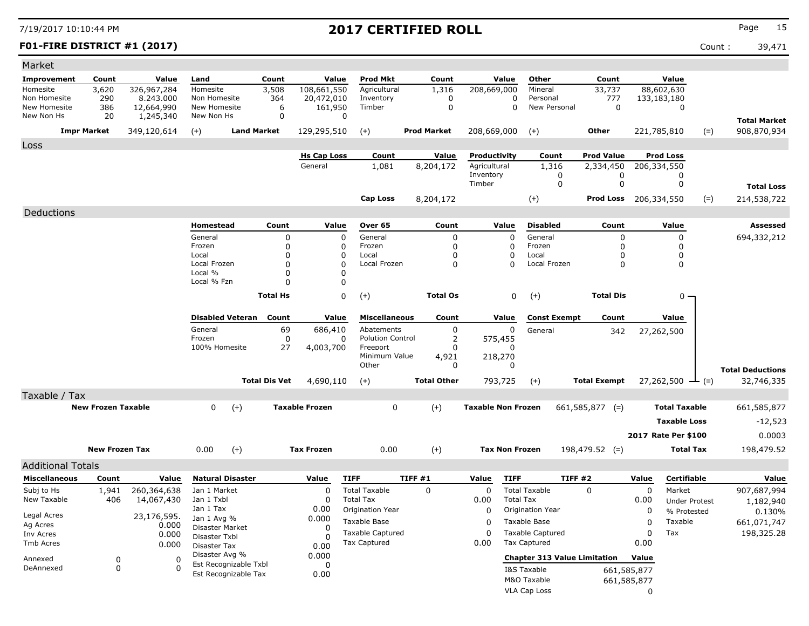| Market                   |                           |             |                                |                             |                       |                                       |                    |                           |                           |                                     |             |                      |                         |
|--------------------------|---------------------------|-------------|--------------------------------|-----------------------------|-----------------------|---------------------------------------|--------------------|---------------------------|---------------------------|-------------------------------------|-------------|----------------------|-------------------------|
| Improvement              | Count                     | Value       | Land                           | Count                       | Value                 | Prod Mkt                              | Count              | Value                     | Other                     | Count                               |             | Value                |                         |
| Homesite                 | 3,620                     | 326,967,284 | Homesite                       | 3,508                       | 108,661,550           | Agricultural                          | 1,316              | 208,669,000               | Mineral                   | 33,737                              |             | 88,602,630           |                         |
| Non Homesite             | 290                       | 8.243.000   | Non Homesite                   | 364                         | 20,472,010            | Inventory                             | 0                  |                           | 0<br>Personal             | 777                                 |             | 133,183,180          |                         |
| New Homesite             | 386                       | 12,664,990  | New Homesite                   | 6<br>0                      | 161,950<br>$\Omega$   | Timber                                | $\mathbf 0$        |                           | 0<br>New Personal         | 0                                   |             | 0                    |                         |
| New Non Hs               | 20                        | 1,245,340   | New Non Hs                     |                             |                       |                                       |                    |                           |                           |                                     |             |                      | <b>Total Market</b>     |
|                          | <b>Impr Market</b>        | 349,120,614 | $(+)$                          | <b>Land Market</b>          | 129,295,510           | $(+)$                                 | <b>Prod Market</b> | 208,669,000               | $(+)$                     | Other                               |             | 221,785,810<br>$(=)$ | 908,870,934             |
| Loss                     |                           |             |                                |                             |                       |                                       |                    |                           |                           |                                     |             |                      |                         |
|                          |                           |             |                                |                             | <b>Hs Cap Loss</b>    | Count                                 | Value              | Productivity              | Count                     | <b>Prod Value</b>                   |             | <b>Prod Loss</b>     |                         |
|                          |                           |             |                                |                             | General               | 1,081                                 | 8,204,172          | Agricultural              | 1,316                     | 2,334,450                           |             | 206,334,550          |                         |
|                          |                           |             |                                |                             |                       |                                       |                    | Inventory<br>Timber       |                           | 0<br>0<br>$\mathbf 0$<br>0          |             | 0<br>0               | <b>Total Loss</b>       |
|                          |                           |             |                                |                             |                       |                                       |                    |                           |                           |                                     |             |                      |                         |
|                          |                           |             |                                |                             |                       | Cap Loss                              | 8,204,172          |                           | $(+)$                     | <b>Prod Loss</b> 206,334,550        |             | $(=)$                | 214,538,722             |
| Deductions               |                           |             |                                |                             |                       |                                       |                    |                           |                           |                                     |             |                      |                         |
|                          |                           |             | Homestead                      | Count                       | Value                 | Over 65                               | Count              | Value                     | <b>Disabled</b>           | Count                               |             | Value                | Assessed                |
|                          |                           |             | General                        | 0                           | 0                     | General                               | 0                  |                           | General<br>$\Omega$       | 0                                   |             | 0                    | 694,332,212             |
|                          |                           |             | Frozen<br>Local                | $\mathbf 0$<br>$\mathbf{0}$ | 0<br>0                | Frozen<br>Local                       | 0<br>0             |                           | Frozen<br>0<br>0<br>Local | 0<br>0                              |             | 0<br>0               |                         |
|                          |                           |             | Local Frozen                   | $\mathbf{0}$                | 0                     | Local Frozen                          | 0                  |                           | Local Frozen<br>$\Omega$  | 0                                   |             | 0                    |                         |
|                          |                           |             | Local %                        | $\mathbf{0}$                | 0                     |                                       |                    |                           |                           |                                     |             |                      |                         |
|                          |                           |             | Local % Fzn                    | $\Omega$                    | 0                     |                                       |                    |                           |                           |                                     |             |                      |                         |
|                          |                           |             |                                | <b>Total Hs</b>             | 0                     | $(+)$                                 | <b>Total Os</b>    |                           | 0<br>$(+)$                | <b>Total Dis</b>                    |             | $0 -$                |                         |
|                          |                           |             |                                |                             |                       |                                       |                    |                           |                           |                                     |             |                      |                         |
|                          |                           |             | <b>Disabled Veteran</b>        | Count                       | Value                 | <b>Miscellaneous</b>                  | Count              | Value                     | <b>Const Exempt</b>       | Count                               |             | Value                |                         |
|                          |                           |             | General<br>Frozen              | 69<br>0                     | 686,410<br>0          | Abatements<br><b>Polution Control</b> | 0<br>2             | 575,455                   | 0<br>General              | 342                                 |             | 27,262,500           |                         |
|                          |                           |             | 100% Homesite                  | 27                          | 4,003,700             | Freeport                              | 0                  |                           | n                         |                                     |             |                      |                         |
|                          |                           |             |                                |                             |                       | Minimum Value                         | 4,921              | 218,270                   |                           |                                     |             |                      |                         |
|                          |                           |             |                                |                             |                       | Other                                 | 0                  |                           | 0                         |                                     |             |                      | <b>Total Deductions</b> |
|                          |                           |             |                                | <b>Total Dis Vet</b>        | 4,690,110             | $(+)$                                 | <b>Total Other</b> | 793,725                   | $(+)$                     | <b>Total Exempt</b>                 |             | 27,262,500<br>$-(-)$ | 32,746,335              |
| Taxable / Tax            |                           |             |                                |                             |                       |                                       |                    |                           |                           |                                     |             |                      |                         |
|                          | <b>New Frozen Taxable</b> |             | $\mathbf 0$<br>$(+)$           |                             | <b>Taxable Frozen</b> | 0                                     | $(+)$              | <b>Taxable Non Frozen</b> |                           | $661,585,877$ (=)                   |             | <b>Total Taxable</b> | 661,585,877             |
|                          |                           |             |                                |                             |                       |                                       |                    |                           |                           |                                     |             | <b>Taxable Loss</b>  | $-12,523$               |
|                          |                           |             |                                |                             |                       |                                       |                    |                           |                           |                                     |             | 2017 Rate Per \$100  | 0.0003                  |
|                          |                           |             |                                |                             | <b>Tax Frozen</b>     |                                       |                    |                           |                           |                                     |             |                      |                         |
|                          | <b>New Frozen Tax</b>     |             | $(+)$<br>0.00                  |                             |                       | 0.00                                  | $^{(+)}$           |                           | <b>Tax Non Frozen</b>     | $198,479.52$ (=)                    |             | <b>Total Tax</b>     | 198,479.52              |
| <b>Additional Totals</b> |                           |             |                                |                             |                       |                                       |                    |                           |                           |                                     |             |                      |                         |
| <b>Miscellaneous</b>     | Count                     | Value       | <b>Natural Disaster</b>        |                             | Value                 | <b>TIFF</b>                           | TIFF #1            | Value                     | <b>TIFF</b>               | TIFF #2                             | Value       | <b>Certifiable</b>   | Value                   |
| Subj to Hs               | 1,941                     | 260,364,638 | Jan 1 Market                   |                             | 0                     | <b>Total Taxable</b>                  | 0                  | 0                         | <b>Total Taxable</b>      | $\Omega$                            | 0           | Market               | 907,687,994             |
| New Taxable              | 406                       | 14,067,430  | Jan 1 Txbl                     |                             | 0                     | <b>Total Tax</b>                      |                    | 0.00                      | <b>Total Tax</b>          |                                     | 0.00        | <b>Under Protest</b> | 1,182,940               |
| Legal Acres              |                           | 23,176,595. | Jan 1 Tax                      |                             | 0.00                  | Origination Year                      |                    | 0                         | Origination Year          |                                     | 0           | % Protested          | 0.130%                  |
| Ag Acres                 |                           | 0.000       | Jan 1 Avg %<br>Disaster Market |                             | 0.000<br>0            | Taxable Base                          |                    | 0                         | Taxable Base              |                                     | 0           | Taxable              | 661,071,747             |
| Inv Acres                |                           | 0.000       | Disaster Txbl                  |                             | <sup>0</sup>          | <b>Taxable Captured</b>               |                    | 0                         | <b>Taxable Captured</b>   |                                     | $\Omega$    | Tax                  | 198,325.28              |
| Tmb Acres                |                           | 0.000       | Disaster Tax                   |                             | 0.00                  | Tax Captured                          |                    | 0.00                      | <b>Tax Captured</b>       |                                     | 0.00        |                      |                         |
| Annexed                  | 0                         | 0           | Disaster Avg %                 |                             | 0.000                 |                                       |                    |                           |                           | <b>Chapter 313 Value Limitation</b> | Value       |                      |                         |
| DeAnnexed                | 0                         | 0           | Est Recognizable Txbl          |                             | 0                     |                                       |                    |                           | I&S Taxable               |                                     | 661,585,877 |                      |                         |
|                          |                           |             | Est Recognizable Tax           |                             | 0.00                  |                                       |                    |                           | M&O Taxable               |                                     | 661,585,877 |                      |                         |
|                          |                           |             |                                |                             |                       |                                       |                    |                           | VLA Cap Loss              |                                     | 0           |                      |                         |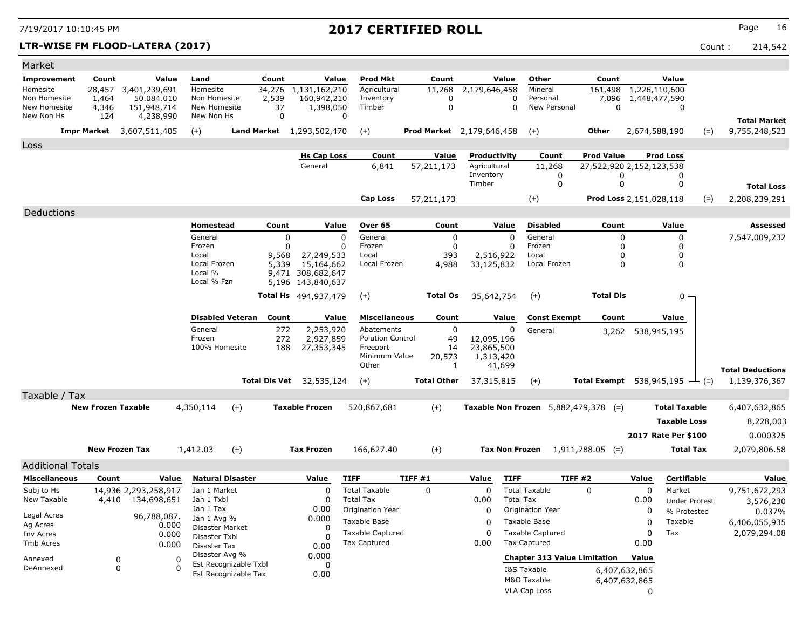### **LTR-WISE FM FLOOD-LATERA (2017)** Count : 214,542

| Market                       |                                  |                           |                                |                       |                                      |                  |                                                |                                  |                     |                       |                                                |                                 |                                |                      |        |                         |
|------------------------------|----------------------------------|---------------------------|--------------------------------|-----------------------|--------------------------------------|------------------|------------------------------------------------|----------------------------------|---------------------|-----------------------|------------------------------------------------|---------------------------------|--------------------------------|----------------------|--------|-------------------------|
| Improvement                  | Count                            | Value                     | Land                           | Count                 |                                      | Value            | <b>Prod Mkt</b>                                | Count                            |                     | Value                 | Other                                          | Count                           |                                | Value                |        |                         |
| Homesite                     | 28,457                           | 3,401,239,691             | Homesite                       | 34,276                | 1,131,162,210                        |                  | Agricultural                                   | 11,268                           | 2,179,646,458       |                       | Mineral                                        | 161,498                         | 1,226,110,600                  |                      |        |                         |
| Non Homesite<br>New Homesite | 1,464<br>4,346                   | 50.084.010<br>151,948,714 | Non Homesite<br>New Homesite   | 2,539<br>37           | 160,942,210<br>1,398,050             |                  | Inventory<br>Timber                            | 0<br>$\mathbf 0$                 |                     | 0<br>$\Omega$         | Personal<br>New Personal                       | $\Omega$                        | 7,096 1,448,477,590            | $\Omega$             |        |                         |
| New Non Hs                   | 124                              | 4,238,990                 | New Non Hs                     |                       | $\mathbf 0$                          | 0                |                                                |                                  |                     |                       |                                                |                                 |                                |                      |        | <b>Total Market</b>     |
|                              | <b>Impr Market</b> 3,607,511,405 |                           | $(+)$                          |                       | <b>Land Market</b> 1,293,502,470     | $(+)$            |                                                | <b>Prod Market</b> 2,179,646,458 |                     |                       | $(+)$                                          | Other                           | 2,674,588,190                  |                      | $(=)$  | 9,755,248,523           |
| Loss                         |                                  |                           |                                |                       |                                      |                  |                                                |                                  |                     |                       |                                                |                                 |                                |                      |        |                         |
|                              |                                  |                           |                                |                       | <b>Hs Cap Loss</b>                   |                  | Count                                          | Value                            | Productivity        |                       | Count                                          | <b>Prod Value</b>               |                                | <b>Prod Loss</b>     |        |                         |
|                              |                                  |                           |                                |                       | General                              |                  | 6,841                                          | 57,211,173                       | Agricultural        |                       | 11,268                                         | 27,522,920 2,152,123,538        |                                |                      |        |                         |
|                              |                                  |                           |                                |                       |                                      |                  |                                                |                                  | Inventory<br>Timber |                       | $\mathbf 0$<br>$\mathbf 0$                     | 0<br>$\mathbf 0$                |                                | 0<br>$\mathbf 0$     |        | <b>Total Loss</b>       |
|                              |                                  |                           |                                |                       |                                      |                  | Cap Loss                                       | 57,211,173                       |                     |                       | $(+)$                                          | Prod Loss 2,151,028,118         |                                |                      |        | 2,208,239,291           |
|                              |                                  |                           |                                |                       |                                      |                  |                                                |                                  |                     |                       |                                                |                                 |                                |                      | $(=)$  |                         |
| Deductions                   |                                  |                           | Homestead                      | Count                 |                                      | Value            | Over 65                                        | Count                            |                     | Value                 | <b>Disabled</b>                                | Count                           |                                | Value                |        | Assessed                |
|                              |                                  |                           | General                        |                       | 0                                    | $\Omega$         | General                                        | $\mathbf 0$                      |                     | $\Omega$              | General                                        | $\mathbf 0$                     |                                | $\mathbf 0$          |        | 7,547,009,232           |
|                              |                                  |                           | Frozen                         |                       | $\Omega$                             | $\Omega$         | Frozen                                         | $\mathbf 0$                      |                     | $\mathbf 0$           | Frozen                                         | $\mathbf 0$                     |                                | 0                    |        |                         |
|                              |                                  |                           | Local                          | 9,568                 | 27,249,533                           |                  | Local                                          | 393                              | 2,516,922           |                       | Local                                          | 0                               |                                | 0                    |        |                         |
|                              |                                  |                           | Local Frozen<br>Local %        | 5,339                 | 15,164,662<br>9,471 308,682,647      |                  | Local Frozen                                   | 4,988                            | 33,125,832          |                       | Local Frozen                                   | $\Omega$                        |                                | $\Omega$             |        |                         |
|                              |                                  |                           | Local % Fzn                    |                       | 5,196 143,840,637                    |                  |                                                |                                  |                     |                       |                                                |                                 |                                |                      |        |                         |
|                              |                                  |                           |                                |                       | <b>Total Hs</b> 494,937,479          | $(+)$            |                                                | <b>Total Os</b>                  | 35,642,754          |                       | $(+)$                                          | <b>Total Dis</b>                |                                | 0                    |        |                         |
|                              |                                  |                           |                                |                       |                                      |                  |                                                |                                  |                     |                       |                                                |                                 |                                |                      |        |                         |
|                              |                                  |                           | <b>Disabled Veteran</b>        | Count                 |                                      | Value            | <b>Miscellaneous</b>                           | Count                            |                     | Value                 | <b>Const Exempt</b>                            | Count                           |                                | Value                |        |                         |
|                              |                                  |                           | General<br>Frozen              |                       | 272<br>2,253,920<br>272<br>2,927,859 |                  | Abatements<br><b>Polution Control</b>          | $\Omega$<br>49                   | 12,095,196          | 0                     | General                                        |                                 | 3,262 538,945,195              |                      |        |                         |
|                              |                                  |                           | 100% Homesite                  |                       | 188<br>27,353,345                    |                  | Freeport                                       | 14                               | 23,865,500          |                       |                                                |                                 |                                |                      |        |                         |
|                              |                                  |                           |                                |                       |                                      |                  | Minimum Value<br>Other                         | 20,573<br>1                      | 1,313,420           | 41,699                |                                                |                                 |                                |                      |        |                         |
|                              |                                  |                           |                                |                       |                                      |                  |                                                |                                  |                     |                       |                                                |                                 |                                |                      |        | <b>Total Deductions</b> |
|                              |                                  |                           |                                | <b>Total Dis Vet</b>  | 32,535,124                           | $(+)$            |                                                | <b>Total Other</b>               | 37,315,815          |                       | $(+)$                                          | <b>Total Exempt</b> 538,945,195 |                                |                      | $-(-)$ | 1,139,376,367           |
| Taxable / Tax                |                                  |                           |                                |                       |                                      |                  |                                                |                                  |                     |                       |                                                |                                 |                                |                      |        |                         |
|                              | <b>New Frozen Taxable</b>        |                           | 4,350,114                      | $(+)$                 | <b>Taxable Frozen</b>                |                  | 520,867,681                                    | $(+)$                            |                     |                       | Taxable Non Frozen 5,882,479,378 (=)           |                                 |                                | <b>Total Taxable</b> |        | 6,407,632,865           |
|                              |                                  |                           |                                |                       |                                      |                  |                                                |                                  |                     |                       |                                                |                                 |                                | <b>Taxable Loss</b>  |        | 8,228,003               |
|                              |                                  |                           |                                |                       |                                      |                  |                                                |                                  |                     |                       |                                                |                                 |                                | 2017 Rate Per \$100  |        | 0.000325                |
|                              | <b>New Frozen Tax</b>            |                           | 1,412.03                       | $(+)$                 | <b>Tax Frozen</b>                    |                  | 166,627.40                                     | $(+)$                            |                     | <b>Tax Non Frozen</b> |                                                | $1,911,788.05$ (=)              |                                | <b>Total Tax</b>     |        | 2,079,806.58            |
| <b>Additional Totals</b>     |                                  |                           |                                |                       |                                      |                  |                                                |                                  |                     |                       |                                                |                                 |                                |                      |        |                         |
| <b>Miscellaneous</b>         | Count                            | Value                     | <b>Natural Disaster</b>        |                       | Value                                | <b>TIFF</b>      |                                                | TIFF#1                           | Value               | <b>TIFF</b>           | <b>TIFF #2</b>                                 |                                 | Value                          | <b>Certifiable</b>   |        | Value                   |
| Subj to Hs                   |                                  | 14,936 2,293,258,917      | Jan 1 Market                   |                       | 0                                    |                  | <b>Total Taxable</b>                           | 0                                | 0                   |                       | <b>Total Taxable</b>                           | 0                               | $\Omega$                       | Market               |        | 9,751,672,293           |
| New Taxable                  | 4,410                            | 134,698,651               | Jan 1 Txbl                     |                       | $\Omega$                             | <b>Total Tax</b> |                                                |                                  | 0.00                | <b>Total Tax</b>      |                                                |                                 | 0.00                           | <b>Under Protest</b> |        | 3,576,230               |
| Legal Acres                  |                                  | 96,788,087.               | Jan 1 Tax                      |                       | 0.00                                 |                  | Origination Year                               |                                  | $\Omega$            |                       | Origination Year                               |                                 | 0                              | % Protested          |        | 0.037%                  |
| Ag Acres                     |                                  | 0.000                     | Jan 1 Avg %<br>Disaster Market |                       | 0.000<br><sup>0</sup>                |                  | Taxable Base                                   |                                  | n                   |                       | Taxable Base                                   |                                 | $\Omega$                       | Taxable              |        | 6,406,055,935           |
| Inv Acres                    |                                  | 0.000                     | Disaster Txbl                  |                       | $\Omega$                             |                  | <b>Taxable Captured</b><br><b>Tax Captured</b> |                                  | $\Omega$<br>0.00    |                       | <b>Taxable Captured</b><br><b>Tax Captured</b> |                                 | $\Omega$<br>0.00               | Tax                  |        | 2,079,294.08            |
| <b>Tmb Acres</b>             |                                  | 0.000                     | Disaster Tax<br>Disaster Avg % |                       | 0.00<br>0.000                        |                  |                                                |                                  |                     |                       |                                                |                                 |                                |                      |        |                         |
| Annexed<br>DeAnnexed         | $\mathbf 0$<br>$\mathbf 0$       | $\Omega$<br>$\Omega$      |                                | Est Recognizable Txbl | $\Omega$                             |                  |                                                |                                  |                     |                       | <b>Chapter 313 Value Limitation</b>            |                                 | Value                          |                      |        |                         |
|                              |                                  |                           | Est Recognizable Tax           |                       | 0.00                                 |                  |                                                |                                  |                     |                       | I&S Taxable<br>M&O Taxable                     |                                 | 6,407,632,865<br>6,407,632,865 |                      |        |                         |
|                              |                                  |                           |                                |                       |                                      |                  |                                                |                                  |                     |                       | VLA Cap Loss                                   |                                 | $\Omega$                       |                      |        |                         |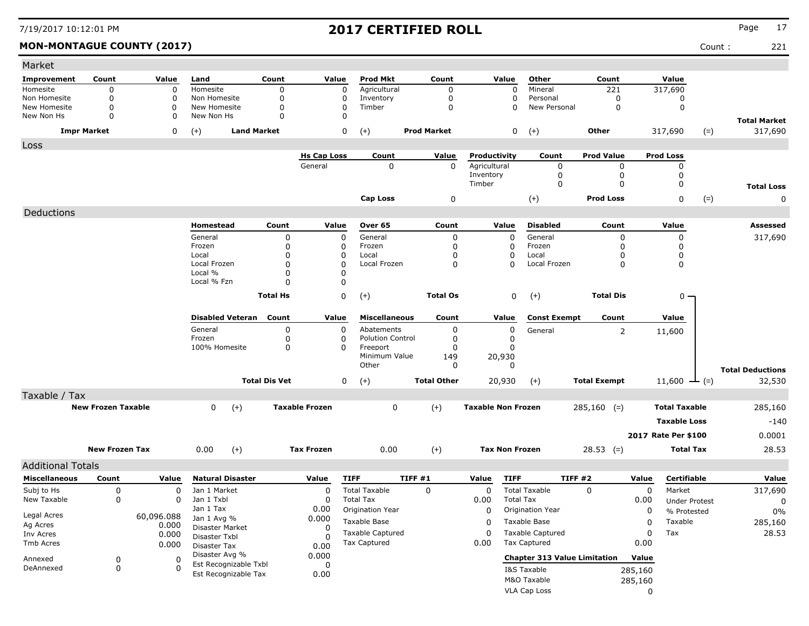### **MON-MONTAGUE COUNTY (2017)** Count : 221

| Market                     |                           |                     |                                  |                      |                         |                         |                    |                           |                                     |                     |         |                          |       |                                |
|----------------------------|---------------------------|---------------------|----------------------------------|----------------------|-------------------------|-------------------------|--------------------|---------------------------|-------------------------------------|---------------------|---------|--------------------------|-------|--------------------------------|
| Improvement                | Count                     | Value               | Land                             | Count                | Value                   | <b>Prod Mkt</b>         | Count              | Value                     | Other                               | Count               |         | Value                    |       |                                |
| Homesite                   | $\mathbf 0$               | $\mathbf 0$         | Homesite                         | $\mathbf 0$          | $\Omega$                | Agricultural            | $\Omega$           | $\mathbf 0$               | Mineral                             | 221                 |         | 317,690                  |       |                                |
| Non Homesite               | 0<br>$\Omega$             | 0                   | Non Homesite                     | 0                    | 0                       | Inventory               | 0                  | 0                         | Personal                            | 0                   |         | 0                        |       |                                |
| New Homesite<br>New Non Hs | 0                         | 0<br>0              | New Homesite<br>New Non Hs       | 0<br>$\mathbf 0$     | $\mathbf 0$<br>$\Omega$ | Timber                  | 0                  | $\mathbf 0$               | New Personal                        | 0                   |         | $\mathbf 0$              |       |                                |
|                            | <b>Impr Market</b>        | 0                   | <b>Land Market</b><br>$(+)$      |                      | 0                       | $(+)$                   | <b>Prod Market</b> | 0                         | $(+)$                               | Other               |         | 317,690                  | $(=)$ | <b>Total Market</b><br>317,690 |
| Loss                       |                           |                     |                                  |                      |                         |                         |                    |                           |                                     |                     |         |                          |       |                                |
|                            |                           |                     |                                  |                      | <b>Hs Cap Loss</b>      | Count                   | Value              | Productivity              | Count                               | <b>Prod Value</b>   |         | <b>Prod Loss</b>         |       |                                |
|                            |                           |                     |                                  |                      | General                 | $\mathbf 0$             | $\mathbf 0$        | Agricultural<br>Inventory | 0<br>0                              | 0<br>0              |         | 0<br>0                   |       |                                |
|                            |                           |                     |                                  |                      |                         |                         |                    | Timber                    | 0                                   | 0                   |         | 0                        |       | <b>Total Loss</b>              |
|                            |                           |                     |                                  |                      |                         | <b>Cap Loss</b>         | 0                  |                           | $(+)$                               | <b>Prod Loss</b>    |         | 0                        | $(=)$ | 0                              |
| Deductions                 |                           |                     |                                  |                      |                         |                         |                    |                           |                                     |                     |         |                          |       |                                |
|                            |                           |                     | Homestead                        | Count                | Value                   | Over 65                 | Count              | Value                     | <b>Disabled</b>                     | Count               |         | Value                    |       | Assessed                       |
|                            |                           |                     | General                          | 0                    | 0                       | General                 | 0                  | $\mathbf 0$               | General                             | 0                   |         | 0                        |       | 317,690                        |
|                            |                           |                     | Frozen                           | 0                    | 0                       | Frozen                  | 0                  | 0                         | Frozen                              | 0                   |         | 0                        |       |                                |
|                            |                           |                     | Local                            | $\Omega$             | 0                       | Local                   | 0                  | 0                         | Local                               | 0                   |         | 0                        |       |                                |
|                            |                           |                     | Local Frozen                     | $\Omega$             | $\Omega$                | Local Frozen            | 0                  | 0                         | Local Frozen                        | 0                   |         | 0                        |       |                                |
|                            |                           |                     | Local %<br>Local % Fzn           | $\Omega$<br>$\Omega$ | 0<br>0                  |                         |                    |                           |                                     |                     |         |                          |       |                                |
|                            |                           |                     |                                  |                      |                         |                         |                    |                           |                                     |                     |         |                          |       |                                |
|                            |                           |                     |                                  | <b>Total Hs</b>      | 0                       | $(+)$                   | <b>Total Os</b>    | 0                         | $(+)$                               | <b>Total Dis</b>    |         | $0 -$                    |       |                                |
|                            |                           |                     | <b>Disabled Veteran Count</b>    |                      | Value                   | <b>Miscellaneous</b>    | Count              | Value                     | <b>Const Exempt</b>                 | Count               |         | Value                    |       |                                |
|                            |                           |                     | General                          | 0                    | 0                       | Abatements              | 0                  | 0                         | General                             | 2                   |         | 11,600                   |       |                                |
|                            |                           |                     | Frozen                           | 0                    | 0                       | <b>Polution Control</b> | 0                  | 0                         |                                     |                     |         |                          |       |                                |
|                            |                           |                     | 100% Homesite                    | 0                    | 0                       | Freeport                | 0                  | 0                         |                                     |                     |         |                          |       |                                |
|                            |                           |                     |                                  |                      |                         | Minimum Value<br>Other  | 149<br>0           | 20,930<br>$\Omega$        |                                     |                     |         |                          |       |                                |
|                            |                           |                     |                                  |                      |                         |                         |                    |                           |                                     |                     |         |                          |       | <b>Total Deductions</b>        |
|                            |                           |                     |                                  | <b>Total Dis Vet</b> | 0                       | $(+)$                   | <b>Total Other</b> | 20,930                    | $(+)$                               | <b>Total Exempt</b> |         | 11,600 $\rightarrow$ (=) |       | 32,530                         |
| Taxable / Tax              | <b>New Frozen Taxable</b> |                     | $\mathbf{0}$                     |                      | <b>Taxable Frozen</b>   | 0                       | $(+)$              | <b>Taxable Non Frozen</b> |                                     |                     |         | <b>Total Taxable</b>     |       |                                |
|                            |                           |                     | $(+)$                            |                      |                         |                         |                    |                           |                                     | $285,160$ (=)       |         |                          |       | 285,160                        |
|                            |                           |                     |                                  |                      |                         |                         |                    |                           |                                     |                     |         | <b>Taxable Loss</b>      |       | $-140$                         |
|                            |                           |                     |                                  |                      |                         |                         |                    |                           |                                     |                     |         | 2017 Rate Per \$100      |       | 0.0001                         |
|                            | <b>New Frozen Tax</b>     |                     | $(+)$<br>0.00                    |                      | <b>Tax Frozen</b>       | 0.00                    | $(+)$              | <b>Tax Non Frozen</b>     |                                     | $28.53$ (=)         |         | <b>Total Tax</b>         |       | 28.53                          |
| <b>Additional Totals</b>   |                           |                     |                                  |                      |                         |                         |                    |                           |                                     |                     |         |                          |       |                                |
| <b>Miscellaneous</b>       | Count                     | Value               | <b>Natural Disaster</b>          |                      | Value                   | <b>TIFF</b>             | TIFF #1            | <b>TIFF</b><br>Value      |                                     | TIFF#2              | Value   | <b>Certifiable</b>       |       | Value                          |
| Subj to Hs                 | 0                         | 0                   | Jan 1 Market                     |                      | 0                       | <b>Total Taxable</b>    | 0                  | 0                         | <b>Total Taxable</b>                | 0                   | 0       | Market                   |       | 317,690                        |
| New Taxable                | 0                         | $\mathbf{0}$        | Jan 1 Txbl                       |                      | 0                       | <b>Total Tax</b>        |                    | 0.00                      | <b>Total Tax</b>                    |                     | 0.00    | <b>Under Protest</b>     |       | 0                              |
|                            |                           |                     | Jan 1 Tax                        |                      | 0.00                    | Origination Year        |                    | 0                         | Origination Year                    |                     | 0       | % Protested              |       | $0\%$                          |
| Legal Acres<br>Ag Acres    |                           | 60,096.088<br>0.000 | Jan 1 Avg %                      |                      | 0.000                   | Taxable Base            |                    | 0                         | Taxable Base                        |                     | 0       | Taxable                  |       | 285,160                        |
| Inv Acres                  |                           | 0.000               | Disaster Market<br>Disaster Txbl |                      | 0                       | Taxable Captured        |                    | 0                         | <b>Taxable Captured</b>             |                     | 0       | Tax                      |       | 28.53                          |
| Tmb Acres                  |                           | 0.000               | Disaster Tax                     |                      | 0.00                    | Tax Captured            |                    | 0.00                      | Tax Captured                        |                     | 0.00    |                          |       |                                |
| Annexed                    | 0                         | 0                   | Disaster Avg %                   |                      | 0.000                   |                         |                    |                           | <b>Chapter 313 Value Limitation</b> |                     | Value   |                          |       |                                |
| DeAnnexed                  | 0                         | 0                   | Est Recognizable Txbl            |                      | 0                       |                         |                    |                           | I&S Taxable                         |                     | 285,160 |                          |       |                                |
|                            |                           |                     | Est Recognizable Tax             |                      | 0.00                    |                         |                    |                           | M&O Taxable                         |                     | 285,160 |                          |       |                                |
|                            |                           |                     |                                  |                      |                         |                         |                    |                           | VLA Cap Loss                        |                     | 0       |                          |       |                                |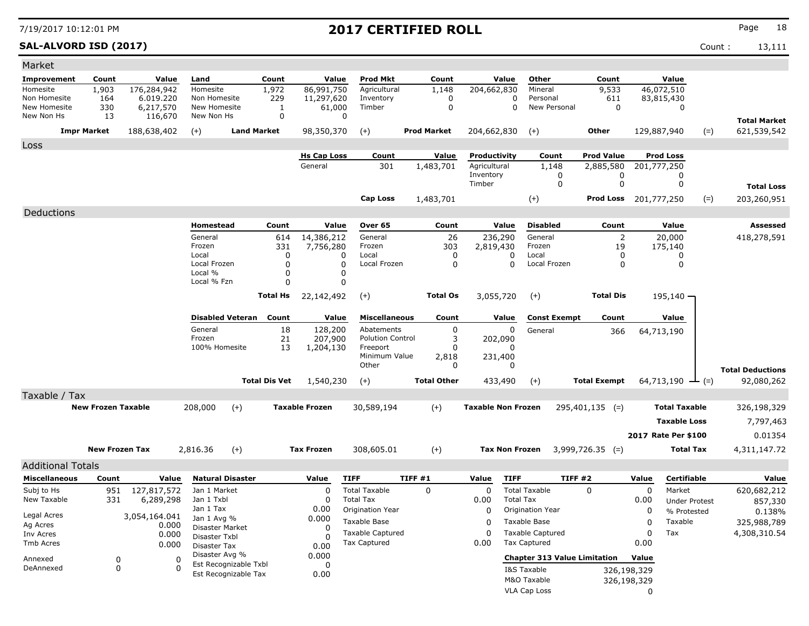# **SAL-ALVORD ISD (2017)** Count : 13,111 Market

| Market                     |                           |                          |                            |                         |                      |                         |                                          |                    |                           |                                                     |                     |                              |                                     |                         |
|----------------------------|---------------------------|--------------------------|----------------------------|-------------------------|----------------------|-------------------------|------------------------------------------|--------------------|---------------------------|-----------------------------------------------------|---------------------|------------------------------|-------------------------------------|-------------------------|
| Improvement                | Count                     | Value                    | Land                       |                         | Count                | Value                   | <b>Prod Mkt</b>                          | Count              | Value                     | Other                                               | Count               |                              | Value                               |                         |
| Homesite                   | 1,903                     | 176,284,942              | Homesite                   |                         | 1,972                | 86,991,750              | Agricultural                             | 1,148              | 204,662,830               | Mineral                                             | 9,533               | 46,072,510                   |                                     |                         |
| Non Homesite               | 164                       | 6.019.220                | Non Homesite               |                         | 229                  | 11,297,620              | Inventory                                | $\mathbf 0$        |                           | $\mathbf 0$<br>Personal                             | 611                 | 83,815,430                   |                                     |                         |
| New Homesite<br>New Non Hs | 330                       | 6,217,570                | New Homesite<br>New Non Hs |                         | 1<br>$\Omega$        | 61,000                  | Timber<br>$\Omega$                       | $\pmb{0}$          |                           | $\mathbf 0$<br>New Personal                         | $\mathbf 0$         |                              | $\mathbf 0$                         |                         |
|                            | 13                        | 116,670                  |                            |                         |                      |                         |                                          |                    |                           |                                                     |                     |                              |                                     | <b>Total Market</b>     |
|                            | <b>Impr Market</b>        | 188,638,402              | $(+)$                      | <b>Land Market</b>      |                      | 98,350,370              | $(+)$                                    | <b>Prod Market</b> | 204,662,830               | $(+)$                                               | <b>Other</b>        | 129,887,940                  | $(=)$                               | 621,539,542             |
| Loss                       |                           |                          |                            |                         |                      |                         |                                          |                    |                           |                                                     |                     |                              |                                     |                         |
|                            |                           |                          |                            |                         |                      | <b>Hs Cap Loss</b>      | Count                                    | Value              | Productivity              | Count                                               | <b>Prod Value</b>   | <b>Prod Loss</b>             |                                     |                         |
|                            |                           |                          |                            |                         |                      | General                 | 301                                      | 1,483,701          | Agricultural              | 1,148                                               | 2,885,580           | 201,777,250                  |                                     |                         |
|                            |                           |                          |                            |                         |                      |                         |                                          |                    | Inventory<br>Timber       | 0<br>$\Omega$                                       | 0                   |                              | 0                                   |                         |
|                            |                           |                          |                            |                         |                      |                         |                                          |                    |                           |                                                     | $\mathbf 0$         |                              | $\mathbf 0$                         | <b>Total Loss</b>       |
|                            |                           |                          |                            |                         |                      |                         | <b>Cap Loss</b>                          | 1,483,701          |                           | $(+)$                                               |                     | <b>Prod Loss</b> 201,777,250 | $(=)$                               | 203,260,951             |
| Deductions                 |                           |                          |                            |                         |                      |                         |                                          |                    |                           |                                                     |                     |                              |                                     |                         |
|                            |                           |                          | Homestead                  |                         | Count                | Value                   | Over 65                                  | Count              | Value                     | <b>Disabled</b>                                     | Count               |                              | Value                               | <b>Assessed</b>         |
|                            |                           |                          | General                    |                         | 614                  | 14,386,212              | General                                  | 26                 | 236,290                   | General                                             | $\overline{2}$      |                              | 20,000                              | 418,278,591             |
|                            |                           |                          | Frozen                     |                         | 331                  | 7,756,280               | Frozen                                   | 303                | 2,819,430                 | Frozen                                              | 19                  | 175,140                      |                                     |                         |
|                            |                           |                          | Local<br>Local Frozen      |                         | 0                    | $\Omega$<br>$\Omega$    | Local<br>Local Frozen                    | 0<br>0             |                           | $\mathbf 0$<br>Local<br>$\mathbf 0$<br>Local Frozen | 0<br>0              |                              | 0                                   |                         |
|                            |                           |                          | Local %                    |                         | 0<br>0               | $\Omega$                |                                          |                    |                           |                                                     |                     |                              | 0                                   |                         |
|                            |                           |                          | Local % Fzn                |                         | $\mathbf 0$          | $\Omega$                |                                          |                    |                           |                                                     |                     |                              |                                     |                         |
|                            |                           |                          |                            |                         | <b>Total Hs</b>      | 22,142,492              | $(+)$                                    | <b>Total Os</b>    | 3,055,720                 | $(+)$                                               | <b>Total Dis</b>    |                              | $195,140 -$                         |                         |
|                            |                           |                          |                            |                         |                      |                         |                                          |                    |                           |                                                     |                     |                              |                                     |                         |
|                            |                           |                          |                            | <b>Disabled Veteran</b> | Count                | Value                   | <b>Miscellaneous</b>                     | Count              | Value                     | <b>Const Exempt</b>                                 | Count               |                              | Value                               |                         |
|                            |                           |                          | General                    |                         | 18                   | 128,200                 | Abatements                               | $\Omega$           |                           | $\mathbf 0$<br>General                              | 366                 | 64,713,190                   |                                     |                         |
|                            |                           |                          | Frozen                     |                         | 21                   | 207,900                 | <b>Polution Control</b>                  | 3                  | 202,090                   |                                                     |                     |                              |                                     |                         |
|                            |                           |                          | 100% Homesite              |                         | 13                   | 1,204,130               | Freeport<br>Minimum Value                | $\Omega$           |                           | 0                                                   |                     |                              |                                     |                         |
|                            |                           |                          |                            |                         |                      |                         | Other                                    | 2,818<br>$\Omega$  | 231,400                   | 0                                                   |                     |                              |                                     |                         |
|                            |                           |                          |                            |                         |                      |                         |                                          |                    |                           |                                                     |                     |                              |                                     | <b>Total Deductions</b> |
|                            |                           |                          |                            |                         | <b>Total Dis Vet</b> | 1,540,230               | $(+)$                                    | <b>Total Other</b> | 433,490                   | $(+)$                                               | <b>Total Exempt</b> |                              | $64,713,190 \rightarrow$ (=)        | 92,080,262              |
| Taxable / Tax              |                           |                          |                            |                         |                      |                         |                                          |                    |                           |                                                     |                     |                              |                                     |                         |
|                            | <b>New Frozen Taxable</b> |                          | 208,000                    | $(+)$                   |                      | <b>Taxable Frozen</b>   | 30,589,194                               | $(+)$              | <b>Taxable Non Frozen</b> |                                                     | $295,401,135$ (=)   |                              | <b>Total Taxable</b>                | 326,198,329             |
|                            |                           |                          |                            |                         |                      |                         |                                          |                    |                           |                                                     |                     |                              | <b>Taxable Loss</b>                 | 7,797,463               |
|                            |                           |                          |                            |                         |                      |                         |                                          |                    |                           |                                                     |                     | 2017 Rate Per \$100          |                                     | 0.01354                 |
|                            | <b>New Frozen Tax</b>     |                          | 2,816.36                   | $(+)$                   |                      | <b>Tax Frozen</b>       | 308,605.01                               | $(+)$              | <b>Tax Non Frozen</b>     |                                                     | $3,999,726.35$ (=)  |                              | <b>Total Tax</b>                    | 4,311,147.72            |
|                            |                           |                          |                            |                         |                      |                         |                                          |                    |                           |                                                     |                     |                              |                                     |                         |
| <b>Additional Totals</b>   |                           |                          |                            |                         |                      |                         |                                          |                    |                           |                                                     |                     |                              |                                     |                         |
| <b>Miscellaneous</b>       | Count                     | Value                    |                            | <b>Natural Disaster</b> |                      | Value                   | <b>TIFF</b>                              | TIFF#1             | Value                     | <b>TIFF</b>                                         | <b>TIFF #2</b>      | Value                        | <b>Certifiable</b>                  | Value                   |
| Subj to Hs<br>New Taxable  | 951<br>331                | 127,817,572<br>6,289,298 | Jan 1 Market<br>Jan 1 Txbl |                         |                      | $\mathbf 0$<br>$\Omega$ | <b>Total Taxable</b><br><b>Total Tax</b> | 0                  | $\Omega$<br>0.00          | <b>Total Taxable</b><br><b>Total Tax</b>            | $\Omega$            | $\Omega$<br>0.00             | Market                              | 620,682,212             |
|                            |                           |                          | Jan 1 Tax                  |                         |                      | 0.00                    | Origination Year                         |                    | $\Omega$                  | Origination Year                                    |                     | $\Omega$                     | <b>Under Protest</b><br>% Protested | 857,330                 |
| Legal Acres                |                           | 3,054,164.041            | Jan 1 Avg %                |                         |                      | 0.000                   | <b>Taxable Base</b>                      |                    | $\Omega$                  | Taxable Base                                        |                     | $\Omega$                     | Taxable                             | 0.138%<br>325,988,789   |
| Ag Acres                   |                           | 0.000                    |                            | Disaster Market         |                      | 0                       | <b>Taxable Captured</b>                  |                    | $\Omega$                  | <b>Taxable Captured</b>                             |                     | $\Omega$                     | Tax                                 | 4,308,310.54            |
| Inv Acres<br>Tmb Acres     |                           | 0.000                    | Disaster Txbl              |                         |                      | O                       | <b>Tax Captured</b>                      |                    | 0.00                      | <b>Tax Captured</b>                                 |                     | 0.00                         |                                     |                         |
|                            |                           | 0.000                    | Disaster Tax               | Disaster Avg %          |                      | 0.00                    |                                          |                    |                           |                                                     |                     |                              |                                     |                         |
| Annexed                    | $\mathbf 0$               |                          |                            | Est Recognizable Txbl   |                      | 0.000<br>0              |                                          |                    |                           | <b>Chapter 313 Value Limitation</b>                 |                     | Value                        |                                     |                         |
| DeAnnexed                  | $\mathbf 0$               |                          |                            | Est Recognizable Tax    |                      | 0.00                    |                                          |                    |                           | I&S Taxable                                         |                     | 326,198,329                  |                                     |                         |
|                            |                           |                          |                            |                         |                      |                         |                                          |                    |                           | M&O Taxable                                         |                     | 326,198,329                  |                                     |                         |
|                            |                           |                          |                            |                         |                      |                         |                                          |                    |                           | <b>VLA Cap Loss</b>                                 |                     | $\Omega$                     |                                     |                         |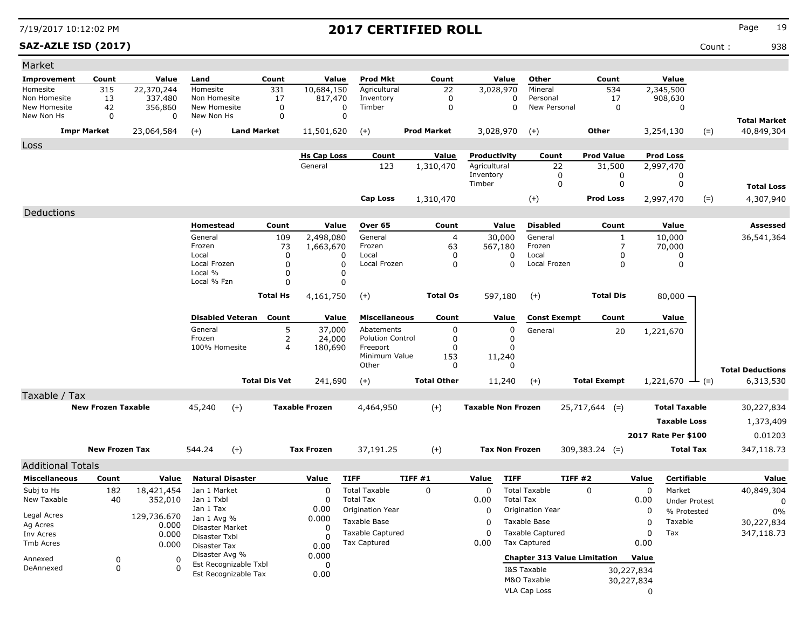### **SAZ-AZLE ISD (2017)** Count : 938

| Market                       |                           |              |                                         |                      |                       |                                                |                    |                           |                                                |                     |            |                      |                                   |
|------------------------------|---------------------------|--------------|-----------------------------------------|----------------------|-----------------------|------------------------------------------------|--------------------|---------------------------|------------------------------------------------|---------------------|------------|----------------------|-----------------------------------|
| Improvement                  | Count                     | Value        | Land                                    | Count                | Value                 | <b>Prod Mkt</b>                                | Count              | Value                     | Other                                          | Count               |            | Value                |                                   |
| Homesite                     | 315                       | 22,370,244   | Homesite                                | 331                  | 10,684,150            | Agricultural                                   | 22                 | 3,028,970                 | Mineral                                        | 534                 |            | 2,345,500            |                                   |
| Non Homesite<br>New Homesite | 13                        | 337.480      | Non Homesite<br>New Homesite            | 17                   | 817,470               | Inventory<br>Timber                            | 0                  | 0                         | Personal<br>New Personal                       | 17                  |            | 908,630              |                                   |
| New Non Hs                   | 42<br>0                   | 356,860<br>0 | New Non Hs                              | 0<br>0               | 0<br>0                |                                                | 0                  | 0                         |                                                | 0                   |            | 0                    |                                   |
|                              | <b>Impr Market</b>        | 23,064,584   | $(+)$                                   | <b>Land Market</b>   | 11,501,620            | $(+)$                                          | <b>Prod Market</b> | 3,028,970                 | $(+)$                                          | Other               |            | 3,254,130<br>$(=)$   | <b>Total Market</b><br>40,849,304 |
| Loss                         |                           |              |                                         |                      |                       |                                                |                    |                           |                                                |                     |            |                      |                                   |
|                              |                           |              |                                         |                      | <b>Hs Cap Loss</b>    | Count                                          | Value              | Productivity              | Count                                          | <b>Prod Value</b>   |            | <b>Prod Loss</b>     |                                   |
|                              |                           |              |                                         |                      | General               | 123                                            | 1,310,470          | Agricultural              | 22                                             | 31,500              |            | 2,997,470            |                                   |
|                              |                           |              |                                         |                      |                       |                                                |                    | Inventory                 | 0                                              | 0                   |            | 0                    |                                   |
|                              |                           |              |                                         |                      |                       |                                                |                    | Timber                    | 0                                              | 0                   |            | 0                    | <b>Total Loss</b>                 |
|                              |                           |              |                                         |                      |                       | <b>Cap Loss</b>                                | 1,310,470          |                           | $(+)$                                          | <b>Prod Loss</b>    |            | $(=)$<br>2,997,470   | 4,307,940                         |
| Deductions                   |                           |              |                                         |                      |                       |                                                |                    |                           |                                                |                     |            |                      |                                   |
|                              |                           |              | Homestead                               | Count                | Value                 | Over 65                                        | Count              | Value                     | <b>Disabled</b>                                | Count               |            | Value                | Assessed                          |
|                              |                           |              | General                                 | 109                  | 2,498,080             | General                                        | 4                  | 30,000                    | General                                        | 1                   |            | 10,000               | 36,541,364                        |
|                              |                           |              | Frozen                                  | 73                   | 1,663,670             | Frozen                                         | 63                 | 567,180                   | Frozen<br>Local                                | $\overline{7}$      |            | 70,000               |                                   |
|                              |                           |              | Local<br>Local Frozen                   | 0<br>0               | 0<br>0                | Local<br>Local Frozen                          | 0<br>0             | 0<br>0                    | Local Frozen                                   | 0<br>0              |            | 0<br>0               |                                   |
|                              |                           |              | Local %                                 | 0                    | 0                     |                                                |                    |                           |                                                |                     |            |                      |                                   |
|                              |                           |              | Local % Fzn                             | 0                    | 0                     |                                                |                    |                           |                                                |                     |            |                      |                                   |
|                              |                           |              |                                         | <b>Total Hs</b>      | 4,161,750             | $(+)$                                          | <b>Total Os</b>    | 597,180                   | $(+)$                                          | <b>Total Dis</b>    |            | $80,000 -$           |                                   |
|                              |                           |              | <b>Disabled Veteran</b>                 | Count                | Value                 | <b>Miscellaneous</b>                           | Count              | Value                     | <b>Const Exempt</b>                            | Count               |            | Value                |                                   |
|                              |                           |              | General                                 | 5                    | 37,000                | Abatements                                     | 0                  | 0                         | General                                        | 20                  |            | 1,221,670            |                                   |
|                              |                           |              | Frozen                                  | 2                    | 24,000                | <b>Polution Control</b>                        | 0                  | 0                         |                                                |                     |            |                      |                                   |
|                              |                           |              | 100% Homesite                           | $\overline{a}$       | 180,690               | Freeport<br>Minimum Value                      | 0<br>153           | $\Omega$<br>11,240        |                                                |                     |            |                      |                                   |
|                              |                           |              |                                         |                      |                       | Other                                          | 0                  | 0                         |                                                |                     |            |                      | <b>Total Deductions</b>           |
|                              |                           |              |                                         | <b>Total Dis Vet</b> | 241,690               | $(+)$                                          | <b>Total Other</b> | 11,240                    | $(+)$                                          | <b>Total Exempt</b> |            | 1,221,670<br>$ (=)$  | 6,313,530                         |
| Taxable / Tax                |                           |              |                                         |                      |                       |                                                |                    |                           |                                                |                     |            |                      |                                   |
|                              | <b>New Frozen Taxable</b> |              | 45,240                                  | $(+)$                | <b>Taxable Frozen</b> | 4,464,950                                      | $(+)$              | <b>Taxable Non Frozen</b> |                                                | $25,717,644$ (=)    |            | <b>Total Taxable</b> | 30,227,834                        |
|                              |                           |              |                                         |                      |                       |                                                |                    |                           |                                                |                     |            | <b>Taxable Loss</b>  | 1,373,409                         |
|                              |                           |              |                                         |                      |                       |                                                |                    |                           |                                                |                     |            | 2017 Rate Per \$100  | 0.01203                           |
|                              |                           |              |                                         |                      |                       |                                                |                    |                           |                                                |                     |            |                      |                                   |
|                              | <b>New Frozen Tax</b>     |              | 544.24                                  | $(+)$                | <b>Tax Frozen</b>     | 37,191.25                                      | $(+)$              | <b>Tax Non Frozen</b>     |                                                | $309,383.24$ (=)    |            | <b>Total Tax</b>     | 347,118.73                        |
| <b>Additional Totals</b>     |                           |              |                                         |                      |                       |                                                |                    |                           |                                                |                     |            |                      |                                   |
| <b>Miscellaneous</b>         | Count                     | Value        | <b>Natural Disaster</b>                 |                      | Value                 | <b>TIFF</b>                                    | TIFF #1            | <b>TIFF</b><br>Value      |                                                | TIFF#2              | Value      | Certifiable          | Value                             |
| Subj to Hs                   | 182                       | 18,421,454   | Jan 1 Market                            |                      | $\Omega$              | <b>Total Taxable</b>                           | 0                  | $\Omega$                  | <b>Total Taxable</b>                           | 0                   | 0          | Market               | 40,849,304                        |
| New Taxable                  | 40                        | 352,010      | Jan 1 Txbl<br>Jan 1 Tax                 |                      | 0                     | <b>Total Tax</b>                               |                    | 0.00                      | <b>Total Tax</b>                               |                     | 0.00       | <b>Under Protest</b> | 0                                 |
| Legal Acres                  |                           | 129,736.670  | Jan 1 Avg %                             |                      | 0.00<br>0.000         | Origination Year                               |                    | 0                         | Origination Year                               |                     | 0          | % Protested          | 0%                                |
| Ag Acres                     |                           | 0.000        | Disaster Market                         |                      | 0                     | Taxable Base                                   |                    | 0                         | Taxable Base                                   |                     | 0          | Taxable              | 30,227,834                        |
| Inv Acres                    |                           | 0.000        | Disaster Txbl                           |                      | <sup>0</sup>          | <b>Taxable Captured</b><br><b>Tax Captured</b> |                    | $\Omega$                  | <b>Taxable Captured</b><br><b>Tax Captured</b> |                     | 0          | Tax                  | 347,118.73                        |
| Tmb Acres                    |                           | 0.000        | Disaster Tax                            |                      | 0.00                  |                                                |                    | 0.00                      |                                                |                     | 0.00       |                      |                                   |
| Annexed                      | 0                         | 0            | Disaster Avg %<br>Est Recognizable Txbl |                      | 0.000<br>0            |                                                |                    |                           | <b>Chapter 313 Value Limitation</b>            |                     | Value      |                      |                                   |
| DeAnnexed                    | 0                         | 0            | Est Recognizable Tax                    |                      | 0.00                  |                                                |                    |                           | I&S Taxable                                    |                     | 30,227,834 |                      |                                   |
|                              |                           |              |                                         |                      |                       |                                                |                    |                           | M&O Taxable                                    |                     | 30,227,834 |                      |                                   |
|                              |                           |              |                                         |                      |                       |                                                |                    |                           | VLA Cap Loss                                   |                     | 0          |                      |                                   |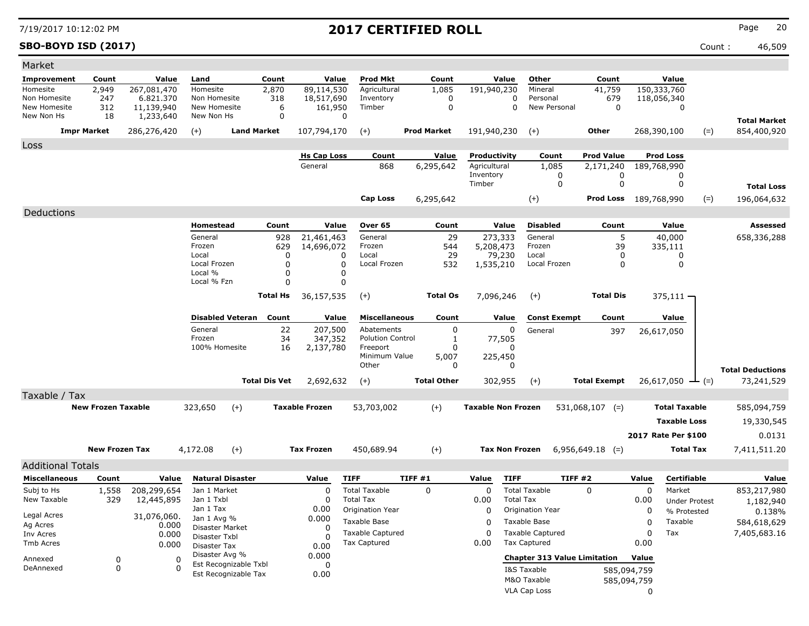### **SBO-BOYD ISD (2017)** Count : 46,509

| Market                     |                           |                          |                            |                         |                      |                                       |                                                |                    |                           |                                         |                     |                              |                      |                                    |
|----------------------------|---------------------------|--------------------------|----------------------------|-------------------------|----------------------|---------------------------------------|------------------------------------------------|--------------------|---------------------------|-----------------------------------------|---------------------|------------------------------|----------------------|------------------------------------|
| <b>Improvement</b>         | Count                     | Value                    | Land                       |                         | Count                | Value                                 | Prod Mkt                                       | Count              | Value                     | Other                                   | Count               | Value                        |                      |                                    |
| Homesite<br>Non Homesite   | 2,949<br>247              | 267,081,470<br>6.821.370 | Homesite<br>Non Homesite   |                         | 2,870<br>318         | $\overline{89,}114,530$<br>18,517,690 | Agricultural<br>Inventory                      | 1,085<br>0         | 191,940,230               | Mineral<br>Personal<br>0                | 41,759<br>679       | 150,333,760<br>118,056,340   |                      |                                    |
| New Homesite<br>New Non Hs | 312<br>18                 | 11,139,940<br>1,233,640  | New Homesite<br>New Non Hs |                         | 6<br>0               | 161,950                               | Timber<br>0                                    | 0                  |                           | $\mathbf 0$<br>New Personal             | 0                   |                              | 0                    |                                    |
|                            | <b>Impr Market</b>        | 286,276,420              | $(+)$                      | <b>Land Market</b>      |                      | 107,794,170                           | $(+)$                                          | <b>Prod Market</b> | 191,940,230               | $(+)$                                   | <b>Other</b>        | 268,390,100                  | $(=)$                | <b>Total Market</b><br>854,400,920 |
| Loss                       |                           |                          |                            |                         |                      |                                       |                                                |                    |                           |                                         |                     |                              |                      |                                    |
|                            |                           |                          |                            |                         |                      | <b>Hs Cap Loss</b>                    | Count                                          | Value              | Productivity              | Count                                   | <b>Prod Value</b>   | <b>Prod Loss</b>             |                      |                                    |
|                            |                           |                          |                            |                         |                      | General                               | 868                                            | 6,295,642          | Agricultural              | 1,085                                   | 2,171,240           | 189,768,990                  |                      |                                    |
|                            |                           |                          |                            |                         |                      |                                       |                                                |                    | Inventory                 | 0                                       | 0                   |                              | 0                    |                                    |
|                            |                           |                          |                            |                         |                      |                                       |                                                |                    | Timber                    | 0                                       | 0                   |                              | 0                    | <b>Total Loss</b>                  |
|                            |                           |                          |                            |                         |                      |                                       | <b>Cap Loss</b>                                | 6,295,642          |                           | $(+)$                                   |                     | <b>Prod Loss</b> 189,768,990 | $(=)$                | 196,064,632                        |
| Deductions                 |                           |                          |                            |                         |                      |                                       |                                                |                    |                           |                                         |                     |                              |                      |                                    |
|                            |                           |                          | Homestead                  |                         | Count                | Value                                 | Over 65                                        | Count              | Value                     | <b>Disabled</b>                         | Count               | Value                        |                      | Assessed                           |
|                            |                           |                          | General<br>Frozen          |                         | 928<br>629           | 21,461,463<br>14,696,072              | General<br>Frozen                              | 29<br>544          | 273,333<br>5,208,473      | General<br>Frozen                       | 5<br>39             | 40,000<br>335,111            |                      | 658,336,288                        |
|                            |                           |                          | Local                      |                         | 0                    | 0                                     | Local                                          | 29                 | 79,230                    | Local                                   | 0                   |                              | 0                    |                                    |
|                            |                           |                          | Local Frozen               |                         | 0                    | 0                                     | Local Frozen                                   | 532                | 1,535,210                 | Local Frozen                            | 0                   |                              | 0                    |                                    |
|                            |                           |                          | Local %<br>Local % Fzn     |                         | 0<br>$\Omega$        | 0                                     |                                                |                    |                           |                                         |                     |                              |                      |                                    |
|                            |                           |                          |                            |                         |                      | 0                                     |                                                |                    |                           |                                         |                     |                              |                      |                                    |
|                            |                           |                          |                            |                         | <b>Total Hs</b>      | 36,157,535                            | $(+)$                                          | <b>Total Os</b>    | 7,096,246                 | $(+)$                                   | <b>Total Dis</b>    | $375,111 -$                  |                      |                                    |
|                            |                           |                          |                            | <b>Disabled Veteran</b> | Count                | Value                                 | <b>Miscellaneous</b>                           | Count              | Value                     | <b>Const Exempt</b>                     | Count               | Value                        |                      |                                    |
|                            |                           |                          | General                    |                         | 22                   | 207,500                               | Abatements                                     | 0                  | 0                         | General                                 | 397                 | 26,617,050                   |                      |                                    |
|                            |                           |                          | Frozen<br>100% Homesite    |                         | 34<br>16             | 347,352                               | <b>Polution Control</b><br>Freeport            | 1<br>$\Omega$      | 77,505<br>0               |                                         |                     |                              |                      |                                    |
|                            |                           |                          |                            |                         |                      | 2,137,780                             | Minimum Value                                  | 5,007              | 225,450                   |                                         |                     |                              |                      |                                    |
|                            |                           |                          |                            |                         |                      |                                       | Other                                          | 0                  | 0                         |                                         |                     |                              |                      | <b>Total Deductions</b>            |
|                            |                           |                          |                            |                         | <b>Total Dis Vet</b> | 2,692,632                             | $(+)$                                          | <b>Total Other</b> | 302,955                   | $(+)$                                   | <b>Total Exempt</b> | 26,617,050                   |                      | 73,241,529                         |
| Taxable / Tax              |                           |                          |                            |                         |                      |                                       |                                                |                    |                           |                                         |                     |                              |                      |                                    |
|                            | <b>New Frozen Taxable</b> |                          | 323,650                    | $(+)$                   |                      | <b>Taxable Frozen</b>                 | 53,703,002                                     | $(+)$              | <b>Taxable Non Frozen</b> |                                         | $531,068,107$ (=)   |                              | <b>Total Taxable</b> | 585,094,759                        |
|                            |                           |                          |                            |                         |                      |                                       |                                                |                    |                           |                                         |                     |                              | <b>Taxable Loss</b>  | 19,330,545                         |
|                            |                           |                          |                            |                         |                      |                                       |                                                |                    |                           |                                         |                     | 2017 Rate Per \$100          |                      | 0.0131                             |
|                            | <b>New Frozen Tax</b>     |                          | 4,172.08                   | $(+)$                   |                      | <b>Tax Frozen</b>                     | 450,689.94                                     | $(+)$              | <b>Tax Non Frozen</b>     |                                         | $6,956,649.18$ (=)  |                              | <b>Total Tax</b>     | 7,411,511.20                       |
| <b>Additional Totals</b>   |                           |                          |                            |                         |                      |                                       |                                                |                    |                           |                                         |                     |                              |                      |                                    |
| <b>Miscellaneous</b>       | Count                     | Value                    |                            | <b>Natural Disaster</b> |                      | Value                                 | <b>TIFF</b>                                    | TIFF #1            | Value                     | <b>TIFF</b>                             | TIFF #2             | Value                        | Certifiable          | Value                              |
| Subj to Hs                 | 1,558                     | 208,299,654              | Jan 1 Market               |                         |                      | 0                                     | <b>Total Taxable</b>                           | 0                  | $\Omega$                  | <b>Total Taxable</b>                    | 0                   | 0                            | Market               | 853,217,980                        |
| New Taxable                | 329                       | 12,445,895               | Jan 1 Txbl                 |                         |                      | 0                                     | <b>Total Tax</b>                               |                    | 0.00                      | <b>Total Tax</b>                        |                     | 0.00                         | <b>Under Protest</b> | 1,182,940                          |
| Legal Acres                |                           | 31,076,060.              | Jan 1 Tax<br>Jan 1 Avg %   |                         |                      | 0.00<br>0.000                         | Origination Year                               |                    | 0                         | Origination Year                        |                     | 0                            | % Protested          | 0.138%                             |
| Ag Acres                   |                           | 0.000                    | Disaster Market            |                         |                      | 0                                     | Taxable Base                                   |                    | 0                         | Taxable Base                            |                     | 0                            | Taxable              | 584,618,629                        |
| Inv Acres                  |                           | 0.000                    | Disaster Txbl              |                         |                      | 0                                     | <b>Taxable Captured</b><br><b>Tax Captured</b> |                    | $\Omega$                  | <b>Taxable Captured</b><br>Tax Captured |                     | 0<br>Tax<br>0.00             |                      | 7,405,683.16                       |
| Tmb Acres                  |                           | 0.000                    | Disaster Tax               |                         |                      | 0.00                                  |                                                |                    | 0.00                      |                                         |                     |                              |                      |                                    |
| Annexed                    | 0                         | 0                        | Disaster Avg %             | Est Recognizable Txbl   |                      | 0.000<br>0                            |                                                |                    |                           | <b>Chapter 313 Value Limitation</b>     |                     | Value                        |                      |                                    |
| DeAnnexed                  | 0                         | O                        |                            | Est Recognizable Tax    |                      | 0.00                                  |                                                |                    |                           | I&S Taxable                             |                     | 585,094,759                  |                      |                                    |
|                            |                           |                          |                            |                         |                      |                                       |                                                |                    |                           | M&O Taxable                             |                     | 585,094,759                  |                      |                                    |
|                            |                           |                          |                            |                         |                      |                                       |                                                |                    |                           | VLA Cap Loss                            |                     | 0                            |                      |                                    |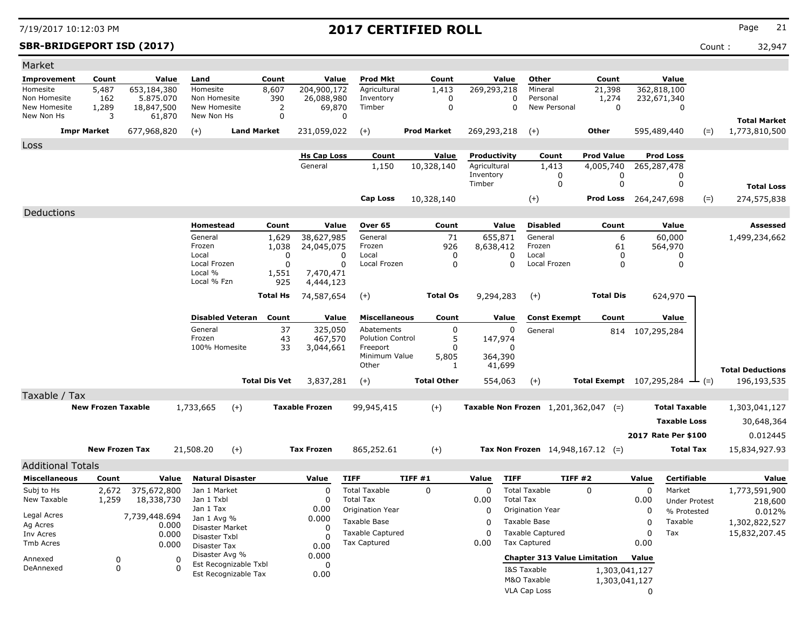**SBR-BRIDGEPORT ISD (2017)** Count : 32,947

| Market                       |                            |                         |                                |                         |                  |                       |                                       |        |                    |                      |                         |                                         |                                              |                  |                      |       |                         |
|------------------------------|----------------------------|-------------------------|--------------------------------|-------------------------|------------------|-----------------------|---------------------------------------|--------|--------------------|----------------------|-------------------------|-----------------------------------------|----------------------------------------------|------------------|----------------------|-------|-------------------------|
| Improvement                  | Count                      | Value                   | Land                           | Count                   |                  | Value                 | <b>Prod Mkt</b>                       |        | Count              |                      | Value                   | Other                                   | Count                                        |                  | Value                |       |                         |
| Homesite                     | 5,487                      | 653,184,380             | Homesite                       | 8,607                   |                  | 204,900,172           | Agricultural                          |        | 1,413              | 269,293,218          |                         | Mineral                                 | 21,398                                       |                  | 362,818,100          |       |                         |
| Non Homesite<br>New Homesite | 162<br>1,289               | 5.875.070<br>18,847,500 | Non Homesite<br>New Homesite   |                         | 390<br>2         | 26,088,980<br>69,870  | Inventory<br>Timber                   |        | 0<br>$\mathbf 0$   |                      | 0<br>0                  | Personal<br>New Personal                | 1,274<br>$\mathbf 0$                         |                  | 232,671,340<br>0     |       |                         |
| New Non Hs                   | 3                          | 61,870                  | New Non Hs                     |                         | 0                |                       | 0                                     |        |                    |                      |                         |                                         |                                              |                  |                      |       | <b>Total Market</b>     |
| <b>Impr Market</b>           |                            | 677,968,820             | $(+)$                          | <b>Land Market</b>      |                  | 231,059,022           | $(+)$                                 |        | <b>Prod Market</b> | 269,293,218          |                         | $(+)$                                   | Other                                        |                  | 595,489,440          | $(=)$ | 1,773,810,500           |
|                              |                            |                         |                                |                         |                  |                       |                                       |        |                    |                      |                         |                                         |                                              |                  |                      |       |                         |
| Loss                         |                            |                         |                                |                         |                  | <b>Hs Cap Loss</b>    | Count                                 |        | Value              | Productivity         |                         | Count                                   | <b>Prod Value</b>                            |                  | <b>Prod Loss</b>     |       |                         |
|                              |                            |                         |                                |                         |                  | General               | 1,150                                 |        | 10,328,140         | Agricultural         |                         | 1,413                                   | 4,005,740                                    |                  | 265,287,478          |       |                         |
|                              |                            |                         |                                |                         |                  |                       |                                       |        |                    | Inventory            |                         | 0                                       | 0                                            |                  | 0                    |       |                         |
|                              |                            |                         |                                |                         |                  |                       |                                       |        |                    | Timber               |                         | 0                                       | 0                                            |                  | 0                    |       | <b>Total Loss</b>       |
|                              |                            |                         |                                |                         |                  |                       | <b>Cap Loss</b>                       |        | 10,328,140         |                      |                         | $(+)$                                   | <b>Prod Loss</b> 264,247,698                 |                  |                      | $(=)$ | 274,575,838             |
| Deductions                   |                            |                         |                                |                         |                  |                       |                                       |        |                    |                      |                         |                                         |                                              |                  |                      |       |                         |
|                              |                            |                         | Homestead                      |                         | Count            | Value                 | Over 65                               |        | Count              |                      | Value                   | <b>Disabled</b>                         | Count                                        |                  | Value                |       | <b>Assessed</b>         |
|                              |                            |                         | General                        |                         | 1,629            | 38,627,985            | General                               |        | 71                 | 655,871              |                         | General                                 | 6                                            |                  | 60,000               |       | 1,499,234,662           |
|                              |                            |                         | Frozen                         |                         | 1,038            | 24,045,075            | Frozen                                |        | 926                | 8,638,412            |                         | Frozen                                  | 61                                           |                  | 564,970              |       |                         |
|                              |                            |                         | Local<br>Local Frozen          |                         | 0<br>$\mathbf 0$ | 0<br>0                | Local<br>Local Frozen                 |        | 0<br>$\mathbf 0$   |                      | $\Omega$<br>$\mathbf 0$ | Local<br>Local Frozen                   | 0<br>$\mathbf 0$                             |                  | 0<br>0               |       |                         |
|                              |                            |                         | Local %                        |                         | 1,551            | 7,470,471             |                                       |        |                    |                      |                         |                                         |                                              |                  |                      |       |                         |
|                              |                            |                         | Local % Fzn                    |                         | 925              | 4,444,123             |                                       |        |                    |                      |                         |                                         |                                              |                  |                      |       |                         |
|                              |                            |                         |                                | <b>Total Hs</b>         |                  | 74,587,654            | $(+)$                                 |        | <b>Total Os</b>    | 9,294,283            |                         | $(+)$                                   | <b>Total Dis</b>                             |                  | 624,970              |       |                         |
|                              |                            |                         |                                |                         |                  |                       |                                       |        |                    |                      |                         |                                         |                                              |                  |                      |       |                         |
|                              |                            |                         |                                | <b>Disabled Veteran</b> | Count            | Value                 | <b>Miscellaneous</b>                  |        | Count              |                      | Value                   | <b>Const Exempt</b>                     | Count                                        |                  | Value                |       |                         |
|                              |                            |                         | General<br>Frozen              |                         | 37<br>43         | 325,050               | Abatements<br><b>Polution Control</b> |        | $\pmb{0}$<br>5     |                      | 0                       | General                                 |                                              | 814 107,295,284  |                      |       |                         |
|                              |                            |                         | 100% Homesite                  |                         | 33               | 467,570<br>3,044,661  | Freeport                              |        | $\Omega$           | 147,974              | $\Omega$                |                                         |                                              |                  |                      |       |                         |
|                              |                            |                         |                                |                         |                  |                       | Minimum Value                         |        | 5,805              | 364,390              |                         |                                         |                                              |                  |                      |       |                         |
|                              |                            |                         |                                |                         |                  |                       | Other                                 |        | 1                  | 41,699               |                         |                                         |                                              |                  |                      |       | <b>Total Deductions</b> |
|                              |                            |                         |                                | <b>Total Dis Vet</b>    |                  | 3,837,281             | $(+)$                                 |        | <b>Total Other</b> | 554,063              |                         | $(+)$                                   | Total Exempt $107,295,284$ $\rightarrow$ (=) |                  |                      |       | 196,193,535             |
| Taxable / Tax                |                            |                         |                                |                         |                  |                       |                                       |        |                    |                      |                         |                                         |                                              |                  |                      |       |                         |
|                              | <b>New Frozen Taxable</b>  |                         | 1,733,665                      | $(+)$                   |                  | <b>Taxable Frozen</b> | 99,945,415                            |        | $(+)$              |                      |                         | Taxable Non Frozen $1,201,362,047$ (=)  |                                              |                  | <b>Total Taxable</b> |       | 1,303,041,127           |
|                              |                            |                         |                                |                         |                  |                       |                                       |        |                    |                      |                         |                                         |                                              |                  | <b>Taxable Loss</b>  |       | 30,648,364              |
|                              |                            |                         |                                |                         |                  |                       |                                       |        |                    |                      |                         |                                         |                                              |                  | 2017 Rate Per \$100  |       | 0.012445                |
|                              | <b>New Frozen Tax</b>      |                         |                                |                         |                  |                       |                                       |        |                    |                      |                         |                                         |                                              |                  |                      |       |                         |
|                              |                            |                         | 21,508.20                      | $(+)$                   |                  | <b>Tax Frozen</b>     | 865,252.61                            |        | $(+)$              |                      |                         | Tax Non Frozen $14,948,167.12$ (=)      |                                              |                  | <b>Total Tax</b>     |       | 15,834,927.93           |
| <b>Additional Totals</b>     |                            |                         |                                |                         |                  |                       |                                       |        |                    |                      |                         |                                         |                                              |                  |                      |       |                         |
| <b>Miscellaneous</b>         | Count                      | Value                   |                                | <b>Natural Disaster</b> |                  | Value                 | <b>TIFF</b>                           | TIFF#1 |                    | Value                | <b>TIFF</b>             | TIFF#2                                  |                                              | Value            | Certifiable          |       | Value                   |
| Subj to Hs                   | 2,672                      | 375,672,800             | Jan 1 Market                   |                         |                  | $\Omega$              | <b>Total Taxable</b>                  |        | $\mathbf 0$        | $\mathbf 0$          |                         | <b>Total Taxable</b>                    | $\Omega$                                     | 0                | Market               |       | 1,773,591,900           |
| New Taxable                  | 1,259                      | 18,338,730              | Jan 1 Txbl<br>Jan 1 Tax        |                         |                  | $\Omega$<br>0.00      | <b>Total Tax</b>                      |        |                    | 0.00                 | <b>Total Tax</b>        |                                         |                                              | 0.00             | <b>Under Protest</b> |       | 218,600                 |
| Legal Acres                  |                            | 7,739,448.694           | Jan 1 Avg %                    |                         |                  | 0.000                 | Origination Year<br>Taxable Base      |        |                    | $\Omega$<br>$\Omega$ |                         | Origination Year                        |                                              | $\mathbf 0$      | % Protested          |       | 0.012%                  |
| Ag Acres                     |                            | 0.000                   | Disaster Market                |                         |                  | $\Omega$              | <b>Taxable Captured</b>               |        |                    | $\Omega$             |                         | Taxable Base<br><b>Taxable Captured</b> |                                              | 0<br>$\mathbf 0$ | Taxable<br>Tax       |       | 1,302,822,527           |
| Inv Acres<br>Tmb Acres       |                            | 0.000<br>0.000          | Disaster Txbl                  |                         |                  | $\Omega$              | <b>Tax Captured</b>                   |        |                    | 0.00                 |                         | <b>Tax Captured</b>                     |                                              | 0.00             |                      |       | 15,832,207.45           |
|                              |                            |                         | Disaster Tax<br>Disaster Avg % |                         |                  | 0.00<br>0.000         |                                       |        |                    |                      |                         |                                         |                                              |                  |                      |       |                         |
| Annexed<br>DeAnnexed         | $\mathbf 0$<br>$\mathbf 0$ |                         | $\Omega$<br>$\Omega$           | Est Recognizable Txbl   |                  | $\Omega$              |                                       |        |                    |                      |                         | <b>Chapter 313 Value Limitation</b>     |                                              | Value            |                      |       |                         |
|                              |                            |                         |                                | Est Recognizable Tax    |                  | 0.00                  |                                       |        |                    |                      |                         | I&S Taxable<br>M&O Taxable              | 1,303,041,127<br>1,303,041,127               |                  |                      |       |                         |
|                              |                            |                         |                                |                         |                  |                       |                                       |        |                    |                      |                         | VLA Cap Loss                            |                                              | $\Omega$         |                      |       |                         |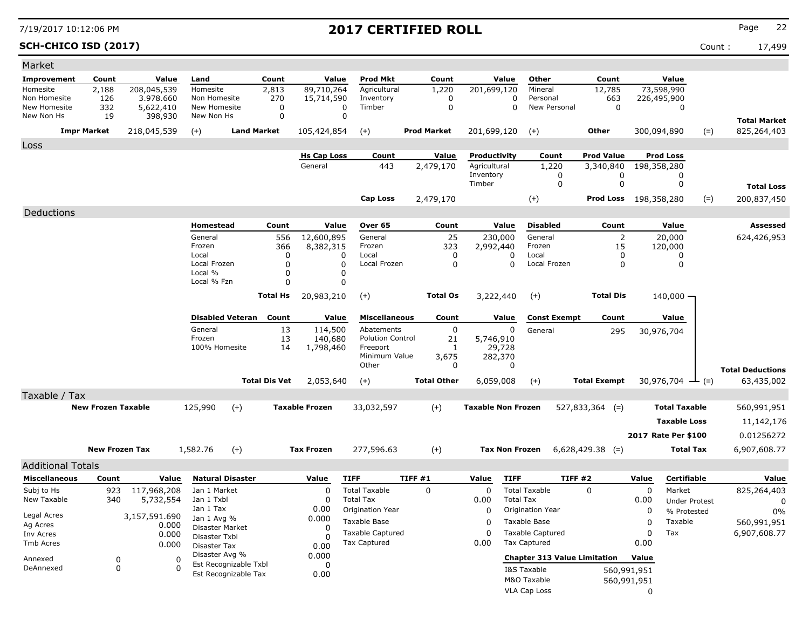### **SCH-CHICO ISD (2017)** Count : 17,499

| Market                       |                           |                        |                               |                         |                      |                       |                                      |                    |                           |                                              |                     |                      |                                     |                         |
|------------------------------|---------------------------|------------------------|-------------------------------|-------------------------|----------------------|-----------------------|--------------------------------------|--------------------|---------------------------|----------------------------------------------|---------------------|----------------------|-------------------------------------|-------------------------|
| Improvement                  | Count                     | Value                  | Land                          |                         | Count                | Value                 | Prod Mkt                             | Count              | Value                     | Other                                        | Count               | Value                |                                     |                         |
| Homesite                     | 2,188                     | 208,045,539            | Homesite                      |                         | 2,813                | 89,710,264            | Agricultural                         | 1,220              | 201,699,120               | Mineral                                      | 12,785              | 73,598,990           |                                     |                         |
| Non Homesite<br>New Homesite | 126<br>332                | 3.978.660<br>5,622,410 | Non Homesite<br>New Homesite  |                         | 270<br>0             | 15,714,590            | Inventory<br>Timber<br>0             | 0<br>$\mathbf 0$   |                           | Personal<br>0<br>$\mathbf 0$<br>New Personal | 663<br>0            | 226,495,900<br>0     |                                     |                         |
| New Non Hs                   | 19                        | 398,930                | New Non Hs                    |                         | $\mathbf 0$          |                       | 0                                    |                    |                           |                                              |                     |                      |                                     | <b>Total Market</b>     |
|                              | <b>Impr Market</b>        | 218,045,539            | $(+)$                         | <b>Land Market</b>      |                      | 105,424,854           | $(+)$                                | <b>Prod Market</b> | 201,699,120               | $(+)$                                        | Other               | 300,094,890          | $(=)$                               | 825,264,403             |
| Loss                         |                           |                        |                               |                         |                      |                       |                                      |                    |                           |                                              |                     |                      |                                     |                         |
|                              |                           |                        |                               |                         |                      | <b>Hs Cap Loss</b>    | Count                                | Value              | Productivity              | Count                                        | <b>Prod Value</b>   | <b>Prod Loss</b>     |                                     |                         |
|                              |                           |                        |                               |                         |                      | General               | 443                                  | 2,479,170          | Agricultural<br>Inventory | 1,220<br>0                                   | 3,340,840<br>0      | 198,358,280<br>0     |                                     |                         |
|                              |                           |                        |                               |                         |                      |                       |                                      |                    | Timber                    | 0                                            | $\mathbf 0$         | 0                    |                                     | <b>Total Loss</b>       |
|                              |                           |                        |                               |                         |                      |                       | <b>Cap Loss</b>                      | 2,479,170          |                           | $(+)$                                        | <b>Prod Loss</b>    | 198,358,280          | $(=)$                               | 200,837,450             |
| Deductions                   |                           |                        |                               |                         |                      |                       |                                      |                    |                           |                                              |                     |                      |                                     |                         |
|                              |                           |                        | Homestead                     |                         | Count                | Value                 | Over 65                              | Count              | Value                     | <b>Disabled</b>                              | Count               | Value                |                                     | Assessed                |
|                              |                           |                        | General                       |                         | 556                  | 12,600,895            | General                              | 25                 | 230,000                   | General                                      | 2                   | 20,000               |                                     | 624,426,953             |
|                              |                           |                        | Frozen<br>Local               |                         | 366<br>0             | 8,382,315<br>0        | Frozen<br>Local                      | 323<br>0           | 2,992,440<br>0            | Frozen<br>Local                              | 15<br>$\Omega$      | 120,000<br>0         |                                     |                         |
|                              |                           |                        | Local Frozen                  |                         | 0                    | <sup>0</sup>          | Local Frozen                         | 0                  | 0                         | Local Frozen                                 | 0                   | 0                    |                                     |                         |
|                              |                           |                        | Local %<br>Local % Fzn        |                         | 0<br>$\mathbf 0$     | 0<br>$\Omega$         |                                      |                    |                           |                                              |                     |                      |                                     |                         |
|                              |                           |                        |                               |                         |                      |                       |                                      |                    |                           |                                              |                     |                      |                                     |                         |
|                              |                           |                        |                               |                         | <b>Total Hs</b>      | 20,983,210            | $(+)$                                | <b>Total Os</b>    | 3,222,440                 | $(+)$                                        | <b>Total Dis</b>    | $140,000 -$          |                                     |                         |
|                              |                           |                        |                               | <b>Disabled Veteran</b> | Count                | Value                 | <b>Miscellaneous</b>                 | Count              | Value                     | <b>Const Exempt</b>                          | Count               | Value                |                                     |                         |
|                              |                           |                        | General                       |                         | 13                   | 114,500               | Abatements                           | 0                  | 0                         | General                                      | 295                 | 30,976,704           |                                     |                         |
|                              |                           |                        | Frozen<br>100% Homesite       |                         | 13<br>14             | 140,680<br>1,798,460  | <b>Polution Control</b><br>Freeport  | 21<br>$\mathbf{1}$ | 5,746,910<br>29,728       |                                              |                     |                      |                                     |                         |
|                              |                           |                        |                               |                         |                      |                       | Minimum Value                        | 3,675              | 282,370                   |                                              |                     |                      |                                     |                         |
|                              |                           |                        |                               |                         |                      |                       | Other                                | 0                  | 0                         |                                              |                     |                      |                                     | <b>Total Deductions</b> |
|                              |                           |                        |                               |                         | <b>Total Dis Vet</b> | 2,053,640             | $(+)$                                | <b>Total Other</b> | 6,059,008                 | $(+)$                                        | <b>Total Exempt</b> | 30,976,704           | $ (=)$                              | 63,435,002              |
| Taxable / Tax                |                           |                        |                               |                         |                      |                       |                                      |                    |                           |                                              |                     |                      |                                     |                         |
|                              | <b>New Frozen Taxable</b> |                        | 125,990                       | $(+)$                   |                      | <b>Taxable Frozen</b> | 33,032,597                           | $(+)$              | <b>Taxable Non Frozen</b> |                                              | $527,833,364$ (=)   | <b>Total Taxable</b> |                                     | 560,991,951             |
|                              |                           |                        |                               |                         |                      |                       |                                      |                    |                           |                                              |                     |                      | <b>Taxable Loss</b>                 | 11,142,176              |
|                              |                           |                        |                               |                         |                      |                       |                                      |                    |                           |                                              |                     | 2017 Rate Per \$100  |                                     | 0.01256272              |
|                              | <b>New Frozen Tax</b>     |                        | 1,582.76                      | $(+)$                   |                      | <b>Tax Frozen</b>     | 277,596.63                           | $(+)$              | <b>Tax Non Frozen</b>     |                                              | $6,628,429.38$ (=)  |                      | <b>Total Tax</b>                    | 6,907,608.77            |
| <b>Additional Totals</b>     |                           |                        |                               |                         |                      |                       |                                      |                    |                           |                                              |                     |                      |                                     |                         |
| <b>Miscellaneous</b>         | Count                     | Value                  |                               | <b>Natural Disaster</b> |                      | Value                 | <b>TIFF</b>                          | <b>TIFF #1</b>     | <b>TIFF</b><br>Value      |                                              | <b>TIFF #2</b>      | Value                | Certifiable                         | Value                   |
| Subj to Hs                   | 923                       | 117,968,208            | Jan 1 Market                  |                         |                      | 0                     | <b>Total Taxable</b>                 | 0                  | $\Omega$                  | <b>Total Taxable</b>                         | 0                   | Market<br>0          |                                     | 825,264,403             |
| New Taxable                  | 340                       | 5,732,554              | Jan 1 Txbl<br>Jan 1 Tax       |                         |                      | 0<br>0.00             | <b>Total Tax</b><br>Origination Year |                    | 0.00<br>0                 | <b>Total Tax</b><br>Origination Year         |                     | 0.00<br>0            | <b>Under Protest</b><br>% Protested | $\Omega$                |
| Legal Acres                  |                           | 3,157,591.690          | Jan 1 Avg %                   |                         |                      | 0.000                 | Taxable Base                         |                    | 0                         | Taxable Base                                 |                     | Taxable<br>0         |                                     | 0%<br>560,991,951       |
| Ag Acres<br>Inv Acres        |                           | 0.000<br>0.000         |                               | Disaster Market         |                      | 0                     | <b>Taxable Captured</b>              |                    |                           | <b>Taxable Captured</b>                      |                     | Tax<br>$\mathbf 0$   |                                     | 6,907,608.77            |
| Tmb Acres                    |                           | 0.000                  | Disaster Txbl<br>Disaster Tax |                         |                      | 0<br>0.00             | <b>Tax Captured</b>                  |                    | 0.00                      | <b>Tax Captured</b>                          |                     | 0.00                 |                                     |                         |
| Annexed                      | 0                         | 0                      | Disaster Avg %                |                         |                      | 0.000                 |                                      |                    |                           | <b>Chapter 313 Value Limitation</b>          |                     | Value                |                                     |                         |
| DeAnnexed                    | 0                         | O                      |                               | Est Recognizable Txbl   |                      | 0                     |                                      |                    |                           | I&S Taxable                                  |                     | 560,991,951          |                                     |                         |
|                              |                           |                        |                               | Est Recognizable Tax    |                      | 0.00                  |                                      |                    |                           | M&O Taxable                                  |                     | 560,991,951          |                                     |                         |
|                              |                           |                        |                               |                         |                      |                       |                                      |                    |                           | VLA Cap Loss                                 |                     | 0                    |                                     |                         |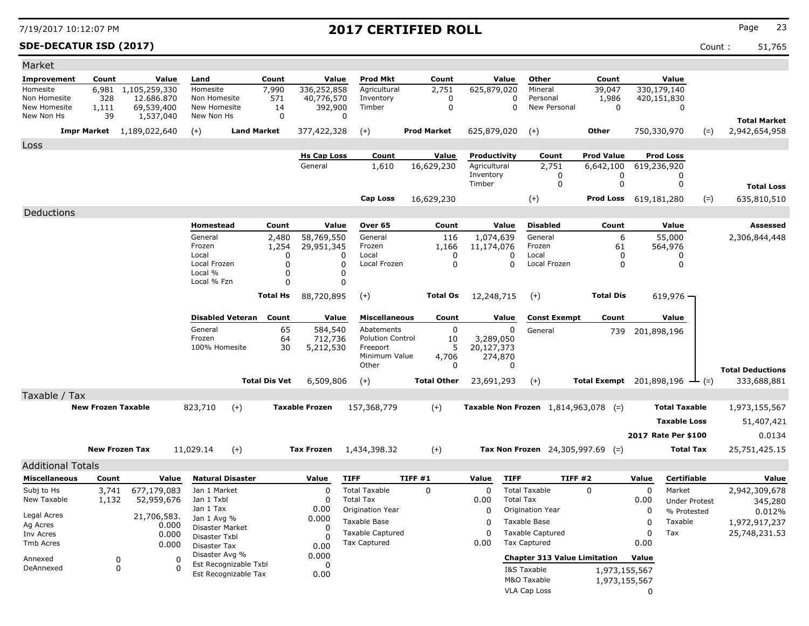**SDE-DECATUR ISD (2017)** Count : 51,765

| Market                     |                           |                                  |                               |                         |                      |                       |                                     |                    |                        |                  |                                               |                                                   |             |                      |       |                                        |
|----------------------------|---------------------------|----------------------------------|-------------------------------|-------------------------|----------------------|-----------------------|-------------------------------------|--------------------|------------------------|------------------|-----------------------------------------------|---------------------------------------------------|-------------|----------------------|-------|----------------------------------------|
| Improvement                | Count                     | Value                            | Land                          |                         | Count                | Value                 | <b>Prod Mkt</b>                     | Count              |                        | Value            | Other                                         | Count                                             |             | Value                |       |                                        |
| Homesite                   | 6,981                     | 1,105,259,330                    | Homesite                      |                         | 7,990                | 336,252,858           | Agricultural                        | 2,751              | 625,879,020            |                  | Mineral                                       | 39,047                                            |             | 330,179,140          |       |                                        |
| Non Homesite               | 328                       | 12.686.870                       | Non Homesite                  |                         | 571                  | 40,776,570            | Inventory                           | 0                  |                        | 0<br>$\Omega$    | Personal<br>New Personal                      | 1,986<br>$\mathbf 0$                              |             | 420,151,830          |       |                                        |
| New Homesite<br>New Non Hs | 1,111<br>39               | 69,539,400<br>1,537,040          | New Homesite<br>New Non Hs    |                         | 14<br>$\mathbf 0$    | 392,900               | Timber<br>$\mathbf 0$               | $\mathbf 0$        |                        |                  |                                               |                                                   |             | 0                    |       |                                        |
|                            |                           | <b>Impr Market</b> 1,189,022,640 | $(+)$                         | <b>Land Market</b>      |                      | 377,422,328           | $(+)$                               | <b>Prod Market</b> | 625,879,020            |                  | $(+)$                                         | Other                                             |             | 750,330,970          | $(=)$ | <b>Total Market</b><br>2,942,654,958   |
| Loss                       |                           |                                  |                               |                         |                      |                       |                                     |                    |                        |                  |                                               |                                                   |             |                      |       |                                        |
|                            |                           |                                  |                               |                         |                      | <b>Hs Cap Loss</b>    | Count                               | Value              | Productivity           |                  | Count                                         | <b>Prod Value</b>                                 |             | <b>Prod Loss</b>     |       |                                        |
|                            |                           |                                  |                               |                         |                      | General               | 1,610                               | 16,629,230         | Agricultural           |                  | 2,751                                         | 6,642,100                                         |             | 619,236,920          |       |                                        |
|                            |                           |                                  |                               |                         |                      |                       |                                     |                    | Inventory<br>Timber    |                  | 0<br>0                                        | 0<br>0                                            |             | 0<br>0               |       |                                        |
|                            |                           |                                  |                               |                         |                      |                       |                                     |                    |                        |                  |                                               |                                                   |             |                      |       | <b>Total Loss</b>                      |
|                            |                           |                                  |                               |                         |                      |                       | Cap Loss                            | 16,629,230         |                        |                  | $(+)$                                         | Prod Loss 619,181,280                             |             |                      | $(=)$ | 635,810,510                            |
| Deductions                 |                           |                                  |                               |                         |                      |                       |                                     |                    |                        |                  |                                               |                                                   |             |                      |       |                                        |
|                            |                           |                                  | Homestead                     |                         | Count                | Value                 | Over 65                             | Count              |                        | Value            | <b>Disabled</b>                               | Count                                             |             | Value                |       | Assessed                               |
|                            |                           |                                  | General                       |                         | 2,480                | 58,769,550            | General                             | 116                | 1,074,639              |                  | General                                       | 6                                                 |             | 55,000               |       | 2,306,844,448                          |
|                            |                           |                                  | Frozen<br>Local               |                         | 1,254<br>$\Omega$    | 29,951,345            | Frozen<br>Local<br>0                | 1,166              | 11,174,076<br>$\Omega$ | $\Omega$         | Frozen<br>Local                               | 61<br>0                                           |             | 564,976<br>0         |       |                                        |
|                            |                           |                                  | Local Frozen                  |                         | O                    |                       | 0<br>Local Frozen                   |                    | $\Omega$               | $\Omega$         | Local Frozen                                  | 0                                                 |             | $\Omega$             |       |                                        |
|                            |                           |                                  | Local %                       |                         | ი                    |                       | 0                                   |                    |                        |                  |                                               |                                                   |             |                      |       |                                        |
|                            |                           |                                  | Local % Fzn                   |                         | 0                    |                       | $\mathbf 0$                         |                    |                        |                  |                                               |                                                   |             |                      |       |                                        |
|                            |                           |                                  |                               |                         | Total Hs             | 88,720,895            | $(+)$                               | <b>Total Os</b>    | 12,248,715             |                  | $(+)$                                         | <b>Total Dis</b>                                  |             | $619,976 -$          |       |                                        |
|                            |                           |                                  |                               |                         |                      |                       |                                     |                    |                        |                  |                                               |                                                   |             |                      |       |                                        |
|                            |                           |                                  |                               | <b>Disabled Veteran</b> | Count                | Value                 | <b>Miscellaneous</b>                | Count              |                        | Value            | <b>Const Exempt</b>                           | Count                                             |             | Value                |       |                                        |
|                            |                           |                                  | General                       |                         | 65                   | 584,540               | Abatements                          |                    | 0                      | 0                | General                                       | 739                                               |             | 201,898,196          |       |                                        |
|                            |                           |                                  | Frozen<br>100% Homesite       |                         | 64<br>30             | 712,736               | <b>Polution Control</b><br>Freeport | 10                 | 3,289,050              |                  |                                               |                                                   |             |                      |       |                                        |
|                            |                           |                                  |                               |                         |                      | 5,212,530             | Minimum Value                       | 4,706              | 20,127,373             | 274,870          |                                               |                                                   |             |                      |       |                                        |
|                            |                           |                                  |                               |                         |                      |                       | Other                               |                    | $\Omega$               | $\Omega$         |                                               |                                                   |             |                      |       |                                        |
|                            |                           |                                  |                               |                         | <b>Total Dis Vet</b> | 6,509,806             | $(+)$                               | <b>Total Other</b> | 23,691,293             |                  | $(+)$                                         | <b>Total Exempt</b> 201,898,196 $\rightarrow$ (=) |             |                      |       | <b>Total Deductions</b><br>333,688,881 |
|                            |                           |                                  |                               |                         |                      |                       |                                     |                    |                        |                  |                                               |                                                   |             |                      |       |                                        |
| Taxable / Tax              | <b>New Frozen Taxable</b> |                                  |                               |                         |                      | <b>Taxable Frozen</b> |                                     |                    |                        |                  |                                               |                                                   |             | <b>Total Taxable</b> |       |                                        |
|                            |                           |                                  | 823,710                       | $(+)$                   |                      |                       | 157,368,779                         | $(+)$              |                        |                  | <b>Taxable Non Frozen</b> $1,814,963,078$ (=) |                                                   |             |                      |       | 1,973,155,567                          |
|                            |                           |                                  |                               |                         |                      |                       |                                     |                    |                        |                  |                                               |                                                   |             | <b>Taxable Loss</b>  |       | 51,407,421                             |
|                            |                           |                                  |                               |                         |                      |                       |                                     |                    |                        |                  |                                               |                                                   |             | 2017 Rate Per \$100  |       | 0.0134                                 |
|                            | <b>New Frozen Tax</b>     |                                  | 11,029.14                     | $(+)$                   |                      | <b>Tax Frozen</b>     | 1,434,398.32                        | $(+)$              |                        |                  | Tax Non Frozen $24,305,997.69$ (=)            |                                                   |             | Total Tax            |       | 25,751,425.15                          |
| <b>Additional Totals</b>   |                           |                                  |                               |                         |                      |                       |                                     |                    |                        |                  |                                               |                                                   |             |                      |       |                                        |
| <b>Miscellaneous</b>       | Count                     | Value                            |                               | <b>Natural Disaster</b> |                      | Value                 | <b>TIFF</b>                         | TIFF #1            | Value                  | <b>TIFF</b>      | TIFF #2                                       |                                                   | Value       | Certifiable          |       | Value                                  |
| Subj to Hs                 | 3,741                     | 677,179,083                      | Jan 1 Market                  |                         |                      | 0                     | <b>Total Taxable</b>                | 0                  | 0                      |                  | <b>Total Taxable</b>                          | 0                                                 | 0           | Market               |       | 2,942,309,678                          |
| New Taxable                | 1,132                     | 52,959,676                       | Jan 1 Txbl                    |                         |                      | $\Omega$              | <b>Total Tax</b>                    |                    | 0.00                   | <b>Total Tax</b> |                                               |                                                   | 0.00        | <b>Under Protest</b> |       | 345,280                                |
|                            |                           |                                  | Jan 1 Tax                     |                         |                      | 0.00                  | Origination Year                    |                    | 0                      |                  | Origination Year                              |                                                   | 0           | % Protested          |       | 0.012%                                 |
| Legal Acres<br>Ag Acres    |                           | 21,706,583.                      | Jan 1 Avg %                   |                         |                      | 0.000                 | Taxable Base                        |                    | $\mathbf 0$            |                  | Taxable Base                                  |                                                   | $\mathbf 0$ | Taxable              |       | 1,972,917,237                          |
| Inv Acres                  |                           | 0.000<br>0.000                   | Disaster Market               |                         |                      | 0                     | <b>Taxable Captured</b>             |                    | $\Omega$               |                  | <b>Taxable Captured</b>                       |                                                   | $\mathbf 0$ | Tax                  |       | 25,748,231.53                          |
| Tmb Acres                  |                           | 0.000                            | Disaster Txbl<br>Disaster Tax |                         |                      | $\Omega$<br>0.00      | <b>Tax Captured</b>                 |                    | 0.00                   |                  | <b>Tax Captured</b>                           |                                                   | 0.00        |                      |       |                                        |
|                            |                           |                                  | Disaster Avg %                |                         |                      | 0.000                 |                                     |                    |                        |                  | <b>Chapter 313 Value Limitation</b>           |                                                   | Value       |                      |       |                                        |
| Annexed<br>DeAnnexed       | 0<br>$\mathbf 0$          | 0<br>$\Omega$                    |                               | Est Recognizable Txbl   |                      | 0                     |                                     |                    |                        |                  | I&S Taxable                                   | 1,973,155,567                                     |             |                      |       |                                        |
|                            |                           |                                  |                               | Est Recognizable Tax    |                      | 0.00                  |                                     |                    |                        |                  | M&O Taxable                                   | 1,973,155,567                                     |             |                      |       |                                        |
|                            |                           |                                  |                               |                         |                      |                       |                                     |                    |                        |                  | VLA Cap Loss                                  |                                                   | 0           |                      |       |                                        |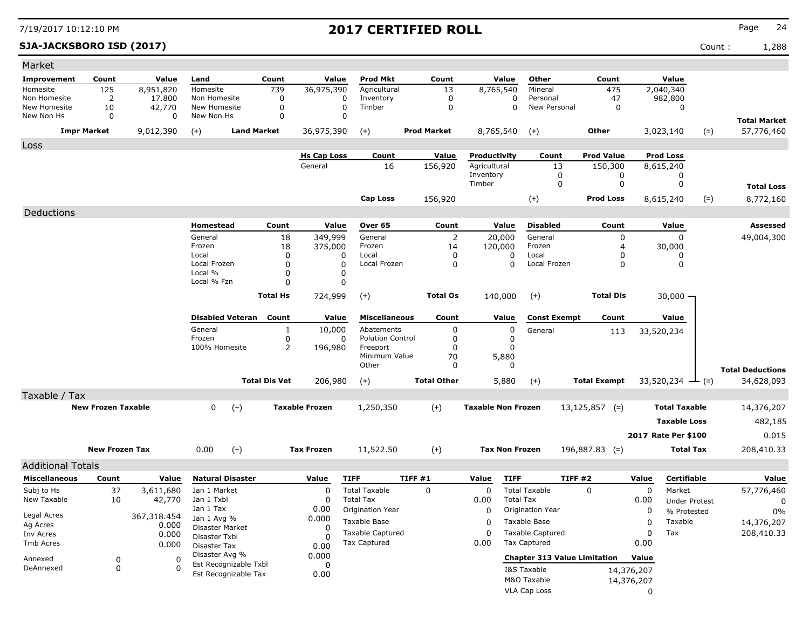### **SJA-JACKSBORO ISD (2017)** Count : 1,288

| Market                       |                           |                  |                                |                         |                      |                       |                                                |                    |                           |                                                |                     |                  |                      |                                   |
|------------------------------|---------------------------|------------------|--------------------------------|-------------------------|----------------------|-----------------------|------------------------------------------------|--------------------|---------------------------|------------------------------------------------|---------------------|------------------|----------------------|-----------------------------------|
| Improvement                  | Count                     | Value            | Land                           |                         | Count                | Value                 | Prod Mkt                                       | Count              | Value                     | Other                                          | Count               |                  | Value                |                                   |
| Homesite                     | 125                       | 8,951,820        | Homesite                       |                         | 739                  | 36,975,390            | Agricultural                                   | 13                 | 8,765,540                 | Mineral                                        | 475                 | 2,040,340        |                      |                                   |
| Non Homesite<br>New Homesite | 2                         | 17,800<br>42,770 | Non Homesite<br>New Homesite   |                         | 0                    |                       | 0<br>Inventory<br>0<br>Timber                  | 0<br>0             |                           | Personal<br>0<br>New Personal<br>$\mathbf 0$   | 47                  |                  | 982,800              |                                   |
| New Non Hs                   | 10<br>0                   | 0                | New Non Hs                     |                         | 0<br>0               |                       | 0                                              |                    |                           |                                                | 0                   |                  | 0                    |                                   |
|                              | <b>Impr Market</b>        | 9,012,390        | $(+)$                          | <b>Land Market</b>      |                      | 36,975,390            | $^{(+)}$                                       | <b>Prod Market</b> | 8,765,540                 | $(+)$                                          | <b>Other</b>        | 3,023,140        | $(=)$                | <b>Total Market</b><br>57,776,460 |
| Loss                         |                           |                  |                                |                         |                      |                       |                                                |                    |                           |                                                |                     |                  |                      |                                   |
|                              |                           |                  |                                |                         |                      | <b>Hs Cap Loss</b>    | Count                                          | Value              | Productivity              | Count                                          | <b>Prod Value</b>   | <b>Prod Loss</b> |                      |                                   |
|                              |                           |                  |                                |                         |                      | General               | 16                                             | 156,920            | Agricultural              | 13                                             | 150,300             | 8,615,240        |                      |                                   |
|                              |                           |                  |                                |                         |                      |                       |                                                |                    | Inventory<br>Timber       | 0<br>0                                         | 0<br>$\mathbf 0$    |                  | 0<br>0               |                                   |
|                              |                           |                  |                                |                         |                      |                       |                                                |                    |                           |                                                |                     |                  |                      | <b>Total Loss</b>                 |
|                              |                           |                  |                                |                         |                      |                       | <b>Cap Loss</b>                                | 156,920            |                           | $(+)$                                          | <b>Prod Loss</b>    | 8,615,240        | $(=)$                | 8,772,160                         |
| Deductions                   |                           |                  | Homestead                      |                         | Count                | Value                 | Over 65                                        | Count              | Value                     | <b>Disabled</b>                                | Count               |                  | Value                | Assessed                          |
|                              |                           |                  | General                        |                         | 18                   | 349,999               | General                                        | 2                  | 20,000                    | General                                        | 0                   |                  | 0                    | 49,004,300                        |
|                              |                           |                  | Frozen                         |                         | 18                   | 375,000               | Frozen                                         | 14                 | 120,000                   | Frozen                                         | 4                   |                  | 30,000               |                                   |
|                              |                           |                  | Local<br>Local Frozen          |                         | 0<br>0               |                       | Local<br>O<br>Local Frozen<br>$\Omega$         | 0<br>0             | 0<br>0                    | Local<br>Local Frozen                          | 0<br>0              |                  | 0<br>0               |                                   |
|                              |                           |                  | Local %                        |                         | 0                    |                       | 0                                              |                    |                           |                                                |                     |                  |                      |                                   |
|                              |                           |                  | Local % Fzn                    |                         | 0                    |                       | 0                                              |                    |                           |                                                |                     |                  |                      |                                   |
|                              |                           |                  |                                |                         | <b>Total Hs</b>      | 724,999               | $(+)$                                          | <b>Total Os</b>    | 140,000                   | $(+)$                                          | <b>Total Dis</b>    |                  | 30,000 —             |                                   |
|                              |                           |                  |                                | <b>Disabled Veteran</b> | Count                | Value                 | <b>Miscellaneous</b>                           | Count              | Value                     | <b>Const Exempt</b>                            | Count               |                  | Value                |                                   |
|                              |                           |                  | General                        |                         | 1                    | 10,000                | Abatements                                     | 0                  | 0                         | General                                        | 113                 | 33,520,234       |                      |                                   |
|                              |                           |                  | Frozen<br>100% Homesite        |                         | 0                    |                       | <b>Polution Control</b><br>0                   | 0                  | 0                         |                                                |                     |                  |                      |                                   |
|                              |                           |                  |                                |                         | 2                    | 196,980               | Freeport<br>Minimum Value                      | 0<br>70            | 0<br>5,880                |                                                |                     |                  |                      |                                   |
|                              |                           |                  |                                |                         |                      |                       | Other                                          | $\Omega$           | 0                         |                                                |                     |                  |                      | <b>Total Deductions</b>           |
|                              |                           |                  |                                |                         | <b>Total Dis Vet</b> | 206,980               | $(+)$                                          | <b>Total Other</b> | 5,880                     | $(+)$                                          | <b>Total Exempt</b> |                  | 33,520,234 — (=)     | 34,628,093                        |
| Taxable / Tax                |                           |                  |                                |                         |                      |                       |                                                |                    |                           |                                                |                     |                  |                      |                                   |
|                              | <b>New Frozen Taxable</b> |                  | 0                              | $(+)$                   |                      | <b>Taxable Frozen</b> | 1,250,350                                      | $(+)$              | <b>Taxable Non Frozen</b> |                                                | $13,125,857$ (=)    |                  | <b>Total Taxable</b> | 14,376,207                        |
|                              |                           |                  |                                |                         |                      |                       |                                                |                    |                           |                                                |                     |                  | <b>Taxable Loss</b>  | 482,185                           |
|                              |                           |                  |                                |                         |                      |                       |                                                |                    |                           |                                                |                     |                  | 2017 Rate Per \$100  | 0.015                             |
|                              | <b>New Frozen Tax</b>     |                  | 0.00                           | $(+)$                   |                      | <b>Tax Frozen</b>     | 11,522.50                                      | $(+)$              | <b>Tax Non Frozen</b>     |                                                | $196,887.83$ (=)    |                  | <b>Total Tax</b>     | 208,410.33                        |
| <b>Additional Totals</b>     |                           |                  |                                |                         |                      |                       |                                                |                    |                           |                                                |                     |                  |                      |                                   |
| <b>Miscellaneous</b>         | Count                     | Value            |                                | <b>Natural Disaster</b> |                      | Value                 | <b>TIFF</b>                                    | TIFF #1            | Value<br><b>TIFF</b>      |                                                | TIFF#2              | Value            | Certifiable          | Value                             |
| Subj to Hs                   | 37                        | 3,611,680        | Jan 1 Market                   |                         |                      | 0                     | <b>Total Taxable</b>                           | 0                  | $\Omega$                  | <b>Total Taxable</b>                           | 0                   | 0                | Market               | 57,776,460                        |
| New Taxable                  | 10                        | 42,770           | Jan 1 Txbl                     |                         |                      | 0                     | <b>Total Tax</b>                               |                    | 0.00                      | <b>Total Tax</b>                               |                     | 0.00             | <b>Under Protest</b> | 0                                 |
| Legal Acres                  |                           | 367,318.454      | Jan 1 Tax<br>Jan 1 Avg %       |                         |                      | 0.00<br>0.000         | Origination Year                               |                    | 0                         | Origination Year                               |                     | 0                | % Protested          | 0%                                |
| Ag Acres                     |                           | 0.000            | Disaster Market                |                         |                      | 0                     | Taxable Base                                   |                    | 0                         | Taxable Base                                   |                     | 0                | Taxable              | 14,376,207                        |
| Inv Acres<br>Tmb Acres       |                           | 0.000            | Disaster Txbl                  |                         |                      | $\Omega$              | <b>Taxable Captured</b><br><b>Tax Captured</b> |                    | $\Omega$<br>0.00          | <b>Taxable Captured</b><br><b>Tax Captured</b> |                     | 0<br>0.00        | Tax                  | 208,410.33                        |
|                              |                           | 0.000            | Disaster Tax<br>Disaster Avg % |                         |                      | 0.00                  |                                                |                    |                           |                                                |                     |                  |                      |                                   |
| Annexed                      | 0                         | 0                |                                | Est Recognizable Txbl   |                      | 0.000<br>0            |                                                |                    |                           | <b>Chapter 313 Value Limitation</b>            |                     | Value            |                      |                                   |
| DeAnnexed                    | 0                         |                  |                                | Est Recognizable Tax    |                      | 0.00                  |                                                |                    |                           | I&S Taxable                                    |                     | 14,376,207       |                      |                                   |
|                              |                           |                  |                                |                         |                      |                       |                                                |                    |                           | M&O Taxable                                    |                     | 14,376,207       |                      |                                   |
|                              |                           |                  |                                |                         |                      |                       |                                                |                    |                           | VLA Cap Loss                                   |                     | 0                |                      |                                   |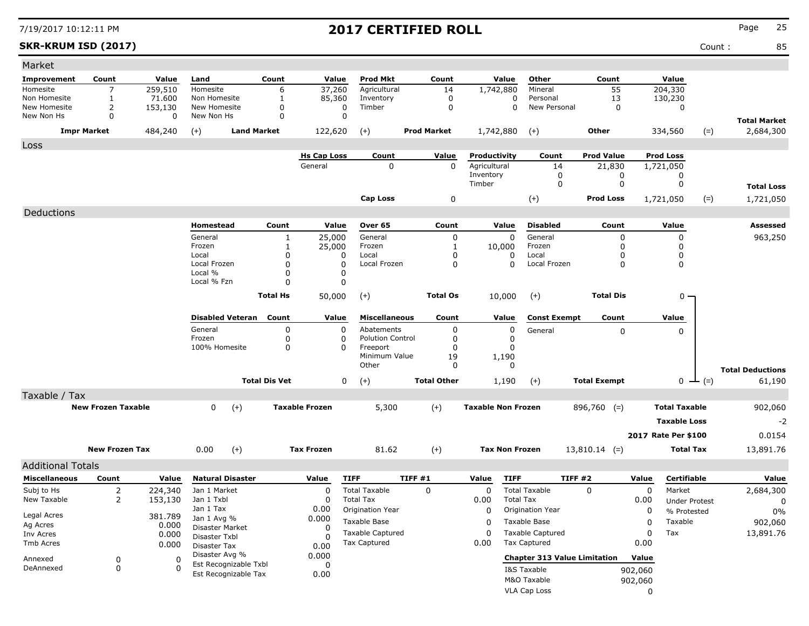### **SKR-KRUM ISD (2017)** Count : 85

| Market                       |                           |              |                                |                      |                       |                                      |                    |                           |                                      |                                     |             |                        |                                  |
|------------------------------|---------------------------|--------------|--------------------------------|----------------------|-----------------------|--------------------------------------|--------------------|---------------------------|--------------------------------------|-------------------------------------|-------------|------------------------|----------------------------------|
| Improvement                  | Count                     | Value        | Land                           | Count                | Value                 | <b>Prod Mkt</b>                      | Count              | Value                     | Other                                | Count                               |             | Value                  |                                  |
| Homesite                     | 7                         | 259,510      | Homesite                       | 6                    | 37,260                | Agricultural                         | 14                 | 1,742,880                 | Mineral                              | 55                                  |             | 204,330                |                                  |
| Non Homesite<br>New Homesite | 1                         | 71.600       | Non Homesite<br>New Homesite   | 1                    | 85,360                | Inventory<br>Timber                  | 0<br>$\mathbf 0$   |                           | 0<br>Personal<br>0<br>New Personal   | 13                                  |             | 130,230                |                                  |
| New Non Hs                   | $\overline{2}$<br>0       | 153,130<br>0 | New Non Hs                     | 0<br>$\mathbf 0$     | 0<br>$\mathbf 0$      |                                      |                    |                           |                                      | 0                                   |             | 0                      |                                  |
|                              | <b>Impr Market</b>        | 484,240      | $(+)$                          | <b>Land Market</b>   | 122,620               | $(+)$                                | <b>Prod Market</b> | 1,742,880                 | $(+)$                                | Other                               |             | 334,560<br>$(=)$       | <b>Total Market</b><br>2,684,300 |
| Loss                         |                           |              |                                |                      |                       |                                      |                    |                           |                                      |                                     |             |                        |                                  |
|                              |                           |              |                                |                      | <b>Hs Cap Loss</b>    | Count                                | Value              | Productivity              | Count                                | <b>Prod Value</b>                   |             | <b>Prod Loss</b>       |                                  |
|                              |                           |              |                                |                      | General               | $\mathbf 0$                          | $\mathbf 0$        | Agricultural              | 14                                   | 21,830                              |             | 1,721,050              |                                  |
|                              |                           |              |                                |                      |                       |                                      |                    | Inventory<br>Timber       | 0<br>$\mathbf 0$                     | 0<br>0                              |             | 0<br>0                 |                                  |
|                              |                           |              |                                |                      |                       |                                      |                    |                           |                                      |                                     |             |                        | <b>Total Loss</b>                |
|                              |                           |              |                                |                      |                       | <b>Cap Loss</b>                      | 0                  |                           | $(+)$                                | <b>Prod Loss</b>                    |             | $(=)$<br>1,721,050     | 1,721,050                        |
| Deductions                   |                           |              |                                |                      |                       |                                      |                    |                           |                                      |                                     |             |                        |                                  |
|                              |                           |              | Homestead                      | Count                | Value                 | Over 65                              | Count              | Value                     | <b>Disabled</b>                      | Count                               |             | Value                  | Assessed                         |
|                              |                           |              | General                        | -1                   | 25,000                | General                              | 0                  | 0                         | General                              | 0                                   |             | 0                      | 963,250                          |
|                              |                           |              | Frozen<br>Local                | -1<br>$\Omega$       | 25,000<br>0           | Frozen<br>Local                      | 1<br>0             | 10,000<br>0               | Frozen<br>Local                      | 0<br>0                              |             | 0<br>$\mathbf 0$       |                                  |
|                              |                           |              | Local Frozen                   | $\Omega$             | $\Omega$              | Local Frozen                         | 0                  | 0                         | Local Frozen                         | 0                                   |             | 0                      |                                  |
|                              |                           |              | Local %                        | $\Omega$             | 0                     |                                      |                    |                           |                                      |                                     |             |                        |                                  |
|                              |                           |              | Local % Fzn                    | $\Omega$             | 0                     |                                      |                    |                           |                                      |                                     |             |                        |                                  |
|                              |                           |              |                                | <b>Total Hs</b>      | 50,000                | $(+)$                                | <b>Total Os</b>    | 10,000                    | $(+)$                                | <b>Total Dis</b>                    |             | $0 -$                  |                                  |
|                              |                           |              | <b>Disabled Veteran</b>        | Count                | Value                 | <b>Miscellaneous</b>                 | Count              | Value                     | <b>Const Exempt</b>                  | Count                               |             | Value                  |                                  |
|                              |                           |              | General                        | 0                    | 0                     | Abatements                           | 0                  | 0                         | General                              | $\mathbf 0$                         |             | 0                      |                                  |
|                              |                           |              | Frozen<br>100% Homesite        | 0<br>0               | 0<br>0                | <b>Polution Control</b><br>Freeport  | 0<br>0             | 0<br>0                    |                                      |                                     |             |                        |                                  |
|                              |                           |              |                                |                      |                       | Minimum Value                        | 19                 | 1,190                     |                                      |                                     |             |                        |                                  |
|                              |                           |              |                                |                      |                       | Other                                | $\mathbf{0}$       | 0                         |                                      |                                     |             |                        | <b>Total Deductions</b>          |
|                              |                           |              |                                | <b>Total Dis Vet</b> | 0                     | $(+)$                                | <b>Total Other</b> | 1,190                     | $(+)$                                | <b>Total Exempt</b>                 |             | $0 \perp (=)$          | 61,190                           |
| Taxable / Tax                |                           |              |                                |                      |                       |                                      |                    |                           |                                      |                                     |             |                        |                                  |
|                              | <b>New Frozen Taxable</b> |              | $(+)$<br>$\mathbf{0}$          |                      | <b>Taxable Frozen</b> | 5,300                                | $(+)$              | <b>Taxable Non Frozen</b> |                                      | $896,760$ (=)                       |             | <b>Total Taxable</b>   | 902,060                          |
|                              |                           |              |                                |                      |                       |                                      |                    |                           |                                      |                                     |             | <b>Taxable Loss</b>    | $-2$                             |
|                              |                           |              |                                |                      |                       |                                      |                    |                           |                                      |                                     |             | 2017 Rate Per \$100    | 0.0154                           |
|                              | <b>New Frozen Tax</b>     |              | 0.00<br>$(+)$                  |                      | <b>Tax Frozen</b>     | 81.62                                | $(+)$              | <b>Tax Non Frozen</b>     |                                      | $13,810.14$ (=)                     |             | <b>Total Tax</b>       | 13,891.76                        |
|                              |                           |              |                                |                      |                       |                                      |                    |                           |                                      |                                     |             |                        |                                  |
| <b>Additional Totals</b>     |                           |              |                                |                      |                       |                                      |                    |                           |                                      |                                     |             |                        |                                  |
| <b>Miscellaneous</b>         | Count                     | Value        | <b>Natural Disaster</b>        |                      | Value                 | <b>TIFF</b>                          | TIFF #1            | <b>TIFF</b><br>Value      |                                      | TIFF#2                              | Value       | Certifiable            | Value                            |
| Subj to Hs                   | 2                         | 224,340      | Jan 1 Market                   |                      | 0                     | <b>Total Taxable</b>                 | 0                  | 0                         | <b>Total Taxable</b>                 | $\Omega$                            | $\mathbf 0$ | Market                 | 2,684,300                        |
| New Taxable                  | 2                         | 153,130      | Jan 1 Txbl<br>Jan 1 Tax        |                      | 0<br>0.00             | <b>Total Tax</b><br>Origination Year |                    | 0.00<br>0                 | <b>Total Tax</b><br>Origination Year |                                     | 0.00        | <b>Under Protest</b>   | 0                                |
| Legal Acres                  |                           | 381.789      | Jan 1 Avg %                    |                      | 0.000                 | Taxable Base                         |                    |                           | Taxable Base                         |                                     | 0           | % Protested<br>Taxable | $0\%$                            |
| Ag Acres                     |                           | 0.000        | Disaster Market                |                      | 0                     | <b>Taxable Captured</b>              |                    | 0<br>0                    | <b>Taxable Captured</b>              |                                     | 0<br>0      | Tax                    | 902,060<br>13,891.76             |
| Inv Acres<br>Tmb Acres       |                           | 0.000        | Disaster Txbl                  |                      | O                     | Tax Captured                         |                    | 0.00                      | <b>Tax Captured</b>                  |                                     | 0.00        |                        |                                  |
|                              |                           | 0.000        | Disaster Tax<br>Disaster Avg % |                      | 0.00<br>0.000         |                                      |                    |                           |                                      |                                     |             |                        |                                  |
| Annexed                      | 0                         | 0            | Est Recognizable Txbl          |                      | 0                     |                                      |                    |                           |                                      | <b>Chapter 313 Value Limitation</b> | Value       |                        |                                  |
| DeAnnexed                    | 0                         | $\Omega$     | Est Recognizable Tax           |                      | 0.00                  |                                      |                    |                           | I&S Taxable                          |                                     | 902,060     |                        |                                  |
|                              |                           |              |                                |                      |                       |                                      |                    |                           | M&O Taxable                          |                                     | 902,060     |                        |                                  |
|                              |                           |              |                                |                      |                       |                                      |                    |                           | <b>VLA Cap Loss</b>                  |                                     | 0           |                        |                                  |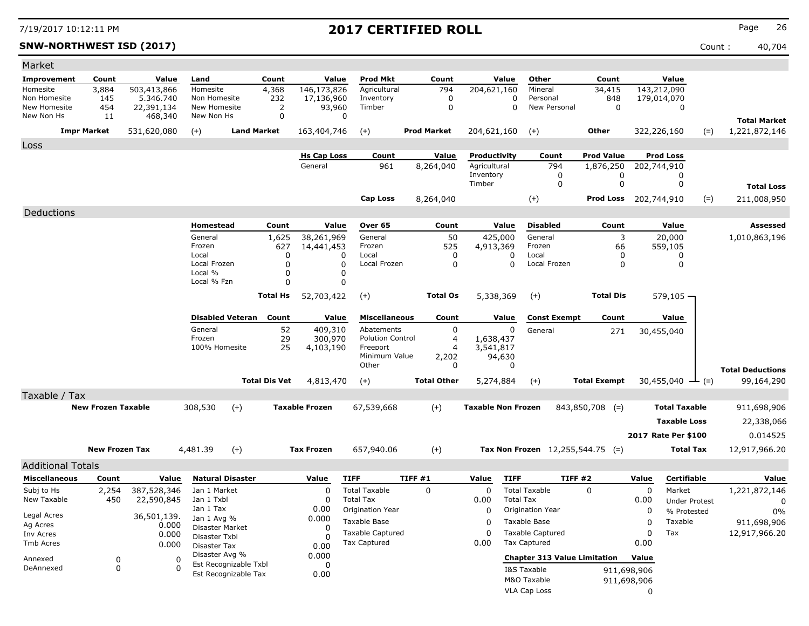**SNW-NORTHWEST ISD (2017)** Count : 40,704

| Market                     |                           |                       |                                               |                      |                          |                                       |                     |                           |                             |                                     |              |                      |                         |
|----------------------------|---------------------------|-----------------------|-----------------------------------------------|----------------------|--------------------------|---------------------------------------|---------------------|---------------------------|-----------------------------|-------------------------------------|--------------|----------------------|-------------------------|
| <b>Improvement</b>         | Count                     | Value                 | Land                                          | Count                | Value                    | Prod Mkt                              | Count               | Value                     | Other                       | Count                               |              | Value                |                         |
| Homesite                   | 3,884                     | 503,413,866           | Homesite                                      | 4,368                | 146,173,826              | Agricultural                          | 794                 | 204,621,160               | Mineral                     | 34,415                              |              | 143,212,090          |                         |
| Non Homesite               | 145                       | 5.346.740             | Non Homesite                                  | 232                  | 17,136,960               | Inventory                             | 0                   |                           | $\Omega$<br>Personal        | 848                                 |              | 179,014,070          |                         |
| New Homesite<br>New Non Hs | 454<br>11                 | 22,391,134<br>468,340 | New Homesite<br>New Non Hs                    | 2<br>0               | 93,960<br>0              | Timber                                | 0                   |                           | $\mathbf 0$<br>New Personal | 0                                   |              | 0                    |                         |
|                            |                           |                       |                                               |                      |                          |                                       |                     |                           |                             |                                     |              |                      | <b>Total Market</b>     |
|                            | <b>Impr Market</b>        | 531,620,080           | $(+)$                                         | <b>Land Market</b>   | 163,404,746              | $(+)$                                 | <b>Prod Market</b>  | 204,621,160               | $(+)$                       | Other                               |              | 322,226,160<br>$(=)$ | 1,221,872,146           |
| Loss                       |                           |                       |                                               |                      |                          |                                       |                     |                           |                             |                                     |              |                      |                         |
|                            |                           |                       |                                               |                      | <b>Hs Cap Loss</b>       | Count                                 | <b>Value</b>        | Productivity              | Count                       | <b>Prod Value</b>                   |              | <b>Prod Loss</b>     |                         |
|                            |                           |                       |                                               |                      | General                  | 961                                   | 8,264,040           | Agricultural<br>Inventory | 794                         | 1,876,250<br>0<br>0                 |              | 202,744,910<br>0     |                         |
|                            |                           |                       |                                               |                      |                          |                                       |                     | Timber                    |                             | 0<br>0                              |              | 0                    | <b>Total Loss</b>       |
|                            |                           |                       |                                               |                      |                          | <b>Cap Loss</b>                       | 8,264,040           |                           | $(+)$                       | Prod Loss                           | 202,744,910  | $(=)$                | 211,008,950             |
|                            |                           |                       |                                               |                      |                          |                                       |                     |                           |                             |                                     |              |                      |                         |
| Deductions                 |                           |                       |                                               |                      |                          |                                       |                     |                           |                             |                                     |              |                      |                         |
|                            |                           |                       | Homestead                                     | Count                | Value                    | Over 65                               | Count               | Value                     | <b>Disabled</b>             | Count                               |              | Value                | Assessed                |
|                            |                           |                       | General<br>Frozen                             | 1,625<br>627         | 38,261,969<br>14,441,453 | General<br>Frozen                     | 50<br>525           | 425,000<br>4,913,369      | General<br>Frozen           | 3<br>66                             |              | 20,000<br>559,105    | 1,010,863,196           |
|                            |                           |                       | Local                                         | 0                    | 0                        | Local                                 | 0                   |                           | 0<br>Local                  | 0                                   |              | 0                    |                         |
|                            |                           |                       | Local Frozen                                  | 0                    | O                        | Local Frozen                          | $\mathbf 0$         |                           | $\Omega$<br>Local Frozen    | 0                                   |              | 0                    |                         |
|                            |                           |                       | Local %                                       | 0                    | O                        |                                       |                     |                           |                             |                                     |              |                      |                         |
|                            |                           |                       | Local % Fzn                                   | 0                    | O                        |                                       |                     |                           |                             |                                     |              |                      |                         |
|                            |                           |                       |                                               | <b>Total Hs</b>      | 52,703,422               | $(+)$                                 | <b>Total Os</b>     | 5,338,369                 | $(+)$                       | <b>Total Dis</b>                    |              | $579,105 -$          |                         |
|                            |                           |                       |                                               |                      |                          |                                       |                     |                           |                             |                                     |              |                      |                         |
|                            |                           |                       | <b>Disabled Veteran</b>                       | Count                | Value                    | <b>Miscellaneous</b>                  | Count               | Value                     | <b>Const Exempt</b>         | Count                               |              | Value                |                         |
|                            |                           |                       | General<br>Frozen                             | 52<br>29             | 409,310<br>300,970       | Abatements<br><b>Polution Control</b> | 0<br>$\overline{4}$ | 1,638,437                 | 0<br>General                | 271                                 |              | 30,455,040           |                         |
|                            |                           |                       | 100% Homesite                                 | 25                   | 4,103,190                | Freeport                              | $\overline{4}$      | 3,541,817                 |                             |                                     |              |                      |                         |
|                            |                           |                       |                                               |                      |                          | Minimum Value                         | 2,202               | 94,630                    |                             |                                     |              |                      |                         |
|                            |                           |                       |                                               |                      |                          | Other                                 | 0                   |                           | 0                           |                                     |              |                      | <b>Total Deductions</b> |
|                            |                           |                       |                                               | <b>Total Dis Vet</b> | 4,813,470                | $(+)$                                 | <b>Total Other</b>  | 5,274,884                 | $(+)$                       | <b>Total Exempt</b>                 |              | 30,455,040<br>$-(-)$ | 99,164,290              |
| Taxable / Tax              |                           |                       |                                               |                      |                          |                                       |                     |                           |                             |                                     |              |                      |                         |
|                            | <b>New Frozen Taxable</b> |                       | 308,530<br>$(+)$                              |                      | <b>Taxable Frozen</b>    | 67,539,668                            | $(+)$               | <b>Taxable Non Frozen</b> |                             | $843,850,708$ (=)                   |              | <b>Total Taxable</b> | 911,698,906             |
|                            |                           |                       |                                               |                      |                          |                                       |                     |                           |                             |                                     |              | <b>Taxable Loss</b>  | 22,338,066              |
|                            |                           |                       |                                               |                      |                          |                                       |                     |                           |                             |                                     |              | 2017 Rate Per \$100  | 0.014525                |
|                            |                           |                       |                                               |                      |                          |                                       |                     |                           |                             |                                     |              |                      |                         |
|                            | <b>New Frozen Tax</b>     |                       | $(+)$<br>4,481.39                             |                      | <b>Tax Frozen</b>        | 657,940.06                            | $(+)$               |                           |                             | Tax Non Frozen $12,255,544.75$ (=)  |              | <b>Total Tax</b>     | 12,917,966.20           |
| <b>Additional Totals</b>   |                           |                       |                                               |                      |                          |                                       |                     |                           |                             |                                     |              |                      |                         |
| <b>Miscellaneous</b>       | Count                     | Value                 | <b>Natural Disaster</b>                       |                      | Value                    | <b>TIFF</b>                           | <b>TIFF #1</b>      | Value                     | <b>TIFF</b>                 | TIFF #2                             | Value        | Certifiable          | Value                   |
| Subj to Hs                 | 2,254                     | 387,528,346           | Jan 1 Market                                  |                      | $\Omega$                 | <b>Total Taxable</b>                  | 0                   | 0                         | <b>Total Taxable</b>        | $\Omega$                            | 0            | Market               | 1,221,872,146           |
| New Taxable                | 450                       | 22,590,845            | Jan 1 Txbl                                    |                      | $\Omega$                 | <b>Total Tax</b>                      |                     | 0.00                      | <b>Total Tax</b>            |                                     | 0.00         | <b>Under Protest</b> | 0                       |
| Legal Acres                |                           | 36,501,139.           | Jan 1 Tax                                     |                      | 0.00                     | Origination Year                      |                     | 0                         | Origination Year            |                                     | 0            | % Protested          | 0%                      |
| Ag Acres                   |                           | 0.000                 | Jan 1 Avg %<br>Disaster Market                |                      | 0.000<br>0               | Taxable Base                          |                     | 0                         | Taxable Base                |                                     | 0            | Taxable              | 911,698,906             |
| Inv Acres                  |                           | 0.000                 | Disaster Txbl                                 |                      |                          | <b>Taxable Captured</b>               |                     | $\Omega$                  | <b>Taxable Captured</b>     |                                     | 0            | Tax                  | 12,917,966.20           |
| Tmb Acres                  |                           | 0.000                 | Disaster Tax                                  |                      | 0.00                     | <b>Tax Captured</b>                   |                     | 0.00                      | <b>Tax Captured</b>         |                                     | 0.00         |                      |                         |
| Annexed                    | 0                         | 0                     | Disaster Avg %                                |                      | 0.000                    |                                       |                     |                           |                             | <b>Chapter 313 Value Limitation</b> | Value        |                      |                         |
| DeAnnexed                  | 0                         | $\Omega$              | Est Recognizable Txbl<br>Est Recognizable Tax |                      | 0                        |                                       |                     |                           | I&S Taxable                 |                                     | 911,698,906  |                      |                         |
|                            |                           |                       |                                               |                      | 0.00                     |                                       |                     |                           | M&O Taxable                 |                                     | 911,698,906  |                      |                         |
|                            |                           |                       |                                               |                      |                          |                                       |                     |                           | VLA Cap Loss                |                                     | $\mathbf{0}$ |                      |                         |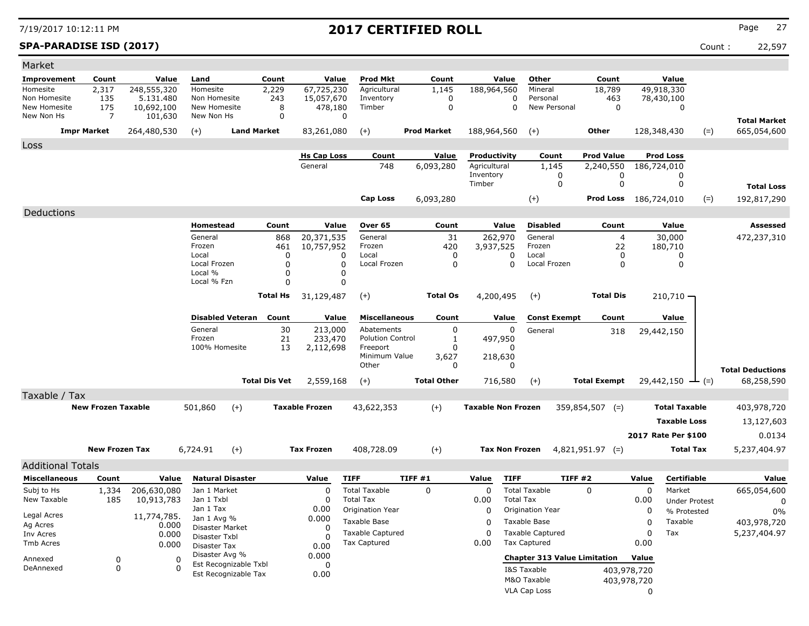**SPA-PARADISE ISD (2017)** Count : 22,597

| Market                       |                           |                         |                                |                         |                      |                               |                                      |                    |                  |                              |                          |                                     |             |                                 |       |                                    |
|------------------------------|---------------------------|-------------------------|--------------------------------|-------------------------|----------------------|-------------------------------|--------------------------------------|--------------------|------------------|------------------------------|--------------------------|-------------------------------------|-------------|---------------------------------|-------|------------------------------------|
| Improvement                  | Count                     | Value                   | Land                           |                         | Count                | Value                         | Prod Mkt                             |                    | Count            | Value                        | Other                    | Count                               |             | Value                           |       |                                    |
| Homesite                     | 2,317                     | 248,555,320             | Homesite                       |                         | 2,229                | 67,725,230                    | Agricultural                         |                    | 1,145            | 188,964,560                  | Mineral                  | 18,789                              |             | 49,918,330                      |       |                                    |
| Non Homesite<br>New Homesite | 135<br>175                | 5.131.480<br>10,692,100 | Non Homesite<br>New Homesite   |                         | 243<br>8             | 15,057,670<br>478,180         | Inventory<br>Timber                  |                    | 0<br>$\mathbf 0$ | 0<br>0                       | Personal<br>New Personal | 463<br>$\mathbf 0$                  |             | 78,430,100<br>$\mathbf 0$       |       |                                    |
| New Non Hs                   | 7                         | 101,630                 | New Non Hs                     |                         | $\mathbf 0$          |                               | $\mathbf 0$                          |                    |                  |                              |                          |                                     |             |                                 |       |                                    |
|                              | <b>Impr Market</b>        | 264,480,530             | $(+)$                          | <b>Land Market</b>      |                      | 83,261,080                    | $(+)$                                | <b>Prod Market</b> |                  | 188,964,560                  |                          | <b>Other</b>                        |             | 128,348,430                     | $(=)$ | <b>Total Market</b><br>665,054,600 |
|                              |                           |                         |                                |                         |                      |                               |                                      |                    |                  |                              | $(+)$                    |                                     |             |                                 |       |                                    |
| Loss                         |                           |                         |                                |                         |                      |                               |                                      |                    |                  |                              |                          |                                     |             |                                 |       |                                    |
|                              |                           |                         |                                |                         |                      | <b>Hs Cap Loss</b><br>General | Count<br>748                         |                    | Value            | Productivity<br>Agricultural | Count<br>1,145           | <b>Prod Value</b><br>2,240,550      |             | <b>Prod Loss</b><br>186,724,010 |       |                                    |
|                              |                           |                         |                                |                         |                      |                               |                                      | 6,093,280          |                  | Inventory                    | 0                        | 0                                   |             | 0                               |       |                                    |
|                              |                           |                         |                                |                         |                      |                               |                                      |                    |                  | Timber                       | $\mathbf 0$              | $\mathbf 0$                         |             | $\mathbf 0$                     |       | <b>Total Loss</b>                  |
|                              |                           |                         |                                |                         |                      |                               | <b>Cap Loss</b>                      | 6,093,280          |                  |                              | $^{(+)}$                 | Prod Loss 186,724,010               |             |                                 | $(=)$ | 192,817,290                        |
| Deductions                   |                           |                         |                                |                         |                      |                               |                                      |                    |                  |                              |                          |                                     |             |                                 |       |                                    |
|                              |                           |                         | Homestead                      |                         | Count                | Value                         | Over 65                              |                    | Count            | Value                        | <b>Disabled</b>          | Count                               |             | Value                           |       | <b>Assessed</b>                    |
|                              |                           |                         | General                        |                         | 868                  | 20,371,535                    | General                              |                    | 31               | 262,970                      | General                  | $\overline{4}$                      |             | 30,000                          |       | 472,237,310                        |
|                              |                           |                         | Frozen                         |                         | 461                  | 10,757,952                    | Frozen                               |                    | 420              | 3,937,525                    | Frozen                   | 22                                  |             | 180,710                         |       |                                    |
|                              |                           |                         | Local<br>Local Frozen          |                         | 0<br>$\Omega$        | 0                             | Local<br>$\mathbf 0$<br>Local Frozen |                    | 0<br>$\Omega$    | $\mathbf{0}$<br>$\mathbf{0}$ | Local<br>Local Frozen    | 0<br>$\mathbf{0}$                   |             | 0<br>$\Omega$                   |       |                                    |
|                              |                           |                         | Local %                        |                         | $\Omega$             |                               | $\mathbf 0$                          |                    |                  |                              |                          |                                     |             |                                 |       |                                    |
|                              |                           |                         | Local % Fzn                    |                         | $\Omega$             |                               | 0                                    |                    |                  |                              |                          |                                     |             |                                 |       |                                    |
|                              |                           |                         |                                |                         | <b>Total Hs</b>      | 31,129,487                    | $(+)$                                |                    | <b>Total Os</b>  | 4,200,495                    | $(+)$                    | <b>Total Dis</b>                    |             | $210,710 -$                     |       |                                    |
|                              |                           |                         |                                | <b>Disabled Veteran</b> | Count                | Value                         | <b>Miscellaneous</b>                 |                    | Count            | Value                        | <b>Const Exempt</b>      | Count                               |             | Value                           |       |                                    |
|                              |                           |                         | General                        |                         | 30                   | 213,000                       | Abatements                           |                    | $\mathbf 0$      | 0                            | General                  |                                     |             |                                 |       |                                    |
|                              |                           |                         | Frozen                         |                         | 21                   | 233,470                       | <b>Polution Control</b>              |                    | 1                | 497,950                      |                          | 318                                 |             | 29,442,150                      |       |                                    |
|                              |                           |                         | 100% Homesite                  |                         | 13                   | 2,112,698                     | Freeport                             |                    | $\mathbf 0$      | n                            |                          |                                     |             |                                 |       |                                    |
|                              |                           |                         |                                |                         |                      |                               | Minimum Value<br>Other               |                    | 3,627<br>0       | 218,630<br>$\mathbf{0}$      |                          |                                     |             |                                 |       |                                    |
|                              |                           |                         |                                |                         |                      |                               |                                      |                    |                  |                              |                          |                                     |             |                                 |       | <b>Total Deductions</b>            |
|                              |                           |                         |                                |                         | <b>Total Dis Vet</b> | 2,559,168                     | $(+)$                                | <b>Total Other</b> |                  | 716,580                      | $(+)$                    | <b>Total Exempt</b>                 |             | $29,442,150 \rightarrow$ (=)    |       | 68,258,590                         |
| Taxable / Tax                | <b>New Frozen Taxable</b> |                         |                                |                         |                      | <b>Taxable Frozen</b>         |                                      |                    |                  | <b>Taxable Non Frozen</b>    |                          |                                     |             | <b>Total Taxable</b>            |       |                                    |
|                              |                           |                         | 501,860                        | $(+)$                   |                      |                               | 43,622,353                           | $(+)$              |                  |                              |                          | $359,854,507$ (=)                   |             |                                 |       | 403,978,720                        |
|                              |                           |                         |                                |                         |                      |                               |                                      |                    |                  |                              |                          |                                     |             | <b>Taxable Loss</b>             |       | 13,127,603                         |
|                              |                           |                         |                                |                         |                      |                               |                                      |                    |                  |                              |                          |                                     |             | 2017 Rate Per \$100             |       | 0.0134                             |
|                              | <b>New Frozen Tax</b>     |                         | 6,724.91                       | $(+)$                   |                      | <b>Tax Frozen</b>             | 408,728.09                           | $(+)$              |                  | <b>Tax Non Frozen</b>        |                          | $4,821,951.97$ (=)                  |             | <b>Total Tax</b>                |       | 5,237,404.97                       |
| <b>Additional Totals</b>     |                           |                         |                                |                         |                      |                               |                                      |                    |                  |                              |                          |                                     |             |                                 |       |                                    |
| <b>Miscellaneous</b>         | Count                     | Value                   |                                | <b>Natural Disaster</b> |                      | Value                         | <b>TIFF</b>                          | TIFF #1            |                  | Value<br><b>TIFF</b>         |                          | TIFF #2                             | Value       | <b>Certifiable</b>              |       | Value                              |
| Subj to Hs                   | 1,334                     | 206,630,080             | Jan 1 Market                   |                         |                      | $\Omega$                      | <b>Total Taxable</b>                 | $\Omega$           |                  | $\Omega$                     | <b>Total Taxable</b>     | $\Omega$                            | $\Omega$    | Market                          |       | 665,054,600                        |
| New Taxable                  | 185                       | 10,913,783              | Jan 1 Txbl                     |                         |                      | 0                             | <b>Total Tax</b>                     |                    |                  | 0.00                         | <b>Total Tax</b>         |                                     | 0.00        | <b>Under Protest</b>            |       | 0                                  |
| Legal Acres                  |                           | 11,774,785.             | Jan 1 Tax                      |                         |                      | 0.00                          | Origination Year                     |                    |                  | 0                            | Origination Year         |                                     | 0           | % Protested                     |       | 0%                                 |
| Ag Acres                     |                           | 0.000                   | Jan 1 Avg %<br>Disaster Market |                         |                      | 0.000<br>$\Omega$             | Taxable Base                         |                    |                  | $\Omega$                     | Taxable Base             |                                     | 0           | Taxable                         |       | 403,978,720                        |
| Inv Acres                    |                           | 0.000                   | Disaster Txbl                  |                         |                      | $\Omega$                      | <b>Taxable Captured</b>              |                    |                  | 0                            | <b>Taxable Captured</b>  |                                     | $\Omega$    | Tax                             |       | 5,237,404.97                       |
| <b>Tmb Acres</b>             |                           | 0.000                   | Disaster Tax                   |                         |                      | 0.00                          | <b>Tax Captured</b>                  |                    |                  | 0.00                         | <b>Tax Captured</b>      |                                     | 0.00        |                                 |       |                                    |
| Annexed                      | 0                         | $\mathbf 0$             | Disaster Avg %                 | Est Recognizable Txbl   |                      | 0.000<br>$\Omega$             |                                      |                    |                  |                              |                          | <b>Chapter 313 Value Limitation</b> | Value       |                                 |       |                                    |
| DeAnnexed                    | $\mathbf 0$               | $\Omega$                |                                | Est Recognizable Tax    |                      | 0.00                          |                                      |                    |                  |                              | I&S Taxable              |                                     | 403,978,720 |                                 |       |                                    |
|                              |                           |                         |                                |                         |                      |                               |                                      |                    |                  |                              | M&O Taxable              |                                     | 403,978,720 |                                 |       |                                    |
|                              |                           |                         |                                |                         |                      |                               |                                      |                    |                  |                              | <b>VLA Cap Loss</b>      |                                     | $\Omega$    |                                 |       |                                    |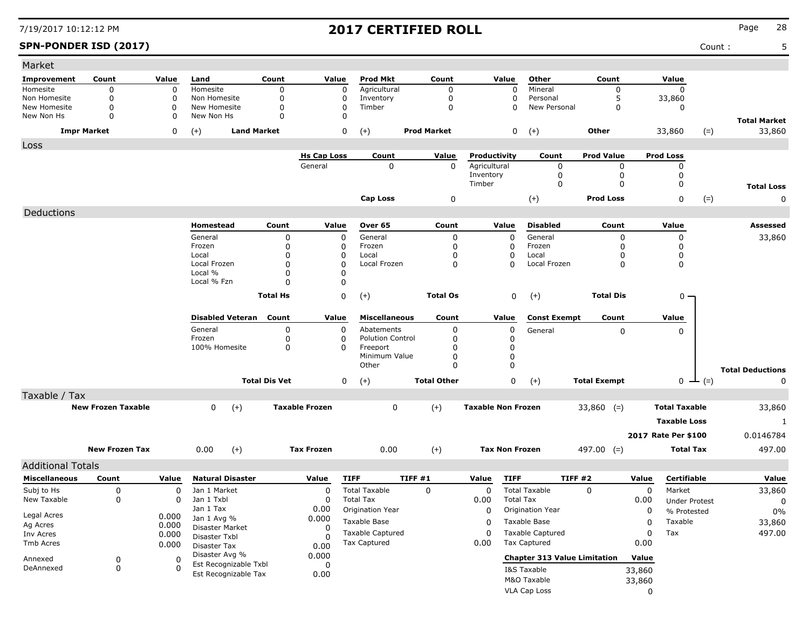### **SPN-PONDER ISD (2017)** Count : 5

| Market                   |                           |             |                                |                      |                       |                         |                    |                           |                                     |                     |                     |                      |                         |
|--------------------------|---------------------------|-------------|--------------------------------|----------------------|-----------------------|-------------------------|--------------------|---------------------------|-------------------------------------|---------------------|---------------------|----------------------|-------------------------|
| Improvement              | Count                     | Value       | Land                           | Count                | Value                 | <b>Prod Mkt</b>         | Count              | Value                     | Other                               | Count               |                     | Value                |                         |
| Homesite                 | 0                         | $\mathbf 0$ | Homesite                       | 0                    | $\mathbf 0$           | Agricultural            | $\Omega$           | 0                         | Mineral                             | 0                   |                     | $\mathbf 0$          |                         |
| Non Homesite             | 0                         | 0           | Non Homesite                   | 0                    | 0                     | Inventory               | 0                  | 0                         | Personal                            | 5                   |                     | 33,860               |                         |
| New Homesite             | $\mathbf 0$               | $\Omega$    | New Homesite                   | 0                    | 0                     | Timber                  | 0                  | 0                         | New Personal                        | 0                   |                     | 0                    |                         |
| New Non Hs               | $\mathbf 0$               | 0           | New Non Hs                     | 0                    | $\Omega$              |                         |                    |                           |                                     |                     |                     |                      | <b>Total Market</b>     |
|                          | <b>Impr Market</b>        | 0           | <b>Land Market</b><br>$(+)$    |                      | 0                     | $(+)$                   | <b>Prod Market</b> | 0                         | $(+)$                               | <b>Other</b>        |                     | 33,860<br>$(=)$      | 33,860                  |
| Loss                     |                           |             |                                |                      |                       |                         |                    |                           |                                     |                     |                     |                      |                         |
|                          |                           |             |                                |                      | <b>Hs Cap Loss</b>    | Count                   | <b>Value</b>       | Productivity              | Count                               | <b>Prod Value</b>   | <b>Prod Loss</b>    |                      |                         |
|                          |                           |             |                                |                      | General               | 0                       | $\mathbf 0$        | Agricultural              | 0                                   | 0                   |                     | 0                    |                         |
|                          |                           |             |                                |                      |                       |                         |                    | Inventory<br>Timber       | 0<br>0                              | 0<br>0              |                     | 0<br>0               |                         |
|                          |                           |             |                                |                      |                       |                         |                    |                           |                                     |                     |                     |                      | <b>Total Loss</b>       |
|                          |                           |             |                                |                      |                       | <b>Cap Loss</b>         | 0                  |                           | $(+)$                               | <b>Prod Loss</b>    |                     | $(=)$<br>0           | 0                       |
| Deductions               |                           |             |                                |                      |                       |                         |                    |                           |                                     |                     |                     |                      |                         |
|                          |                           |             | Homestead                      | Count                | Value                 | Over 65                 | Count              | Value                     | <b>Disabled</b>                     | Count               |                     | Value                | Assessed                |
|                          |                           |             | General                        | 0                    | 0                     | General                 | 0                  | 0                         | General                             | 0                   |                     | 0                    | 33,860                  |
|                          |                           |             | Frozen<br>Local                | 0<br>$\Omega$        | 0<br>0                | Frozen<br>Local         | 0<br>O             | 0<br>0                    | Frozen<br>Local                     | 0<br>0              |                     | 0<br>0               |                         |
|                          |                           |             | Local Frozen                   | $\Omega$             | $\Omega$              | Local Frozen            | 0                  | $\Omega$                  | Local Frozen                        | 0                   |                     | 0                    |                         |
|                          |                           |             | Local %                        | $\Omega$             | 0                     |                         |                    |                           |                                     |                     |                     |                      |                         |
|                          |                           |             | Local % Fzn                    | $\Omega$             | 0                     |                         |                    |                           |                                     |                     |                     |                      |                         |
|                          |                           |             |                                | <b>Total Hs</b>      | 0                     | $(+)$                   | <b>Total Os</b>    | 0                         | $(+)$                               | <b>Total Dis</b>    |                     | 0 -                  |                         |
|                          |                           |             |                                |                      |                       |                         |                    |                           |                                     |                     |                     |                      |                         |
|                          |                           |             | <b>Disabled Veteran</b> Count  |                      | Value                 | <b>Miscellaneous</b>    | Count              | Value                     | <b>Const Exempt</b>                 | Count               |                     | Value                |                         |
|                          |                           |             | General                        | 0                    | 0                     | Abatements              | 0                  | 0                         | General                             | 0                   |                     | 0                    |                         |
|                          |                           |             | Frozen                         | 0                    | 0                     | <b>Polution Control</b> | 0                  | 0                         |                                     |                     |                     |                      |                         |
|                          |                           |             | 100% Homesite                  | 0                    | 0                     | Freeport                | O                  | 0                         |                                     |                     |                     |                      |                         |
|                          |                           |             |                                |                      |                       | Minimum Value<br>Other  | 0<br>$\Omega$      | 0<br>0                    |                                     |                     |                     |                      |                         |
|                          |                           |             |                                |                      |                       |                         |                    |                           |                                     |                     |                     |                      | <b>Total Deductions</b> |
|                          |                           |             |                                | <b>Total Dis Vet</b> | 0                     | $(+)$                   | <b>Total Other</b> | 0                         | $(+)$                               | <b>Total Exempt</b> |                     | $0 \leftarrow (=)$   | 0                       |
| Taxable / Tax            |                           |             |                                |                      |                       |                         |                    |                           |                                     |                     |                     |                      |                         |
|                          | <b>New Frozen Taxable</b> |             | $(+)$<br>0                     |                      | <b>Taxable Frozen</b> | 0                       | $(+)$              | <b>Taxable Non Frozen</b> |                                     | $33,860$ (=)        |                     | <b>Total Taxable</b> | 33,860                  |
|                          |                           |             |                                |                      |                       |                         |                    |                           |                                     |                     |                     | <b>Taxable Loss</b>  | 1                       |
|                          |                           |             |                                |                      |                       |                         |                    |                           |                                     |                     | 2017 Rate Per \$100 |                      | 0.0146784               |
|                          | <b>New Frozen Tax</b>     |             | $(+)$<br>0.00                  |                      | <b>Tax Frozen</b>     | 0.00                    | $(+)$              | <b>Tax Non Frozen</b>     |                                     | $497.00$ (=)        |                     | <b>Total Tax</b>     | 497.00                  |
|                          |                           |             |                                |                      |                       |                         |                    |                           |                                     |                     |                     |                      |                         |
| <b>Additional Totals</b> |                           |             |                                |                      |                       |                         |                    |                           |                                     |                     |                     |                      |                         |
| <b>Miscellaneous</b>     | Count                     | Value       | <b>Natural Disaster</b>        |                      | Value                 | <b>TIFF</b>             | TIFF #1            | <b>TIFF</b><br>Value      |                                     | <b>TIFF #2</b>      | Value               | <b>Certifiable</b>   | Value                   |
| Subj to Hs               | 0                         | 0           | Jan 1 Market                   |                      | 0                     | <b>Total Taxable</b>    | 0                  | 0                         | <b>Total Taxable</b>                | 0                   | 0                   | Market               | 33,860                  |
| New Taxable              | 0                         | 0           | Jan 1 Txbl                     |                      | 0                     | <b>Total Tax</b>        |                    | 0.00                      | <b>Total Tax</b>                    |                     | 0.00                | <b>Under Protest</b> | 0                       |
| Legal Acres              |                           | 0.000       | Jan 1 Tax                      |                      | 0.00                  | Origination Year        |                    | 0                         | Origination Year                    |                     | 0                   | % Protested          | $0\%$                   |
| Ag Acres                 |                           | 0.000       | Jan 1 Avg %<br>Disaster Market |                      | 0.000<br>0            | Taxable Base            |                    | 0                         | Taxable Base                        |                     | 0                   | Taxable              | 33,860                  |
| Inv Acres                |                           | 0.000       | Disaster Txbl                  |                      | O                     | Taxable Captured        |                    | 0                         | <b>Taxable Captured</b>             |                     | 0                   | Tax                  | 497.00                  |
| Tmb Acres                |                           | 0.000       | <b>Disaster Tax</b>            |                      | 0.00                  | <b>Tax Captured</b>     |                    | 0.00                      | <b>Tax Captured</b>                 |                     | 0.00                |                      |                         |
| Annexed                  | 0                         | 0           | Disaster Avg %                 |                      | 0.000                 |                         |                    |                           | <b>Chapter 313 Value Limitation</b> |                     | Value               |                      |                         |
| DeAnnexed                | 0                         | 0           | Est Recognizable Txbl          |                      | 0                     |                         |                    |                           | I&S Taxable                         |                     | 33,860              |                      |                         |
|                          |                           |             | Est Recognizable Tax           |                      | 0.00                  |                         |                    |                           | M&O Taxable                         |                     | 33,860              |                      |                         |
|                          |                           |             |                                |                      |                       |                         |                    |                           | VLA Cap Loss                        |                     | $\mathbf 0$         |                      |                         |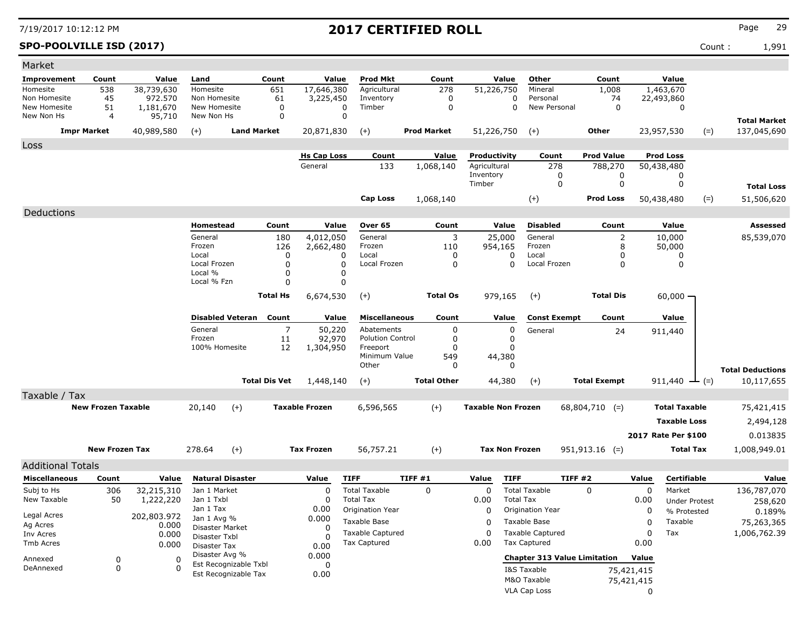### **SPO-POOLVILLE ISD (2017)** Count : 1,991

| Market                       |                           |                      |                                |                         |                      |                       |                                       |                    |                           |                                              |                     |             |                           |       |                         |
|------------------------------|---------------------------|----------------------|--------------------------------|-------------------------|----------------------|-----------------------|---------------------------------------|--------------------|---------------------------|----------------------------------------------|---------------------|-------------|---------------------------|-------|-------------------------|
| Improvement                  | Count                     | Value                | Land                           |                         | Count                | Value                 | Prod Mkt                              | Count              | Value                     | Other                                        | Count               |             | Value                     |       |                         |
| Homesite                     | 538                       | 38,739,630           | Homesite                       |                         | 651                  | 17,646,380            | Agricultural                          | 278                | 51,226,750                | Mineral                                      | 1,008               |             | 1,463,670                 |       |                         |
| Non Homesite<br>New Homesite | 45<br>51                  | 972,570<br>1,181,670 | Non Homesite<br>New Homesite   |                         | 61<br>0              | 3,225,450             | Inventory<br>Timber<br>0              | 0<br>0             |                           | Personal<br>0<br>New Personal<br>$\mathbf 0$ |                     | 74<br>0     | 22,493,860<br>0           |       |                         |
| New Non Hs                   | 4                         | 95,710               | New Non Hs                     |                         | 0                    |                       | 0                                     |                    |                           |                                              |                     |             |                           |       | <b>Total Market</b>     |
|                              | <b>Impr Market</b>        | 40,989,580           | $(+)$                          | <b>Land Market</b>      |                      | 20,871,830            | $(+)$                                 | <b>Prod Market</b> | 51,226,750                | $(+)$                                        | Other               |             | 23,957,530                | $(=)$ | 137,045,690             |
| Loss                         |                           |                      |                                |                         |                      |                       |                                       |                    |                           |                                              |                     |             |                           |       |                         |
|                              |                           |                      |                                |                         |                      | <b>Hs Cap Loss</b>    | Count                                 | Value              | Productivity              | Count                                        | Prod Value          |             | <b>Prod Loss</b>          |       |                         |
|                              |                           |                      |                                |                         |                      | General               | 133                                   | 1,068,140          | Agricultural              | 278                                          | 788,270             |             | 50,438,480                |       |                         |
|                              |                           |                      |                                |                         |                      |                       |                                       |                    | Inventory<br>Timber       | 0<br>0                                       |                     | 0<br>0      | 0<br>0                    |       | <b>Total Loss</b>       |
|                              |                           |                      |                                |                         |                      |                       | <b>Cap Loss</b>                       | 1,068,140          |                           | $(+)$                                        | <b>Prod Loss</b>    |             | 50,438,480                | $(=)$ | 51,506,620              |
| Deductions                   |                           |                      |                                |                         |                      |                       |                                       |                    |                           |                                              |                     |             |                           |       |                         |
|                              |                           |                      | Homestead                      |                         | Count                | Value                 | Over 65                               | Count              | Value                     | <b>Disabled</b>                              | Count               |             | Value                     |       | Assessed                |
|                              |                           |                      | General                        |                         | 180                  | 4,012,050             | General                               | 3                  | 25,000                    | General                                      |                     | 2           | 10,000                    |       | 85,539,070              |
|                              |                           |                      | Frozen                         |                         | 126                  | 2,662,480             | Frozen                                | 110                | 954,165                   | Frozen                                       |                     | 8           | 50,000                    |       |                         |
|                              |                           |                      | Local<br>Local Frozen          |                         | 0                    | 0                     | Local                                 | 0                  |                           | 0<br>Local<br>Local Frozen                   |                     | 0           | 0                         |       |                         |
|                              |                           |                      | Local %                        |                         | 0<br>0               | 0<br>0                | Local Frozen                          | 0                  |                           | 0                                            |                     | 0           | 0                         |       |                         |
|                              |                           |                      | Local % Fzn                    |                         | $\mathbf 0$          | 0                     |                                       |                    |                           |                                              |                     |             |                           |       |                         |
|                              |                           |                      |                                |                         | <b>Total Hs</b>      | 6,674,530             | $(+)$                                 | <b>Total Os</b>    | 979,165                   | $(+)$                                        | <b>Total Dis</b>    |             | $60,000 -$                |       |                         |
|                              |                           |                      |                                |                         |                      |                       |                                       |                    |                           |                                              |                     |             |                           |       |                         |
|                              |                           |                      |                                | <b>Disabled Veteran</b> | Count                | Value                 | <b>Miscellaneous</b>                  | Count              | Value                     | <b>Const Exempt</b>                          | Count               |             | Value                     |       |                         |
|                              |                           |                      | General<br>Frozen              |                         | 7<br>11              | 50,220<br>92,970      | Abatements<br><b>Polution Control</b> | 0<br>0             |                           | 0<br>General<br>0                            |                     | 24          | 911,440                   |       |                         |
|                              |                           |                      | 100% Homesite                  |                         | 12                   | 1,304,950             | Freeport                              | 0                  |                           | 0                                            |                     |             |                           |       |                         |
|                              |                           |                      |                                |                         |                      |                       | Minimum Value                         | 549                | 44,380                    |                                              |                     |             |                           |       |                         |
|                              |                           |                      |                                |                         |                      |                       | Other                                 | 0                  |                           | 0                                            |                     |             |                           |       | <b>Total Deductions</b> |
|                              |                           |                      |                                |                         | <b>Total Dis Vet</b> | 1,448,140             | $(+)$                                 | <b>Total Other</b> | 44,380                    | $(+)$                                        | <b>Total Exempt</b> |             | 911,440 $\rightarrow$ (=) |       | 10,117,655              |
| Taxable / Tax                |                           |                      |                                |                         |                      |                       |                                       |                    |                           |                                              |                     |             |                           |       |                         |
|                              | <b>New Frozen Taxable</b> |                      | 20,140                         | $(+)$                   |                      | <b>Taxable Frozen</b> | 6,596,565                             | $(+)$              | <b>Taxable Non Frozen</b> |                                              | $68,804,710$ (=)    |             | <b>Total Taxable</b>      |       | 75,421,415              |
|                              |                           |                      |                                |                         |                      |                       |                                       |                    |                           |                                              |                     |             | <b>Taxable Loss</b>       |       | 2,494,128               |
|                              |                           |                      |                                |                         |                      |                       |                                       |                    |                           |                                              |                     |             | 2017 Rate Per \$100       |       | 0.013835                |
|                              | <b>New Frozen Tax</b>     |                      | 278.64                         | $(+)$                   |                      | <b>Tax Frozen</b>     | 56,757.21                             | $(+)$              | <b>Tax Non Frozen</b>     |                                              | $951,913.16$ (=)    |             | <b>Total Tax</b>          |       | 1,008,949.01            |
| <b>Additional Totals</b>     |                           |                      |                                |                         |                      |                       |                                       |                    |                           |                                              |                     |             |                           |       |                         |
| <b>Miscellaneous</b>         | Count                     | Value                |                                | <b>Natural Disaster</b> |                      | Value                 | <b>TIFF</b>                           | <b>TIFF #1</b>     | Value                     | <b>TIFF</b>                                  | <b>TIFF #2</b>      | Value       | Certifiable               |       | Value                   |
| Subj to Hs                   | 306                       | 32,215,310           | Jan 1 Market                   |                         |                      | 0                     | <b>Total Taxable</b>                  | $\mathbf 0$        | $\mathbf 0$               | <b>Total Taxable</b>                         | $\Omega$            | 0           | Market                    |       | 136,787,070             |
| New Taxable                  | 50                        | 1,222,220            | Jan 1 Txbl                     |                         |                      | 0                     | <b>Total Tax</b>                      |                    | 0.00                      | <b>Total Tax</b>                             |                     | 0.00        | <b>Under Protest</b>      |       | 258,620                 |
| Legal Acres                  |                           | 202,803.972          | Jan 1 Tax                      |                         |                      | 0.00                  | Origination Year                      |                    | $\mathbf 0$               | <b>Origination Year</b>                      |                     | 0           | % Protested               |       | 0.189%                  |
| Ag Acres                     |                           | 0.000                | Jan 1 Avg %<br>Disaster Market |                         |                      | 0.000<br>0            | Taxable Base                          |                    | 0                         | Taxable Base                                 |                     | 0           | Taxable                   |       | 75,263,365              |
| Inv Acres                    |                           | 0.000                | Disaster Txbl                  |                         |                      | 0                     | <b>Taxable Captured</b>               |                    | $\Omega$                  | <b>Taxable Captured</b>                      |                     | $\mathbf 0$ | Tax                       |       | 1,006,762.39            |
| Tmb Acres                    |                           | 0.000                | Disaster Tax                   |                         |                      | 0.00                  | <b>Tax Captured</b>                   |                    | 0.00                      | <b>Tax Captured</b>                          |                     | 0.00        |                           |       |                         |
| Annexed                      | 0                         | 0                    | Disaster Avg %                 | Est Recognizable Txbl   |                      | 0.000<br>0            |                                       |                    |                           | <b>Chapter 313 Value Limitation</b>          |                     | Value       |                           |       |                         |
| DeAnnexed                    | 0                         | 0                    |                                | Est Recognizable Tax    |                      | 0.00                  |                                       |                    |                           | I&S Taxable                                  |                     | 75,421,415  |                           |       |                         |
|                              |                           |                      |                                |                         |                      |                       |                                       |                    |                           | M&O Taxable                                  |                     | 75,421,415  |                           |       |                         |
|                              |                           |                      |                                |                         |                      |                       |                                       |                    |                           | VLA Cap Loss                                 |                     | 0           |                           |       |                         |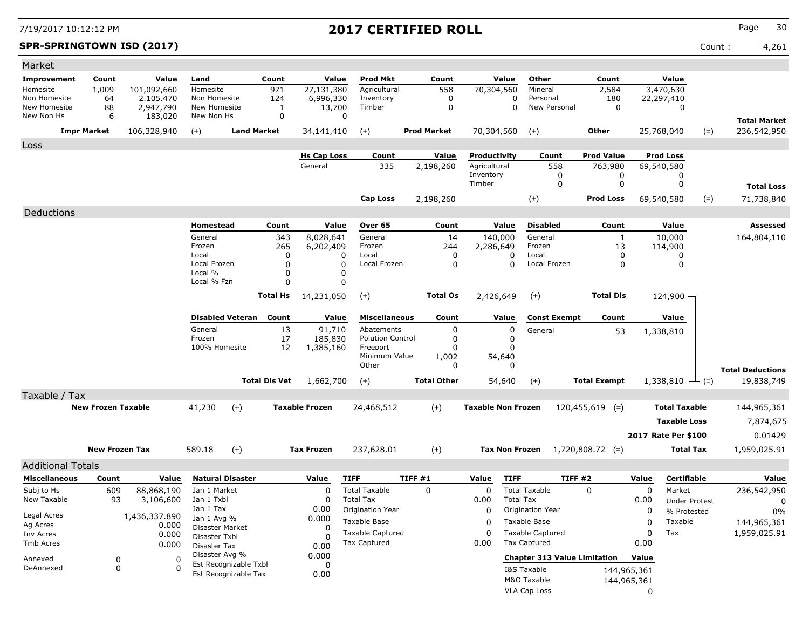### **SPR-SPRINGTOWN ISD (2017)** Count : 4,261

| Market                     |                           |                          |                                |                                               |                  |                         |                           |                    |                           |                       |                                     |                     |             |                         |                      |                                    |
|----------------------------|---------------------------|--------------------------|--------------------------------|-----------------------------------------------|------------------|-------------------------|---------------------------|--------------------|---------------------------|-----------------------|-------------------------------------|---------------------|-------------|-------------------------|----------------------|------------------------------------|
| Improvement                | Count                     | Value                    | Land                           |                                               | Count            | Value                   | <b>Prod Mkt</b>           | Count              |                           | Value                 | Other                               | Count               |             | Value                   |                      |                                    |
| Homesite<br>Non Homesite   | 1,009<br>64               | 101,092,660<br>2.105.470 | Homesite<br>Non Homesite       |                                               | 971<br>124       | 27,131,380<br>6,996,330 | Agricultural<br>Inventory | 558<br>0           | 70,304,560                | 0                     | Mineral<br>Personal                 | 2,584               | 180         | 3,470,630<br>22,297,410 |                      |                                    |
| New Homesite<br>New Non Hs | 88<br>6                   | 2,947,790<br>183,020     | New Homesite<br>New Non Hs     |                                               | 1<br>$\mathbf 0$ | 13,700                  | Timber<br>0               | 0                  |                           | 0                     | New Personal                        |                     | 0           | 0                       |                      |                                    |
|                            | <b>Impr Market</b>        | 106,328,940              | $(+)$                          | <b>Land Market</b>                            |                  | 34,141,410              | $(+)$                     | <b>Prod Market</b> | 70,304,560                |                       | $(+)$                               | Other               |             | 25,768,040              | $(=)$                | <b>Total Market</b><br>236,542,950 |
| Loss                       |                           |                          |                                |                                               |                  |                         |                           |                    |                           |                       |                                     |                     |             |                         |                      |                                    |
|                            |                           |                          |                                |                                               |                  | <b>Hs Cap Loss</b>      | Count                     | Value              | Productivity              |                       | Count                               | <b>Prod Value</b>   |             | <b>Prod Loss</b>        |                      |                                    |
|                            |                           |                          |                                |                                               |                  | General                 | 335                       | 2,198,260          | Agricultural              |                       | 558                                 | 763,980             |             | 69,540,580              |                      |                                    |
|                            |                           |                          |                                |                                               |                  |                         |                           |                    | Inventory<br>Timber       |                       | 0<br>0                              |                     | 0<br>0      | 0<br>0                  |                      |                                    |
|                            |                           |                          |                                |                                               |                  |                         | Cap Loss                  | 2,198,260          |                           |                       | $(+)$                               | <b>Prod Loss</b>    |             | 69,540,580              | $(=)$                | <b>Total Loss</b><br>71,738,840    |
| Deductions                 |                           |                          |                                |                                               |                  |                         |                           |                    |                           |                       |                                     |                     |             |                         |                      |                                    |
|                            |                           |                          | Homestead                      |                                               | Count            | Value                   | Over 65                   | Count              |                           | Value                 | <b>Disabled</b>                     |                     | Count       | Value                   |                      | Assessed                           |
|                            |                           |                          | General                        |                                               | 343              | 8,028,641               | General                   | 14                 | 140,000                   |                       | General                             |                     | -1          | 10,000                  |                      | 164,804,110                        |
|                            |                           |                          | Frozen                         |                                               | 265              | 6,202,409               | Frozen                    | 244                | 2,286,649                 |                       | Frozen                              |                     | 13          | 114,900                 |                      |                                    |
|                            |                           |                          | Local                          |                                               | 0                |                         | Local<br>0                | 0                  |                           | 0                     | Local                               |                     | 0           | 0                       |                      |                                    |
|                            |                           |                          | Local Frozen<br>Local %        |                                               | 0<br>0           |                         | 0<br>Local Frozen<br>0    | 0                  |                           | 0                     | Local Frozen                        |                     | 0           | 0                       |                      |                                    |
|                            |                           |                          | Local % Fzn                    |                                               | $\Omega$         |                         | 0                         |                    |                           |                       |                                     |                     |             |                         |                      |                                    |
|                            |                           |                          |                                |                                               | Total Hs         | 14,231,050              | $^{(+)}$                  | <b>Total Os</b>    | 2,426,649                 |                       | $(+)$                               | <b>Total Dis</b>    |             | $124,900 -$             |                      |                                    |
|                            |                           |                          |                                | <b>Disabled Veteran</b>                       | Count            | Value                   | <b>Miscellaneous</b>      | Count              |                           | Value                 | <b>Const Exempt</b>                 |                     | Count       | Value                   |                      |                                    |
|                            |                           |                          | General                        |                                               | 13               | 91,710                  | Abatements                | 0                  |                           | 0                     | General                             |                     | 53          | 1,338,810               |                      |                                    |
|                            |                           |                          | Frozen                         |                                               | 17               | 185,830                 | <b>Polution Control</b>   | 0                  |                           | 0                     |                                     |                     |             |                         |                      |                                    |
|                            |                           |                          | 100% Homesite                  |                                               | 12               | 1,385,160               | Freeport<br>Minimum Value | O<br>1,002         | 54,640                    | 0                     |                                     |                     |             |                         |                      |                                    |
|                            |                           |                          |                                |                                               |                  |                         | Other                     | $\Omega$           |                           | $\Omega$              |                                     |                     |             |                         |                      | <b>Total Deductions</b>            |
|                            |                           |                          |                                | <b>Total Dis Vet</b>                          |                  | 1,662,700               | $(+)$                     | <b>Total Other</b> | 54,640                    |                       | $(+)$                               | <b>Total Exempt</b> |             | 1,338,810               | $-(-)$               | 19,838,749                         |
| Taxable / Tax              |                           |                          |                                |                                               |                  |                         |                           |                    |                           |                       |                                     |                     |             |                         |                      |                                    |
|                            | <b>New Frozen Taxable</b> |                          | 41,230                         | $(+)$                                         |                  | <b>Taxable Frozen</b>   | 24,468,512                | $(+)$              | <b>Taxable Non Frozen</b> |                       |                                     | $120,455,619$ (=)   |             | <b>Total Taxable</b>    |                      | 144,965,361                        |
|                            |                           |                          |                                |                                               |                  |                         |                           |                    |                           |                       |                                     |                     |             | <b>Taxable Loss</b>     |                      | 7,874,675                          |
|                            |                           |                          |                                |                                               |                  |                         |                           |                    |                           |                       |                                     |                     |             | 2017 Rate Per \$100     |                      | 0.01429                            |
|                            | <b>New Frozen Tax</b>     |                          | 589.18                         | $(+)$                                         |                  | <b>Tax Frozen</b>       | 237,628.01                | $(+)$              |                           | <b>Tax Non Frozen</b> |                                     | $1,720,808.72$ (=)  |             |                         | Total Tax            | 1,959,025.91                       |
| <b>Additional Totals</b>   |                           |                          |                                |                                               |                  |                         |                           |                    |                           |                       |                                     |                     |             |                         |                      |                                    |
| <b>Miscellaneous</b>       | Count                     | Value                    |                                | <b>Natural Disaster</b>                       |                  | Value                   | <b>TIFF</b>               | TIFF #1            | Value                     | <b>TIFF</b>           |                                     | TIFF #2             | Value       | Certifiable             |                      | Value                              |
| Subj to Hs                 | 609                       | 88,868,190               | Jan 1 Market                   |                                               |                  | 0                       | <b>Total Taxable</b>      | 0                  | $\Omega$                  | <b>Total Taxable</b>  |                                     | 0                   |             | 0<br>Market             |                      | 236,542,950                        |
| New Taxable                | 93                        | 3,106,600                | Jan 1 Txbl                     |                                               |                  | 0                       | <b>Total Tax</b>          |                    | 0.00                      | <b>Total Tax</b>      |                                     |                     | 0.00        |                         | <b>Under Protest</b> | 0                                  |
| Legal Acres                |                           | 1,436,337.890            | Jan 1 Tax                      |                                               |                  | 0.00                    | Origination Year          |                    | 0                         |                       | Origination Year                    |                     |             | 0<br>% Protested        |                      | 0%                                 |
| Ag Acres                   |                           | 0.000                    | Jan 1 Avg %<br>Disaster Market |                                               |                  | 0.000<br>0              | Taxable Base              |                    | 0                         | Taxable Base          |                                     |                     |             | Taxable<br>0            |                      | 144,965,361                        |
| Inv Acres                  |                           | 0.000                    | Disaster Txbl                  |                                               |                  | 0                       | <b>Taxable Captured</b>   |                    | $\Omega$                  |                       | <b>Taxable Captured</b>             |                     |             | Tax<br>$\mathbf 0$      |                      | 1,959,025.91                       |
| Tmb Acres                  |                           | 0.000                    | Disaster Tax                   |                                               |                  | 0.00                    | Tax Captured              |                    | 0.00                      | <b>Tax Captured</b>   |                                     |                     | 0.00        |                         |                      |                                    |
| Annexed                    | 0                         | <sup>0</sup>             | Disaster Avg %                 |                                               |                  | 0.000                   |                           |                    |                           |                       | <b>Chapter 313 Value Limitation</b> |                     | Value       |                         |                      |                                    |
| DeAnnexed                  | 0                         | 0                        |                                | Est Recognizable Txbl<br>Est Recognizable Tax |                  | 0                       |                           |                    |                           | I&S Taxable           |                                     |                     | 144,965,361 |                         |                      |                                    |
|                            |                           |                          |                                |                                               |                  | 0.00                    |                           |                    |                           | M&O Taxable           |                                     |                     | 144,965,361 |                         |                      |                                    |
|                            |                           |                          |                                |                                               |                  |                         |                           |                    |                           | VLA Cap Loss          |                                     |                     |             | 0                       |                      |                                    |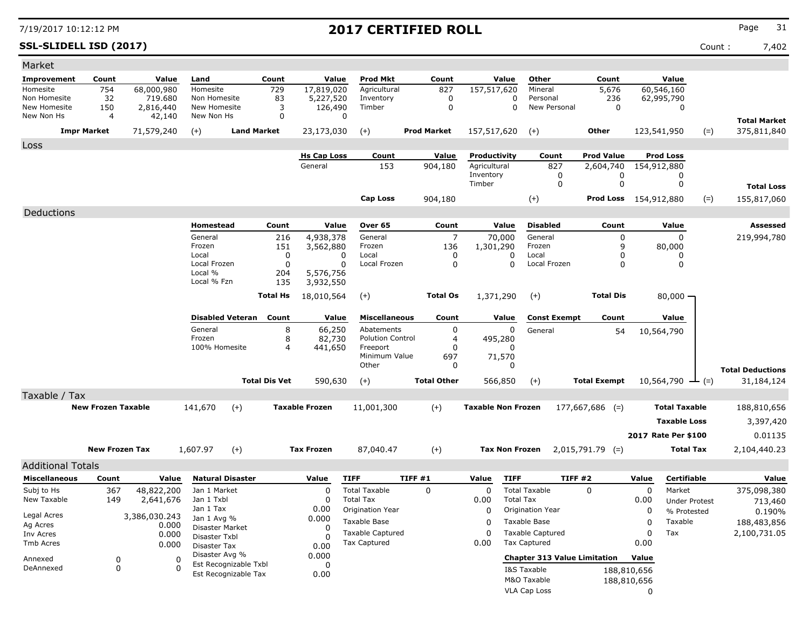### **SSL-SLIDELL ISD (2017)** Count : 7,402

| Market                                   |                           |                                    |                                          |                         |                 |                                    |                                         |                    |                           |                                         |                     |                              |                  |                               |       |                         |
|------------------------------------------|---------------------------|------------------------------------|------------------------------------------|-------------------------|-----------------|------------------------------------|-----------------------------------------|--------------------|---------------------------|-----------------------------------------|---------------------|------------------------------|------------------|-------------------------------|-------|-------------------------|
| <b>Improvement</b>                       | Count                     | Value                              | Land                                     |                         | Count           | Value                              | Prod Mkt                                | Count              |                           | Value<br>Other                          |                     | Count                        |                  | Value                         |       |                         |
| Homesite<br>Non Homesite<br>New Homesite | 754<br>32<br>150          | 68,000,980<br>719,680<br>2,816,440 | Homesite<br>Non Homesite<br>New Homesite |                         | 729<br>83<br>3  | 17,819,020<br>5,227,520<br>126,490 | Agricultural<br>Inventory<br>Timber     | 827<br>0<br>0      | 157,517,620               | Mineral<br>Personal<br>0<br>0           | New Personal        | 5,676<br>236<br>0            |                  | 60,546,160<br>62,995,790<br>0 |       |                         |
| New Non Hs                               | $\overline{4}$            | 42,140                             | New Non Hs                               |                         | 0               |                                    | $\Omega$                                |                    |                           |                                         |                     |                              |                  |                               |       | <b>Total Market</b>     |
|                                          | <b>Impr Market</b>        | 71,579,240                         | $(+)$                                    | <b>Land Market</b>      |                 | 23,173,030                         | $(+)$                                   | <b>Prod Market</b> | 157,517,620               | $(+)$                                   |                     | Other                        | 123,541,950      |                               | $(=)$ | 375,811,840             |
| Loss                                     |                           |                                    |                                          |                         |                 |                                    |                                         |                    |                           |                                         |                     |                              |                  |                               |       |                         |
|                                          |                           |                                    |                                          |                         |                 | <b>Hs Cap Loss</b>                 | Count                                   | Value              | Productivity              |                                         | Count               | <b>Prod Value</b>            |                  | <b>Prod Loss</b>              |       |                         |
|                                          |                           |                                    |                                          |                         |                 | General                            | 153                                     | 904,180            | Agricultural<br>Inventory |                                         | 827<br>0            | 2,604,740<br>0               | 154,912,880      | 0                             |       |                         |
|                                          |                           |                                    |                                          |                         |                 |                                    |                                         |                    | Timber                    |                                         | 0                   | 0                            |                  | 0                             |       | <b>Total Loss</b>       |
|                                          |                           |                                    |                                          |                         |                 |                                    | <b>Cap Loss</b>                         | 904,180            |                           | $(+)$                                   |                     | <b>Prod Loss</b> 154,912,880 |                  |                               | $(=)$ | 155,817,060             |
| Deductions                               |                           |                                    |                                          |                         |                 |                                    |                                         |                    |                           |                                         |                     |                              |                  |                               |       |                         |
|                                          |                           |                                    | Homestead                                |                         | Count           | Value                              | Over 65                                 | Count              |                           | Value<br><b>Disabled</b>                |                     | Count                        |                  | Value                         |       | Assessed                |
|                                          |                           |                                    | General                                  |                         | 216             | 4,938,378                          | General                                 | 7                  | 70,000                    | General                                 |                     | 0                            |                  | 0                             |       | 219,994,780             |
|                                          |                           |                                    | Frozen<br>Local                          |                         | 151<br>0        | 3,562,880<br>0                     | Frozen<br>Local                         | 136<br>0           | 1,301,290                 | Frozen<br>Local<br>0                    |                     | 9<br>O                       |                  | 80,000<br>0                   |       |                         |
|                                          |                           |                                    | Local Frozen                             |                         | 0               | $\Omega$                           | Local Frozen                            | 0                  |                           | $\Omega$                                | Local Frozen        | $\Omega$                     |                  | 0                             |       |                         |
|                                          |                           |                                    | Local %                                  |                         | 204             | 5,576,756                          |                                         |                    |                           |                                         |                     |                              |                  |                               |       |                         |
|                                          |                           |                                    | Local % Fzn                              |                         | 135             | 3,932,550                          |                                         |                    |                           |                                         |                     |                              |                  |                               |       |                         |
|                                          |                           |                                    |                                          |                         | <b>Total Hs</b> | 18,010,564                         | $(+)$                                   | <b>Total Os</b>    | 1,371,290                 | $(+)$                                   |                     | <b>Total Dis</b>             |                  | $80,000 -$                    |       |                         |
|                                          |                           |                                    |                                          | <b>Disabled Veteran</b> | Count           | Value                              | <b>Miscellaneous</b>                    | Count              |                           | Value                                   | <b>Const Exempt</b> | Count                        |                  | Value                         |       |                         |
|                                          |                           |                                    | General                                  |                         | 8               | 66,250                             | Abatements                              | 0                  |                           | 0<br>General                            |                     | 54                           |                  | 10,564,790                    |       |                         |
|                                          |                           |                                    | Frozen<br>100% Homesite                  |                         | 8<br>4          | 82,730                             | <b>Polution Control</b>                 | 4                  | 495,280                   | <sup>0</sup>                            |                     |                              |                  |                               |       |                         |
|                                          |                           |                                    |                                          |                         |                 | 441,650                            | Freeport<br>Minimum Value               | 0<br>697           | 71,570                    |                                         |                     |                              |                  |                               |       |                         |
|                                          |                           |                                    |                                          |                         |                 |                                    | Other                                   | 0                  |                           | 0                                       |                     |                              |                  |                               |       | <b>Total Deductions</b> |
|                                          |                           |                                    |                                          | <b>Total Dis Vet</b>    |                 | 590,630                            | $(+)$                                   | <b>Total Other</b> | 566,850                   | $(+)$                                   |                     | <b>Total Exempt</b>          |                  | 10,564,790                    | $(=)$ | 31,184,124              |
| Taxable / Tax                            |                           |                                    |                                          |                         |                 |                                    |                                         |                    |                           |                                         |                     |                              |                  |                               |       |                         |
|                                          | <b>New Frozen Taxable</b> |                                    | 141,670                                  | $(+)$                   |                 | <b>Taxable Frozen</b>              | 11,001,300                              | $(+)$              | <b>Taxable Non Frozen</b> |                                         |                     | $177,667,686$ (=)            |                  | <b>Total Taxable</b>          |       | 188,810,656             |
|                                          |                           |                                    |                                          |                         |                 |                                    |                                         |                    |                           |                                         |                     |                              |                  | <b>Taxable Loss</b>           |       | 3,397,420               |
|                                          |                           |                                    |                                          |                         |                 |                                    |                                         |                    |                           |                                         |                     |                              |                  | 2017 Rate Per \$100           |       | 0.01135                 |
|                                          | <b>New Frozen Tax</b>     |                                    | 1,607.97                                 | $(+)$                   |                 | <b>Tax Frozen</b>                  | 87,040.47                               | $(+)$              |                           | <b>Tax Non Frozen</b>                   |                     | $2,015,791.79$ (=)           |                  | Total Tax                     |       | 2,104,440.23            |
| <b>Additional Totals</b>                 |                           |                                    |                                          |                         |                 |                                    |                                         |                    |                           |                                         |                     |                              |                  |                               |       |                         |
| <b>Miscellaneous</b>                     | Count                     | Value                              |                                          | <b>Natural Disaster</b> |                 | Value                              | <b>TIFF</b>                             | TIFF #1            | Value                     | <b>TIFF</b>                             | TIFF #2             |                              | Value            | Certifiable                   |       | Value                   |
| Subj to Hs                               | 367                       | 48,822,200                         | Jan 1 Market                             |                         |                 | 0                                  | <b>Total Taxable</b>                    | 0                  | 0                         | <b>Total Taxable</b>                    |                     | $\Omega$                     | 0                | Market                        |       | 375,098,380             |
| New Taxable                              | 149                       | 2,641,676                          | Jan 1 Txbl<br>Jan 1 Tax                  |                         |                 | 0<br>0.00                          | <b>Total Tax</b>                        |                    | 0.00                      | <b>Total Tax</b>                        |                     |                              | 0.00             | <b>Under Protest</b>          |       | 713,460                 |
| Legal Acres                              |                           | 3,386,030.243                      | Jan 1 Avg %                              |                         |                 | 0.000                              | Origination Year<br>Taxable Base        |                    | 0                         | Origination Year                        |                     |                              | 0                | % Protested                   |       | 0.190%                  |
| Ag Acres                                 |                           | 0.000                              | Disaster Market                          |                         |                 | 0                                  |                                         |                    | 0                         | Taxable Base                            |                     |                              | 0                | Taxable                       |       | 188,483,856             |
| Inv Acres<br>Tmb Acres                   |                           | 0.000<br>0.000                     | Disaster Txbl                            |                         |                 | 0                                  | <b>Taxable Captured</b><br>Tax Captured |                    | 0<br>0.00                 | <b>Taxable Captured</b><br>Tax Captured |                     |                              | 0<br>0.00        | Tax                           |       | 2,100,731.05            |
|                                          |                           |                                    | Disaster Tax<br>Disaster Avg %           |                         |                 | 0.00<br>0.000                      |                                         |                    |                           |                                         |                     |                              |                  |                               |       |                         |
| Annexed<br>DeAnnexed                     | 0<br>0                    | 0<br>$\Omega$                      |                                          | Est Recognizable Txbl   |                 | 0                                  |                                         |                    |                           | <b>Chapter 313 Value Limitation</b>     |                     |                              | Value            |                               |       |                         |
|                                          |                           |                                    |                                          | Est Recognizable Tax    |                 | 0.00                               |                                         |                    |                           | I&S Taxable<br>M&O Taxable              |                     |                              | 188,810,656      |                               |       |                         |
|                                          |                           |                                    |                                          |                         |                 |                                    |                                         |                    |                           | VLA Cap Loss                            |                     |                              | 188,810,656<br>0 |                               |       |                         |
|                                          |                           |                                    |                                          |                         |                 |                                    |                                         |                    |                           |                                         |                     |                              |                  |                               |       |                         |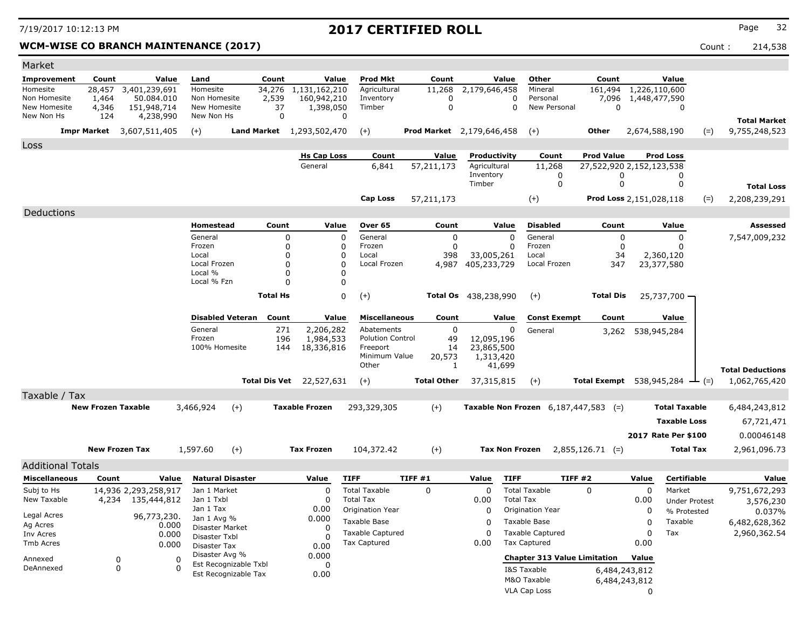### WCM-WISE CO BRANCH MAINTENANCE (2017) **Count : 214,538** Count : 214,538

| Market                                                 |                                 |                                                         |                |                                                        |                                               |                                   |                                           |                                                                             |                                           |                                       |                       |                                     |                                                   |                                |                        |                         |
|--------------------------------------------------------|---------------------------------|---------------------------------------------------------|----------------|--------------------------------------------------------|-----------------------------------------------|-----------------------------------|-------------------------------------------|-----------------------------------------------------------------------------|-------------------------------------------|---------------------------------------|-----------------------|-------------------------------------|---------------------------------------------------|--------------------------------|------------------------|-------------------------|
| Improvement                                            | Count                           |                                                         | Value          | Land                                                   |                                               | Count                             | Value                                     | <b>Prod Mkt</b>                                                             | Count                                     |                                       | Value                 | Other                               | Count                                             |                                | Value                  |                         |
| Homesite<br>Non Homesite<br>New Homesite<br>New Non Hs | 28,457<br>1,464<br>4,346<br>124 | 3,401,239,691<br>50.084.010<br>151,948,714<br>4,238,990 |                | Homesite<br>Non Homesite<br>New Homesite<br>New Non Hs |                                               | 34,276<br>2,539<br>37<br>$\Omega$ | 1,131,162,210<br>160,942,210<br>1,398,050 | Agricultural<br>Inventory<br>Timber<br>$\Omega$                             | 11,268<br>$\mathbf 0$<br>$\boldsymbol{0}$ | 2,179,646,458                         | $\Omega$<br>$\Omega$  | Mineral<br>Personal<br>New Personal | 161,494<br>7,096<br>$\Omega$                      | 1,226,110,600<br>1,448,477,590 | $\Omega$               | <b>Total Market</b>     |
|                                                        |                                 | <b>Impr Market</b> 3,607,511,405                        |                | $(+)$                                                  |                                               |                                   | Land Market 1,293,502,470                 | $(+)$                                                                       | Prod Market 2,179,646,458                 |                                       |                       | $(+)$                               | Other                                             | 2,674,588,190                  | $(=)$                  | 9,755,248,523           |
| Loss                                                   |                                 |                                                         |                |                                                        |                                               |                                   |                                           |                                                                             |                                           |                                       |                       |                                     |                                                   |                                |                        |                         |
|                                                        |                                 |                                                         |                |                                                        |                                               |                                   | <b>Hs Cap Loss</b>                        | Count                                                                       | Value                                     | Productivity                          |                       | Count                               | <b>Prod Value</b>                                 |                                | <b>Prod Loss</b>       |                         |
|                                                        |                                 |                                                         |                |                                                        |                                               |                                   | General                                   | 6,841                                                                       | 57,211,173                                | Agricultural<br>Inventory             |                       | 11,268<br>0                         | 27,522,920 2,152,123,538<br>0                     |                                | 0                      |                         |
|                                                        |                                 |                                                         |                |                                                        |                                               |                                   |                                           |                                                                             |                                           | Timber                                |                       | $\mathbf 0$                         | $\mathbf 0$                                       |                                | 0                      | <b>Total Loss</b>       |
|                                                        |                                 |                                                         |                |                                                        |                                               |                                   |                                           | <b>Cap Loss</b>                                                             | 57,211,173                                |                                       |                       | $(+)$                               |                                                   | Prod Loss 2,151,028,118        | $(=)$                  | 2,208,239,291           |
| Deductions                                             |                                 |                                                         |                |                                                        |                                               |                                   |                                           |                                                                             |                                           |                                       |                       |                                     |                                                   |                                |                        |                         |
|                                                        |                                 |                                                         |                | <b>Homestead</b>                                       |                                               | Count                             | Value                                     | Over <sub>65</sub>                                                          | Count                                     |                                       | Value                 | <b>Disabled</b>                     | Count                                             |                                | Value                  | <b>Assessed</b>         |
|                                                        |                                 |                                                         |                | General                                                |                                               | 0                                 |                                           | $\Omega$<br>General                                                         | $\mathbf 0$                               |                                       | $\mathbf 0$           | General                             | 0                                                 |                                | $\mathbf 0$            | 7,547,009,232           |
|                                                        |                                 |                                                         |                | Frozen<br>Local                                        |                                               | $\mathbf 0$<br>$\Omega$           |                                           | $\mathbf{0}$<br>Frozen<br>$\mathbf 0$<br>Local                              | $\mathbf 0$<br>398                        | 33,005,261                            | 0                     | Frozen<br>Local                     | 0<br>34                                           | 2,360,120                      | 0                      |                         |
|                                                        |                                 |                                                         |                | Local Frozen                                           |                                               | $\Omega$                          |                                           | $\Omega$<br>Local Frozen                                                    | 4,987                                     | 405,233,729                           |                       | Local Frozen                        | 347                                               | 23,377,580                     |                        |                         |
|                                                        |                                 |                                                         |                | Local %<br>Local % Fzn                                 |                                               | $\Omega$<br>$\Omega$              |                                           | $\mathbf 0$<br>$\Omega$                                                     |                                           |                                       |                       |                                     |                                                   |                                |                        |                         |
|                                                        |                                 |                                                         |                |                                                        |                                               | <b>Total Hs</b>                   |                                           | $\mathbf 0$<br>$(+)$                                                        |                                           | <b>Total Os</b> 438,238,990           |                       | $(+)$                               | <b>Total Dis</b>                                  |                                | $25,737,700 -$         |                         |
|                                                        |                                 |                                                         |                |                                                        |                                               |                                   |                                           |                                                                             |                                           |                                       |                       |                                     |                                                   |                                |                        |                         |
|                                                        |                                 |                                                         |                |                                                        | <b>Disabled Veteran</b>                       | Count                             | Value                                     | <b>Miscellaneous</b>                                                        | Count                                     |                                       | Value                 | <b>Const Exempt</b>                 | Count                                             |                                | Value                  |                         |
|                                                        |                                 |                                                         |                | General<br>Frozen<br>100% Homesite                     |                                               | 271<br>196<br>144                 | 2,206,282<br>1,984,533<br>18,336,816      | Abatements<br><b>Polution Control</b><br>Freeport<br>Minimum Value<br>Other | $\mathbf{0}$<br>49<br>14<br>20,573<br>1   | 12,095,196<br>23,865,500<br>1,313,420 | 0<br>41,699           | General                             |                                                   | 3,262 538,945,284              |                        | <b>Total Deductions</b> |
|                                                        |                                 |                                                         |                |                                                        |                                               |                                   | <b>Total Dis Vet</b> 22,527,631           | $(+)$                                                                       | <b>Total Other</b>                        | 37,315,815                            |                       | $(+)$                               | <b>Total Exempt</b> 538,945,284 $\rightarrow$ (=) |                                |                        | 1,062,765,420           |
| Taxable / Tax                                          |                                 |                                                         |                |                                                        |                                               |                                   |                                           |                                                                             |                                           |                                       |                       |                                     |                                                   |                                |                        |                         |
|                                                        | <b>New Frozen Taxable</b>       |                                                         |                | 3,466,924                                              | $(+)$                                         |                                   | <b>Taxable Frozen</b>                     | 293,329,305                                                                 | $(+)$                                     |                                       |                       |                                     | <b>Taxable Non Frozen</b> $6,187,447,583$ (=)     |                                | <b>Total Taxable</b>   | 6,484,243,812           |
|                                                        |                                 |                                                         |                |                                                        |                                               |                                   |                                           |                                                                             |                                           |                                       |                       |                                     |                                                   |                                | <b>Taxable Loss</b>    | 67,721,471              |
|                                                        |                                 |                                                         |                |                                                        |                                               |                                   |                                           |                                                                             |                                           |                                       |                       |                                     |                                                   |                                | 2017 Rate Per \$100    | 0.00046148              |
|                                                        |                                 | <b>New Frozen Tax</b>                                   |                | 1,597.60                                               | $(+)$                                         |                                   | <b>Tax Frozen</b>                         | 104,372.42                                                                  | $(+)$                                     |                                       | <b>Tax Non Frozen</b> |                                     | $2,855,126.71$ (=)                                |                                | <b>Total Tax</b>       | 2,961,096.73            |
| <b>Additional Totals</b>                               |                                 |                                                         |                |                                                        |                                               |                                   |                                           |                                                                             |                                           |                                       |                       |                                     |                                                   |                                |                        |                         |
| <b>Miscellaneous</b>                                   | Count                           |                                                         | Value          | <b>Natural Disaster</b>                                |                                               |                                   | Value                                     | <b>TIFF</b>                                                                 | TIFF#1                                    | Value                                 | <b>TIFF</b>           |                                     | <b>TIFF #2</b>                                    | Value                          | <b>Certifiable</b>     | Value                   |
| Subj to Hs                                             |                                 | 14,936 2,293,258,917                                    |                | Jan 1 Market                                           |                                               |                                   | $\Omega$                                  | <b>Total Taxable</b>                                                        | $\Omega$                                  | $\Omega$                              |                       | <b>Total Taxable</b>                | $\Omega$                                          | $\Omega$                       | Market                 | 9,751,672,293           |
| New Taxable                                            | 4,234                           | 135,444,812                                             |                | Jan 1 Txbl<br>Jan 1 Tax                                |                                               |                                   | 0<br>0.00                                 | <b>Total Tax</b><br>Origination Year                                        |                                           | 0.00<br>$\Omega$                      | <b>Total Tax</b>      | Origination Year                    |                                                   | 0.00<br>0                      | <b>Under Protest</b>   | 3,576,230               |
| Legal Acres                                            |                                 | 96,773,230.                                             |                | Jan 1 Avg %                                            |                                               |                                   | 0.000                                     | Taxable Base                                                                |                                           | $\Omega$                              |                       | Taxable Base                        |                                                   | $\mathbf 0$                    | % Protested<br>Taxable | 0.037%<br>6,482,628,362 |
| Ag Acres<br>Inv Acres                                  |                                 |                                                         | 0.000<br>0.000 | Disaster Market                                        |                                               |                                   | 0                                         | Taxable Captured                                                            |                                           | $\Omega$                              |                       | <b>Taxable Captured</b>             |                                                   | $\mathbf 0$                    | Tax                    | 2,960,362.54            |
| Tmb Acres                                              |                                 |                                                         | 0.000          | Disaster Txbl<br>Disaster Tax                          |                                               |                                   | $\Omega$<br>0.00                          | <b>Tax Captured</b>                                                         |                                           | 0.00                                  |                       | <b>Tax Captured</b>                 |                                                   | 0.00                           |                        |                         |
| Annexed                                                |                                 | $\mathbf 0$                                             | $\Omega$       | Disaster Avg %                                         |                                               |                                   | 0.000                                     |                                                                             |                                           |                                       |                       | <b>Chapter 313 Value Limitation</b> |                                                   | Value                          |                        |                         |
| DeAnnexed                                              |                                 | $\Omega$                                                | $\Omega$       |                                                        | Est Recognizable Txbl<br>Est Recognizable Tax |                                   | $\Omega$<br>0.00                          |                                                                             |                                           |                                       |                       | I&S Taxable                         |                                                   | 6,484,243,812                  |                        |                         |
|                                                        |                                 |                                                         |                |                                                        |                                               |                                   |                                           |                                                                             |                                           |                                       |                       | M&O Taxable                         |                                                   | 6,484,243,812                  |                        |                         |

VLA Cap Loss 0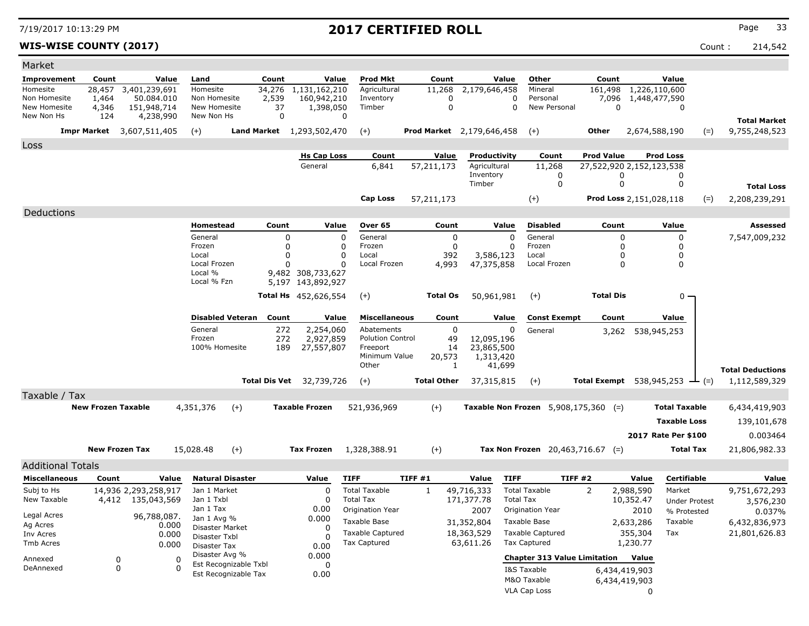**WIS-WISE COUNTY (2017)** Count : 214,542

| Market                     |                           |                                  |                                |                                               |                      |                                  |                                               |              |                    |                                  |                                     |                            |                                                   |                                |                      |       |                         |
|----------------------------|---------------------------|----------------------------------|--------------------------------|-----------------------------------------------|----------------------|----------------------------------|-----------------------------------------------|--------------|--------------------|----------------------------------|-------------------------------------|----------------------------|---------------------------------------------------|--------------------------------|----------------------|-------|-------------------------|
| <b>Improvement</b>         | Count                     | Value                            | Land                           |                                               | Count                | Value                            | Prod Mkt                                      |              | Count              | Value                            | Other                               |                            | Count                                             |                                | Value                |       |                         |
| Homesite                   | 28,457                    | 3,401,239,691                    | Homesite                       |                                               | 34,276               | 1,131,162,210                    | Agricultural                                  |              | 11,268             | 2,179,646,458                    | Mineral                             |                            | 161,498                                           |                                | 1,226,110,600        |       |                         |
| Non Homesite               | 1,464                     | 50.084.010                       | Non Homesite                   |                                               | 2,539                | 160,942,210                      | Inventory                                     |              | 0                  |                                  | $\Omega$<br>Personal                |                            | 7,096                                             |                                | 1,448,477,590        |       |                         |
| New Homesite<br>New Non Hs | 4,346<br>124              | 151,948,714                      | New Homesite<br>New Non Hs     |                                               | 37<br>0              | 1,398,050                        | Timber<br>0                                   |              | $\Omega$           |                                  | $\Omega$                            | New Personal               |                                                   | $\Omega$                       | $\Omega$             |       |                         |
|                            |                           | 4,238,990                        |                                |                                               |                      |                                  |                                               |              |                    |                                  |                                     |                            |                                                   |                                |                      |       | <b>Total Market</b>     |
|                            |                           | <b>Impr Market</b> 3,607,511,405 | $(+)$                          |                                               |                      | <b>Land Market</b> 1,293,502,470 | $(+)$                                         |              |                    | <b>Prod Market</b> 2,179,646,458 | $(+)$                               |                            | <b>Other</b>                                      |                                | 2,674,588,190        | $(=)$ | 9,755,248,523           |
| Loss                       |                           |                                  |                                |                                               |                      |                                  |                                               |              |                    |                                  |                                     |                            |                                                   |                                |                      |       |                         |
|                            |                           |                                  |                                |                                               |                      | <b>Hs Cap Loss</b>               | Count                                         |              | Value              | Productivity                     |                                     | Count                      | <b>Prod Value</b>                                 |                                | <b>Prod Loss</b>     |       |                         |
|                            |                           |                                  |                                |                                               |                      | General                          | 6.841                                         | 57,211,173   |                    | Agricultural                     | 11,268                              |                            | 27,522,920 2,152,123,538                          |                                |                      |       |                         |
|                            |                           |                                  |                                |                                               |                      |                                  |                                               |              |                    | Inventory<br>Timber              |                                     | $\mathbf 0$<br>$\mathbf 0$ |                                                   | 0<br>$\mathbf 0$               | 0<br>0               |       |                         |
|                            |                           |                                  |                                |                                               |                      |                                  |                                               |              |                    |                                  |                                     |                            |                                                   |                                |                      |       | <b>Total Loss</b>       |
|                            |                           |                                  |                                |                                               |                      |                                  | <b>Cap Loss</b>                               | 57,211,173   |                    |                                  | $(+)$                               |                            |                                                   | <b>Prod Loss 2,151,028,118</b> |                      | $(=)$ | 2,208,239,291           |
| Deductions                 |                           |                                  |                                |                                               |                      |                                  |                                               |              |                    |                                  |                                     |                            |                                                   |                                |                      |       |                         |
|                            |                           |                                  | Homestead                      |                                               | Count                | Value                            | Over 65                                       |              | Count              | Value                            | <b>Disabled</b>                     |                            | Count                                             |                                | Value                |       | <b>Assessed</b>         |
|                            |                           |                                  | General                        |                                               | 0                    |                                  | $\mathbf 0$<br>General                        |              | $\mathbf 0$        |                                  | $\mathbf 0$<br>General              |                            |                                                   | 0                              | 0                    |       | 7,547,009,232           |
|                            |                           |                                  | Frozen                         |                                               | $\mathbf 0$          |                                  | Frozen<br>0                                   |              | $\mathbf 0$        |                                  | Frozen<br>$\Omega$                  |                            |                                                   | 0                              | 0                    |       |                         |
|                            |                           |                                  | Local<br>Local Frozen          |                                               | $\Omega$<br>$\Omega$ |                                  | $\Omega$<br>Local<br>Local Frozen<br>$\Omega$ |              | 392<br>4,993       | 3,586,123<br>47,375,858          | Local<br>Local Frozen               |                            |                                                   | 0<br>$\Omega$                  | $\mathbf 0$<br>0     |       |                         |
|                            |                           |                                  | Local %                        |                                               |                      | 9,482 308,733,627                |                                               |              |                    |                                  |                                     |                            |                                                   |                                |                      |       |                         |
|                            |                           |                                  | Local % Fzn                    |                                               |                      | 5,197 143,892,927                |                                               |              |                    |                                  |                                     |                            |                                                   |                                |                      |       |                         |
|                            |                           |                                  |                                |                                               |                      | <b>Total Hs</b> 452,626,554      | $(+)$                                         |              | <b>Total Os</b>    | 50,961,981                       | $(+)$                               |                            | <b>Total Dis</b>                                  |                                | 0                    |       |                         |
|                            |                           |                                  |                                |                                               |                      |                                  |                                               |              |                    |                                  |                                     |                            |                                                   |                                |                      |       |                         |
|                            |                           |                                  | <b>Disabled Veteran</b>        |                                               | Count                | Value                            | <b>Miscellaneous</b>                          |              | Count              | Value                            |                                     | <b>Const Exempt</b>        | Count                                             |                                | Value                |       |                         |
|                            |                           |                                  | General                        |                                               | 272                  | 2,254,060                        | Abatements                                    |              | 0                  |                                  | 0<br>General                        |                            |                                                   | 3,262 538,945,253              |                      |       |                         |
|                            |                           |                                  | Frozen                         |                                               | 272                  | 2,927,859                        | <b>Polution Control</b>                       |              | 49                 | 12,095,196                       |                                     |                            |                                                   |                                |                      |       |                         |
|                            |                           |                                  | 100% Homesite                  |                                               | 189                  | 27,557,807                       | Freeport<br>Minimum Value                     |              | 14                 | 23,865,500                       |                                     |                            |                                                   |                                |                      |       |                         |
|                            |                           |                                  |                                |                                               |                      |                                  | Other                                         |              | 20,573<br>1        | 1,313,420<br>41,699              |                                     |                            |                                                   |                                |                      |       |                         |
|                            |                           |                                  |                                |                                               |                      |                                  |                                               |              |                    |                                  |                                     |                            |                                                   |                                |                      |       | <b>Total Deductions</b> |
|                            |                           |                                  |                                |                                               |                      | <b>Total Dis Vet</b> 32,739,726  | $(+)$                                         |              | <b>Total Other</b> | 37,315,815                       | $(+)$                               |                            | <b>Total Exempt</b> 538,945,253 $\rightarrow$ (=) |                                |                      |       | 1,112,589,329           |
| Taxable / Tax              |                           |                                  |                                |                                               |                      |                                  |                                               |              |                    |                                  |                                     |                            |                                                   |                                |                      |       |                         |
|                            | <b>New Frozen Taxable</b> |                                  | 4,351,376                      | $(+)$                                         |                      | <b>Taxable Frozen</b>            | 521,936,969                                   |              | $(+)$              | Taxable Non Frozen 5,908,175,360 |                                     |                            | $(=)$                                             |                                | <b>Total Taxable</b> |       | 6,434,419,903           |
|                            |                           |                                  |                                |                                               |                      |                                  |                                               |              |                    |                                  |                                     |                            |                                                   |                                | <b>Taxable Loss</b>  |       | 139,101,678             |
|                            |                           |                                  |                                |                                               |                      |                                  |                                               |              |                    |                                  |                                     |                            |                                                   |                                | 2017 Rate Per \$100  |       | 0.003464                |
|                            | <b>New Frozen Tax</b>     |                                  | 15,028.48                      | $(+)$                                         |                      | <b>Tax Frozen</b>                | 1,328,388.91                                  |              | $(+)$              |                                  | Tax Non Frozen $20,463,716.67$ (=)  |                            |                                                   |                                | <b>Total Tax</b>     |       | 21,806,982.33           |
|                            |                           |                                  |                                |                                               |                      |                                  |                                               |              |                    |                                  |                                     |                            |                                                   |                                |                      |       |                         |
| <b>Additional Totals</b>   |                           |                                  |                                |                                               |                      |                                  |                                               |              |                    |                                  |                                     |                            |                                                   |                                |                      |       |                         |
| <b>Miscellaneous</b>       | Count                     | Value                            | <b>Natural Disaster</b>        |                                               |                      | Value                            | <b>TIFF</b>                                   | TIFF #1      |                    | Value                            | <b>TIFF</b>                         | <b>TIFF #2</b>             |                                                   | Value                          | <b>Certifiable</b>   |       | Value                   |
| Subj to Hs                 |                           | 14,936 2,293,258,917             | Jan 1 Market                   |                                               |                      | $\mathbf 0$                      | <b>Total Taxable</b>                          | $\mathbf{1}$ |                    | 49,716,333                       | <b>Total Taxable</b>                |                            | 2                                                 | 2,988,590                      | Market               |       | 9,751,672,293           |
| New Taxable                | 4,412                     | 135,043,569                      | Jan 1 Txbl                     |                                               |                      | $\Omega$                         | <b>Total Tax</b>                              |              |                    | 171,377.78                       | <b>Total Tax</b>                    |                            |                                                   | 10,352.47                      | <b>Under Protest</b> |       | 3,576,230               |
| Legal Acres                |                           | 96,788,087.                      | Jan 1 Tax                      |                                               |                      | 0.00<br>0.000                    | Origination Year                              |              |                    | 2007                             | Origination Year                    |                            |                                                   | 2010                           | % Protested          |       | 0.037%                  |
| Ag Acres                   |                           | 0.000                            | Jan 1 Avg %<br>Disaster Market |                                               |                      | $\Omega$                         | Taxable Base                                  |              |                    | 31,352,804                       | Taxable Base                        |                            |                                                   | 2,633,286                      | Taxable              |       | 6,432,836,973           |
| Inv Acres                  |                           | 0.000                            | Disaster Txbl                  |                                               |                      | ∩                                | <b>Taxable Captured</b>                       |              |                    | 18,363,529                       | <b>Taxable Captured</b>             |                            |                                                   | 355,304                        | Tax                  |       | 21,801,626.83           |
| <b>Tmb Acres</b>           |                           | 0.000                            | Disaster Tax                   |                                               |                      | 0.00                             | <b>Tax Captured</b>                           |              |                    | 63,611.26                        | <b>Tax Captured</b>                 |                            |                                                   | 1,230.77                       |                      |       |                         |
| Annexed                    | $\mathbf 0$               | $\Omega$                         | Disaster Avg %                 |                                               |                      | 0.000                            |                                               |              |                    |                                  | <b>Chapter 313 Value Limitation</b> |                            |                                                   | Value                          |                      |       |                         |
| DeAnnexed                  | $\mathbf 0$               | $\Omega$                         |                                | Est Recognizable Txbl<br>Est Recognizable Tax |                      | $\Omega$                         |                                               |              |                    |                                  | I&S Taxable                         |                            |                                                   | 6,434,419,903                  |                      |       |                         |
|                            |                           |                                  |                                |                                               |                      | 0.00                             |                                               |              |                    |                                  | M&O Taxable                         |                            |                                                   | 6,434,419,903                  |                      |       |                         |
|                            |                           |                                  |                                |                                               |                      |                                  |                                               |              |                    |                                  | <b>VLA Cap Loss</b>                 |                            |                                                   | $\Omega$                       |                      |       |                         |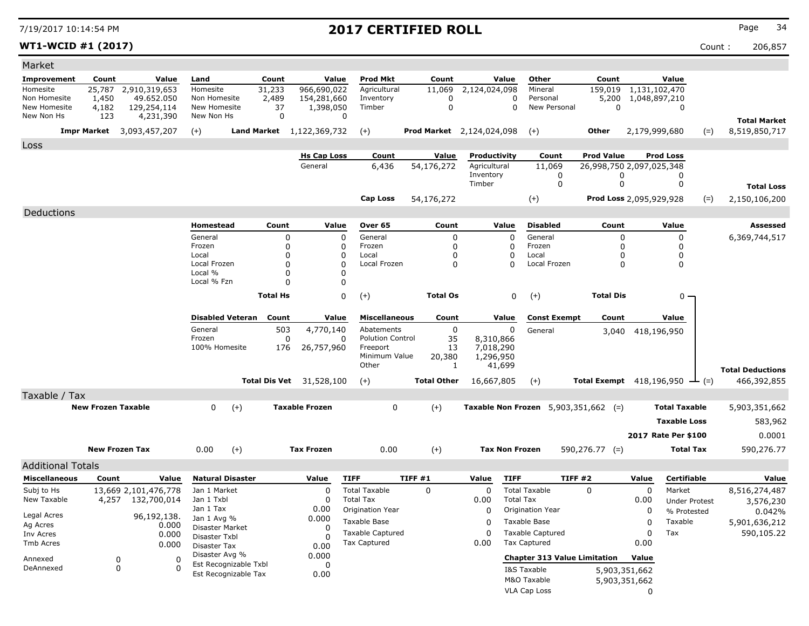### **WT1-WCID #1 (2017)** Count : 206,857

| Market                       |                           |                                  |                                |                         |                                 |                               |                    |                                  |                                               |                                 |                                |                      |                                      |
|------------------------------|---------------------------|----------------------------------|--------------------------------|-------------------------|---------------------------------|-------------------------------|--------------------|----------------------------------|-----------------------------------------------|---------------------------------|--------------------------------|----------------------|--------------------------------------|
| <b>Improvement</b>           | Count                     | Value                            | Land                           | Count                   |                                 | <b>Prod Mkt</b><br>Value      | Count              | Value                            | Other                                         | Count                           |                                | Value                |                                      |
| Homesite                     | 25,787                    | 2,910,319,653                    | Homesite                       | 31,233                  | 966,690,022                     | Agricultural                  | 11,069             | 2,124,024,098                    | Mineral                                       | 159,019                         | 1,131,102,470                  |                      |                                      |
| Non Homesite<br>New Homesite | 1,450                     | 49.652.050                       | Non Homesite                   | 2,489                   | 154,281,660                     | Inventory                     | 0                  | 0                                | Personal<br>0<br>New Personal                 | 5,200<br>$\mathbf 0$            | 1,048,897,210                  |                      |                                      |
| New Non Hs                   | 4,182<br>123              | 129,254,114<br>4,231,390         | New Homesite<br>New Non Hs     |                         | 37<br>1,398,050<br>$\mathbf 0$  | Timber<br>0                   | $\mathbf 0$        |                                  |                                               |                                 |                                | 0                    |                                      |
|                              |                           | <b>Impr Market</b> 3,093,457,207 | $(+)$                          |                         | Land Market 1,122,369,732       | $(+)$                         |                    | <b>Prod Market</b> 2,124,024,098 | $(+)$                                         | Other                           | 2,179,999,680                  | $(=)$                | <b>Total Market</b><br>8,519,850,717 |
| Loss                         |                           |                                  |                                |                         |                                 |                               |                    |                                  |                                               |                                 |                                |                      |                                      |
|                              |                           |                                  |                                |                         | <b>Hs Cap Loss</b>              | Count                         | Value              | Productivity                     | Count                                         | <b>Prod Value</b>               | <b>Prod Loss</b>               |                      |                                      |
|                              |                           |                                  |                                |                         | General                         | 6,436                         | 54,176,272         | Agricultural                     | 11,069                                        |                                 | 26,998,750 2,097,025,348       |                      |                                      |
|                              |                           |                                  |                                |                         |                                 |                               |                    | Inventory                        | 0                                             | 0                               |                                | 0                    |                                      |
|                              |                           |                                  |                                |                         |                                 |                               |                    | Timber                           | 0                                             | 0                               |                                | 0                    | <b>Total Loss</b>                    |
|                              |                           |                                  |                                |                         |                                 | Cap Loss                      | 54,176,272         |                                  | $(+)$                                         |                                 | <b>Prod Loss 2,095,929,928</b> | $(=)$                | 2,150,106,200                        |
| Deductions                   |                           |                                  |                                |                         |                                 |                               |                    |                                  |                                               |                                 |                                |                      |                                      |
|                              |                           |                                  | Homestead                      |                         | Count                           | Value<br>Over 65              | Count              | Value                            | Disabled                                      | Count                           |                                | Value                | Assessed                             |
|                              |                           |                                  | General                        |                         | 0                               | General<br>$\Omega$           | 0                  | 0                                | General                                       | 0                               |                                | 0                    | 6,369,744,517                        |
|                              |                           |                                  | Frozen<br>Local                |                         | 0<br>0                          | Frozen<br>O<br>Local          | 0<br>0             | 0<br>$\mathbf{0}$                | Frozen<br>Local                               | 0<br>0                          |                                | 0<br>0               |                                      |
|                              |                           |                                  | Local Frozen                   |                         | 0                               | Local Frozen                  |                    | 0<br>$\Omega$                    | Local Frozen                                  |                                 | 0                              | 0                    |                                      |
|                              |                           |                                  | Local %                        |                         | 0                               | 0                             |                    |                                  |                                               |                                 |                                |                      |                                      |
|                              |                           |                                  | Local % Fzn                    |                         | 0                               | 0                             |                    |                                  |                                               |                                 |                                |                      |                                      |
|                              |                           |                                  |                                | <b>Total Hs</b>         |                                 | 0<br>$(+)$                    | <b>Total Os</b>    |                                  | $(+)$<br>0                                    | <b>Total Dis</b>                |                                | $0 -$                |                                      |
|                              |                           |                                  |                                | <b>Disabled Veteran</b> | Count                           | Value<br><b>Miscellaneous</b> | Count              | Value                            | <b>Const Exempt</b>                           | Count                           |                                | Value                |                                      |
|                              |                           |                                  | General                        |                         | 503<br>4,770,140                | Abatements                    | 0                  | 0                                | General                                       | 3,040                           | 418,196,950                    |                      |                                      |
|                              |                           |                                  | Frozen                         |                         | 0                               | <b>Polution Control</b><br>0  | 35                 | 8,310,866                        |                                               |                                 |                                |                      |                                      |
|                              |                           |                                  | 100% Homesite                  |                         | 176<br>26,757,960               | Freeport                      | 13                 | 7,018,290                        |                                               |                                 |                                |                      |                                      |
|                              |                           |                                  |                                |                         |                                 | Minimum Value<br>Other        | 20,380<br>1        | 1,296,950<br>41,699              |                                               |                                 |                                |                      |                                      |
|                              |                           |                                  |                                |                         |                                 |                               |                    |                                  |                                               |                                 |                                |                      | <b>Total Deductions</b>              |
|                              |                           |                                  |                                |                         | <b>Total Dis Vet</b> 31,528,100 | $(+)$                         | <b>Total Other</b> | 16,667,805                       | $(+)$                                         | <b>Total Exempt</b> 418,196,950 |                                | $ (=)$               | 466,392,855                          |
| Taxable / Tax                | <b>New Frozen Taxable</b> |                                  | 0                              |                         | <b>Taxable Frozen</b>           | 0                             | $(+)$              |                                  | <b>Taxable Non Frozen</b> $5,903,351,662$ (=) |                                 |                                | <b>Total Taxable</b> |                                      |
|                              |                           |                                  |                                | $(+)$                   |                                 |                               |                    |                                  |                                               |                                 |                                |                      | 5,903,351,662                        |
|                              |                           |                                  |                                |                         |                                 |                               |                    |                                  |                                               |                                 |                                | <b>Taxable Loss</b>  | 583,962                              |
|                              |                           |                                  |                                |                         |                                 |                               |                    |                                  |                                               |                                 | 2017 Rate Per \$100            |                      | 0.0001                               |
|                              |                           | <b>New Frozen Tax</b>            | 0.00                           | $(+)$                   | <b>Tax Frozen</b>               | 0.00                          | $(+)$              | <b>Tax Non Frozen</b>            |                                               | $590,276.77$ (=)                |                                | <b>Total Tax</b>     | 590,276.77                           |
| <b>Additional Totals</b>     |                           |                                  |                                |                         |                                 |                               |                    |                                  |                                               |                                 |                                |                      |                                      |
| <b>Miscellaneous</b>         | Count                     | Value                            |                                | <b>Natural Disaster</b> | Value                           | <b>TIFF</b>                   | <b>TIFF #1</b>     | Value<br><b>TIFF</b>             |                                               | TIFF #2                         | Value                          | Certifiable          | Value                                |
| Subj to Hs                   |                           | 13,669 2,101,476,778             | Jan 1 Market                   |                         | 0                               | <b>Total Taxable</b>          | 0                  | $\Omega$                         | <b>Total Taxable</b>                          | $\Omega$                        | 0                              | Market               | 8,516,274,487                        |
| New Taxable                  | 4,257                     | 132,700,014                      | Jan 1 Txbl                     |                         | 0                               | <b>Total Tax</b>              |                    | 0.00                             | <b>Total Tax</b>                              |                                 | 0.00                           | <b>Under Protest</b> | 3,576,230                            |
| Legal Acres                  |                           | 96,192,138.                      | Jan 1 Tax                      |                         | 0.00                            | Origination Year              |                    | 0                                | Origination Year                              |                                 | 0                              | % Protested          | 0.042%                               |
| Ag Acres                     |                           | 0.000                            | Jan 1 Avg %<br>Disaster Market |                         | 0.000<br>0                      | Taxable Base                  |                    | 0                                | Taxable Base                                  |                                 | 0                              | Taxable              | 5,901,636,212                        |
| Inv Acres                    |                           | 0.000                            | Disaster Txbl                  |                         | 0                               | <b>Taxable Captured</b>       |                    | $\Omega$                         | <b>Taxable Captured</b>                       |                                 | 0                              | Tax                  | 590,105.22                           |
| Tmb Acres                    |                           | 0.000                            | Disaster Tax                   |                         | 0.00                            | <b>Tax Captured</b>           |                    | 0.00                             | <b>Tax Captured</b>                           |                                 | 0.00                           |                      |                                      |
| Annexed                      |                           | 0<br>0                           | Disaster Avg %                 | Est Recognizable Txbl   | 0.000                           |                               |                    |                                  | <b>Chapter 313 Value Limitation</b>           |                                 | Value                          |                      |                                      |
| DeAnnexed                    |                           | 0<br>ი                           |                                | Est Recognizable Tax    | 0<br>0.00                       |                               |                    |                                  | I&S Taxable                                   |                                 | 5,903,351,662                  |                      |                                      |
|                              |                           |                                  |                                |                         |                                 |                               |                    |                                  | M&O Taxable                                   |                                 | 5,903,351,662                  |                      |                                      |
|                              |                           |                                  |                                |                         |                                 |                               |                    |                                  | VLA Cap Loss                                  |                                 | 0                              |                      |                                      |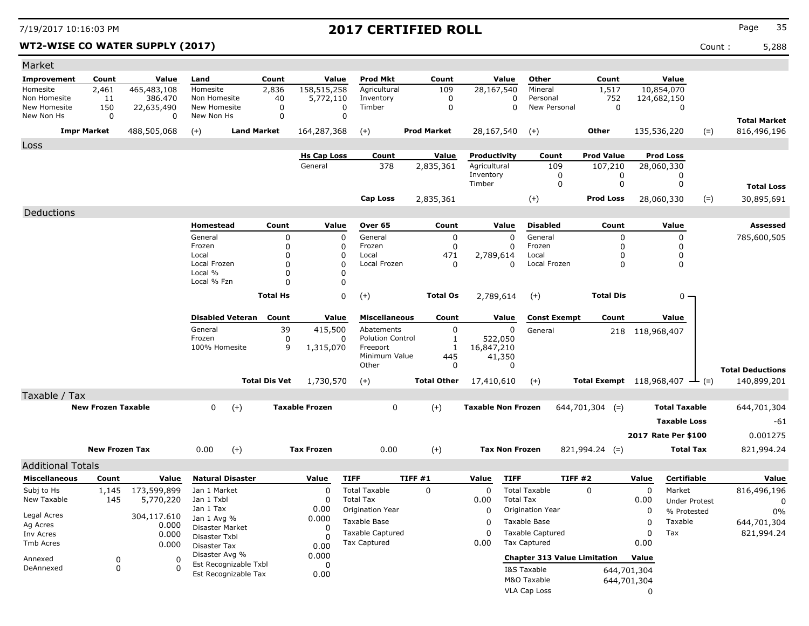### **WT2-WISE CO WATER SUPPLY (2017)** Count : 5,288

| Market                       |                           |                 |                                |                       |                       |             |                           |                    |                           |                       |                                     |                                                     |                 |                            |       |                                        |
|------------------------------|---------------------------|-----------------|--------------------------------|-----------------------|-----------------------|-------------|---------------------------|--------------------|---------------------------|-----------------------|-------------------------------------|-----------------------------------------------------|-----------------|----------------------------|-------|----------------------------------------|
| <b>Improvement</b>           | Count                     | Value           | Land                           | Count                 |                       | Value       | <b>Prod Mkt</b>           | Count              |                           | Value                 | Other                               | Count                                               |                 | Value                      |       |                                        |
| Homesite                     | 2,461                     | 465,483,108     | Homesite                       | 2,836                 | 158,515,258           |             | Agricultural              | 109                | 28,167,540                |                       | Mineral                             | 1,517                                               |                 | 10,854,070                 |       |                                        |
| Non Homesite<br>New Homesite | 11<br>150                 | 386.470         | Non Homesite<br>New Homesite   | 40                    | 5,772,110             |             | Inventory<br>Timber       | 0<br>$\mathbf 0$   |                           | 0<br>$\Omega$         | Personal<br>New Personal            | 752<br>$\mathbf 0$                                  |                 | 124,682,150<br>$\mathbf 0$ |       |                                        |
| New Non Hs                   | 0                         | 22,635,490<br>0 | New Non Hs                     |                       | 0<br>0                | 0<br>0      |                           |                    |                           |                       |                                     |                                                     |                 |                            |       |                                        |
|                              | <b>Impr Market</b>        | 488,505,068     | $(+)$                          | <b>Land Market</b>    | 164,287,368           |             | $(+)$                     | <b>Prod Market</b> | 28,167,540                |                       | $(+)$                               | <b>Other</b>                                        |                 | 135,536,220                | $(=)$ | <b>Total Market</b><br>816,496,196     |
| Loss                         |                           |                 |                                |                       |                       |             |                           |                    |                           |                       |                                     |                                                     |                 |                            |       |                                        |
|                              |                           |                 |                                |                       | <b>Hs Cap Loss</b>    |             | Count                     | <b>Value</b>       | Productivity              |                       | Count                               | <b>Prod Value</b>                                   |                 | <b>Prod Loss</b>           |       |                                        |
|                              |                           |                 |                                |                       | General               |             | 378                       | 2,835,361          | Agricultural              |                       | 109                                 | 107,210                                             |                 | 28,060,330                 |       |                                        |
|                              |                           |                 |                                |                       |                       |             |                           |                    | Inventory<br>Timber       |                       | 0<br>0                              | 0<br>$\mathbf 0$                                    |                 | 0<br>0                     |       |                                        |
|                              |                           |                 |                                |                       |                       |             |                           |                    |                           |                       |                                     |                                                     |                 |                            |       | <b>Total Loss</b>                      |
|                              |                           |                 |                                |                       |                       |             | <b>Cap Loss</b>           | 2,835,361          |                           |                       | $(+)$                               | <b>Prod Loss</b>                                    |                 | 28,060,330                 | $(=)$ | 30,895,691                             |
| Deductions                   |                           |                 |                                |                       |                       |             |                           |                    |                           |                       |                                     |                                                     |                 |                            |       |                                        |
|                              |                           |                 | Homestead                      | Count                 |                       | Value       | Over 65                   | Count              |                           | Value                 | <b>Disabled</b>                     | Count                                               |                 | Value                      |       | Assessed                               |
|                              |                           |                 | General<br>Frozen              |                       | 0<br>0                | 0<br>0      | General<br>Frozen         | 0<br>0             |                           | $\mathbf 0$<br>0      | General<br>Frozen                   | 0<br>0                                              |                 | 0<br>0                     |       | 785,600,505                            |
|                              |                           |                 | Local                          |                       | 0                     | $\Omega$    | Local                     | 471                | 2,789,614                 |                       | Local                               | <sup>0</sup>                                        |                 | 0                          |       |                                        |
|                              |                           |                 | Local Frozen                   |                       | 0                     | $\Omega$    | Local Frozen              | 0                  |                           | 0                     | Local Frozen                        | 0                                                   |                 | 0                          |       |                                        |
|                              |                           |                 | Local %                        |                       | 0                     | O           |                           |                    |                           |                       |                                     |                                                     |                 |                            |       |                                        |
|                              |                           |                 | Local % Fzn                    |                       | 0                     | 0           |                           |                    |                           |                       |                                     |                                                     |                 |                            |       |                                        |
|                              |                           |                 |                                | <b>Total Hs</b>       |                       | 0           | $(+)$                     | <b>Total Os</b>    | 2,789,614                 |                       | $(+)$                               | <b>Total Dis</b>                                    |                 | 0 -                        |       |                                        |
|                              |                           |                 | <b>Disabled Veteran</b>        | Count                 |                       | Value       | <b>Miscellaneous</b>      | Count              |                           | Value                 | <b>Const Exempt</b>                 | Count                                               |                 | Value                      |       |                                        |
|                              |                           |                 | General                        |                       | 39<br>415,500         |             | Abatements                | 0                  |                           | 0                     | General                             |                                                     | 218 118,968,407 |                            |       |                                        |
|                              |                           |                 | Frozen                         |                       | 0                     | 0           | <b>Polution Control</b>   | 1                  |                           | 522,050               |                                     |                                                     |                 |                            |       |                                        |
|                              |                           |                 | 100% Homesite                  |                       | 9<br>1,315,070        |             | Freeport<br>Minimum Value | 1                  | 16,847,210                |                       |                                     |                                                     |                 |                            |       |                                        |
|                              |                           |                 |                                |                       |                       |             | Other                     | 445<br>$\Omega$    |                           | 41,350<br>$\Omega$    |                                     |                                                     |                 |                            |       |                                        |
|                              |                           |                 |                                | <b>Total Dis Vet</b>  | 1,730,570             |             | $(+)$                     | <b>Total Other</b> | 17,410,610                |                       | $(+)$                               | <b>Total Exempt</b> $118,968,407$ $\rightarrow$ (=) |                 |                            |       | <b>Total Deductions</b><br>140,899,201 |
| Taxable / Tax                |                           |                 |                                |                       |                       |             |                           |                    |                           |                       |                                     |                                                     |                 |                            |       |                                        |
|                              | <b>New Frozen Taxable</b> |                 | 0                              | $(+)$                 | <b>Taxable Frozen</b> |             | 0                         | $(+)$              | <b>Taxable Non Frozen</b> |                       |                                     | $644,701,304$ (=)                                   |                 | <b>Total Taxable</b>       |       | 644,701,304                            |
|                              |                           |                 |                                |                       |                       |             |                           |                    |                           |                       |                                     |                                                     |                 | <b>Taxable Loss</b>        |       | -61                                    |
|                              |                           |                 |                                |                       |                       |             |                           |                    |                           |                       |                                     |                                                     |                 |                            |       |                                        |
|                              |                           |                 |                                |                       |                       |             |                           |                    |                           |                       |                                     |                                                     |                 | 2017 Rate Per \$100        |       | 0.001275                               |
|                              | <b>New Frozen Tax</b>     |                 | 0.00                           | $(+)$                 | <b>Tax Frozen</b>     |             | 0.00                      | $(+)$              |                           | <b>Tax Non Frozen</b> |                                     | $821,994.24$ (=)                                    |                 | <b>Total Tax</b>           |       | 821,994.24                             |
| <b>Additional Totals</b>     |                           |                 |                                |                       |                       |             |                           |                    |                           |                       |                                     |                                                     |                 |                            |       |                                        |
| <b>Miscellaneous</b>         | Count                     | Value           | <b>Natural Disaster</b>        |                       | Value                 | <b>TIFF</b> |                           | <b>TIFF #1</b>     | Value                     | <b>TIFF</b>           | TIFF#2                              |                                                     | Value           | Certifiable                |       | Value                                  |
| Subj to Hs                   | 1,145                     | 173,599,899     | Jan 1 Market                   |                       | 0                     |             | <b>Total Taxable</b>      | 0                  | 0                         |                       | <b>Total Taxable</b>                | $\Omega$                                            | 0               | Market                     |       | 816,496,196                            |
| New Taxable                  | 145                       | 5,770,220       | Jan 1 Txbl                     |                       | <sup>0</sup>          |             | <b>Total Tax</b>          |                    | 0.00                      | <b>Total Tax</b>      |                                     |                                                     | 0.00            | <b>Under Protest</b>       |       | 0                                      |
| Legal Acres                  |                           | 304,117.610     | Jan 1 Tax                      |                       | 0.00                  |             | Origination Year          |                    | 0                         |                       | Origination Year                    |                                                     | 0               | % Protested                |       | 0%                                     |
| Ag Acres                     |                           | 0.000           | Jan 1 Avg %<br>Disaster Market |                       | 0.000<br>$\Omega$     |             | Taxable Base              |                    | 0                         |                       | Taxable Base                        |                                                     | $\mathbf 0$     | Taxable                    |       | 644,701,304                            |
| Inv Acres                    |                           | 0.000           | Disaster Txbl                  |                       |                       |             | Taxable Captured          |                    | $\Omega$                  |                       | <b>Taxable Captured</b>             |                                                     | 0               | Tax                        |       | 821,994.24                             |
| Tmb Acres                    |                           | 0.000           | Disaster Tax                   |                       | 0.00                  |             | <b>Tax Captured</b>       |                    | 0.00                      |                       | Tax Captured                        |                                                     | 0.00            |                            |       |                                        |
| Annexed                      | 0                         | 0               | Disaster Avg %                 |                       | 0.000                 |             |                           |                    |                           |                       | <b>Chapter 313 Value Limitation</b> |                                                     | Value           |                            |       |                                        |
| DeAnnexed                    | 0                         | 0               | Est Recognizable Tax           | Est Recognizable Txbl | 0                     |             |                           |                    |                           |                       | I&S Taxable                         |                                                     | 644,701,304     |                            |       |                                        |
|                              |                           |                 |                                |                       | 0.00                  |             |                           |                    |                           |                       | M&O Taxable                         |                                                     | 644,701,304     |                            |       |                                        |
|                              |                           |                 |                                |                       |                       |             |                           |                    |                           |                       | VLA Cap Loss                        |                                                     | 0               |                            |       |                                        |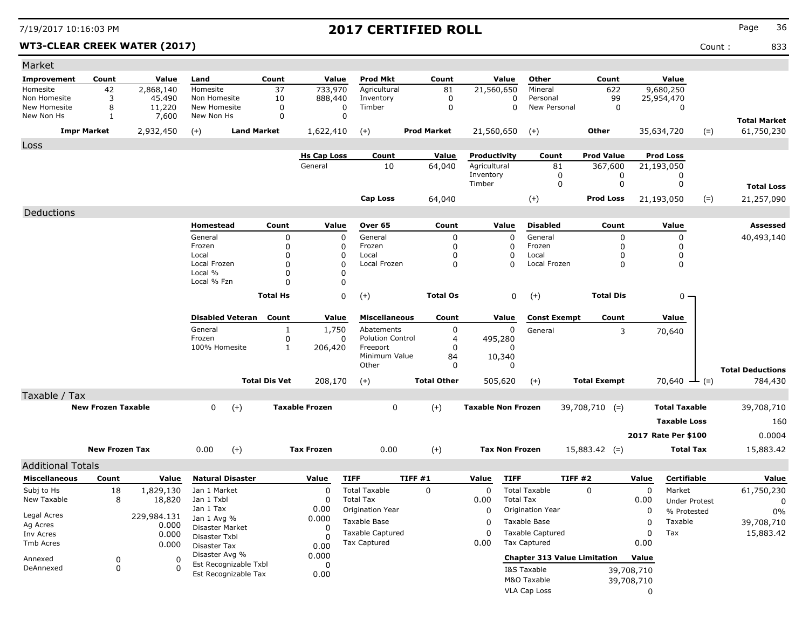### WT3-CLEAR CREEK WATER (2017) 833

| Market                       |                           |                      |                                               |                      |                       |                                       |                     |                           |                          |                                     |             |                      |                         |
|------------------------------|---------------------------|----------------------|-----------------------------------------------|----------------------|-----------------------|---------------------------------------|---------------------|---------------------------|--------------------------|-------------------------------------|-------------|----------------------|-------------------------|
| Improvement                  | Count                     | Value                | Land                                          | Count                | Value                 | <b>Prod Mkt</b>                       | Count               | Value                     | Other                    | Count                               |             | Value                |                         |
| Homesite                     | 42                        | 2,868,140            | Homesite                                      | 37                   | 733,970               | Agricultural                          | 81                  | 21,560,650                | Mineral                  | 622                                 |             | 9,680,250            |                         |
| Non Homesite<br>New Homesite | 3<br>8                    | 45,490<br>11,220     | Non Homesite<br>New Homesite                  | 10<br>$\mathbf 0$    | 888,440<br>0          | Inventory<br>Timber                   | 0<br>$\mathbf 0$    | 0<br>$\Omega$             | Personal<br>New Personal | 99<br>$\mathbf 0$                   |             | 25,954,470<br>0      |                         |
| New Non Hs                   | 1                         | 7,600                | New Non Hs                                    | 0                    | 0                     |                                       |                     |                           |                          |                                     |             |                      | <b>Total Market</b>     |
|                              | <b>Impr Market</b>        | 2,932,450            | $(+)$                                         | <b>Land Market</b>   | 1,622,410             | $(+)$                                 | <b>Prod Market</b>  | 21,560,650                | $(+)$                    | Other                               |             | 35,634,720<br>$(=)$  | 61,750,230              |
| Loss                         |                           |                      |                                               |                      |                       |                                       |                     |                           |                          |                                     |             |                      |                         |
|                              |                           |                      |                                               |                      | <b>Hs Cap Loss</b>    | Count                                 | Value               | Productivity              | Count                    | <b>Prod Value</b>                   |             | <b>Prod Loss</b>     |                         |
|                              |                           |                      |                                               |                      | General               | 10                                    | 64,040              | Agricultural<br>Inventory | 81<br>0                  | 367,600<br>0                        |             | 21,193,050<br>0      |                         |
|                              |                           |                      |                                               |                      |                       |                                       |                     | Timber                    | 0                        | 0                                   |             | 0                    | <b>Total Loss</b>       |
|                              |                           |                      |                                               |                      |                       | <b>Cap Loss</b>                       | 64,040              |                           | $(+)$                    | <b>Prod Loss</b>                    |             | 21,193,050<br>$(=)$  | 21,257,090              |
| Deductions                   |                           |                      |                                               |                      |                       |                                       |                     |                           |                          |                                     |             |                      |                         |
|                              |                           |                      | Homestead                                     | Count                | Value                 | Over 65                               | Count               | Value                     | <b>Disabled</b>          | Count                               |             | Value                | Assessed                |
|                              |                           |                      | General                                       | 0                    | $\mathbf 0$           | General                               | 0                   | $\mathbf 0$               | General                  | 0                                   |             | $\mathbf 0$          | 40,493,140              |
|                              |                           |                      | Frozen                                        | 0                    | 0                     | Frozen                                | 0                   | 0                         | Frozen                   | 0                                   |             | 0                    |                         |
|                              |                           |                      | Local<br>Local Frozen                         | 0<br>0               | $\Omega$<br>$\Omega$  | Local<br>Local Frozen                 | $\Omega$<br>0       | $\Omega$<br>$\Omega$      | Local<br>Local Frozen    | O<br>0                              |             | 0<br>0               |                         |
|                              |                           |                      | Local %                                       | 0                    | 0                     |                                       |                     |                           |                          |                                     |             |                      |                         |
|                              |                           |                      | Local % Fzn                                   | 0                    | 0                     |                                       |                     |                           |                          |                                     |             |                      |                         |
|                              |                           |                      |                                               | <b>Total Hs</b>      | 0                     | $(+)$                                 | <b>Total Os</b>     | 0                         | $(+)$                    | <b>Total Dis</b>                    |             | 0 -                  |                         |
|                              |                           |                      |                                               |                      |                       |                                       |                     |                           |                          |                                     |             |                      |                         |
|                              |                           |                      | <b>Disabled Veteran</b>                       | Count                | Value                 | <b>Miscellaneous</b>                  | Count               | Value                     | <b>Const Exempt</b>      | Count                               |             | Value                |                         |
|                              |                           |                      | General                                       | $\mathbf{1}$         | 1,750                 | Abatements<br><b>Polution Control</b> | 0                   | 0                         | General                  | 3                                   |             | 70,640               |                         |
|                              |                           |                      | Frozen<br>100% Homesite                       | 0<br>$\mathbf{1}$    | 0<br>206,420          | Freeport                              | $\overline{4}$<br>0 | 495,280<br>$\Omega$       |                          |                                     |             |                      |                         |
|                              |                           |                      |                                               |                      |                       | Minimum Value                         | 84                  | 10,340                    |                          |                                     |             |                      |                         |
|                              |                           |                      |                                               |                      |                       | Other                                 | 0                   | $\Omega$                  |                          |                                     |             |                      | <b>Total Deductions</b> |
|                              |                           |                      |                                               | <b>Total Dis Vet</b> | 208,170               | $(+)$                                 | <b>Total Other</b>  | 505,620                   | $(+)$                    | <b>Total Exempt</b>                 |             | 70,640 $-(-)$        | 784,430                 |
| Taxable / Tax                |                           |                      |                                               |                      |                       |                                       |                     |                           |                          |                                     |             |                      |                         |
|                              | <b>New Frozen Taxable</b> |                      | $(+)$<br>0                                    |                      | <b>Taxable Frozen</b> | 0                                     | $(+)$               | <b>Taxable Non Frozen</b> |                          | $39,708,710$ (=)                    |             | <b>Total Taxable</b> | 39,708,710              |
|                              |                           |                      |                                               |                      |                       |                                       |                     |                           |                          |                                     |             | <b>Taxable Loss</b>  | 160                     |
|                              |                           |                      |                                               |                      |                       |                                       |                     |                           |                          |                                     |             | 2017 Rate Per \$100  | 0.0004                  |
|                              | <b>New Frozen Tax</b>     |                      | $(+)$<br>0.00                                 |                      | <b>Tax Frozen</b>     | 0.00                                  | $(+)$               | <b>Tax Non Frozen</b>     |                          | $15,883.42$ (=)                     |             | <b>Total Tax</b>     | 15,883.42               |
| <b>Additional Totals</b>     |                           |                      |                                               |                      |                       |                                       |                     |                           |                          |                                     |             |                      |                         |
| <b>Miscellaneous</b>         | Count                     | Value                | <b>Natural Disaster</b>                       |                      | Value                 | <b>TIFF</b>                           | TIFF #1             | <b>TIFF</b><br>Value      |                          | <b>TIFF #2</b>                      | Value       | Certifiable          | Value                   |
| Subj to Hs                   | 18                        | 1,829,130            | Jan 1 Market                                  |                      | 0                     | <b>Total Taxable</b>                  | 0                   | 0                         | <b>Total Taxable</b>     | $\Omega$                            | 0           | Market               | 61,750,230              |
| New Taxable                  | 8                         | 18,820               | Jan 1 Txbl                                    |                      | 0                     | <b>Total Tax</b>                      |                     | 0.00                      | <b>Total Tax</b>         |                                     | 0.00        | <b>Under Protest</b> | 0                       |
| Legal Acres                  |                           |                      | Jan 1 Tax                                     |                      | 0.00                  | Origination Year                      |                     | 0                         | Origination Year         |                                     | 0           | % Protested          | 0%                      |
| Ag Acres                     |                           | 229,984.131<br>0.000 | Jan 1 Avg %                                   |                      | 0.000                 | Taxable Base                          |                     | 0                         | Taxable Base             |                                     | $\mathbf 0$ | Taxable              | 39,708,710              |
| Inv Acres                    |                           | 0.000                | Disaster Market<br>Disaster Txbl              |                      | 0                     | <b>Taxable Captured</b>               |                     | 0                         | <b>Taxable Captured</b>  |                                     | 0           | Tax                  | 15,883.42               |
| Tmb Acres                    |                           | 0.000                | Disaster Tax                                  |                      | 0.00                  | <b>Tax Captured</b>                   |                     | 0.00                      | <b>Tax Captured</b>      |                                     | 0.00        |                      |                         |
| Annexed                      | 0                         | 0                    | Disaster Avg %                                |                      | 0.000                 |                                       |                     |                           |                          | <b>Chapter 313 Value Limitation</b> | Value       |                      |                         |
| DeAnnexed                    | $\mathbf 0$               | $\mathbf 0$          | Est Recognizable Txbl<br>Est Recognizable Tax |                      | 0                     |                                       |                     |                           | I&S Taxable              |                                     | 39,708,710  |                      |                         |
|                              |                           |                      |                                               |                      | 0.00                  |                                       |                     |                           | M&O Taxable              |                                     | 39,708,710  |                      |                         |
|                              |                           |                      |                                               |                      |                       |                                       |                     |                           | VLA Cap Loss             |                                     | 0           |                      |                         |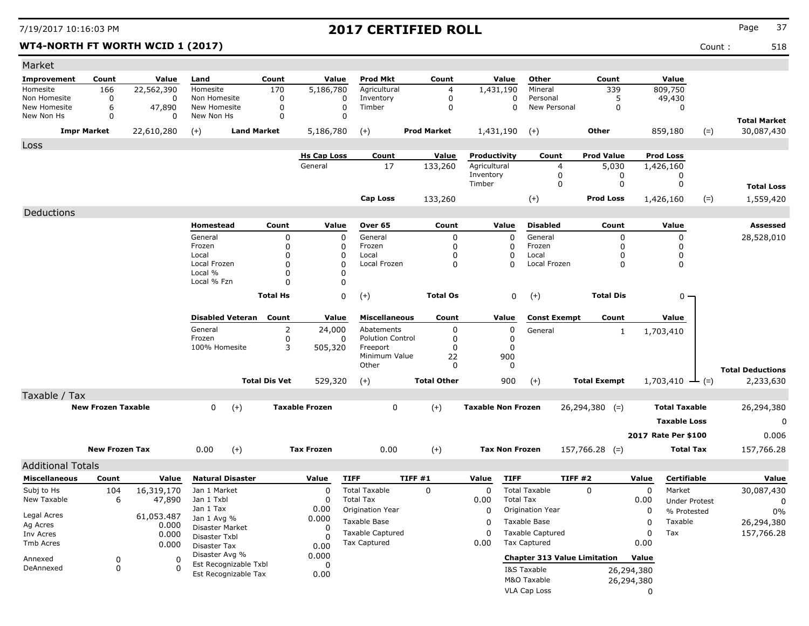### **WT4-NORTH FT WORTH WCID 1 (2017)** Count : 518

| Market                                |             |                         |                                         |                      |                      |                                         |                           |         |                            |                              |                                                |                          |                            |                     |                               |             |                                      |  |
|---------------------------------------|-------------|-------------------------|-----------------------------------------|----------------------|----------------------|-----------------------------------------|---------------------------|---------|----------------------------|------------------------------|------------------------------------------------|--------------------------|----------------------------|---------------------|-------------------------------|-------------|--------------------------------------|--|
| Improvement                           | Count       | Value                   | Land                                    |                      | Count                | Value                                   | Prod Mkt                  |         | Count                      |                              | Value                                          | Other                    | Count                      |                     | Value                         |             |                                      |  |
| Homesite                              | 166         | 22,562,390              | Homesite                                |                      | 170                  | 5,186,780                               | Agricultural              |         | $\overline{4}$             | 1,431,190                    |                                                | Mineral                  | 339                        |                     | 809,750                       |             |                                      |  |
| Non Homesite<br>New Homesite          | 0<br>6      | 0<br>47,890             | Non Homesite<br>New Homesite            |                      | 0<br>$\mathbf 0$     | 0<br>$\mathbf 0$                        | Inventory<br>Timber       |         | $\mathbf 0$<br>$\mathbf 0$ |                              | 0<br>$\Omega$                                  | Personal<br>New Personal | 5<br>$\Omega$              |                     | 49,430<br>$\mathbf 0$         |             |                                      |  |
| New Non Hs                            | 0           | $\Omega$                | New Non Hs                              |                      | $\mathbf 0$          | $\mathbf 0$                             |                           |         |                            |                              |                                                |                          |                            |                     |                               |             |                                      |  |
|                                       |             |                         | $(+)$                                   | <b>Land Market</b>   |                      | 5,186,780                               | $(+)$                     |         | <b>Prod Market</b>         | 1,431,190                    |                                                | $(+)$                    | Other                      |                     | 859,180                       | $(=)$       | <b>Total Market</b><br>30,087,430    |  |
| <b>Impr Market</b><br>22,610,280      |             |                         |                                         |                      |                      |                                         |                           |         |                            |                              |                                                |                          |                            |                     |                               |             |                                      |  |
| Loss                                  |             |                         |                                         |                      |                      |                                         | Count                     |         |                            |                              |                                                |                          |                            |                     |                               |             |                                      |  |
|                                       |             |                         |                                         |                      |                      | <b>Hs Cap Loss</b><br>General           | 17                        |         | Value<br>133,260           | Productivity<br>Agricultural |                                                | Count<br>4               | <b>Prod Value</b><br>5,030 |                     | <b>Prod Loss</b><br>1,426,160 |             |                                      |  |
|                                       |             |                         |                                         |                      |                      |                                         |                           |         |                            | Inventory                    |                                                | 0                        | 0                          |                     | 0                             |             |                                      |  |
|                                       |             |                         |                                         |                      |                      |                                         |                           |         |                            | Timber                       |                                                | $\Omega$                 | $\mathbf 0$                |                     | 0                             |             | <b>Total Loss</b>                    |  |
|                                       |             |                         |                                         |                      |                      |                                         | <b>Cap Loss</b>           |         | 133,260                    |                              |                                                | $(+)$                    | <b>Prod Loss</b>           |                     | 1,426,160                     | $(=)$       | 1,559,420                            |  |
| Deductions                            |             |                         |                                         |                      |                      |                                         |                           |         |                            |                              |                                                |                          |                            |                     |                               |             |                                      |  |
|                                       |             |                         | <b>Homestead</b>                        |                      | Count                | Value                                   | Over 65                   |         | Count                      | Value                        |                                                | <b>Disabled</b>          | Count                      | Value               |                               |             | <b>Assessed</b>                      |  |
|                                       |             |                         | General                                 |                      | 0                    | $\Omega$                                | General                   |         | $\mathbf 0$                |                              | $\mathbf 0$                                    | General                  | $\mathbf 0$                |                     | $\mathbf 0$                   |             | 28,528,010                           |  |
|                                       |             |                         | Frozen                                  |                      | 0                    | 0                                       | Frozen                    |         | $\mathbf 0$                |                              | $\mathbf 0$                                    | Frozen                   | 0                          |                     | 0                             |             |                                      |  |
|                                       |             |                         | Local<br>Local Frozen                   |                      | 0<br>$\Omega$        | $\mathbf{0}$<br>$\Omega$                | Local<br>Local Frozen     |         | $\mathbf 0$<br>$\Omega$    |                              | 0<br>$\Omega$                                  | Local<br>Local Frozen    | $\Omega$<br>$\mathbf{0}$   |                     | 0<br>$\Omega$                 |             |                                      |  |
|                                       |             |                         | Local %                                 |                      | $\Omega$             | $\Omega$                                |                           |         |                            |                              |                                                |                          |                            |                     |                               |             |                                      |  |
|                                       |             |                         | Local % Fzn                             |                      | 0                    | 0                                       |                           |         |                            |                              |                                                |                          |                            |                     |                               |             |                                      |  |
|                                       |             |                         |                                         |                      | <b>Total Hs</b>      | $\mathbf 0$                             | $(+)$                     |         | <b>Total Os</b>            |                              | $\mathbf 0$                                    | $(+)$                    | <b>Total Dis</b>           |                     | $0 \cdot$                     |             |                                      |  |
|                                       |             | <b>Disabled Veteran</b> |                                         | Count                | Value                | <b>Miscellaneous</b>                    |                           | Count   |                            | Value                        | <b>Const Exempt</b>                            | Count                    |                            | Value               |                               |             |                                      |  |
|                                       |             |                         | General                                 |                      | 2                    | 24,000                                  | Abatements                |         | $\mathbf 0$                |                              | $\mathbf 0$                                    | General                  | $\mathbf{1}$               |                     | 1,703,410                     |             |                                      |  |
|                                       |             |                         | Frozen                                  |                      | 0                    | 0                                       | <b>Polution Control</b>   |         | $\mathbf 0$                |                              | $\mathbf 0$                                    |                          |                            |                     |                               |             |                                      |  |
|                                       |             |                         | 100% Homesite                           |                      | 3                    | 505,320                                 | Freeport<br>Minimum Value |         | $\mathbf 0$<br>22          |                              | $\mathbf 0$<br>900                             |                          |                            |                     |                               |             |                                      |  |
|                                       |             |                         |                                         |                      |                      |                                         | Other                     |         | 0                          |                              | $\mathbf 0$                                    |                          |                            |                     |                               |             |                                      |  |
|                                       |             |                         |                                         |                      | <b>Total Dis Vet</b> | 529,320                                 | $(+)$                     |         | <b>Total Other</b>         |                              | 900                                            | $(+)$                    | <b>Total Exempt</b>        |                     | $1,703,410 \leftarrow (=)$    |             | <b>Total Deductions</b><br>2,233,630 |  |
| Taxable / Tax                         |             |                         |                                         |                      |                      |                                         |                           |         |                            |                              |                                                |                          |                            |                     |                               |             |                                      |  |
| <b>New Frozen Taxable</b>             |             |                         | $\Omega$                                | $(+)$                |                      | <b>Taxable Frozen</b>                   | $\mathbf{0}$              |         | $(+)$                      | <b>Taxable Non Frozen</b>    |                                                |                          | $26,294,380$ (=)           |                     | <b>Total Taxable</b>          |             | 26,294,380                           |  |
|                                       |             |                         |                                         |                      |                      |                                         |                           |         |                            |                              |                                                |                          |                            | <b>Taxable Loss</b> |                               | $\mathbf 0$ |                                      |  |
|                                       |             |                         |                                         |                      |                      |                                         |                           |         |                            |                              |                                                |                          |                            | 2017 Rate Per \$100 |                               |             | 0.006                                |  |
|                                       |             |                         |                                         |                      |                      |                                         |                           |         |                            |                              |                                                |                          |                            |                     |                               |             |                                      |  |
| <b>New Frozen Tax</b>                 |             |                         | 0.00                                    | $(+)$                |                      | <b>Tax Frozen</b>                       | 0.00                      |         | $(+)$                      | <b>Tax Non Frozen</b>        |                                                |                          | $157,766.28$ (=)           |                     | <b>Total Tax</b>              |             | 157,766.28                           |  |
| <b>Additional Totals</b>              |             |                         |                                         |                      |                      |                                         |                           |         |                            |                              |                                                |                          |                            |                     |                               |             |                                      |  |
| <b>Miscellaneous</b>                  | Count       | Value                   | <b>Natural Disaster</b>                 |                      |                      | Value                                   | <b>TIFF</b>               | TIFF #1 |                            | Value                        | <b>TIFF</b>                                    | TIFF#2                   |                            | Value               | Certifiable                   |             | Value                                |  |
| Subj to Hs                            | 104         | 16,319,170              | Jan 1 Market                            |                      |                      | $\Omega$                                | <b>Total Taxable</b>      |         | 0                          | $\Omega$                     |                                                | <b>Total Taxable</b>     | $\Omega$                   | $\Omega$            | Market                        |             | 30,087,430                           |  |
| New Taxable                           | 6           | 47,890                  | Jan 1 Txbl                              |                      |                      | $\Omega$                                | <b>Total Tax</b>          |         |                            | 0.00                         | <b>Total Tax</b>                               |                          |                            | 0.00                | <b>Under Protest</b>          |             | 0                                    |  |
| Legal Acres                           |             | 61,053.487              | Jan 1 Tax<br>Jan 1 Avg %                |                      |                      | 0.00<br>0.000                           | Origination Year          |         |                            | $\mathbf 0$                  |                                                | Origination Year         |                            |                     | 0<br>% Protested              |             | 0%                                   |  |
| Ag Acres                              |             | 0.000                   | Disaster Market                         |                      |                      | 0                                       | Taxable Base              |         |                            | $\Omega$                     | Taxable Base                                   |                          |                            | 0                   | Taxable                       |             | 26,294,380                           |  |
| 0.000<br>Inv Acres                    |             | Disaster Txbl           |                                         | $\Omega$             |                      | <b>Taxable Captured</b><br>Tax Captured |                           |         | $\Omega$                   |                              | <b>Taxable Captured</b><br><b>Tax Captured</b> |                          | $\mathbf 0$                | Tax                 |                               | 157,766.28  |                                      |  |
| Tmb Acres<br>0.000                    |             | Disaster Tax            |                                         | 0.00                 |                      |                                         |                           | 0.00    |                            |                              |                                                | 0.00                     |                            |                     |                               |             |                                      |  |
| $\mathbf 0$<br>$\mathbf 0$<br>Annexed |             |                         | Disaster Avg %<br>Est Recognizable Txbl |                      | 0.000<br>$\Omega$    |                                         |                           |         |                            |                              | <b>Chapter 313 Value Limitation</b>            |                          | Value                      |                     |                               |             |                                      |  |
| DeAnnexed                             | $\mathbf 0$ | $\Omega$                |                                         | Est Recognizable Tax |                      | 0.00                                    |                           |         |                            |                              |                                                | I&S Taxable              |                            | 26,294,380          |                               |             |                                      |  |
|                                       |             |                         |                                         |                      |                      |                                         |                           |         |                            |                              |                                                | M&O Taxable              |                            | 26,294,380          |                               |             |                                      |  |
|                                       |             |                         |                                         |                      |                      |                                         |                           |         |                            |                              |                                                | <b>VLA Cap Loss</b>      |                            | $\Omega$            |                               |             |                                      |  |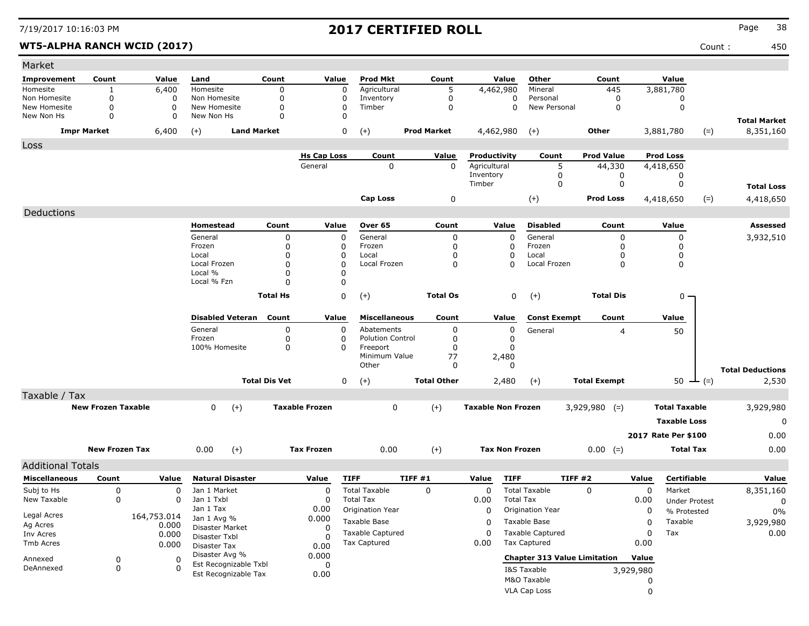| Market                      |                       |             |                                  |                      |                       |                         |                    |                           |                       |                                         |                     |                      |                      |        |                         |
|-----------------------------|-----------------------|-------------|----------------------------------|----------------------|-----------------------|-------------------------|--------------------|---------------------------|-----------------------|-----------------------------------------|---------------------|----------------------|----------------------|--------|-------------------------|
| Improvement                 | Count                 | Value       | Land                             | Count                | Value                 | <b>Prod Mkt</b>         | Count              |                           | Value                 | Other                                   | Count               |                      | Value                |        |                         |
| Homesite                    | 1                     | 6,400       | Homesite                         | 0                    | 0                     | Agricultural            | 5                  |                           | 4,462,980             | Mineral                                 | 445                 |                      | 3,881,780            |        |                         |
| Non Homesite                | $\mathbf 0$           | 0           | Non Homesite                     | 0                    | 0                     | Inventory               | 0                  |                           | 0                     | Personal                                | 0                   |                      | 0                    |        |                         |
| New Homesite                | 0                     | $\Omega$    | New Homesite                     | 0                    | 0                     | Timber                  | 0                  |                           | $\Omega$              | New Personal                            | 0                   |                      | 0                    |        |                         |
| New Non Hs                  | 0                     | 0           | New Non Hs                       | $\Omega$             | 0                     |                         |                    |                           |                       |                                         |                     |                      |                      |        | <b>Total Market</b>     |
| <b>Impr Market</b><br>6,400 |                       |             | <b>Land Market</b><br>$(+)$      |                      | 0                     | $(+)$                   | <b>Prod Market</b> |                           | 4,462,980             | $(+)$                                   | <b>Other</b>        |                      | 3,881,780            | $(=)$  | 8,351,160               |
| Loss                        |                       |             |                                  |                      |                       |                         |                    |                           |                       |                                         |                     |                      |                      |        |                         |
|                             |                       |             |                                  |                      | <b>Hs Cap Loss</b>    | Count                   | Value              | Productivity              |                       | Count                                   | <b>Prod Value</b>   |                      | <b>Prod Loss</b>     |        |                         |
|                             |                       |             |                                  |                      | General               | 0                       | $\Omega$           | Agricultural<br>Inventory |                       | 5<br>0                                  | 44,330              |                      | 4,418,650<br>0       |        |                         |
|                             |                       |             |                                  |                      |                       |                         |                    | Timber                    |                       | 0                                       | 0<br>0              |                      | 0                    |        | <b>Total Loss</b>       |
|                             |                       |             |                                  |                      |                       |                         |                    |                           |                       |                                         |                     |                      |                      |        |                         |
|                             |                       |             |                                  |                      |                       | Cap Loss                | 0                  |                           |                       | $(+)$                                   | <b>Prod Loss</b>    |                      | 4,418,650            | $(=)$  | 4,418,650               |
| Deductions                  |                       |             |                                  |                      |                       |                         |                    |                           |                       |                                         |                     |                      |                      |        |                         |
|                             |                       |             | Homestead                        | Count                | Value                 | Over 65                 | Count              |                           | Value                 | <b>Disabled</b>                         | Count               |                      | Value                |        | Assessed                |
|                             |                       |             | General                          | $\mathbf 0$          | 0                     | General                 | 0                  |                           | $\Omega$              | General                                 | 0                   |                      | 0                    |        | 3,932,510               |
|                             |                       |             | Frozen<br>Local                  | $\Omega$<br>O        | 0<br>0                | Frozen<br>Local         | 0<br>0             |                           | $\mathbf 0$<br>0      | Frozen<br>Local                         | 0<br>O              |                      | 0<br>0               |        |                         |
|                             |                       |             | Local Frozen                     | $\Omega$             | $\Omega$              | Local Frozen            | 0                  |                           | $\Omega$              | Local Frozen                            | 0                   |                      | 0                    |        |                         |
|                             |                       |             | Local %                          | O                    | $\Omega$              |                         |                    |                           |                       |                                         |                     |                      |                      |        |                         |
|                             |                       |             | Local % Fzn                      | O                    | $\Omega$              |                         |                    |                           |                       |                                         |                     |                      |                      |        |                         |
|                             |                       |             |                                  | <b>Total Hs</b>      | 0                     | $(+)$                   | <b>Total Os</b>    |                           | 0                     | $(+)$                                   | <b>Total Dis</b>    |                      | $0 -$                |        |                         |
|                             |                       |             |                                  |                      |                       |                         |                    |                           |                       |                                         |                     |                      |                      |        |                         |
|                             |                       |             | <b>Disabled Veteran</b>          | Count                | Value                 | <b>Miscellaneous</b>    | Count              |                           | Value                 | <b>Const Exempt</b>                     | Count               |                      | Value                |        |                         |
|                             |                       |             | General                          | 0                    | $\Omega$              | Abatements              | 0                  |                           | 0                     | General                                 | 4                   |                      | 50                   |        |                         |
|                             |                       |             | Frozen                           | 0                    | 0                     | <b>Polution Control</b> | 0                  |                           | 0                     |                                         |                     |                      |                      |        |                         |
|                             |                       |             | 100% Homesite                    | 0                    | 0                     | Freeport                | 0                  |                           | $\Omega$              |                                         |                     |                      |                      |        |                         |
|                             |                       |             |                                  |                      |                       | Minimum Value<br>Other  | 77<br>0            |                           | 2,480<br>$\Omega$     |                                         |                     |                      |                      |        |                         |
|                             |                       |             |                                  |                      |                       |                         |                    |                           |                       |                                         |                     |                      |                      |        | <b>Total Deductions</b> |
|                             |                       |             |                                  | <b>Total Dis Vet</b> | 0                     | $(+)$                   | <b>Total Other</b> |                           | 2,480                 | $(+)$                                   | <b>Total Exempt</b> |                      | 50                   | $ (=)$ | 2,530                   |
| Taxable / Tax               |                       |             |                                  |                      |                       |                         |                    |                           |                       |                                         |                     |                      |                      |        |                         |
| <b>New Frozen Taxable</b>   |                       |             | $(+)$<br>0                       |                      | <b>Taxable Frozen</b> | 0                       | $(+)$              | <b>Taxable Non Frozen</b> |                       | $3,929,980$ (=)                         |                     | <b>Total Taxable</b> |                      |        | 3,929,980               |
|                             |                       |             |                                  |                      |                       |                         |                    |                           |                       |                                         |                     |                      | <b>Taxable Loss</b>  |        | 0                       |
|                             |                       |             |                                  |                      |                       |                         |                    |                           |                       |                                         |                     |                      | 2017 Rate Per \$100  |        | 0.00                    |
|                             | <b>New Frozen Tax</b> |             | 0.00<br>$(+)$                    |                      | <b>Tax Frozen</b>     | 0.00                    | $(+)$              |                           | <b>Tax Non Frozen</b> |                                         | $0.00 (=)$          |                      | <b>Total Tax</b>     |        | 0.00                    |
|                             |                       |             |                                  |                      |                       |                         |                    |                           |                       |                                         |                     |                      |                      |        |                         |
| <b>Additional Totals</b>    |                       |             |                                  |                      |                       |                         |                    |                           |                       |                                         |                     |                      |                      |        |                         |
| <b>Miscellaneous</b>        | Count                 | Value       | <b>Natural Disaster</b>          |                      | Value                 | <b>TIFF</b>             | TIFF #1            | Value                     | <b>TIFF</b>           | TIFF#2                                  |                     | Value                | Certifiable          |        | Value                   |
| Subj to Hs                  | 0                     | 0           | Jan 1 Market                     |                      | 0                     | <b>Total Taxable</b>    | 0                  | $\mathbf 0$               |                       | <b>Total Taxable</b>                    | 0                   | $\mathbf 0$          | Market               |        | 8,351,160               |
| New Taxable                 | 0                     | 0           | Jan 1 Txbl<br>Jan 1 Tax          |                      | 0<br>0.00             | <b>Total Tax</b>        |                    | 0.00                      | <b>Total Tax</b>      |                                         |                     | 0.00                 | <b>Under Protest</b> |        | 0                       |
| Legal Acres                 |                       | 164,753.014 | Jan 1 Avg %                      |                      | 0.000                 | Origination Year        |                    | 0                         |                       | Origination Year                        |                     | 0                    | % Protested          |        | 0%                      |
| Ag Acres                    |                       | 0.000       | Disaster Market<br>Disaster Txbl |                      | 0                     | Taxable Base            |                    | 0                         |                       | Taxable Base<br><b>Taxable Captured</b> |                     | 0                    | Taxable              |        | 3,929,980               |
| Inv Acres                   |                       | 0.000       |                                  |                      | -0                    | <b>Taxable Captured</b> |                    | 0                         |                       |                                         |                     | 0                    | Tax                  |        | 0.00                    |
| Tmb Acres                   |                       | 0.000       | Disaster Tax                     |                      | 0.00                  | <b>Tax Captured</b>     |                    | 0.00                      |                       | <b>Tax Captured</b>                     |                     | 0.00                 |                      |        |                         |
| Annexed                     | 0<br>0                |             | Disaster Avg %                   | 0.000                |                       |                         |                    |                           |                       | <b>Chapter 313 Value Limitation</b>     |                     | Value                |                      |        |                         |
| DeAnnexed                   | 0                     | 0           | Est Recognizable Txbl            |                      | 0                     |                         |                    |                           |                       | I&S Taxable                             |                     | 3,929,980            |                      |        |                         |
|                             |                       |             | Est Recognizable Tax             |                      | 0.00                  |                         |                    |                           |                       | M&O Taxable                             |                     | 0                    |                      |        |                         |
|                             |                       |             |                                  |                      |                       |                         |                    |                           |                       | VLA Cap Loss                            |                     | 0                    |                      |        |                         |